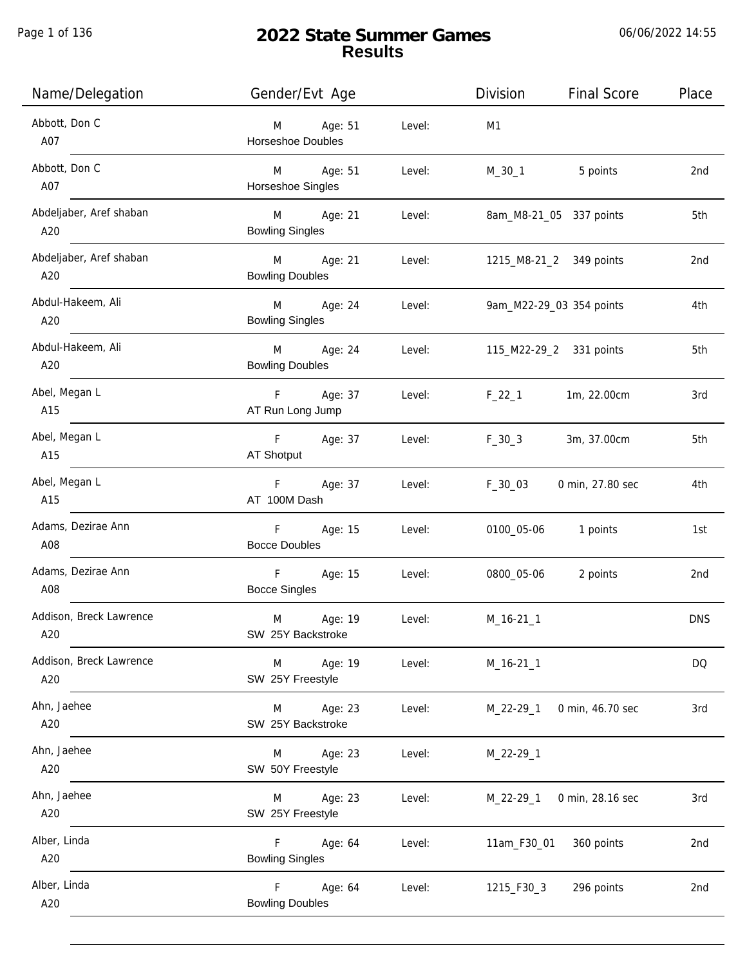Page 1 of 136

# **2022 State Summer Games Results**

06/06/2022 14:55

| Name/Delegation                | Gender/Evt Age                                 |        | Division<br><b>Final Score</b>  | Place           |
|--------------------------------|------------------------------------------------|--------|---------------------------------|-----------------|
| Abbott, Don C<br>A07           | Age: 51<br>M<br>Horseshoe Doubles              | Level: | M1                              |                 |
| Abbott, Don C<br>A07           | M Age: 51<br>Horseshoe Singles                 | Level: | 5 points<br>M_30_1              | 2 <sub>nd</sub> |
| Abdeljaber, Aref shaban<br>A20 | M Age: 21<br><b>Bowling Singles</b>            | Level: | 8am_M8-21_05 337 points         | 5th             |
| Abdeljaber, Aref shaban<br>A20 | M Age: 21<br><b>Bowling Doubles</b>            | Level: | 1215_M8-21_2 349 points         | 2nd             |
| Abdul-Hakeem, Ali<br>A20       | M Age: 24<br><b>Bowling Singles</b>            | Level: | 9am_M22-29_03 354 points        | 4th             |
| Abdul-Hakeem, Ali<br>A20       | M Age: 24<br><b>Bowling Doubles</b>            | Level: | 115_M22-29_2 331 points         | 5th             |
| Abel, Megan L<br>A15           | F Age: 37<br>AT Run Long Jump                  | Level: | $F_22_1$<br>1m, 22.00cm         | 3rd             |
| Abel, Megan L<br>A15           | F Age: 37<br>AT Shotput                        | Level: | $F_30_3$<br>3m, 37.00cm         | 5th             |
| Abel, Megan L<br>A15           | F Age: 37<br>AT 100M Dash                      | Level: | F_30_03<br>0 min, 27.80 sec     | 4th             |
| Adams, Dezirae Ann<br>A08      | F Age: 15<br><b>Bocce Doubles</b>              | Level: | 0100_05-06 1 points             | 1st             |
| Adams, Dezirae Ann<br>A08      | $\mathsf F$<br>Age: 15<br><b>Bocce Singles</b> | Level: | 0800_05-06<br>2 points          | 2nd             |
| Addison, Breck Lawrence<br>A20 | M<br>Age: 19<br>SW 25Y Backstroke              | Level: | M_16-21_1                       | <b>DNS</b>      |
| Addison, Breck Lawrence<br>A20 | Age: 19<br>M<br>SW 25Y Freestyle               | Level: | $M_16-21_1$                     | DQ              |
| Ahn, Jaehee<br>A20             | Age: 23<br>M<br>SW 25Y Backstroke              | Level: | 0 min, 46.70 sec<br>$M_22-29_1$ | 3rd             |
| Ahn, Jaehee<br>A20             | Age: 23<br>M<br>SW 50Y Freestyle               | Level: | M_22-29_1                       |                 |
| Ahn, Jaehee<br>A20             | Age: 23<br>M<br>SW 25Y Freestyle               | Level: | 0 min, 28.16 sec<br>$M_22-29-1$ | 3rd             |
| Alber, Linda<br>A20            | Age: 64<br>F.<br><b>Bowling Singles</b>        | Level: | 11am_F30_01<br>360 points       | 2nd             |
| Alber, Linda<br>A20            | F.<br>Age: 64<br><b>Bowling Doubles</b>        | Level: | 1215_F30_3<br>296 points        | 2nd             |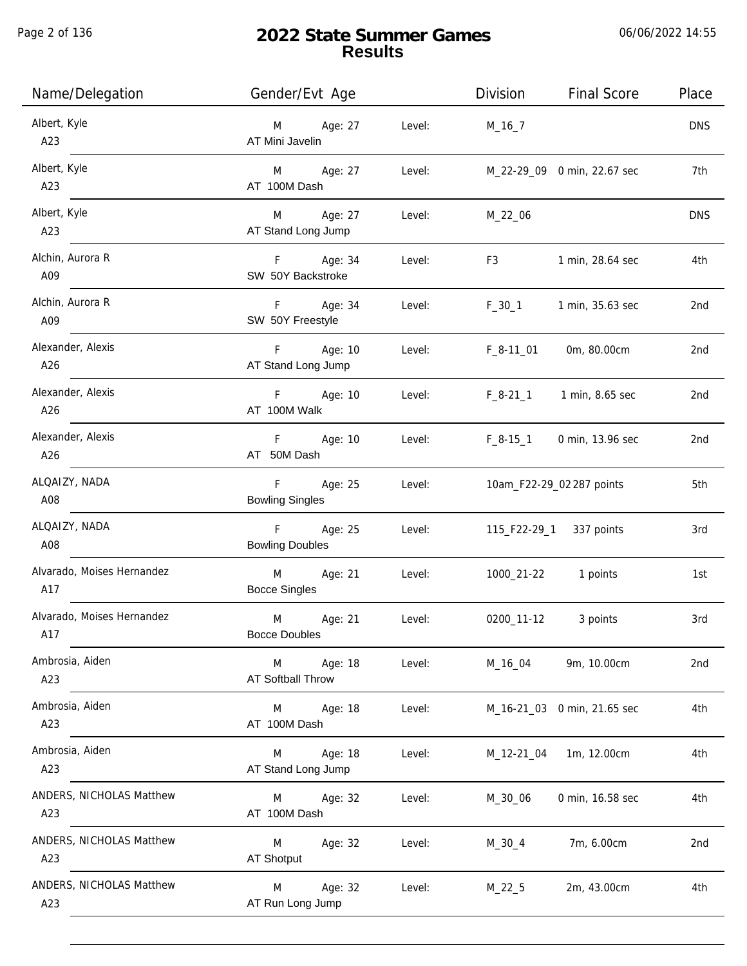Page 2 of 136

# **2022 State Summer Games Results**

06/06/2022 14:55

| Name/Delegation                   | Gender/Evt Age                             |        | Division<br><b>Final Score</b> | Place           |
|-----------------------------------|--------------------------------------------|--------|--------------------------------|-----------------|
| Albert, Kyle<br>A23               | Age: 27<br>M<br>AT Mini Javelin            | Level: | $M_16_7$                       | <b>DNS</b>      |
| Albert, Kyle<br>A23               | Age: 27<br>M <sub>ar</sub><br>AT 100M Dash | Level: | M_22-29_09 0 min, 22.67 sec    | 7th             |
| Albert, Kyle<br>A23               | Age: 27<br>M<br>AT Stand Long Jump         | Level: | M_22_06                        | <b>DNS</b>      |
| Alchin, Aurora R<br>A09           | Age: 34<br>F<br>SW 50Y Backstroke          | Level: | 1 min, 28.64 sec<br>F3         | 4th             |
| Alchin, Aurora R<br>A09           | Age: 34<br>F<br>SW 50Y Freestyle           | Level: | $F_30_1$<br>1 min, 35.63 sec   | 2nd             |
| Alexander, Alexis<br>A26          | F<br>Age: 10<br>AT Stand Long Jump         | Level: | 0m, 80.00cm<br>$F_8-11_01$     | 2 <sub>nd</sub> |
| Alexander, Alexis<br>A26          | F.<br>Age: 10<br>AT 100M Walk              | Level: | $F_8-21_1$<br>1 min, 8.65 sec  | 2nd             |
| Alexander, Alexis<br>A26          | Age: 10<br>F.<br>AT 50M Dash               | Level: | $F_8-15_1$<br>0 min, 13.96 sec | 2nd             |
| ALQAIZY, NADA<br>A08              | F<br>Age: 25<br><b>Bowling Singles</b>     | Level: | 10am_F22-29_02 287 points      | 5th             |
| ALQAIZY, NADA<br>A08              | F<br>Age: 25<br><b>Bowling Doubles</b>     | Level: | 115_F22-29_1<br>337 points     | 3rd             |
| Alvarado, Moises Hernandez<br>A17 | M<br>Age: 21<br><b>Bocce Singles</b>       | Level: | 1000_21-22<br>1 points         | 1st             |
| Alvarado, Moises Hernandez<br>A17 | M<br>Age: 21<br><b>Bocce Doubles</b>       | Level: | 0200_11-12<br>3 points         | 3rd             |
| Ambrosia, Aiden<br>A23            | Age: 18<br>M<br>AT Softball Throw          | Level: | 9m, 10.00cm<br>M_16_04         | 2 <sub>nd</sub> |
| Ambrosia, Aiden<br>A23            | Age: 18<br>M<br>AT 100M Dash               | Level: | M_16-21_03 0 min, 21.65 sec    | 4th             |
| Ambrosia, Aiden<br>A23            | Age: 18<br>M<br>AT Stand Long Jump         | Level: | 1m, 12.00cm<br>M_12-21_04      | 4th             |
| ANDERS, NICHOLAS Matthew<br>A23   | Age: 32<br>M<br>AT 100M Dash               | Level: | 0 min, 16.58 sec<br>M_30_06    | 4th             |
| ANDERS, NICHOLAS Matthew<br>A23   | Age: 32<br>M<br><b>AT Shotput</b>          | Level: | 7m, 6.00cm<br>$M_30_4$         | 2nd             |
| ANDERS, NICHOLAS Matthew<br>A23   | Age: 32<br>M<br>AT Run Long Jump           | Level: | $M_22_5$<br>2m, 43.00cm        | 4th             |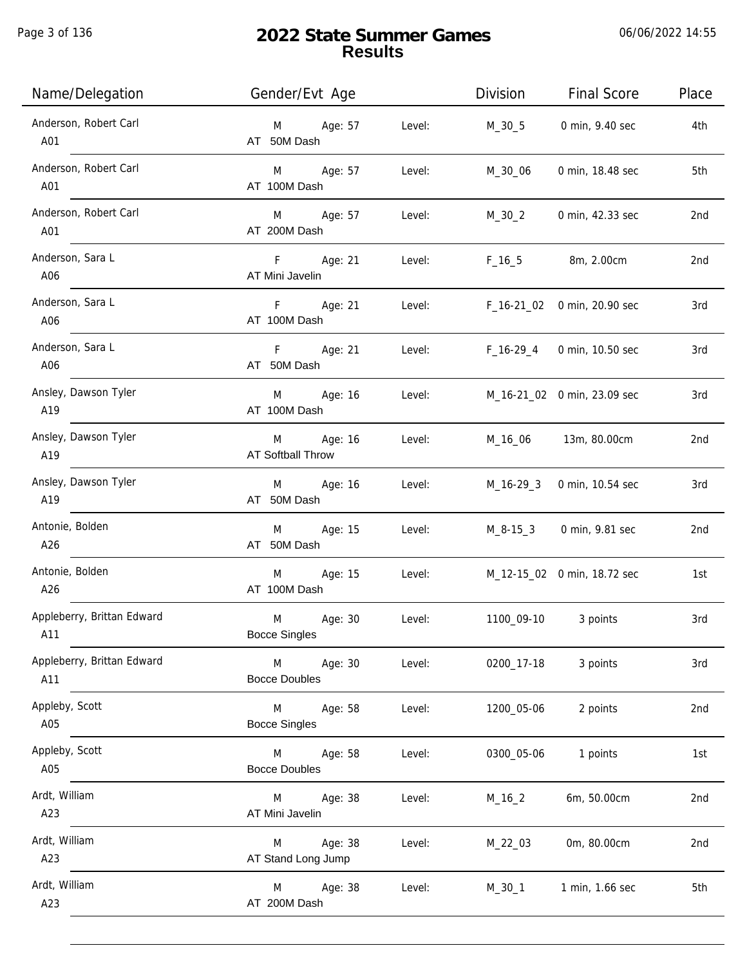Page 3 of 136

| Name/Delegation                   | Gender/Evt Age                                 | Division                    | <b>Final Score</b>          | Place |
|-----------------------------------|------------------------------------------------|-----------------------------|-----------------------------|-------|
| Anderson, Robert Carl<br>A01      | Age: 57<br>Level:<br>M<br>AT 50M Dash          | M_30_5                      | 0 min, 9.40 sec             | 4th   |
| Anderson, Robert Carl<br>A01      | M Age: 57<br>Level:<br>AT 100M Dash            | M_30_06                     | 0 min, 18.48 sec            | 5th   |
| Anderson, Robert Carl<br>A01      | M Age: 57<br>Level:<br>AT 200M Dash            | $M_30_2$                    | 0 min, 42.33 sec            | 2nd   |
| Anderson, Sara L<br>A06           | F Age: 21<br>Level:<br>AT Mini Javelin         |                             | F_16_5 8m, 2.00cm           | 2nd   |
| Anderson, Sara L<br>A06           | F Age: 21<br>Level:<br>AT 100M Dash            |                             | F_16-21_02 0 min, 20.90 sec | 3rd   |
| Anderson, Sara L<br>A06           | F Age: 21<br>Level:<br>AT 50M Dash             | F_16-29_4                   | 0 min, 10.50 sec            | 3rd   |
| Ansley, Dawson Tyler<br>A19       | M Age: 16<br>Level:<br>AT 100M Dash            |                             | M_16-21_02 0 min, 23.09 sec | 3rd   |
| Ansley, Dawson Tyler<br>A19       | M Age: 16<br>Level:<br>AT Softball Throw       |                             | M_16_06 13m, 80.00cm        | 2nd   |
| Ansley, Dawson Tyler<br>A19       | Age: 16<br>Level:<br>M<br>AT 50M Dash          |                             | M_16-29_3 0 min, 10.54 sec  | 3rd   |
| Antonie, Bolden<br>A26            | Age: 15<br>Level:<br>M<br>AT 50M Dash          |                             | M_8-15_3 0 min, 9.81 sec    | 2nd   |
| Antonie, Bolden<br>A26            | M<br>Age: 15<br>Level:<br>AT 100M Dash         | M_12-15_02 0 min, 18.72 sec |                             | 1st   |
| Appleberry, Brittan Edward<br>A11 | M<br>Age: 30<br>Level:<br><b>Bocce Singles</b> | 1100_09-10                  | 3 points                    | 3rd   |
| Appleberry, Brittan Edward<br>A11 | Age: 30<br>M<br>Level:<br><b>Bocce Doubles</b> | 0200_17-18                  | 3 points                    | 3rd   |
| Appleby, Scott<br>A05             | M<br>Age: 58<br>Level:<br><b>Bocce Singles</b> | 1200_05-06                  | 2 points                    | 2nd   |
| Appleby, Scott<br>A05             | Age: 58<br>Level:<br>M<br><b>Bocce Doubles</b> | 0300_05-06                  | 1 points                    | 1st   |
| Ardt, William<br>A23              | Age: 38<br>Level:<br>M<br>AT Mini Javelin      | $M_16_2$                    | 6m, 50.00cm                 | 2nd   |
| Ardt, William<br>A23              | Age: 38<br>Level:<br>M<br>AT Stand Long Jump   | M_22_03                     | 0m, 80.00cm                 | 2nd   |
| Ardt, William<br>A23              | Age: 38<br>Level:<br>M<br>AT 200M Dash         | M_30_1                      | 1 min, 1.66 sec             | 5th   |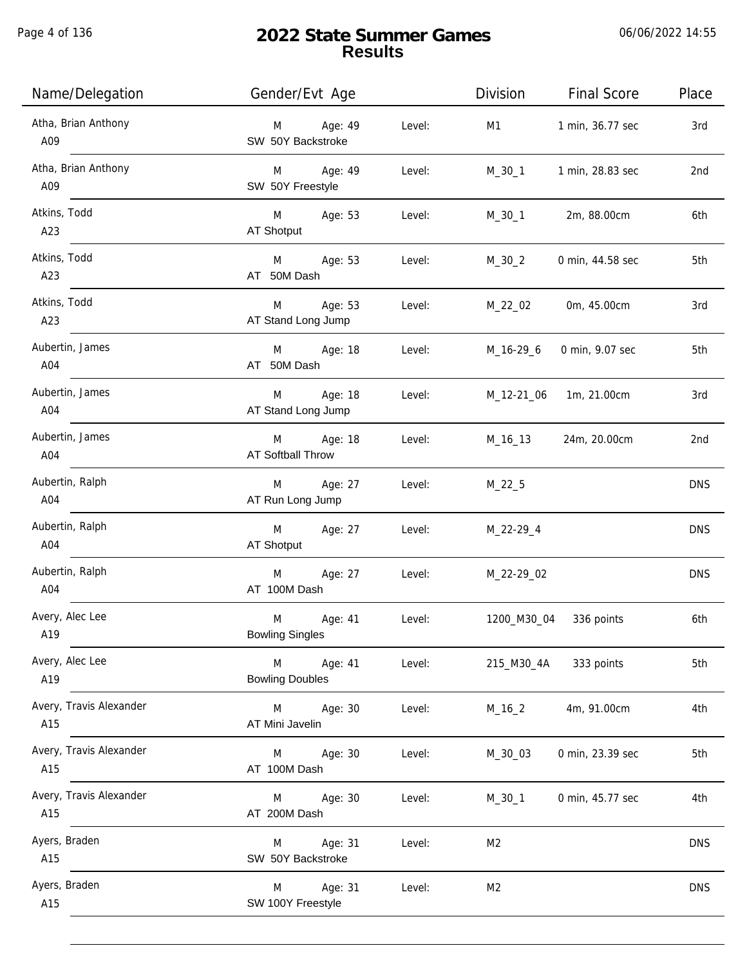Page 4 of 136

| Name/Delegation                | Gender/Evt Age                                   | Division       | <b>Final Score</b> | Place      |
|--------------------------------|--------------------------------------------------|----------------|--------------------|------------|
| Atha, Brian Anthony<br>A09     | Age: 49<br>Level:<br>M<br>SW 50Y Backstroke      | M1             | 1 min, 36.77 sec   | 3rd        |
| Atha, Brian Anthony<br>A09     | Age: 49<br>M<br>Level:<br>SW 50Y Freestyle       | M_30_1         | 1 min, 28.83 sec   | 2nd        |
| Atkins, Todd<br>A23            | M Age: 53<br>Level:<br>AT Shotput                | M_30_1         | 2m, 88.00cm        | 6th        |
| Atkins, Todd<br>A23            | M Age: 53<br>Level:<br>AT 50M Dash               | $M_30_2$       | 0 min, 44.58 sec   | 5th        |
| Atkins, Todd<br>A23            | Age: 53<br>M<br>Level:<br>AT Stand Long Jump     | M_22_02        | 0m, 45.00cm        | 3rd        |
| Aubertin, James<br>A04         | M Age: 18<br>Level:<br>AT 50M Dash               | M_16-29_6      | 0 min, 9.07 sec    | 5th        |
| Aubertin, James<br>A04         | Age: 18<br>M<br>Level:<br>AT Stand Long Jump     | M_12-21_06     | 1m, 21.00cm        | 3rd        |
| Aubertin, James<br>A04         | Age: 18<br>M<br>Level:<br>AT Softball Throw      | M_16_13        | 24m, 20.00cm       | 2nd        |
| Aubertin, Ralph<br>A04         | Age: 27<br>Level:<br>M<br>AT Run Long Jump       | $M_22_5$       |                    | <b>DNS</b> |
| Aubertin, Ralph<br>A04         | M<br>Age: 27<br>Level:<br>AT Shotput             | M_22-29_4      |                    | <b>DNS</b> |
| Aubertin, Ralph<br>A04         | M<br>Age: 27<br>Level:<br>AT 100M Dash           | M_22-29_02     |                    | <b>DNS</b> |
| Avery, Alec Lee<br>A19         | M<br>Age: 41<br>Level:<br><b>Bowling Singles</b> | 1200_M30_04    | 336 points         | 6th        |
| Avery, Alec Lee<br>A19         | Age: 41<br>M<br>Level:<br><b>Bowling Doubles</b> | 215_M30_4A     | 333 points         | 5th        |
| Avery, Travis Alexander<br>A15 | Level:<br>M<br>Age: 30<br>AT Mini Javelin        | $M_16_2$       | 4m, 91.00cm        | 4th        |
| Avery, Travis Alexander<br>A15 | Age: 30<br>Level:<br>M<br>AT 100M Dash           | M_30_03        | 0 min, 23.39 sec   | 5th        |
| Avery, Travis Alexander<br>A15 | Age: 30<br>Level:<br>M<br>AT 200M Dash           | $M_30_1$       | 0 min, 45.77 sec   | 4th        |
| Ayers, Braden<br>A15           | Age: 31<br>Level:<br>M<br>SW 50Y Backstroke      | M <sub>2</sub> |                    | <b>DNS</b> |
| Ayers, Braden<br>A15           | Age: 31<br>Level:<br>M<br>SW 100Y Freestyle      | M <sub>2</sub> |                    | <b>DNS</b> |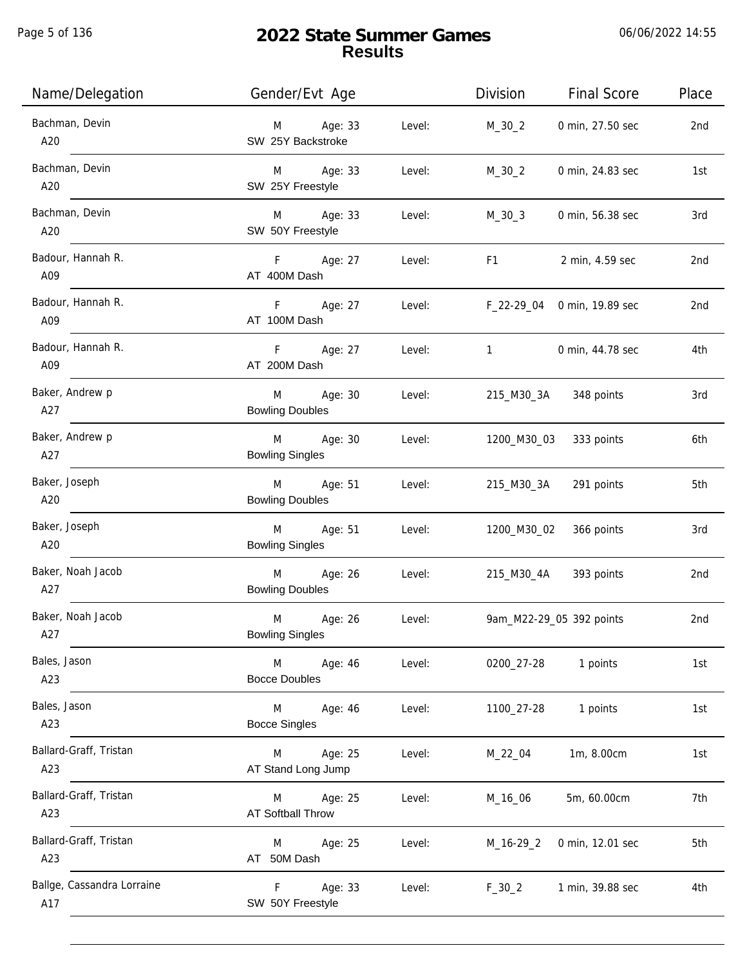Page 5 of 136

| Name/Delegation                   | Gender/Evt Age                                   | <b>Division</b><br><b>Final Score</b>                                                                                                                                                                                                             | Place |
|-----------------------------------|--------------------------------------------------|---------------------------------------------------------------------------------------------------------------------------------------------------------------------------------------------------------------------------------------------------|-------|
| Bachman, Devin<br>A20             | Age: 33<br>Level:<br>M<br>SW 25Y Backstroke      | $M_30_2$<br>0 min, 27.50 sec                                                                                                                                                                                                                      | 2nd   |
| Bachman, Devin<br>A20             | M Age: 33<br>Level:<br>SW 25Y Freestyle          | $M_30_2$<br>0 min, 24.83 sec                                                                                                                                                                                                                      | 1st   |
| Bachman, Devin<br>A20             | M Age: 33<br>Level:<br>SW 50Y Freestyle          | $M_30_3$<br>0 min, 56.38 sec                                                                                                                                                                                                                      | 3rd   |
| Badour, Hannah R.<br>A09          | F Age: 27<br>Level:<br>AT 400M Dash              | F1 and the state of the state of the state of the state of the state of the state of the state of the state of the state of the state of the state of the state of the state of the state of the state of the state of the sta<br>2 min, 4.59 sec | 2nd   |
| Badour, Hannah R.<br>A09          | F Age: 27<br>Level:<br>AT 100M Dash              | F_22-29_04 0 min, 19.89 sec                                                                                                                                                                                                                       | 2nd   |
| Badour, Hannah R.<br>A09          | F<br>Age: 27<br>Level:<br>AT 200M Dash           | $1 \qquad \qquad$<br>0 min, 44.78 sec                                                                                                                                                                                                             | 4th   |
| Baker, Andrew p<br>A27            | M<br>Age: 30<br>Level:<br><b>Bowling Doubles</b> | 215_M30_3A 348 points                                                                                                                                                                                                                             | 3rd   |
| Baker, Andrew p<br>A27            | M<br>Age: 30<br>Level:<br><b>Bowling Singles</b> | 1200_M30_03 333 points                                                                                                                                                                                                                            | 6th   |
| Baker, Joseph<br>A20              | M<br>Age: 51<br>Level:<br><b>Bowling Doubles</b> | 215_M30_3A<br>291 points                                                                                                                                                                                                                          | 5th   |
| Baker, Joseph<br>A20              | Age: 51<br>M<br>Level:<br><b>Bowling Singles</b> | 1200_M30_02<br>366 points                                                                                                                                                                                                                         | 3rd   |
| Baker, Noah Jacob<br>A27          | Age: 26<br>M<br>Level:<br><b>Bowling Doubles</b> | 215_M30_4A<br>393 points                                                                                                                                                                                                                          | 2nd   |
| Baker, Noah Jacob<br>A27          | M<br>Age: 26<br>Level:<br><b>Bowling Singles</b> | 9am_M22-29_05 392 points                                                                                                                                                                                                                          | 2nd   |
| Bales, Jason<br>A23               | M<br>Age: 46<br>Level:<br><b>Bocce Doubles</b>   | 0200_27-28<br>1 points                                                                                                                                                                                                                            | 1st   |
| Bales, Jason<br>A23               | M<br>Age: 46<br>Level:<br><b>Bocce Singles</b>   | 1 points<br>1100_27-28                                                                                                                                                                                                                            | 1st   |
| Ballard-Graff, Tristan<br>A23     | Age: 25<br>Level:<br>M<br>AT Stand Long Jump     | 1m, 8.00cm<br>M_22_04                                                                                                                                                                                                                             | 1st   |
| Ballard-Graff, Tristan<br>A23     | Age: 25<br>Level:<br>M<br>AT Softball Throw      | 5m, 60.00cm<br>M_16_06                                                                                                                                                                                                                            | 7th   |
| Ballard-Graff, Tristan<br>A23     | Age: 25<br>Level:<br>M<br>AT 50M Dash            | 0 min, 12.01 sec<br>$M_16-29_2$                                                                                                                                                                                                                   | 5th   |
| Ballge, Cassandra Lorraine<br>A17 | Age: 33<br>Level:<br>F<br>SW 50Y Freestyle       | $F_30_2$<br>1 min, 39.88 sec                                                                                                                                                                                                                      | 4th   |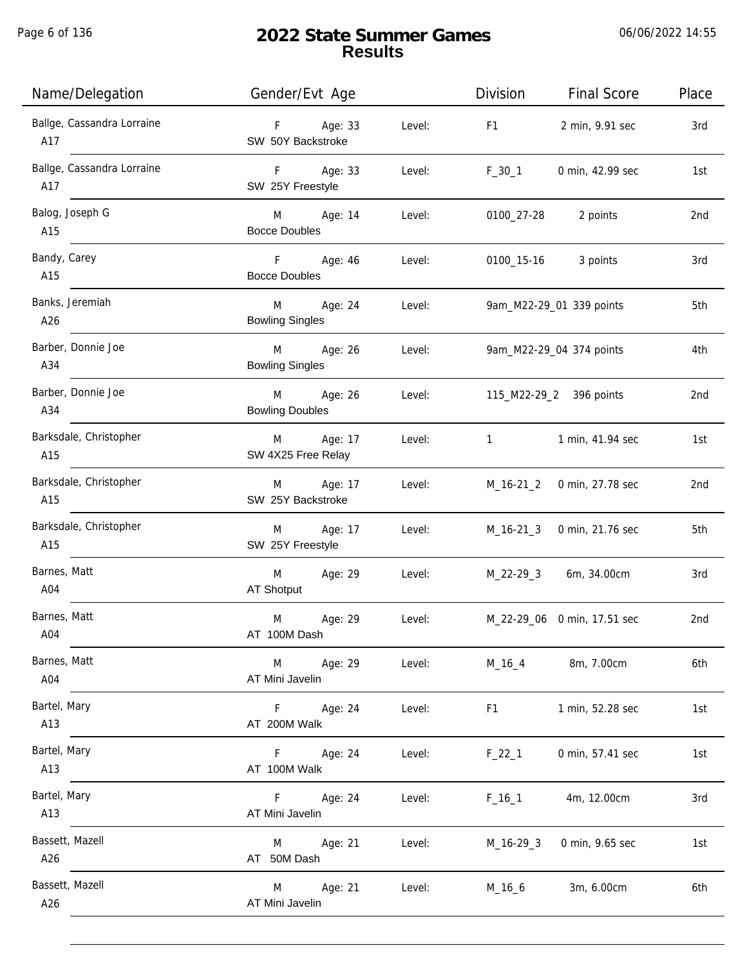Page 6 of 136

| Name/Delegation                   | Gender/Evt Age                         |        | Division         | <b>Final Score</b>          | Place |
|-----------------------------------|----------------------------------------|--------|------------------|-----------------------------|-------|
| Ballge, Cassandra Lorraine<br>A17 | F Age: 33<br>SW 50Y Backstroke         | Level: | F <sub>1</sub>   | 2 min, 9.91 sec             | 3rd   |
| Ballge, Cassandra Lorraine<br>A17 | F Age: 33<br>SW 25Y Freestyle          | Level: | $F_30_1$         | 0 min, 42.99 sec            | 1st   |
| Balog, Joseph G<br>A15            | M Age: 14<br><b>Bocce Doubles</b>      | Level: |                  | 0100_27-28 2 points         | 2nd   |
| Bandy, Carey<br>A15               | F Age: 46<br><b>Bocce Doubles</b>      | Level: |                  | 0100_15-16 3 points         | 3rd   |
| Banks, Jeremiah<br>A26            | M<br>Age: 24<br><b>Bowling Singles</b> | Level: |                  | 9am_M22-29_01 339 points    | 5th   |
| Barber, Donnie Joe<br>A34         | M Age: 26<br><b>Bowling Singles</b>    | Level: |                  | 9am_M22-29_04 374 points    | 4th   |
| Barber, Donnie Joe<br>A34         | M Age: 26<br><b>Bowling Doubles</b>    | Level: |                  | 115_M22-29_2 396 points     | 2nd   |
| Barksdale, Christopher<br>A15     | Age: 17<br>M<br>SW 4X25 Free Relay     | Level: | $1 \quad \cdots$ | 1 min, 41.94 sec            | 1st   |
| Barksdale, Christopher<br>A15     | Age: 17<br>M<br>SW 25Y Backstroke      | Level: | M_16-21_2        | 0 min, 27.78 sec            | 2nd   |
| Barksdale, Christopher<br>A15     | Age: 17<br>M<br>SW 25Y Freestyle       | Level: | M_16-21_3        | 0 min, 21.76 sec            | 5th   |
| Barnes, Matt<br>A04               | Age: 29<br>M<br>AT Shotput             | Level: |                  | M_22-29_3 6m, 34.00cm       | 3rd   |
| Barnes, Matt<br>A04               | M<br>Age: 29<br>AT 100M Dash           | Level: |                  | M_22-29_06 0 min, 17.51 sec | 2nd   |
| Barnes, Matt<br>A04               | Age: 29<br>M<br>AT Mini Javelin        | Level: | $M_16_4$         | 8m, 7.00cm                  | 6th   |
| Bartel, Mary<br>A13               | Age: 24<br>F.<br>AT 200M Walk          | Level: | F1               | 1 min, 52.28 sec            | 1st   |
| Bartel, Mary<br>A13               | Age: 24<br>F.<br>AT 100M Walk          | Level: | $F_22_1$         | 0 min, 57.41 sec            | 1st   |
| Bartel, Mary<br>A13               | F.<br>Age: 24<br>AT Mini Javelin       | Level: | $F_16_1$         | 4m, 12.00cm                 | 3rd   |
| Bassett, Mazell<br>A26            | Age: 21<br>M<br>AT 50M Dash            | Level: | $M_16-29-3$      | 0 min, 9.65 sec             | 1st   |
| Bassett, Mazell<br>A26            | Age: 21<br>M<br>AT Mini Javelin        | Level: | $M_16_6$         | 3m, 6.00cm                  | 6th   |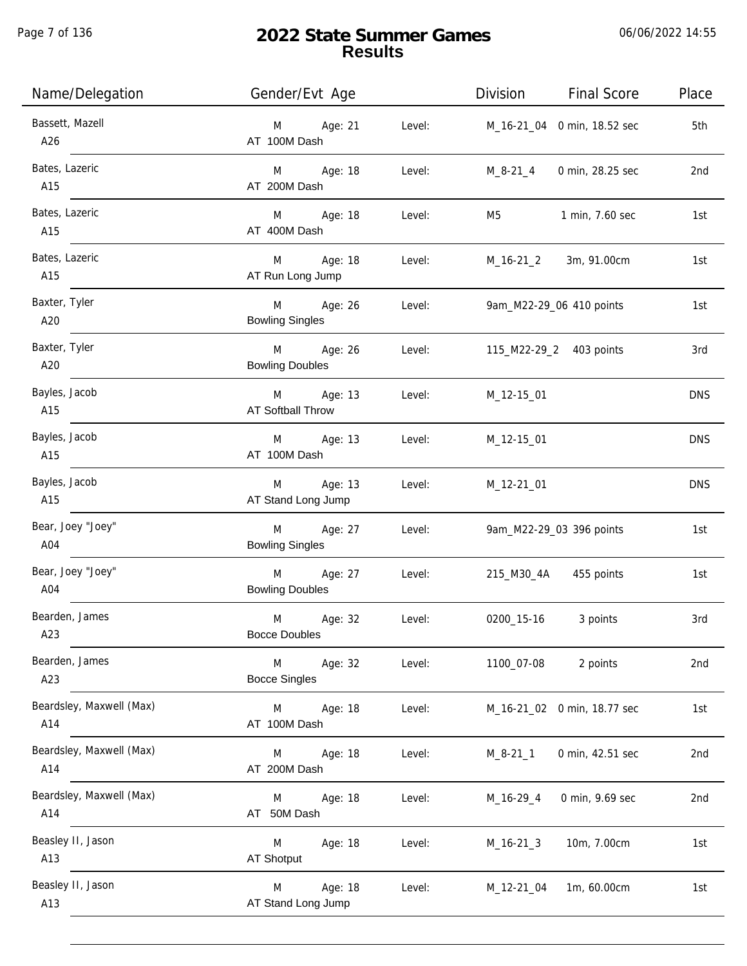Page 7 of 136

| Name/Delegation                 | Gender/Evt Age                         |        | Division                       | <b>Final Score</b>          | Place      |
|---------------------------------|----------------------------------------|--------|--------------------------------|-----------------------------|------------|
| Bassett, Mazell<br>A26          | Age: 21<br>M<br>AT 100M Dash           | Level: |                                | M_16-21_04 0 min, 18.52 sec | 5th        |
| Bates, Lazeric<br>A15           | M Age: 18<br>AT 200M Dash              | Level: | M_8-21_4                       | 0 min, 28.25 sec            | 2nd        |
| Bates, Lazeric<br>A15           | M Age: 18<br>AT 400M Dash              | Level: | M5                             | 1 min, 7.60 sec             | 1st        |
| Bates, Lazeric<br>A15           | M Age: 18<br>AT Run Long Jump          | Level: |                                | M_16-21_2 3m, 91.00cm       | 1st        |
| Baxter, Tyler<br>A20            | M Age: 26<br><b>Bowling Singles</b>    | Level: | 9am_M22-29_06 410 points       |                             | 1st        |
| Baxter, Tyler<br>A20            | M Age: 26<br><b>Bowling Doubles</b>    |        | Level: 115_M22-29_2 403 points |                             | 3rd        |
| Bayles, Jacob<br>A15            | M Age: 13<br>AT Softball Throw         | Level: | M_12-15_01                     |                             | <b>DNS</b> |
| Bayles, Jacob<br>A15            | M Age: 13<br>AT 100M Dash              | Level: | M_12-15_01                     |                             | <b>DNS</b> |
| Bayles, Jacob<br>A15            | Age: 13<br>M<br>AT Stand Long Jump     | Level: | M_12-21_01                     |                             | <b>DNS</b> |
| Bear, Joey "Joey"<br>A04        | Age: 27<br>M<br><b>Bowling Singles</b> | Level: |                                | 9am_M22-29_03 396 points    | 1st        |
| Bear, Joey "Joey"<br>A04        | Age: 27<br>M<br><b>Bowling Doubles</b> | Level: |                                | 215_M30_4A 455 points       | 1st        |
| Bearden, James<br>A23           | M<br>Age: 32<br><b>Bocce Doubles</b>   | Level: | 0200_15-16                     | 3 points                    | 3rd        |
| Bearden, James<br>A23           | M<br>Age: 32<br><b>Bocce Singles</b>   | Level: | 1100_07-08                     | 2 points                    | 2nd        |
| Beardsley, Maxwell (Max)<br>A14 | M<br>Age: 18<br>AT 100M Dash           | Level: |                                | M_16-21_02 0 min, 18.77 sec | 1st        |
| Beardsley, Maxwell (Max)<br>A14 | Age: 18<br>M<br>AT 200M Dash           | Level: | M_8-21_1                       | 0 min, 42.51 sec            | 2nd        |
| Beardsley, Maxwell (Max)<br>A14 | Age: 18<br>M<br>AT 50M Dash            | Level: | $M_16-29_4$                    | 0 min, 9.69 sec             | 2nd        |
| Beasley II, Jason<br>A13        | Age: 18<br>M<br>AT Shotput             | Level: | $M_16-21_3$                    | 10m, 7.00cm                 | 1st        |
| Beasley II, Jason<br>A13        | Age: 18<br>M<br>AT Stand Long Jump     | Level: | M_12-21_04                     | 1m, 60.00cm                 | 1st        |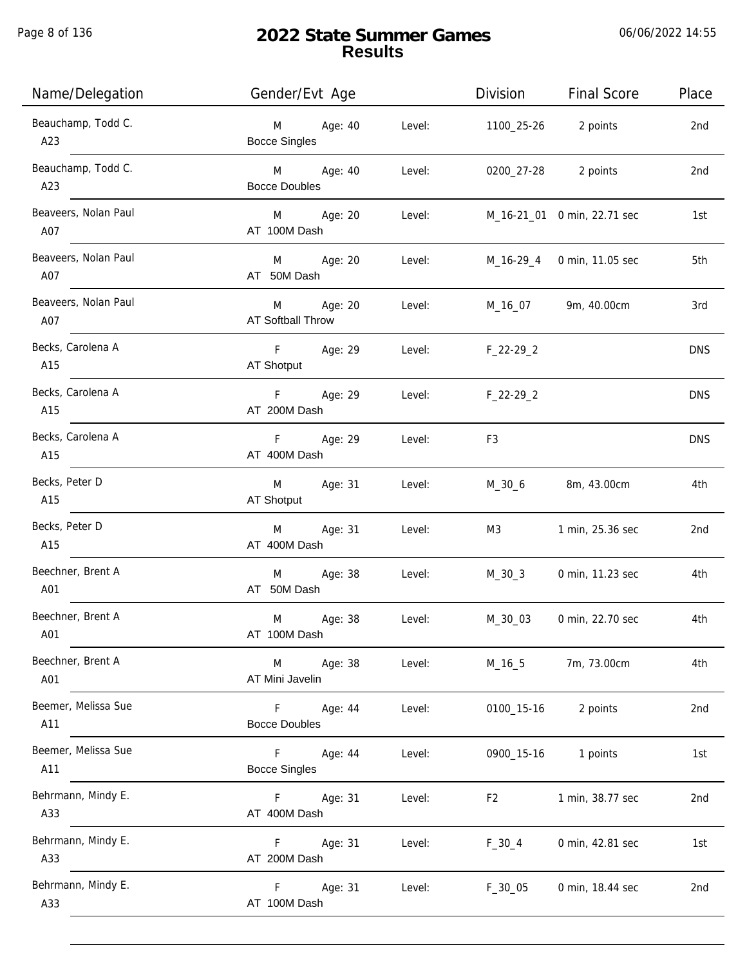Page 8 of 136

j.

| Name/Delegation             | Gender/Evt Age                                               | Division         | <b>Final Score</b>          | Place      |
|-----------------------------|--------------------------------------------------------------|------------------|-----------------------------|------------|
| Beauchamp, Todd C.<br>A23   | <b>M</b><br>Age: 40<br>Level:<br><b>Bocce Singles</b>        |                  | 1100_25-26 2 points         | 2nd        |
| Beauchamp, Todd C.<br>A23   | M Age: 40<br>Level:<br><b>Bocce Doubles</b>                  |                  | 0200_27-28 2 points         | 2nd        |
| Beaveers, Nolan Paul<br>A07 | M Age: 20<br>Level:<br>AT 100M Dash                          |                  | M_16-21_01 0 min, 22.71 sec | 1st        |
| Beaveers, Nolan Paul<br>A07 | M Age: 20<br>Level:<br>AT 50M Dash                           |                  | M_16-29_4 0 min, 11.05 sec  | 5th        |
| Beaveers, Nolan Paul<br>A07 | M Age: 20<br>Level:<br>AT Softball Throw                     |                  | M_16_07 9m, 40.00cm         | 3rd        |
| Becks, Carolena A<br>A15    | F Age: 29<br>AT Shotput                                      | Level: F_22-29_2 |                             | <b>DNS</b> |
| Becks, Carolena A<br>A15    | F Age: 29<br>Level:<br>AT 200M Dash                          | $F_22-29_2$      |                             | <b>DNS</b> |
| Becks, Carolena A<br>A15    | F<br>Age: 29<br>Level:<br>AT 400M Dash                       | F3               |                             | <b>DNS</b> |
| Becks, Peter D<br>A15       | M Age: 31<br>Level:<br>AT Shotput                            | M_30_6           | 8m, 43.00cm                 | 4th        |
| Becks, Peter D<br>A15       | Age: 31<br>M<br>Level:<br>AT 400M Dash                       | M3               | 1 min, 25.36 sec            | 2nd        |
| Beechner, Brent A<br>A01    | M Age: 38<br>Level:<br>AT 50M Dash                           | M_30_3           | 0 min, 11.23 sec            | 4th        |
| Beechner, Brent A<br>A01    | Age: 38<br>M<br>Level:<br>AT 100M Dash                       | M_30_03          | 0 min, 22.70 sec            | 4th        |
| Beechner, Brent A<br>A01    | M<br>Age: 38<br>Level:<br>AT Mini Javelin                    | $M_16_5$         | 7m, 73.00cm                 | 4th        |
| Beemer, Melissa Sue<br>A11  | $\vert F \vert$<br>Age: 44<br>Level:<br><b>Bocce Doubles</b> | 0100_15-16       | 2 points                    | 2nd        |
| Beemer, Melissa Sue<br>A11  | F<br>Age: 44<br>Level:<br><b>Bocce Singles</b>               | 0900_15-16       | 1 points                    | 1st        |
| Behrmann, Mindy E.<br>A33   | Age: 31<br>F.<br>Level:<br>AT 400M Dash                      | F <sub>2</sub>   | 1 min, 38.77 sec            | 2nd        |
| Behrmann, Mindy E.<br>A33   | Age: 31<br>F.<br>Level:<br>AT 200M Dash                      | $F_30_4$         | 0 min, 42.81 sec            | 1st        |
| Behrmann, Mindy E.<br>A33   | Age: 31<br>Level:<br>F.<br>AT 100M Dash                      | $F_30_05$        | 0 min, 18.44 sec            | 2nd        |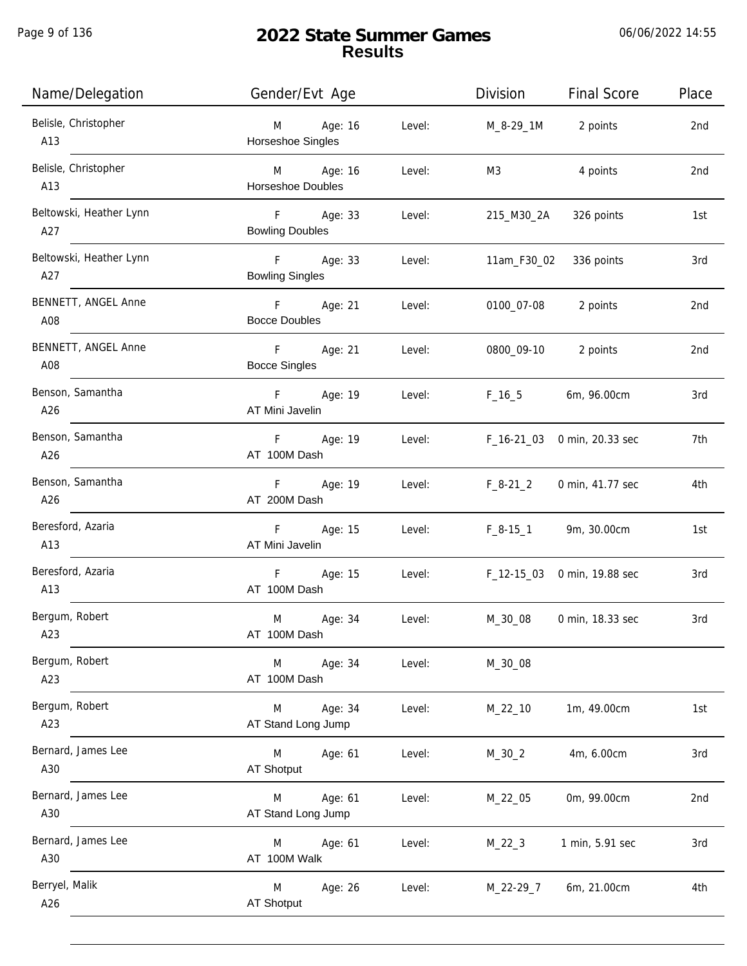| Name/Delegation                | Gender/Evt Age                                    | Division<br><b>Final Score</b><br>Place |
|--------------------------------|---------------------------------------------------|-----------------------------------------|
| Belisle, Christopher<br>A13    | Age: 16<br>Level:<br>M<br>Horseshoe Singles       | M_8-29_1M<br>2 points<br>2nd            |
| Belisle, Christopher<br>A13    | M Age: 16<br>Level:<br><b>Horseshoe Doubles</b>   | M3<br>4 points<br>2nd                   |
| Beltowski, Heather Lynn<br>A27 | F<br>Age: 33<br>Level:<br><b>Bowling Doubles</b>  | 326 points<br>215_M30_2A<br>1st         |
| Beltowski, Heather Lynn<br>A27 | F Age: 33<br>Level:<br><b>Bowling Singles</b>     | 11am_F30_02<br>336 points<br>3rd        |
| BENNETT, ANGEL Anne<br>A08     | F Age: 21<br>Level:<br><b>Bocce Doubles</b>       | 0100_07-08<br>2 points<br>2nd           |
| BENNETT, ANGEL Anne<br>A08     | $-F$<br>Age: 21<br>Level:<br><b>Bocce Singles</b> | 0800_09-10<br>2 points<br>2nd           |
| Benson, Samantha<br>A26        | F Age: 19<br>Level:<br>AT Mini Javelin            | $F_16_5$<br>6m, 96.00cm<br>3rd          |
| Benson, Samantha<br>A26        | F<br>Age: 19<br>Level:<br>AT 100M Dash            | F_16-21_03 0 min, 20.33 sec<br>7th      |
| Benson, Samantha<br>A26        | Age: 19<br>F<br>Level:<br>AT 200M Dash            | $F_8-21_2$<br>0 min, 41.77 sec<br>4th   |
| Beresford, Azaria<br>A13       | F<br>Age: 15<br>Level:<br>AT Mini Javelin         | $F_8-15_1$<br>9m, 30.00cm<br>1st        |
| Beresford, Azaria<br>A13       | F<br>Age: 15<br>Level:<br>AT 100M Dash            | F_12-15_03 0 min, 19.88 sec<br>3rd      |
| Bergum, Robert<br>A23          | M<br>Age: 34<br>Level:<br>AT 100M Dash            | M_30_08<br>0 min, 18.33 sec<br>3rd      |
| Bergum, Robert<br>A23          | Age: 34<br>Level:<br>M<br>AT 100M Dash            | M_30_08                                 |
| Bergum, Robert<br>A23          | Age: 34<br>Level:<br>M<br>AT Stand Long Jump      | 1m, 49.00cm<br>1st<br>$M_22_10$         |
| Bernard, James Lee<br>A30      | M<br>Age: 61<br>Level:<br>AT Shotput              | 4m, 6.00cm<br>3rd<br>$M_30_2$           |
| Bernard, James Lee<br>A30      | Age: 61<br>Level:<br>M<br>AT Stand Long Jump      | 0m, 99.00cm<br>2nd<br>M_22_05           |
| Bernard, James Lee<br>A30      | Age: 61<br>Level:<br>M<br>AT 100M Walk            | $M_22_3$<br>1 min, 5.91 sec<br>3rd      |
| Berryel, Malik<br>A26          | Age: 26<br>M<br>Level:<br>AT Shotput              | 4th<br>M_22-29_7<br>6m, 21.00cm         |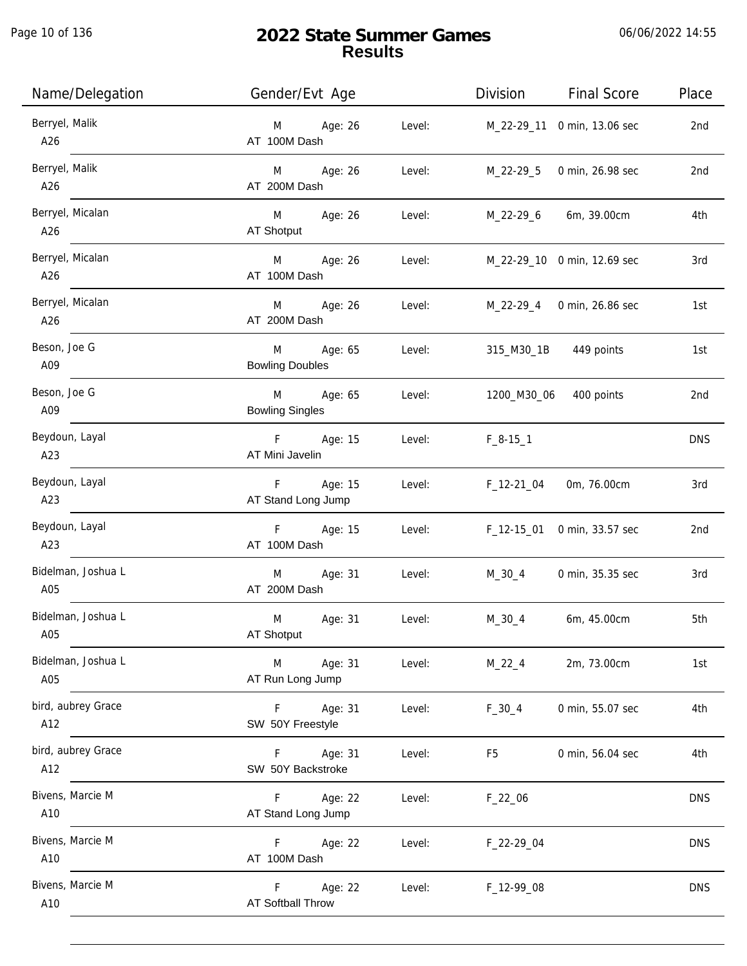| Name/Delegation           | Gender/Evt Age                                              |        |                                    | Division Final Score        | Place      |
|---------------------------|-------------------------------------------------------------|--------|------------------------------------|-----------------------------|------------|
| Berryel, Malik<br>A26     | M Age: 26<br>AT 100M Dash                                   | Level: | M_22-29_11 0 min, 13.06 sec        |                             | 2nd        |
| Berryel, Malik<br>A26     | M Age: 26<br>AT 200M Dash                                   | Level: | M_22-29_5                          | 0 min, 26.98 sec            | 2nd        |
| Berryel, Micalan<br>A26   | M Age: 26<br>AT Shotput                                     |        | Level: M_22-29_6 6m, 39.00cm       |                             | 4th        |
| Berryel, Micalan<br>A26   | M Age: 26<br>AT 100M Dash                                   |        | Level: M_22-29_10 0 min, 12.69 sec |                             | 3rd        |
| Berryel, Micalan<br>A26   | M Age: 26 Level: M_22-29_4 0 min, 26.86 sec<br>AT 200M Dash |        |                                    |                             | 1st        |
| Beson, Joe G<br>A09       | M<br>Age: 65<br><b>Bowling Doubles</b>                      | Level: |                                    | 315_M30_1B 449 points       | 1st        |
| Beson, Joe G<br>A09       | M Age: 65<br><b>Bowling Singles</b>                         | Level: | 1200_M30_06 400 points             |                             | 2nd        |
| Beydoun, Layal<br>A23     | F Age: 15 Level:<br>AT Mini Javelin                         |        | $F_8-15-1$                         |                             | <b>DNS</b> |
| Beydoun, Layal<br>A23     | F Age: 15<br>AT Stand Long Jump                             | Level: | F_12-21_04                         | 0m, 76.00cm                 | 3rd        |
| Beydoun, Layal<br>A23     | F Age: 15<br>AT 100M Dash                                   | Level: |                                    | F_12-15_01 0 min, 33.57 sec | 2nd        |
| Bidelman, Joshua L<br>A05 | M Age: 31<br>AT 200M Dash                                   | Level: |                                    | M_30_4 0 min, 35.35 sec     | 3rd        |
| Bidelman, Joshua L<br>A05 | M<br>Age: 31<br>AT Shotput                                  | Level: | $M_30_4$                           | 6m, 45.00cm                 | 5th        |
| Bidelman, Joshua L<br>A05 | Age: 31<br>M<br>AT Run Long Jump                            | Level: | $M_22_4$                           | 2m, 73.00cm                 | 1st        |
| bird, aubrey Grace<br>A12 | F Age: 31<br>SW 50Y Freestyle                               | Level: | $F_30_4$                           | 0 min, 55.07 sec            | 4th        |
| bird, aubrey Grace<br>A12 | F Age: 31<br>SW 50Y Backstroke                              | Level: | F5                                 | 0 min, 56.04 sec            | 4th        |
| Bivens, Marcie M<br>A10   | F Age: 22<br>AT Stand Long Jump                             | Level: | $F_22_06$                          |                             | <b>DNS</b> |
| Bivens, Marcie M<br>A10   | F Age: 22<br>AT 100M Dash                                   | Level: | F_22-29_04                         |                             | <b>DNS</b> |
| Bivens, Marcie M<br>A10   | F<br>Age: 22<br>AT Softball Throw                           | Level: | F_12-99_08                         |                             | <b>DNS</b> |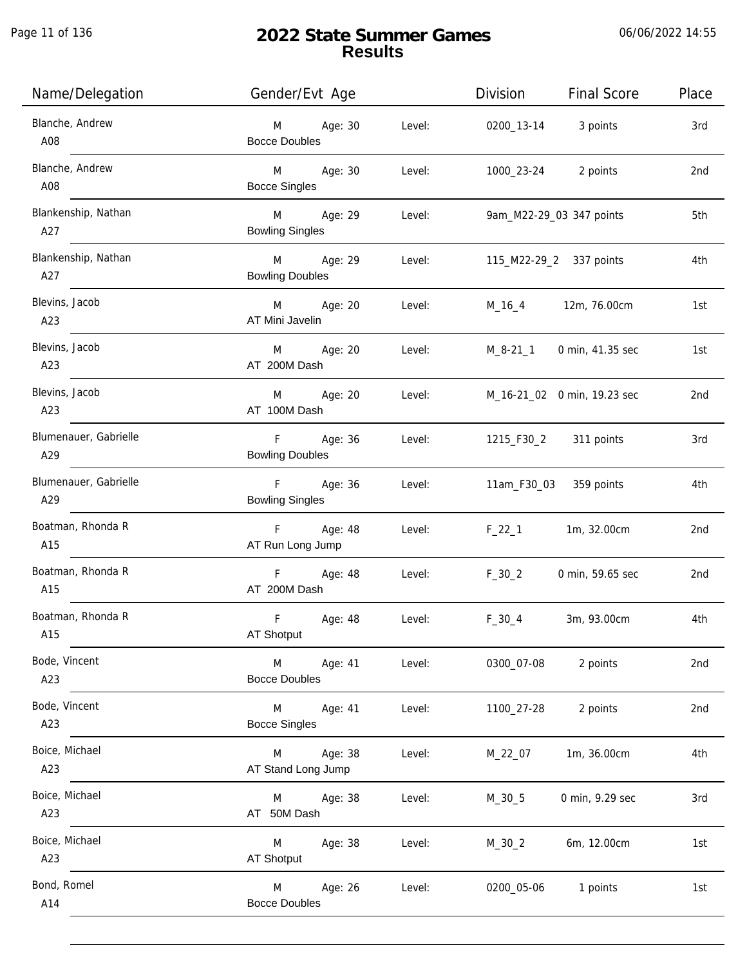| Name/Delegation              | Gender/Evt Age                                 | Division<br><b>Final Score</b> | Place |
|------------------------------|------------------------------------------------|--------------------------------|-------|
| Blanche, Andrew<br>A08       | M Age: 30<br>Level:<br><b>Bocce Doubles</b>    | 0200_13-14 3 points            | 3rd   |
| Blanche, Andrew<br>A08       | M Age: 30<br>Level:<br><b>Bocce Singles</b>    | 1000_23-24 2 points            | 2nd   |
| Blankenship, Nathan<br>A27   | M Age: 29<br>Level:<br><b>Bowling Singles</b>  | 9am_M22-29_03 347 points       | 5th   |
| Blankenship, Nathan<br>A27   | M Age: 29<br>Level:<br><b>Bowling Doubles</b>  | 115_M22-29_2 337 points        | 4th   |
| Blevins, Jacob<br>A23        | M Age: 20<br>Level:<br>AT Mini Javelin         | M_16_4 12m, 76.00cm            | 1st   |
| Blevins, Jacob<br>A23        | Age: 20<br>M<br>Level:<br>AT 200M Dash         | M_8-21_1 0 min, 41.35 sec      | 1st   |
| Blevins, Jacob<br>A23        | Age: 20<br>M<br>Level:<br>AT 100M Dash         | M_16-21_02 0 min, 19.23 sec    | 2nd   |
| Blumenauer, Gabrielle<br>A29 | F Age: 36<br><b>Bowling Doubles</b>            | Level: 1215_F30_2 311 points   | 3rd   |
| Blumenauer, Gabrielle<br>A29 | F Age: 36<br>Level:<br><b>Bowling Singles</b>  | 11am_F30_03 359 points         | 4th   |
| Boatman, Rhonda R<br>A15     | F Age: 48<br>Level:<br>AT Run Long Jump        | 1m, 32.00cm<br>$F_22_1$        | 2nd   |
| Boatman, Rhonda R<br>A15     | F Age: 48<br>Level:<br>AT 200M Dash            | $F_30_2$<br>0 min, 59.65 sec   | 2nd   |
| Boatman, Rhonda R<br>A15     | F<br>Age: 48<br>Level:<br>AT Shotput           | $F_30_4$<br>3m, 93.00cm        | 4th   |
| Bode, Vincent<br>A23         | M<br>Age: 41<br>Level:<br><b>Bocce Doubles</b> | 0300_07-08<br>2 points         | 2nd   |
| Bode, Vincent<br>A23         | Level:<br>M<br>Age: 41<br><b>Bocce Singles</b> | 1100_27-28<br>2 points         | 2nd   |
| Boice, Michael<br>A23        | M Age: 38<br>Level:<br>AT Stand Long Jump      | 1m, 36.00cm<br>M_22_07         | 4th   |
| Boice, Michael<br>A23        | Age: 38<br>Level:<br>M<br>AT 50M Dash          | 0 min, 9.29 sec<br>M_30_5      | 3rd   |
| Boice, Michael<br>A23        | Age: 38<br>Level:<br>M<br>AT Shotput           | $M_30_2$<br>6m, 12.00cm        | 1st   |
| Bond, Romel<br>A14           | Age: 26<br>Level:<br>M<br><b>Bocce Doubles</b> | 0200_05-06<br>1 points         | 1st   |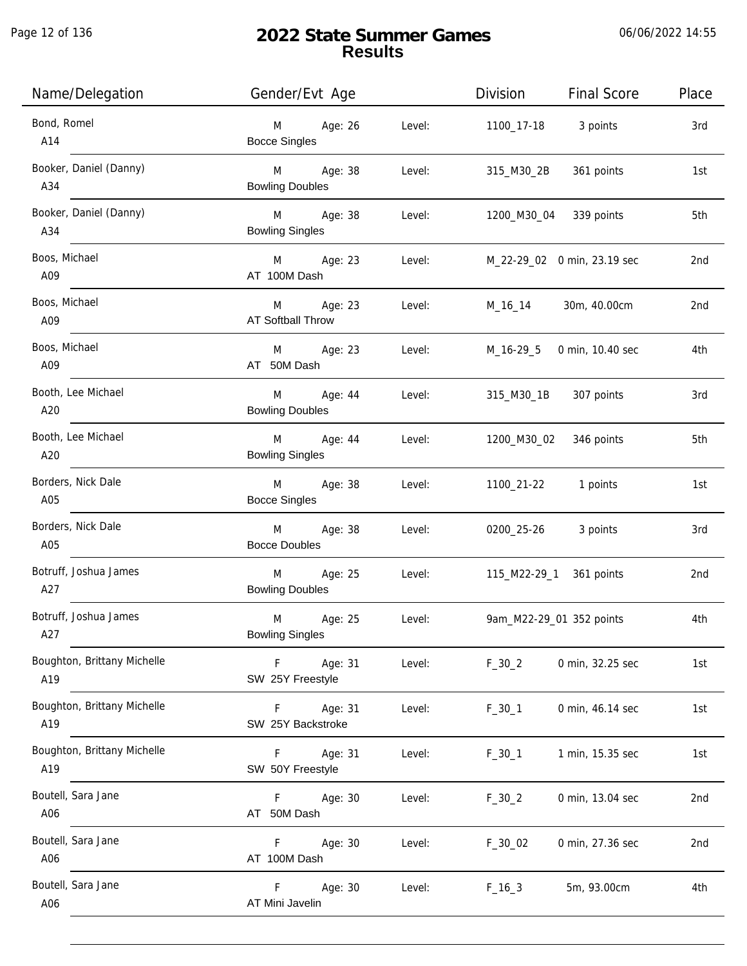Page 12 of 136

j.

| Name/Delegation                    | Gender/Evt Age                                   | Division<br>Final Score<br>Place                  |  |
|------------------------------------|--------------------------------------------------|---------------------------------------------------|--|
| Bond, Romel<br>A14                 | M Age: 26<br><b>Bocce Singles</b>                | Level:<br>3 points<br>1100_17-18<br>3rd           |  |
| Booker, Daniel (Danny)<br>A34      | M Age: 38<br>Level:<br><b>Bowling Doubles</b>    | 361 points<br>315_M30_2B<br>1st                   |  |
| Booker, Daniel (Danny)<br>A34      | M Age: 38<br>Level:<br><b>Bowling Singles</b>    | 1200_M30_04 339 points<br>5th                     |  |
| Boos, Michael<br>A09               | M Age: 23<br>AT 100M Dash                        | M_22-29_02 0 min, 23.19 sec<br>Level:<br>2nd      |  |
| Boos, Michael<br>A09               | M Age: 23<br>AT Softball Throw                   | M_16_14 30m, 40.00cm<br>Level:<br>2 <sub>nd</sub> |  |
| Boos, Michael<br>A09               | M Age: 23<br>AT 50M Dash                         | Level:<br>M_16-29_5 0 min, 10.40 sec<br>4th       |  |
| Booth, Lee Michael<br>A20          | M Age: 44<br><b>Bowling Doubles</b>              | Level:<br>315_M30_1B 307 points<br>3rd            |  |
| Booth, Lee Michael<br>A20          | M Age: 44<br><b>Bowling Singles</b>              | 5th<br>Level:<br>1200_M30_02<br>346 points        |  |
| Borders, Nick Dale<br>A05          | M Age: 38<br><b>Bocce Singles</b>                | 1100_21-22 1 points<br>Level:<br>1st              |  |
| Borders, Nick Dale<br>A05          | M Age: 38<br>Level:<br><b>Bocce Doubles</b>      | 0200_25-26<br>3 points<br>3rd                     |  |
| Botruff, Joshua James<br>A27       | M Age: 25<br><b>Bowling Doubles</b>              | Level:<br>115_M22-29_1 361 points<br>2nd          |  |
| Botruff, Joshua James<br>A27       | Age: 25<br>M<br>Level:<br><b>Bowling Singles</b> | 9am_M22-29_01 352 points<br>4th                   |  |
| Boughton, Brittany Michelle<br>A19 | F<br>Age: 31<br>Level:<br>SW 25Y Freestyle       | $F_30_2$<br>0 min, 32.25 sec<br>1st               |  |
| Boughton, Brittany Michelle<br>A19 | Age: 31<br>F<br>Level:<br>SW 25Y Backstroke      | 0 min, 46.14 sec<br>$F_30_1$<br>1st               |  |
| Boughton, Brittany Michelle<br>A19 | F.<br>Age: 31<br>Level:<br>SW 50Y Freestyle      | $F_30_1$<br>1 min, 15.35 sec<br>1st               |  |
| Boutell, Sara Jane<br>A06          | F.<br>Age: 30<br>Level:<br>AT 50M Dash           | 0 min, 13.04 sec<br>$F_30_2$<br>2nd               |  |
| Boutell, Sara Jane<br>A06          | F.<br>Age: 30<br>Level:<br>AT 100M Dash          | 2nd<br>$F_30_02$<br>0 min, 27.36 sec              |  |
| Boutell, Sara Jane<br>A06          | F.<br>Age: 30<br>Level:<br>AT Mini Javelin       | $F_{16-3}$<br>5m, 93.00cm<br>4th                  |  |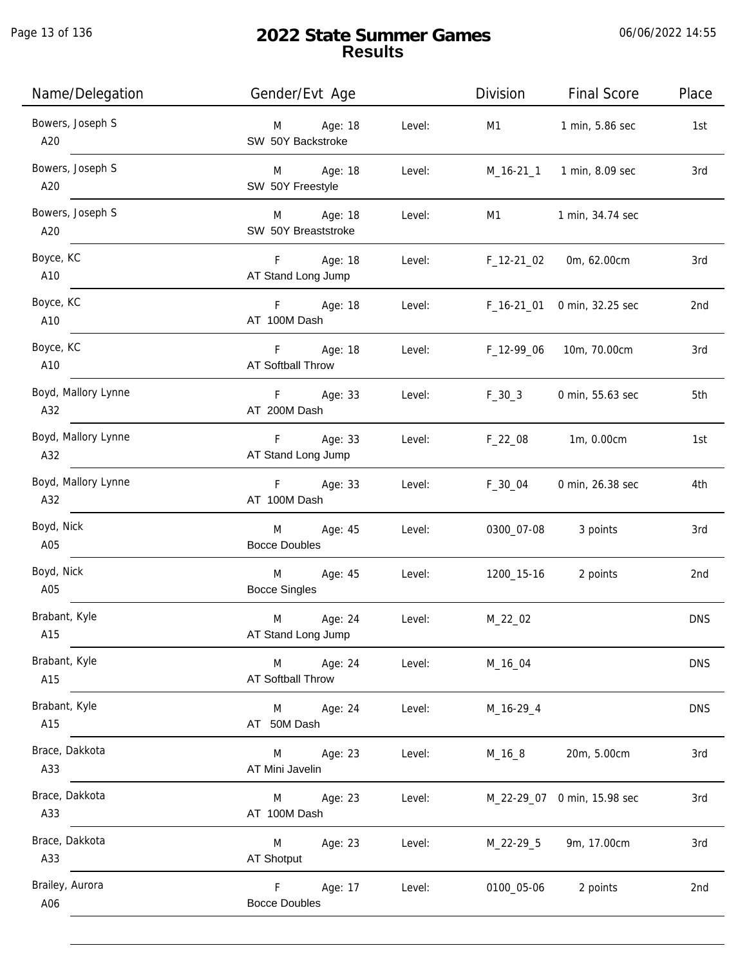Page 13 of 136

| Name/Delegation            | Gender/Evt Age                            |        | Division   | <b>Final Score</b>          | Place      |
|----------------------------|-------------------------------------------|--------|------------|-----------------------------|------------|
| Bowers, Joseph S<br>A20    | Age: 18<br>M<br>SW 50Y Backstroke         | Level: | M1         | 1 min, 5.86 sec             | 1st        |
| Bowers, Joseph S<br>A20    | Age: 18<br>M<br>SW 50Y Freestyle          | Level: |            | M_16-21_1 1 min, 8.09 sec   | 3rd        |
| Bowers, Joseph S<br>A20    | M Age: 18<br>SW 50Y Breaststroke          | Level: | M1         | 1 min, 34.74 sec            |            |
| Boyce, KC<br>A10           | F<br>Age: 18<br>AT Stand Long Jump        | Level: | F_12-21_02 | 0m, 62.00cm                 | 3rd        |
| Boyce, KC<br>A10           | F Age: 18<br>AT 100M Dash                 | Level: | F_16-21_01 | 0 min, 32.25 sec            | 2nd        |
| Boyce, KC<br>A10           | F.<br>Age: 18<br><b>AT Softball Throw</b> | Level: | F_12-99_06 | 10m, 70.00cm                | 3rd        |
| Boyd, Mallory Lynne<br>A32 | F Age: 33<br>AT 200M Dash                 | Level: | $F_30_3$   | 0 min, 55.63 sec            | 5th        |
| Boyd, Mallory Lynne<br>A32 | F Age: 33<br>AT Stand Long Jump           | Level: | $F_22_08$  | 1m, 0.00cm                  | 1st        |
| Boyd, Mallory Lynne<br>A32 | Age: 33<br>F<br>AT 100M Dash              | Level: | F_30_04    | 0 min, 26.38 sec            | 4th        |
| Boyd, Nick<br>A05          | M<br>Age: 45<br><b>Bocce Doubles</b>      | Level: | 0300_07-08 | 3 points                    | 3rd        |
| Boyd, Nick<br>A05          | Age: 45<br>M<br><b>Bocce Singles</b>      | Level: | 1200_15-16 | 2 points                    | 2nd        |
| Brabant, Kyle<br>A15       | M<br>Age: 24<br>AT Stand Long Jump        | Level: | M_22_02    |                             | <b>DNS</b> |
| Brabant, Kyle<br>A15       | Age: 24<br>M<br>AT Softball Throw         | Level: | M_16_04    |                             | <b>DNS</b> |
| Brabant, Kyle<br>A15       | Age: 24<br>M<br>AT 50M Dash               | Level: | M_16-29_4  |                             | <b>DNS</b> |
| Brace, Dakkota<br>A33      | Age: 23<br>M<br>AT Mini Javelin           | Level: | $M_16_8$   | 20m, 5.00cm                 | 3rd        |
| Brace, Dakkota<br>A33      | Age: 23<br>M<br>AT 100M Dash              | Level: |            | M_22-29_07 0 min, 15.98 sec | 3rd        |
| Brace, Dakkota<br>A33      | Age: 23<br>M<br>AT Shotput                | Level: | M_22-29_5  | 9m, 17.00cm                 | 3rd        |
| Brailey, Aurora<br>A06     | F<br>Age: 17<br><b>Bocce Doubles</b>      | Level: | 0100_05-06 | 2 points                    | 2nd        |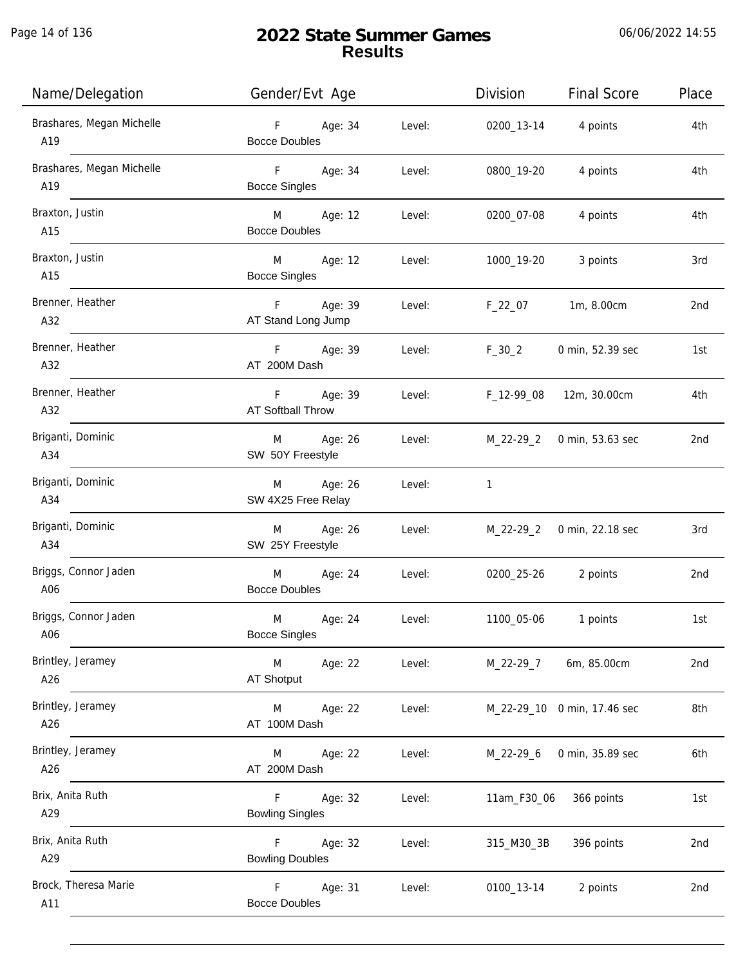| Name/Delegation                  | Gender/Evt Age                                     |        | Division    | <b>Final Score</b>          | Place |
|----------------------------------|----------------------------------------------------|--------|-------------|-----------------------------|-------|
| Brashares, Megan Michelle<br>A19 | F Age: 34<br><b>Bocce Doubles</b>                  | Level: | 0200_13-14  | 4 points                    | 4th   |
| Brashares, Megan Michelle<br>A19 | F <sub>12</sub><br>Age: 34<br><b>Bocce Singles</b> | Level: | 0800_19-20  | 4 points                    | 4th   |
| Braxton, Justin<br>A15           | M Age: 12<br><b>Bocce Doubles</b>                  | Level: | 0200_07-08  | 4 points                    | 4th   |
| Braxton, Justin<br>A15           | M Age: 12<br><b>Bocce Singles</b>                  | Level: | 1000_19-20  | 3 points                    | 3rd   |
| Brenner, Heather<br>A32          | F Age: 39<br>AT Stand Long Jump                    | Level: | F_22_07     | 1m, 8.00cm                  | 2nd   |
| Brenner, Heather<br>A32          | F Age: 39<br>AT 200M Dash                          | Level: | $F_30_2$    | 0 min, 52.39 sec            | 1st   |
| Brenner, Heather<br>A32          | F Age: 39<br>AT Softball Throw                     | Level: | F_12-99_08  | 12m, 30.00cm                | 4th   |
| Briganti, Dominic<br>A34         | Age: 26<br>M<br>SW 50Y Freestyle                   | Level: | M_22-29_2   | 0 min, 53.63 sec            | 2nd   |
| Briganti, Dominic<br>A34         | Age: 26<br>M<br>SW 4X25 Free Relay                 | Level: | 1           |                             |       |
| Briganti, Dominic<br>A34         | Age: 26<br>M<br>SW 25Y Freestyle                   | Level: | M_22-29_2   | 0 min, 22.18 sec            | 3rd   |
| Briggs, Connor Jaden<br>A06      | M<br>Age: 24<br><b>Bocce Doubles</b>               | Level: | 0200_25-26  | 2 points                    | 2nd   |
| Briggs, Connor Jaden<br>A06      | M<br>Age: 24<br><b>Bocce Singles</b>               | Level: | 1100_05-06  | 1 points                    | 1st   |
| Brintley, Jeramey<br>A26         | M<br>Age: 22<br>AT Shotput                         | Level: | M_22-29_7   | 6m, 85.00cm                 | 2nd   |
| Brintley, Jeramey<br>A26         | M<br>Age: 22<br>AT 100M Dash                       | Level: |             | M_22-29_10 0 min, 17.46 sec | 8th   |
| Brintley, Jeramey<br>A26         | Age: 22<br>M<br>AT 200M Dash                       | Level: | M_22-29_6   | 0 min, 35.89 sec            | 6th   |
| Brix, Anita Ruth<br>A29          | F<br>Age: 32<br><b>Bowling Singles</b>             | Level: | 11am_F30_06 | 366 points                  | 1st   |
| Brix, Anita Ruth<br>A29          | Age: 32<br>F.<br><b>Bowling Doubles</b>            | Level: | 315_M30_3B  | 396 points                  | 2nd   |
| Brock, Theresa Marie<br>A11      | F<br>Age: 31<br><b>Bocce Doubles</b>               | Level: | 0100_13-14  | 2 points                    | 2nd   |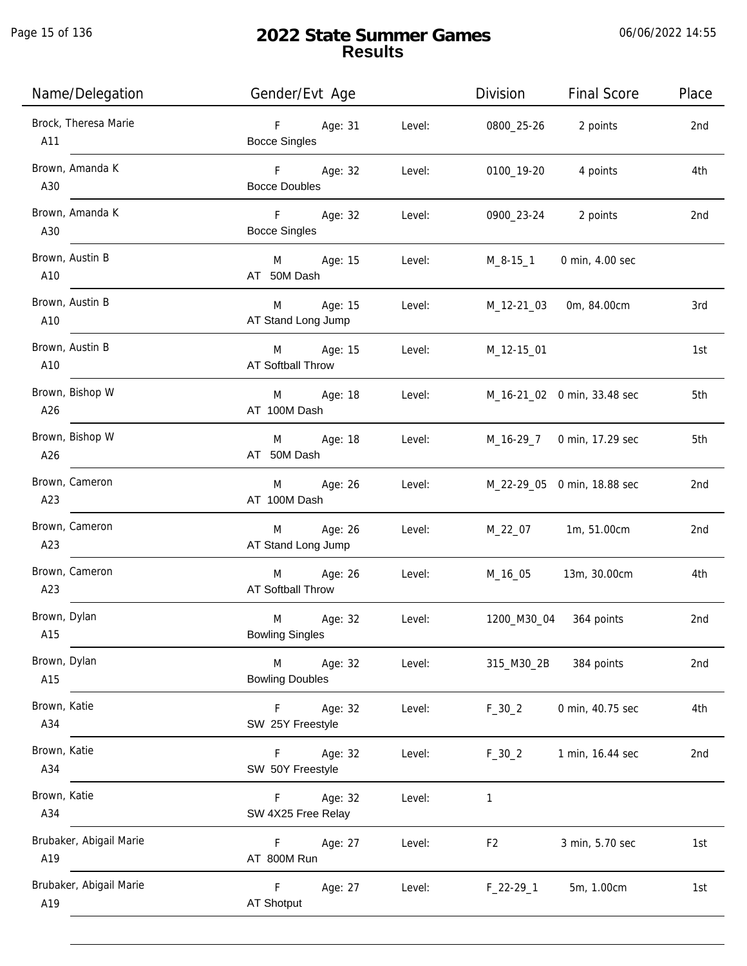Page 15 of 136

j.

| Name/Delegation                | Gender/Evt Age                                     |        | Division       | <b>Final Score</b>          | Place |
|--------------------------------|----------------------------------------------------|--------|----------------|-----------------------------|-------|
| Brock, Theresa Marie<br>A11    | F<br>Age: 31<br><b>Bocce Singles</b>               | Level: | 0800_25-26     | 2 points                    | 2nd   |
| Brown, Amanda K<br>A30         | F <sub>11</sub><br>Age: 32<br><b>Bocce Doubles</b> | Level: | 0100_19-20     | 4 points                    | 4th   |
| Brown, Amanda K<br>A30         | Age: 32<br>F <sub>11</sub><br><b>Bocce Singles</b> | Level: | 0900_23-24     | 2 points                    | 2nd   |
| Brown, Austin B<br>A10         | Age: 15<br>M <sub>ar</sub><br>AT 50M Dash          | Level: | M_8-15_1       | 0 min, 4.00 sec             |       |
| Brown, Austin B<br>A10         | M <sub>ar</sub><br>Age: 15<br>AT Stand Long Jump   | Level: | M_12-21_03     | 0m, 84.00cm                 | 3rd   |
| Brown, Austin B<br>A10         | M Age: 15<br>AT Softball Throw                     | Level: | M_12-15_01     |                             | 1st   |
| Brown, Bishop W<br>A26         | M<br>Age: 18<br>AT 100M Dash                       | Level: |                | M_16-21_02 0 min, 33.48 sec | 5th   |
| Brown, Bishop W<br>A26         | M<br>Age: 18<br>AT 50M Dash                        | Level: | M_16-29_7      | 0 min, 17.29 sec            | 5th   |
| Brown, Cameron<br>A23          | Age: 26<br>M<br>AT 100M Dash                       | Level: |                | M_22-29_05 0 min, 18.88 sec | 2nd   |
| Brown, Cameron<br>A23          | Age: 26<br>M<br>AT Stand Long Jump                 | Level: | M_22_07        | 1m, 51.00cm                 | 2nd   |
| Brown, Cameron<br>A23          | M<br>Age: 26<br>AT Softball Throw                  | Level: | M_16_05        | 13m, 30.00cm                | 4th   |
| Brown, Dylan<br>A15            | M<br>Age: 32<br><b>Bowling Singles</b>             | Level: | 1200_M30_04    | 364 points                  | 2nd   |
| Brown, Dylan<br>A15            | M<br>Age: 32<br><b>Bowling Doubles</b>             | Level: | 315_M30_2B     | 384 points                  | 2nd   |
| Brown, Katie<br>A34            | $\mathsf F$<br>Age: 32<br>SW 25Y Freestyle         | Level: | $F_30_2$       | 0 min, 40.75 sec            | 4th   |
| Brown, Katie<br>A34            | $\mathsf F$<br>Age: 32<br>SW 50Y Freestyle         | Level: | $F_30_2$       | 1 min, 16.44 sec            | 2nd   |
| Brown, Katie<br>A34            | Age: 32<br>F.<br>SW 4X25 Free Relay                | Level: | 1              |                             |       |
| Brubaker, Abigail Marie<br>A19 | Age: 27<br>F.<br>AT 800M Run                       | Level: | F <sub>2</sub> | 3 min, 5.70 sec             | 1st   |
| Brubaker, Abigail Marie<br>A19 | F<br>Age: 27<br><b>AT Shotput</b>                  | Level: | $F_22-29-1$    | 5m, 1.00cm                  | 1st   |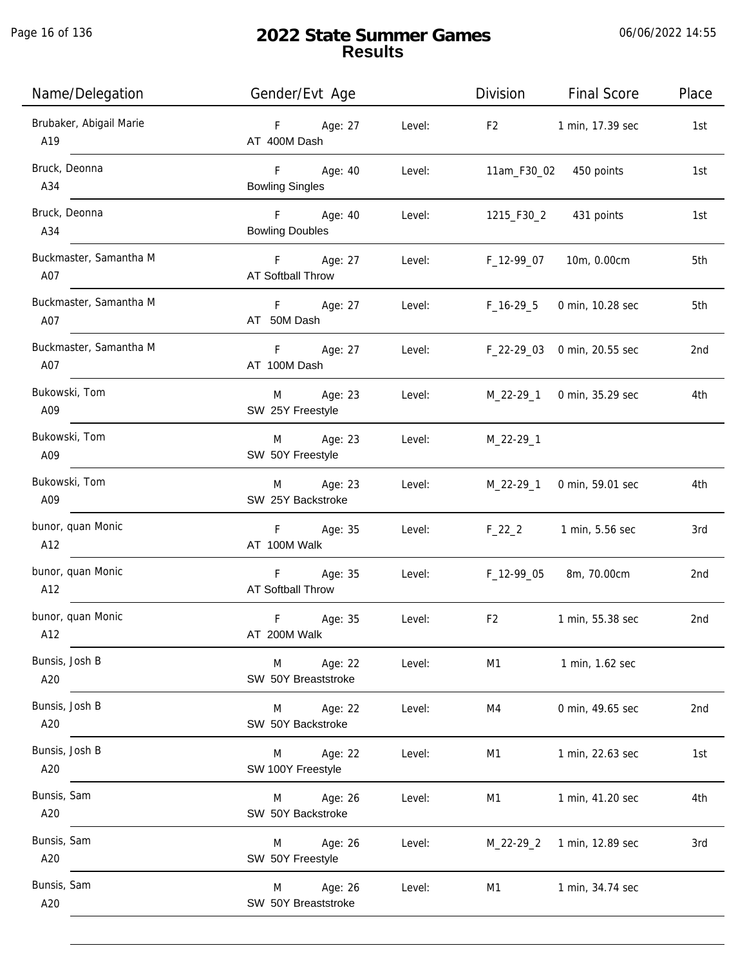Page 16 of 136

j.

| Name/Delegation                | Gender/Evt Age                        |        | Division                           | <b>Final Score</b>         | Place           |
|--------------------------------|---------------------------------------|--------|------------------------------------|----------------------------|-----------------|
| Brubaker, Abigail Marie<br>A19 | F Age: 27<br>AT 400M Dash             | Level: | F2                                 | 1 min, 17.39 sec           | 1st             |
| Bruck, Deonna<br>A34           | F Age: 40<br><b>Bowling Singles</b>   | Level: |                                    | 11am_F30_02 450 points     | 1st             |
| Bruck, Deonna<br>A34           | F Age: 40<br><b>Bowling Doubles</b>   | Level: |                                    | 1215_F30_2 431 points      | 1st             |
| Buckmaster, Samantha M<br>A07  | F Age: 27<br>AT Softball Throw        |        | Level: F_12-99_07                  | 10m, 0.00cm                | 5th             |
| Buckmaster, Samantha M<br>A07  | F Age: 27<br>AT 50M Dash              | Level: | F_16-29_5                          | 0 min, 10.28 sec           | 5th             |
| Buckmaster, Samantha M<br>A07  | F Age: 27<br>AT 100M Dash             |        | Level: F_22-29_03 0 min, 20.55 sec |                            | 2nd             |
| Bukowski, Tom<br>A09           | M Age: 23<br>SW 25Y Freestyle         | Level: |                                    | M_22-29_1 0 min, 35.29 sec | 4th             |
| Bukowski, Tom<br>A09           | M Age: 23<br>SW 50Y Freestyle         | Level: | M_22-29_1                          |                            |                 |
| Bukowski, Tom<br>A09           | M Age: 23<br>SW 25Y Backstroke        | Level: | M_22-29_1                          | 0 min, 59.01 sec           | 4th             |
| bunor, quan Monic<br>A12       | F Age: 35<br>AT 100M Walk             | Level: | $F_22_2$                           | 1 min, 5.56 sec            | 3rd             |
| bunor, quan Monic<br>A12       | F Age: 35<br><b>AT Softball Throw</b> |        | Level: F_12-99_05                  | 8m, 70.00cm                | 2 <sub>nd</sub> |
| bunor, quan Monic<br>A12       | F<br>Age: 35<br>AT 200M Walk          | Level: | F <sub>2</sub>                     | 1 min, 55.38 sec           | 2nd             |
| Bunsis, Josh B<br>A20          | Age: 22<br>M<br>SW 50Y Breaststroke   | Level: | M1                                 | 1 min, 1.62 sec            |                 |
| Bunsis, Josh B<br>A20          | Age: 22<br>M<br>SW 50Y Backstroke     | Level: | M4                                 | 0 min, 49.65 sec           | 2nd             |
| Bunsis, Josh B<br>A20          | M<br>Age: 22<br>SW 100Y Freestyle     | Level: | M1                                 | 1 min, 22.63 sec           | 1st             |
| Bunsis, Sam<br>A20             | Age: 26<br>M<br>SW 50Y Backstroke     | Level: | M1                                 | 1 min, 41.20 sec           | 4th             |
| Bunsis, Sam<br>A20             | Age: 26<br>M<br>SW 50Y Freestyle      | Level: | M_22-29_2                          | 1 min, 12.89 sec           | 3rd             |
| Bunsis, Sam<br>A20             | Age: 26<br>M<br>SW 50Y Breaststroke   | Level: | M1                                 | 1 min, 34.74 sec           |                 |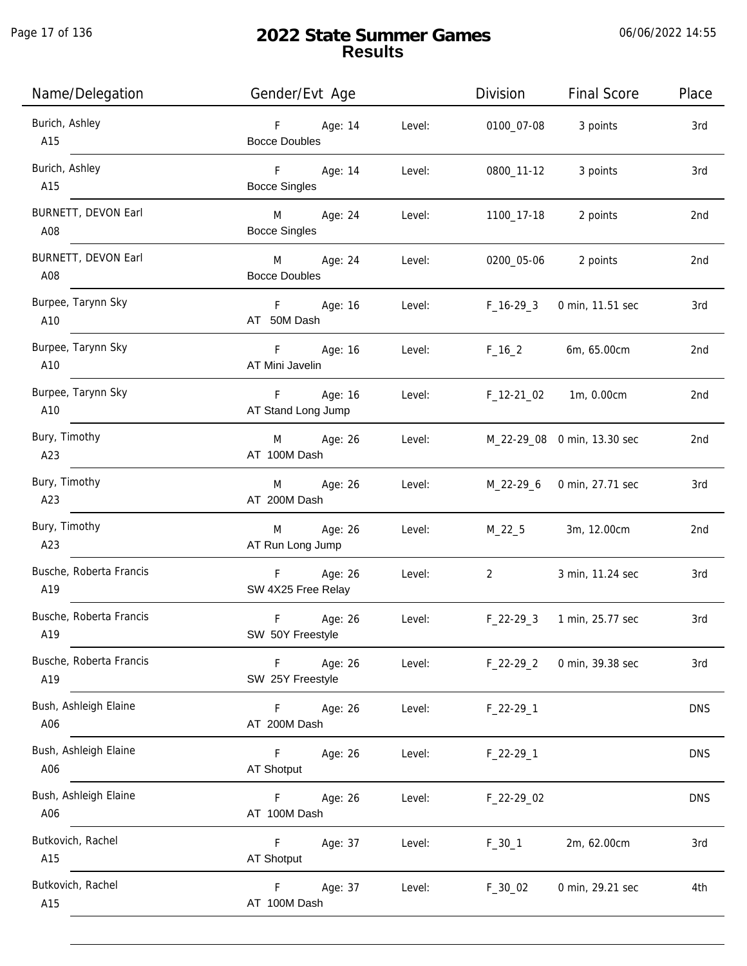Page 17 of 136

j.

| Name/Delegation                   | Gender/Evt Age                                     |        | Division                       | <b>Final Score</b>          | Place      |
|-----------------------------------|----------------------------------------------------|--------|--------------------------------|-----------------------------|------------|
| Burich, Ashley<br>A15             | F Age: 14<br><b>Bocce Doubles</b>                  | Level: | 0100_07-08                     | 3 points                    | 3rd        |
| Burich, Ashley<br>A15             | $F = 1$<br>Age: 14<br><b>Bocce Singles</b>         | Level: | 0800_11-12                     | 3 points                    | 3rd        |
| BURNETT, DEVON Earl<br>A08        | Age: 24<br>M <sub>ar</sub><br><b>Bocce Singles</b> | Level: | 1100_17-18                     | 2 points                    | 2nd        |
| <b>BURNETT, DEVON Earl</b><br>A08 | M Age: 24<br><b>Bocce Doubles</b>                  | Level: | 0200_05-06                     | 2 points                    | 2nd        |
| Burpee, Tarynn Sky<br>A10         | F Age: 16<br>AT 50M Dash                           | Level: | F_16-29_3                      | 0 min, 11.51 sec            | 3rd        |
| Burpee, Tarynn Sky<br>A10         | F Age: 16<br>AT Mini Javelin                       | Level: | $F_16_2$                       | 6m, 65.00cm                 | 2nd        |
| Burpee, Tarynn Sky<br>A10         | F Age: 16<br>AT Stand Long Jump                    |        | Level: F_12-21_02 1m, 0.00cm   |                             | 2nd        |
| Bury, Timothy<br>A23              | M Age: 26<br>AT 100M Dash                          | Level: |                                | M_22-29_08 0 min, 13.30 sec | 2nd        |
| Bury, Timothy<br>A23              | M Age: 26<br>AT 200M Dash                          | Level: | M_22-29_6                      | 0 min, 27.71 sec            | 3rd        |
| Bury, Timothy<br>A23              | M Age: 26<br>AT Run Long Jump                      | Level: | $M_22_5$                       | 3m, 12.00cm                 | 2nd        |
| Busche, Roberta Francis<br>A19    | F Age: 26<br>SW 4X25 Free Relay                    | Level: | $2 \left( \frac{1}{2} \right)$ | 3 min, 11.24 sec            | 3rd        |
| Busche, Roberta Francis<br>A19    | F Age: 26<br>SW 50Y Freestyle                      | Level: |                                | F_22-29_3 1 min, 25.77 sec  | 3rd        |
| Busche, Roberta Francis<br>A19    | F Age: 26<br>SW 25Y Freestyle                      | Level: | $F_22-29_2$                    | 0 min, 39.38 sec            | 3rd        |
| Bush, Ashleigh Elaine<br>A06      | F Age: 26<br>AT 200M Dash                          | Level: | $F_22-29-1$                    |                             | <b>DNS</b> |
| Bush, Ashleigh Elaine<br>A06      | F <sub>12</sub><br>Age: 26<br>AT Shotput           | Level: | $F_22-29-1$                    |                             | <b>DNS</b> |
| Bush, Ashleigh Elaine<br>A06      | F<br>Age: 26<br>AT 100M Dash                       | Level: | F_22-29_02                     |                             | <b>DNS</b> |
| Butkovich, Rachel<br>A15          | F<br>Age: 37<br>AT Shotput                         | Level: | $F_30_1$                       | 2m, 62.00cm                 | 3rd        |
| Butkovich, Rachel<br>A15          | Age: 37<br>F.<br>AT 100M Dash                      | Level: | F_30_02                        | 0 min, 29.21 sec            | 4th        |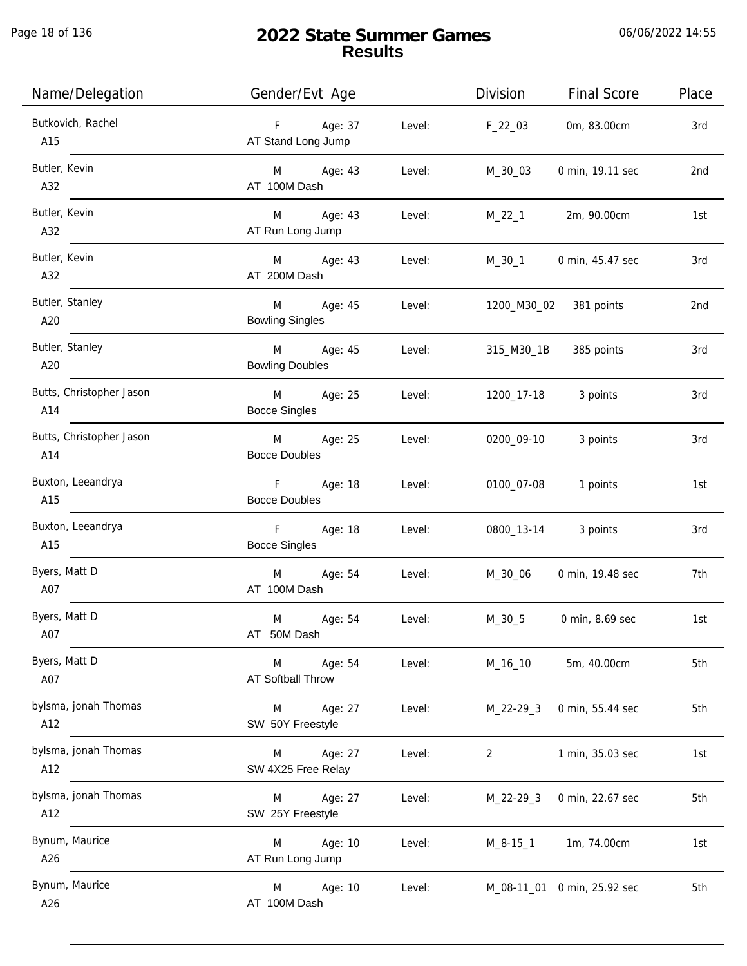Page 18 of 136

| Name/Delegation                 | Gender/Evt Age                                   | Division                 | <b>Final Score</b>          | Place |
|---------------------------------|--------------------------------------------------|--------------------------|-----------------------------|-------|
| Butkovich, Rachel<br>A15        | Age: 37<br>F<br>AT Stand Long Jump               | Level:<br>$F_22_03$      | 0m, 83.00cm                 | 3rd   |
| Butler, Kevin<br>A32            | M Age: 43<br>AT 100M Dash                        | Level:<br>M_30_03        | 0 min, 19.11 sec            | 2nd   |
| Butler, Kevin<br>A32            | M Age: 43<br>AT Run Long Jump                    | Level:<br>$M_22_1$       | 2m, 90.00cm                 | 1st   |
| Butler, Kevin<br>A32            | M Age: 43<br>AT 200M Dash                        | Level:<br>M_30_1         | 0 min, 45.47 sec            | 3rd   |
| Butler, Stanley<br>A20          | M<br>Age: 45<br>Level:<br><b>Bowling Singles</b> |                          | 1200_M30_02 381 points      | 2nd   |
| Butler, Stanley<br>A20          | M Age: 45<br><b>Bowling Doubles</b>              | Level:<br>315_M30_1B     | 385 points                  | 3rd   |
| Butts, Christopher Jason<br>A14 | M Age: 25<br>Level:<br><b>Bocce Singles</b>      | 1200_17-18               | 3 points                    | 3rd   |
| Butts, Christopher Jason<br>A14 | M Age: 25<br><b>Bocce Doubles</b>                | Level:<br>0200_09-10     | 3 points                    | 3rd   |
| Buxton, Leeandrya<br>A15        | F Age: 18<br><b>Bocce Doubles</b>                | Level:<br>0100_07-08     | 1 points                    | 1st   |
| Buxton, Leeandrya<br>A15        | F<br>Age: 18<br><b>Bocce Singles</b>             | Level:<br>0800_13-14     | 3 points                    | 3rd   |
| Byers, Matt D<br>A07            | M<br>Age: 54<br>AT 100M Dash                     | Level:<br>M_30_06        | 0 min, 19.48 sec            | 7th   |
| Byers, Matt D<br>A07            | M<br>Age: 54<br>AT 50M Dash                      | $M_30_5$<br>Level:       | 0 min, 8.69 sec             | 1st   |
| Byers, Matt D<br>A07            | Age: 54<br>M<br>AT Softball Throw                | Level:<br>M_16_10        | 5m, 40.00cm                 | 5th   |
| bylsma, jonah Thomas<br>A12     | Age: 27<br>M<br>SW 50Y Freestyle                 | Level:<br>$M_22-29-3$    | 0 min, 55.44 sec            | 5th   |
| bylsma, jonah Thomas<br>A12     | Age: 27<br>M<br>SW 4X25 Free Relay               | Level:<br>$\overline{2}$ | 1 min, 35.03 sec            | 1st   |
| bylsma, jonah Thomas<br>A12     | Age: 27<br>M<br>SW 25Y Freestyle                 | Level:<br>$M_22-29-3$    | 0 min, 22.67 sec            | 5th   |
| Bynum, Maurice<br>A26           | Age: 10<br>M<br>AT Run Long Jump                 | Level:<br>$M_8 - 15_1$   | 1m, 74.00cm                 | 1st   |
| Bynum, Maurice<br>A26           | Age: 10<br>M<br>AT 100M Dash                     | Level:                   | M_08-11_01 0 min, 25.92 sec | 5th   |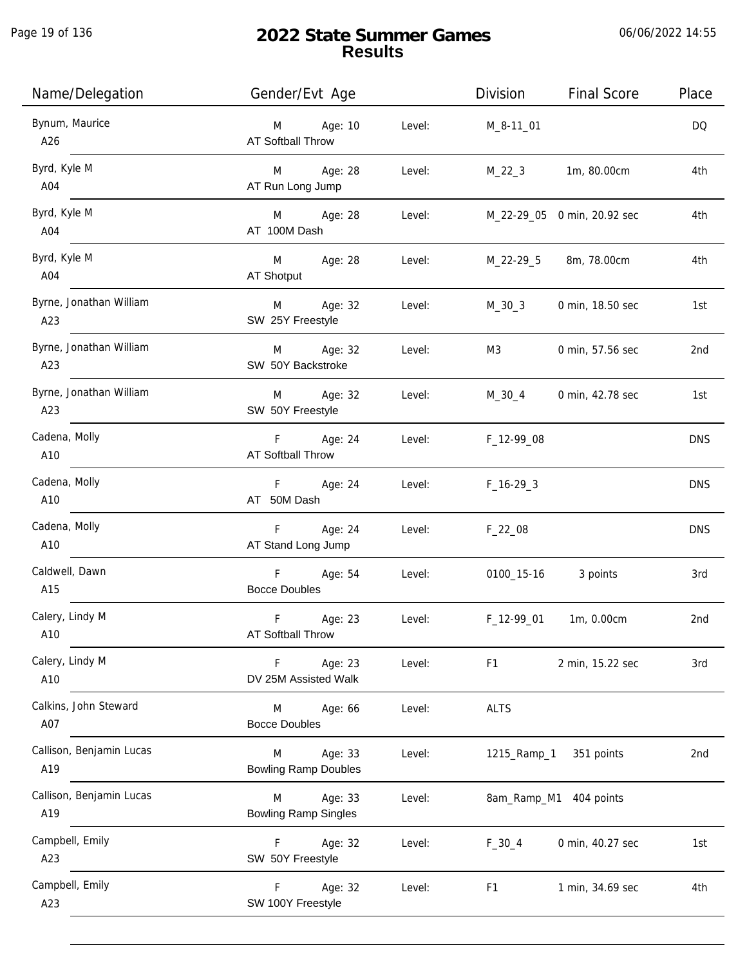| Name/Delegation                 | Gender/Evt Age                                        | Division<br><b>Final Score</b>     | Place      |
|---------------------------------|-------------------------------------------------------|------------------------------------|------------|
| Bynum, Maurice<br>A26           | Age: 10<br>Level:<br>M<br>AT Softball Throw           | M_8-11_01                          | DQ         |
| Byrd, Kyle M<br>A04             | Age: 28<br>Level:<br>M<br>AT Run Long Jump            | 1m, 80.00cm<br>$M_22_3$            | 4th        |
| Byrd, Kyle M<br>A04             | Age: 28<br>Level:<br>M<br>AT 100M Dash                | M_22-29_05 0 min, 20.92 sec        | 4th        |
| Byrd, Kyle M<br>A04             | M<br>Age: 28<br>Level:<br>AT Shotput                  | M_22-29_5<br>8m, 78.00cm           | 4th        |
| Byrne, Jonathan William<br>A23  | Age: 32<br>M<br>Level:<br>SW 25Y Freestyle            | $M_30_3$<br>0 min, 18.50 sec       | 1st        |
| Byrne, Jonathan William<br>A23  | Age: 32<br>M<br>Level:<br>SW 50Y Backstroke           | M3<br>0 min, 57.56 sec             | 2nd        |
| Byrne, Jonathan William<br>A23  | Age: 32<br>Level:<br>M<br>SW 50Y Freestyle            | M_30_4<br>0 min, 42.78 sec         | 1st        |
| Cadena, Molly<br>A10            | Age: 24<br>F.<br>Level:<br><b>AT Softball Throw</b>   | F_12-99_08                         | <b>DNS</b> |
| Cadena, Molly<br>A10            | Age: 24<br>F<br>Level:<br>AT 50M Dash                 | $F_16-293$                         | <b>DNS</b> |
| Cadena, Molly<br>A10            | F<br>Age: 24<br>Level:<br>AT Stand Long Jump          | $F_22_08$                          | <b>DNS</b> |
| Caldwell, Dawn<br>A15           | F<br>Age: 54<br>Level:<br><b>Bocce Doubles</b>        | 0100_15-16<br>3 points             | 3rd        |
| Calery, Lindy M<br>A10          | F<br>Age: 23<br>Level:<br><b>AT Softball Throw</b>    | F_12-99_01<br>1m, 0.00cm           | 2nd        |
| Calery, Lindy M<br>A10          | Age: 23<br>F<br>Level:<br>DV 25M Assisted Walk        | F <sub>1</sub><br>2 min, 15.22 sec | 3rd        |
| Calkins, John Steward<br>A07    | Age: 66<br>Level:<br>M<br><b>Bocce Doubles</b>        | <b>ALTS</b>                        |            |
| Callison, Benjamin Lucas<br>A19 | Age: 33<br>Level:<br>M<br><b>Bowling Ramp Doubles</b> | 1215_Ramp_1<br>351 points          | 2nd        |
| Callison, Benjamin Lucas<br>A19 | Age: 33<br>Level:<br>M<br><b>Bowling Ramp Singles</b> | 8am_Ramp_M1 404 points             |            |
| Campbell, Emily<br>A23          | Age: 32<br>F.<br>Level:<br>SW 50Y Freestyle           | 0 min, 40.27 sec<br>$F_30_4$       | 1st        |
| Campbell, Emily<br>A23          | F<br>Age: 32<br>Level:<br>SW 100Y Freestyle           | F <sub>1</sub><br>1 min, 34.69 sec | 4th        |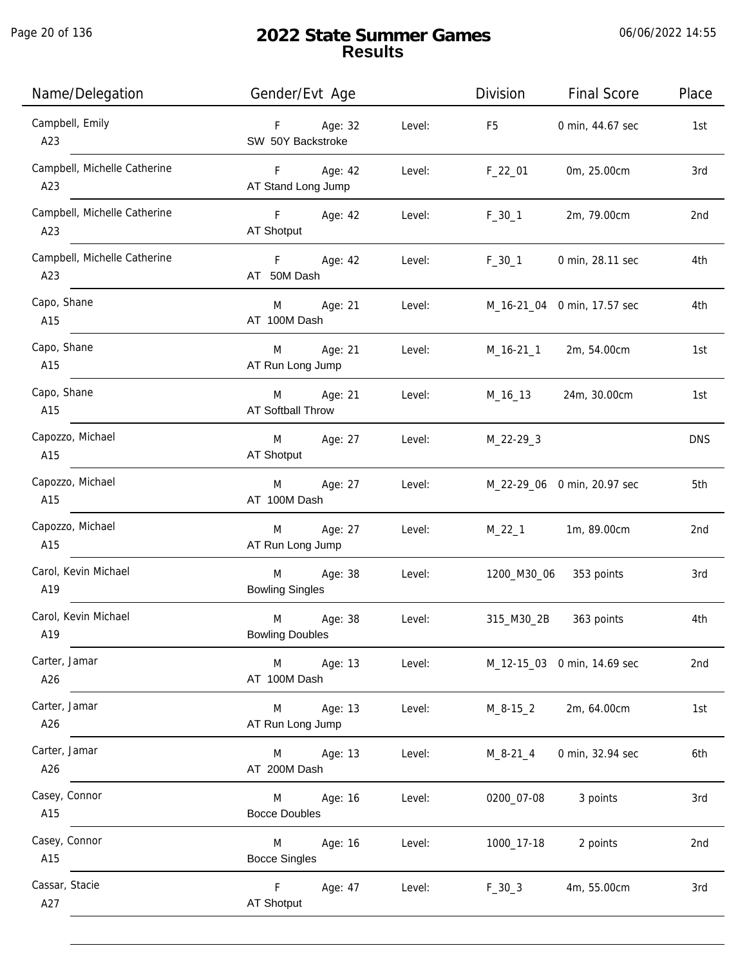| Name/Delegation                     | Gender/Evt Age                           |        | Division       | <b>Final Score</b>          | Place      |
|-------------------------------------|------------------------------------------|--------|----------------|-----------------------------|------------|
| Campbell, Emily<br>A23              | F Age: 32<br>SW 50Y Backstroke           | Level: | F <sub>5</sub> | 0 min, 44.67 sec            | 1st        |
| Campbell, Michelle Catherine<br>A23 | F Age: 42<br>AT Stand Long Jump          | Level: | $F_22_01$      | 0m, 25.00cm                 | 3rd        |
| Campbell, Michelle Catherine<br>A23 | <b>F</b> Age: 42<br>AT Shotput           | Level: | $F_30_1$       | 2m, 79.00cm                 | 2nd        |
| Campbell, Michelle Catherine<br>A23 | F Age: 42<br>AT 50M Dash                 | Level: | $F_30_1$       | 0 min, 28.11 sec            | 4th        |
| Capo, Shane<br>A15                  | M Age: 21<br>AT 100M Dash                | Level: |                | M_16-21_04 0 min, 17.57 sec | 4th        |
| Capo, Shane<br>A15                  | Age: 21<br>M<br>AT Run Long Jump         | Level: |                | M_16-21_1 2m, 54.00cm       | 1st        |
| Capo, Shane<br>A15                  | Age: 21<br>M<br><b>AT Softball Throw</b> | Level: | M_16_13        | 24m, 30.00cm                | 1st        |
| Capozzo, Michael<br>A15             | Age: 27<br>M<br>AT Shotput               | Level: | $M_22-29-3$    |                             | <b>DNS</b> |
| Capozzo, Michael<br>A15             | Age: 27<br>M<br>AT 100M Dash             | Level: |                | M_22-29_06 0 min, 20.97 sec | 5th        |
| Capozzo, Michael<br>A15             | Age: 27<br>M<br>AT Run Long Jump         | Level: | $M_22_1$       | 1m, 89.00cm                 | 2nd        |
| Carol, Kevin Michael<br>A19         | Age: 38<br>M<br><b>Bowling Singles</b>   | Level: | 1200_M30_06    | 353 points                  | 3rd        |
| Carol, Kevin Michael<br>A19         | M<br>Age: 38<br><b>Bowling Doubles</b>   | Level: | 315_M30_2B     | 363 points                  | 4th        |
| Carter, Jamar<br>A26                | M<br>Age: 13<br>AT 100M Dash             | Level: |                | M_12-15_03 0 min, 14.69 sec | 2nd        |
| Carter, Jamar<br>A26                | Age: 13<br>M<br>AT Run Long Jump         | Level: | M_8-15_2       | 2m, 64.00cm                 | 1st        |
| Carter, Jamar<br>A26                | Age: 13<br>M<br>AT 200M Dash             | Level: | $M_8 - 21_4$   | 0 min, 32.94 sec            | 6th        |
| Casey, Connor<br>A15                | Age: 16<br>M<br><b>Bocce Doubles</b>     | Level: | 0200_07-08     | 3 points                    | 3rd        |
| Casey, Connor<br>A15                | M<br>Age: 16<br><b>Bocce Singles</b>     | Level: | 1000_17-18     | 2 points                    | 2nd        |
| Cassar, Stacie<br>A27               | F<br>Age: 47<br>AT Shotput               | Level: | $F_30_3$       | 4m, 55.00cm                 | 3rd        |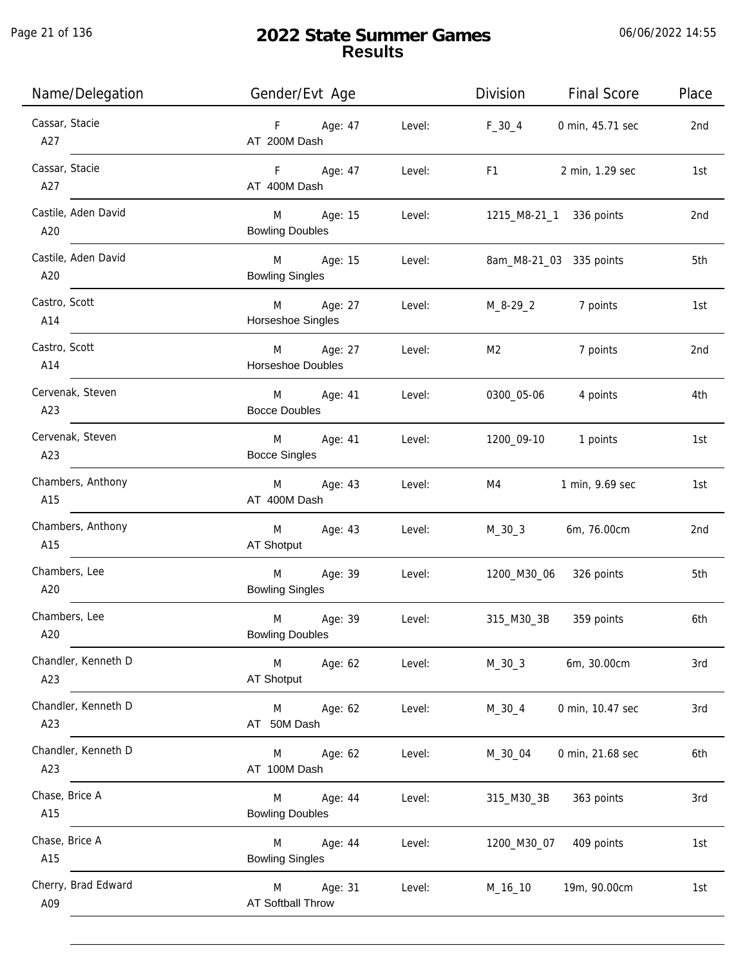Page 21 of 136

| Name/Delegation            | Gender/Evt Age                                   | Place<br>Division<br><b>Final Score</b>                                                                                                                                                                                                                  |
|----------------------------|--------------------------------------------------|----------------------------------------------------------------------------------------------------------------------------------------------------------------------------------------------------------------------------------------------------------|
| Cassar, Stacie<br>A27      | F Age: 47<br>AT 200M Dash                        | Level:<br>$F_{30-4}$<br>0 min, 45.71 sec<br>2nd                                                                                                                                                                                                          |
| Cassar, Stacie<br>A27      | F Age: 47<br>Level:<br>AT 400M Dash              | F1 and the state of the state of the state of the state of the state of the state of the state of the state of the state of the state of the state of the state of the state of the state of the state of the state of the sta<br>2 min, 1.29 sec<br>1st |
| Castile, Aden David<br>A20 | M Age: 15<br><b>Bowling Doubles</b>              | 1215_M8-21_1 336 points<br>Level:<br>2nd                                                                                                                                                                                                                 |
| Castile, Aden David<br>A20 | M Age: 15<br>Level:<br><b>Bowling Singles</b>    | 8am_M8-21_03 335 points<br>5th                                                                                                                                                                                                                           |
| Castro, Scott<br>A14       | M Age: 27<br>Level:<br>Horseshoe Singles         | $M_{-}8-29_{-}2$<br>7 points<br>1st                                                                                                                                                                                                                      |
| Castro, Scott<br>A14       | M Age: 27<br>Level:<br>Horseshoe Doubles         | M2<br>7 points<br>2nd                                                                                                                                                                                                                                    |
| Cervenak, Steven<br>A23    | M Age: 41<br>Level:<br><b>Bocce Doubles</b>      | 0300_05-06<br>4 points<br>4th                                                                                                                                                                                                                            |
| Cervenak, Steven<br>A23    | M Age: 41<br>Level:<br><b>Bocce Singles</b>      | 1200_09-10 1 points<br>1st                                                                                                                                                                                                                               |
| Chambers, Anthony<br>A15   | M Age: 43<br>Level:<br>AT 400M Dash              | M4<br>1 min, 9.69 sec<br>1st                                                                                                                                                                                                                             |
| Chambers, Anthony<br>A15   | Age: 43<br>Level:<br>M<br>AT Shotput             | M_30_3 6m, 76.00cm<br>2 <sub>nd</sub>                                                                                                                                                                                                                    |
| Chambers, Lee<br>A20       | M<br>Age: 39<br><b>Bowling Singles</b>           | Level:<br>1200_M30_06 326 points<br>5th                                                                                                                                                                                                                  |
| Chambers, Lee<br>A20       | M<br>Age: 39<br>Level:<br><b>Bowling Doubles</b> | 315_M30_3B<br>359 points<br>6th                                                                                                                                                                                                                          |
| Chandler, Kenneth D<br>A23 | M<br>Age: 62<br>Level:<br>AT Shotput             | $M_30_3$<br>6m, 30.00cm<br>3rd                                                                                                                                                                                                                           |
| Chandler, Kenneth D<br>A23 | Level:<br>M<br>Age: 62<br>AT 50M Dash            | $M_30_4$<br>0 min, 10.47 sec<br>3rd                                                                                                                                                                                                                      |
| Chandler, Kenneth D<br>A23 | Age: 62<br>Level:<br>M<br>AT 100M Dash           | M_30_04<br>0 min, 21.68 sec<br>6th                                                                                                                                                                                                                       |
| Chase, Brice A<br>A15      | Age: 44<br>Level:<br>M<br><b>Bowling Doubles</b> | 363 points<br>3rd<br>315_M30_3B                                                                                                                                                                                                                          |
| Chase, Brice A<br>A15      | Age: 44<br>Level:<br>M<br><b>Bowling Singles</b> | 1200_M30_07<br>409 points<br>1st                                                                                                                                                                                                                         |
| Cherry, Brad Edward<br>A09 | M<br>Age: 31<br>Level:<br>AT Softball Throw      | 19m, 90.00cm<br>M_16_10<br>1st                                                                                                                                                                                                                           |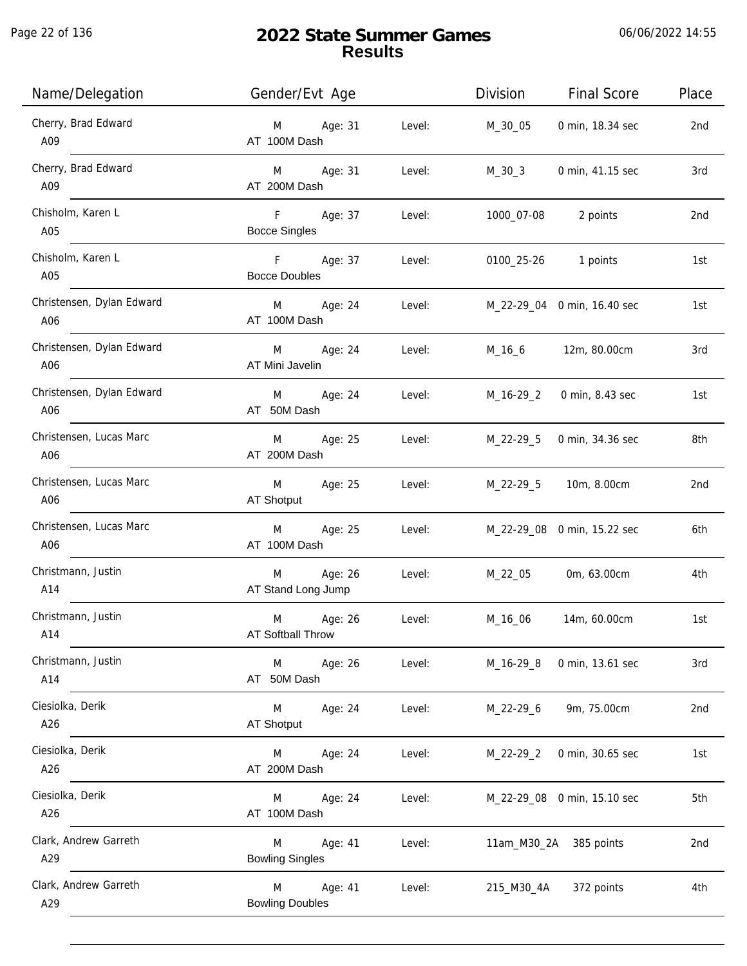$\overline{\phantom{a}}$ 

| Name/Delegation                  | Gender/Evt Age                         |        | Division    | <b>Final Score</b>          | Place           |
|----------------------------------|----------------------------------------|--------|-------------|-----------------------------|-----------------|
| Cherry, Brad Edward<br>A09       | Age: 31<br>M<br>AT 100M Dash           | Level: | M_30_05     | 0 min, 18.34 sec            | 2nd             |
| Cherry, Brad Edward<br>A09       | Age: 31<br>M<br>AT 200M Dash           | Level: | M_30_3      | 0 min, 41.15 sec            | 3rd             |
| Chisholm, Karen L<br>A05         | F<br>Age: 37<br><b>Bocce Singles</b>   | Level: | 1000_07-08  | 2 points                    | 2nd             |
| Chisholm, Karen L<br>A05         | F<br>Age: 37<br><b>Bocce Doubles</b>   | Level: | 0100_25-26  | 1 points                    | 1st             |
| Christensen, Dylan Edward<br>A06 | M<br>Age: 24<br>AT 100M Dash           | Level: |             | M_22-29_04 0 min, 16.40 sec | 1st             |
| Christensen, Dylan Edward<br>A06 | M<br>Age: 24<br>AT Mini Javelin        | Level: | M_16_6      | 12m, 80.00cm                | 3rd             |
| Christensen, Dylan Edward<br>A06 | Age: 24<br>M<br>AT 50M Dash            | Level: | M_16-29_2   | 0 min, 8.43 sec             | 1st             |
| Christensen, Lucas Marc<br>A06   | Age: 25<br>M<br>AT 200M Dash           | Level: | M_22-29_5   | 0 min, 34.36 sec            | 8th             |
| Christensen, Lucas Marc<br>A06   | Age: 25<br>M<br>AT Shotput             | Level: | M_22-29_5   | 10m, 8.00cm                 | 2nd             |
| Christensen, Lucas Marc<br>A06   | Age: 25<br>M<br>AT 100M Dash           | Level: |             | M_22-29_08 0 min, 15.22 sec | 6th             |
| Christmann, Justin<br>A14        | Age: 26<br>M<br>AT Stand Long Jump     | Level: | M_22_05     | 0m, 63.00cm                 | 4th             |
| Christmann, Justin<br>A14        | M<br>Age: 26<br>AT Softball Throw      | Level: | M_16_06     | 14m, 60.00cm                | 1st             |
| Christmann, Justin<br>A14        | M<br>Age: 26<br>AT 50M Dash            | Level: | M_16-29_8   | 0 min, 13.61 sec            | 3rd             |
| Ciesiolka, Derik<br>A26          | M<br>Age: 24<br><b>AT Shotput</b>      | Level: | M_22-29_6   | 9m, 75.00cm                 | 2 <sub>nd</sub> |
| Ciesiolka, Derik<br>A26          | Age: 24<br>M<br>AT 200M Dash           | Level: | $M_22-29_2$ | 0 min, 30.65 sec            | 1st             |
| Ciesiolka, Derik<br>A26          | Age: 24<br>M<br>AT 100M Dash           | Level: |             | M_22-29_08 0 min, 15.10 sec | 5th             |
| Clark, Andrew Garreth<br>A29     | Age: 41<br>M<br><b>Bowling Singles</b> | Level: |             | 11am_M30_2A 385 points      | 2nd             |
| Clark, Andrew Garreth<br>A29     | Age: 41<br>M<br><b>Bowling Doubles</b> | Level: | 215_M30_4A  | 372 points                  | 4th             |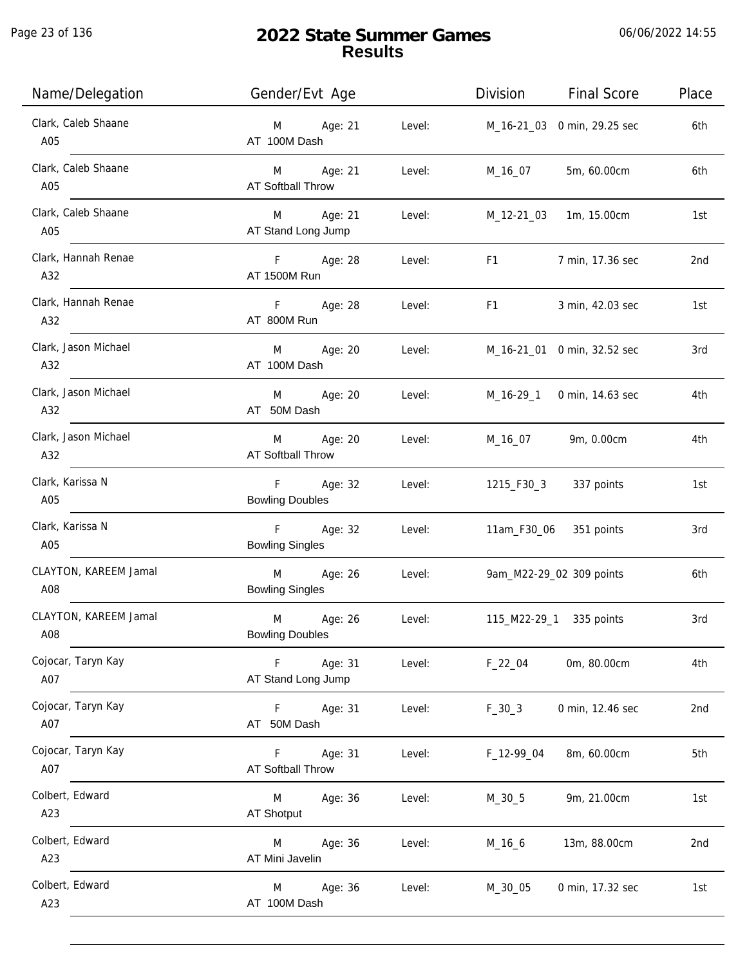| Name/Delegation              | Gender/Evt Age                                                 | Division<br><b>Final Score</b>                                                                                                                                                                                                                     | Place |
|------------------------------|----------------------------------------------------------------|----------------------------------------------------------------------------------------------------------------------------------------------------------------------------------------------------------------------------------------------------|-------|
| Clark, Caleb Shaane<br>A05   | Age: 21<br>Level:<br>M<br>AT 100M Dash                         | M_16-21_03 0 min, 29.25 sec                                                                                                                                                                                                                        | 6th   |
| Clark, Caleb Shaane<br>A05   | M Age: 21<br>Level:<br>AT Softball Throw                       | 5m, 60.00cm<br>M_16_07                                                                                                                                                                                                                             | 6th   |
| Clark, Caleb Shaane<br>A05   | M Age: 21<br>Level:<br>AT Stand Long Jump                      | M_12-21_03 1m, 15.00cm                                                                                                                                                                                                                             | 1st   |
| Clark, Hannah Renae<br>A32   | F Age: 28<br>Level:<br>AT 1500M Run                            | F1 and the state of the state of the state of the state of the state of the state of the state of the state of the state of the state of the state of the state of the state of the state of the state of the state of the sta<br>7 min, 17.36 sec | 2nd   |
| Clark, Hannah Renae<br>A32   | F Age: 28<br>Level:<br>AT 800M Run                             | F1 and the state of the state of the state of the state of the state of the state of the state of the state of the state of the state of the state of the state of the state of the state of the state of the state of the sta<br>3 min, 42.03 sec | 1st   |
| Clark, Jason Michael<br>A32  | Age: 20<br>M<br>Level:<br>AT 100M Dash                         | M_16-21_01 0 min, 32.52 sec                                                                                                                                                                                                                        | 3rd   |
| Clark, Jason Michael<br>A32  | Age: 20<br>M<br>Level:<br>AT 50M Dash                          | M_16-29_1 0 min, 14.63 sec                                                                                                                                                                                                                         | 4th   |
| Clark, Jason Michael<br>A32  | Age: 20<br>M<br>Level:<br><b>AT Softball Throw</b>             | M_16_07 9m, 0.00cm                                                                                                                                                                                                                                 | 4th   |
| Clark, Karissa N<br>A05      | F Age: 32<br>Level:<br><b>Bowling Doubles</b>                  | 1215_F30_3 337 points                                                                                                                                                                                                                              | 1st   |
| Clark, Karissa N<br>A05      | F <sub>12</sub><br>Age: 32<br>Level:<br><b>Bowling Singles</b> | 11am_F30_06 351 points                                                                                                                                                                                                                             | 3rd   |
| CLAYTON, KAREEM Jamal<br>A08 | Age: 26<br>M<br>Level:<br><b>Bowling Singles</b>               | 9am_M22-29_02 309 points                                                                                                                                                                                                                           | 6th   |
| CLAYTON, KAREEM Jamal<br>A08 | M<br>Age: 26<br>Level:<br><b>Bowling Doubles</b>               | 115_M22-29_1 335 points                                                                                                                                                                                                                            | 3rd   |
| Cojocar, Taryn Kay<br>A07    | Age: 31<br>F<br>Level:<br>AT Stand Long Jump                   | 0m, 80.00cm<br>$F_22_04$                                                                                                                                                                                                                           | 4th   |
| Cojocar, Taryn Kay<br>A07    | F Age: 31<br>Level:<br>AT 50M Dash                             | $F_30_3$<br>0 min, 12.46 sec                                                                                                                                                                                                                       | 2nd   |
| Cojocar, Taryn Kay<br>A07    | Age: 31<br>F.<br>Level:<br><b>AT Softball Throw</b>            | 8m, 60.00cm<br>F_12-99_04                                                                                                                                                                                                                          | 5th   |
| Colbert, Edward<br>A23       | M<br>Age: 36<br>Level:<br>AT Shotput                           | 9m, 21.00cm<br>$M_30_5$                                                                                                                                                                                                                            | 1st   |
| Colbert, Edward<br>A23       | Age: 36<br>M<br>Level:<br>AT Mini Javelin                      | $M_16_6$<br>13m, 88.00cm                                                                                                                                                                                                                           | 2nd   |
| Colbert, Edward<br>A23       | Age: 36<br>Level:<br>M<br>AT 100M Dash                         | M_30_05<br>0 min, 17.32 sec                                                                                                                                                                                                                        | 1st   |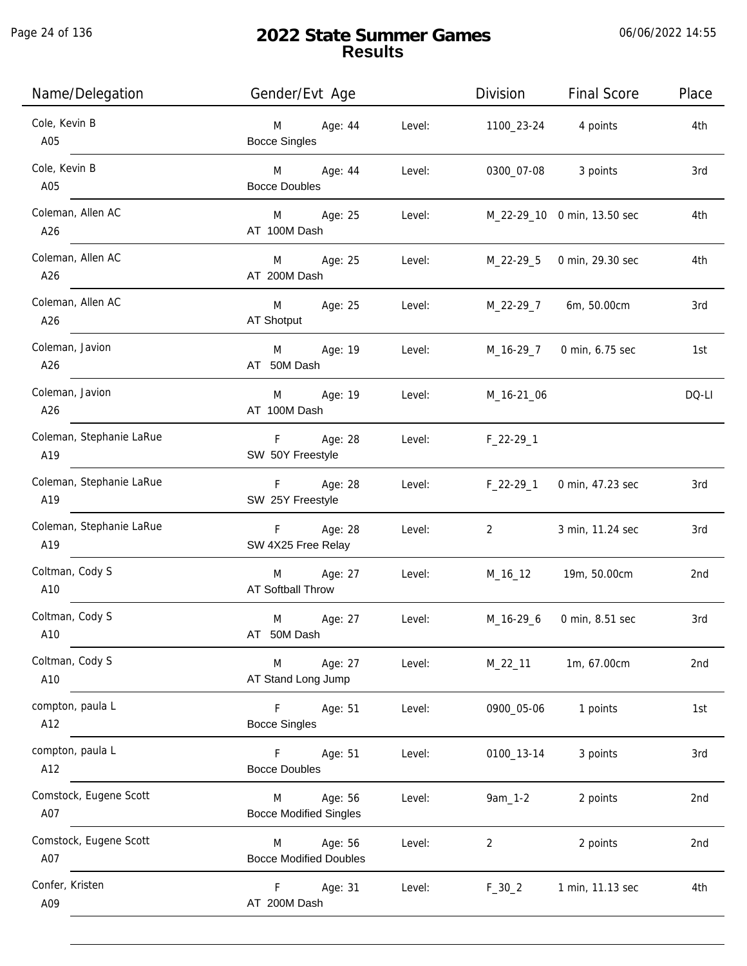| Name/Delegation                 | Gender/Evt Age                                               | Division<br><b>Final Score</b>     | Place |
|---------------------------------|--------------------------------------------------------------|------------------------------------|-------|
| Cole, Kevin B<br>A05            | Age: 44<br>Level:<br>M<br><b>Bocce Singles</b>               | 1100_23-24 4 points                | 4th   |
| Cole, Kevin B<br>A05            | Age: 44<br>Level:<br>M <sub>ar</sub><br><b>Bocce Doubles</b> | 0300_07-08<br>3 points             | 3rd   |
| Coleman, Allen AC<br>A26        | Age: 25<br>Level:<br>M <sub>ar</sub><br>AT 100M Dash         | M_22-29_10 0 min, 13.50 sec        | 4th   |
| Coleman, Allen AC<br>A26        | Age: 25<br>M<br>Level:<br>AT 200M Dash                       | M_22-29_5<br>0 min, 29.30 sec      | 4th   |
| Coleman, Allen AC<br>A26        | M<br>Age: 25<br>Level:<br>AT Shotput                         | M_22-29_7 6m, 50.00cm              | 3rd   |
| Coleman, Javion<br>A26          | M<br>Age: 19<br>Level:<br>AT 50M Dash                        | M_16-29_7<br>0 min, 6.75 sec       | 1st   |
| Coleman, Javion<br>A26          | Age: 19<br>M<br>Level:<br>AT 100M Dash                       | M_16-21_06                         | DQ-LI |
| Coleman, Stephanie LaRue<br>A19 | F Age: 28<br>Level:<br>SW 50Y Freestyle                      | $F_22-29-1$                        |       |
| Coleman, Stephanie LaRue<br>A19 | Age: 28<br>F<br>Level:<br>SW 25Y Freestyle                   | $F_22-29_1$<br>0 min, 47.23 sec    | 3rd   |
| Coleman, Stephanie LaRue<br>A19 | Age: 28<br>F<br>Level:<br>SW 4X25 Free Relay                 | $\overline{2}$<br>3 min, 11.24 sec | 3rd   |
| Coltman, Cody S<br>A10          | Age: 27<br>M<br>Level:<br>AT Softball Throw                  | M_16_12<br>19m, 50.00cm            | 2nd   |
| Coltman, Cody S<br>A10          | M<br>Age: 27<br>Level:<br>AT 50M Dash                        | M_16-29_6<br>0 min, 8.51 sec       | 3rd   |
| Coltman, Cody S<br>A10          | Age: 27<br>M<br>Level:<br>AT Stand Long Jump                 | M_22_11<br>1m, 67.00cm             | 2nd   |
| compton, paula L<br>A12         | F<br>Age: 51<br>Level:<br><b>Bocce Singles</b>               | 1 points<br>0900_05-06             | 1st   |
| compton, paula L<br>A12         | F.<br>Age: 51<br>Level:<br><b>Bocce Doubles</b>              | 3 points<br>0100_13-14             | 3rd   |
| Comstock, Eugene Scott<br>A07   | Age: 56<br>Level:<br>M<br><b>Bocce Modified Singles</b>      | $9am_1 - 2$<br>2 points            | 2nd   |
| Comstock, Eugene Scott<br>A07   | Age: 56<br>Level:<br>M<br><b>Bocce Modified Doubles</b>      | 2 points<br>$\overline{2}$         | 2nd   |
| Confer, Kristen<br>A09          | F<br>Age: 31<br>Level:<br>AT 200M Dash                       | $F_30_2$<br>1 min, 11.13 sec       | 4th   |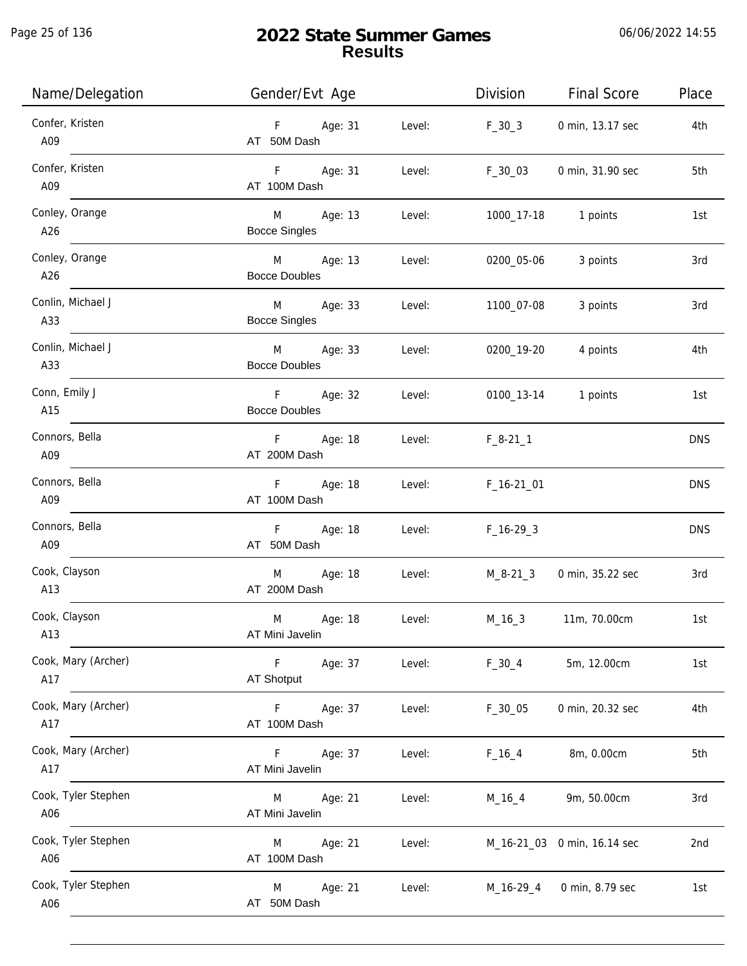j.

| Name/Delegation            | Gender/Evt Age                              | Division              | <b>Final Score</b>          | Place      |
|----------------------------|---------------------------------------------|-----------------------|-----------------------------|------------|
| Confer, Kristen<br>A09     | F Age: 31<br>AT 50M Dash                    | Level:<br>$F_30_3$    | 0 min, 13.17 sec            | 4th        |
| Confer, Kristen<br>A09     | F Age: 31<br>Level:<br>AT 100M Dash         | F_30_03               | 0 min, 31.90 sec            | 5th        |
| Conley, Orange<br>A26      | M Age: 13<br><b>Bocce Singles</b>           | Level:                | 1000_17-18 1 points         | 1st        |
| Conley, Orange<br>A26      | M Age: 13<br><b>Bocce Doubles</b>           | 0200_05-06<br>Level:  | 3 points                    | 3rd        |
| Conlin, Michael J<br>A33   | M Age: 33<br><b>Bocce Singles</b>           | Level:<br>1100_07-08  | 3 points                    | 3rd        |
| Conlin, Michael J<br>A33   | M Age: 33<br>Level:<br><b>Bocce Doubles</b> | 0200_19-20            | 4 points                    | 4th        |
| Conn, Emily J<br>A15       | F Age: 32<br><b>Bocce Doubles</b>           | Level:                | 0100_13-14 1 points         | 1st        |
| Connors, Bella<br>A09      | F Age: 18<br>AT 200M Dash                   | Level:<br>$F_8-21_1$  |                             | <b>DNS</b> |
| Connors, Bella<br>A09      | F Age: 18<br>AT 100M Dash                   | Level:<br>$F_16-2101$ |                             | <b>DNS</b> |
| Connors, Bella<br>A09      | F Age: 18<br>AT 50M Dash                    | Level:<br>$F_16-293$  |                             | <b>DNS</b> |
| Cook, Clayson<br>A13       | M Age: 18<br>AT 200M Dash                   | Level:<br>M_8-21_3    | 0 min, 35.22 sec            | 3rd        |
| Cook, Clayson<br>A13       | M<br>Age: 18<br>Level:<br>AT Mini Javelin   | M_16_3                | 11m, 70.00cm                | 1st        |
| Cook, Mary (Archer)<br>A17 | F<br>Age: 37<br>Level:<br>AT Shotput        | $F_30_4$              | 5m, 12.00cm                 | 1st        |
| Cook, Mary (Archer)<br>A17 | Age: 37<br>F<br>Level:<br>AT 100M Dash      | $F_30_05$             | 0 min, 20.32 sec            | 4th        |
| Cook, Mary (Archer)<br>A17 | F.<br>Age: 37<br>Level:<br>AT Mini Javelin  | $F_16_4$              | 8m, 0.00cm                  | 5th        |
| Cook, Tyler Stephen<br>A06 | Age: 21<br>Level:<br>M<br>AT Mini Javelin   | M_16_4                | 9m, 50.00cm                 | 3rd        |
| Cook, Tyler Stephen<br>A06 | Age: 21<br>Level:<br>M<br>AT 100M Dash      |                       | M_16-21_03 0 min, 16.14 sec | 2nd        |
| Cook, Tyler Stephen<br>A06 | Age: 21<br>M<br>Level:<br>AT 50M Dash       | M_16-29_4             | 0 min, 8.79 sec             | 1st        |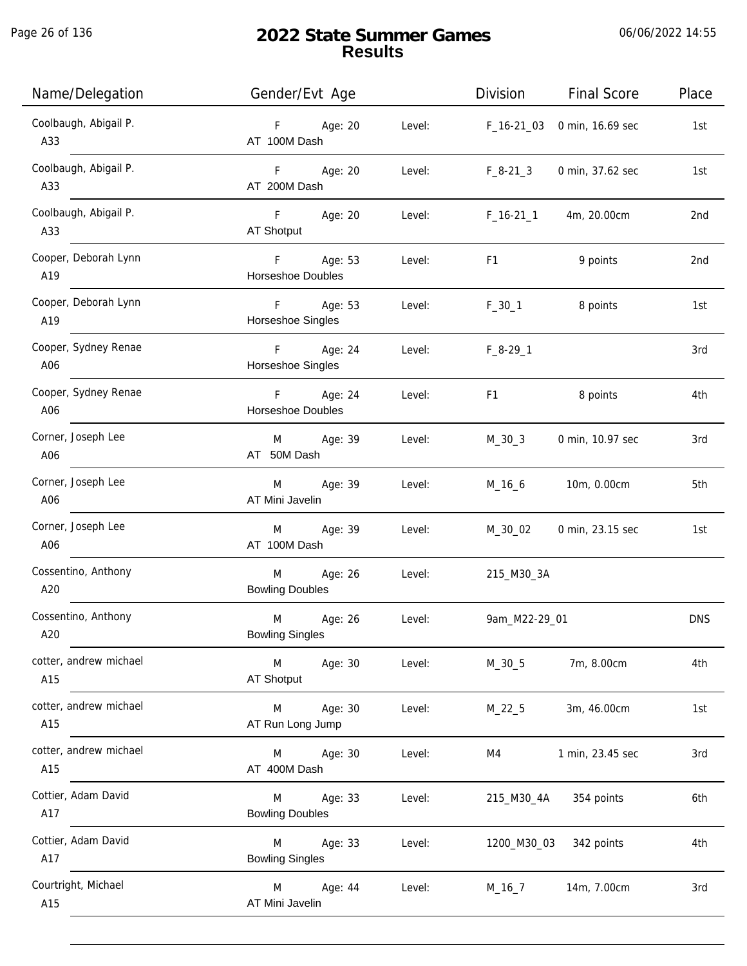Page 26 of 136

| Name/Delegation               | Gender/Evt Age                         |        | Division      | <b>Final Score</b> | Place      |
|-------------------------------|----------------------------------------|--------|---------------|--------------------|------------|
| Coolbaugh, Abigail P.<br>A33  | Age: 20<br>$F_{\perp}$<br>AT 100M Dash | Level: | $F_16-2103$   | 0 min, 16.69 sec   | 1st        |
| Coolbaugh, Abigail P.<br>A33  | Age: 20<br>F<br>AT 200M Dash           | Level: | $F_8-21-3$    | 0 min, 37.62 sec   | 1st        |
| Coolbaugh, Abigail P.<br>A33  | F Age: 20<br>AT Shotput                | Level: | $F_16-21_1$   | 4m, 20.00cm        | 2nd        |
| Cooper, Deborah Lynn<br>A19   | F Age: 53<br>Horseshoe Doubles         | Level: | F1            | 9 points           | 2nd        |
| Cooper, Deborah Lynn<br>A19   | F<br>Age: 53<br>Horseshoe Singles      | Level: | $F_30_1$      | 8 points           | 1st        |
| Cooper, Sydney Renae<br>A06   | F<br>Age: 24<br>Horseshoe Singles      | Level: | $F_8-29-1$    |                    | 3rd        |
| Cooper, Sydney Renae<br>A06   | F Age: 24<br><b>Horseshoe Doubles</b>  | Level: | F1            | 8 points           | 4th        |
| Corner, Joseph Lee<br>A06     | Age: 39<br>M<br>AT 50M Dash            | Level: | $M_30_3$      | 0 min, 10.97 sec   | 3rd        |
| Corner, Joseph Lee<br>A06     | Age: 39<br>M<br>AT Mini Javelin        | Level: | $M_16_6$      | 10m, 0.00cm        | 5th        |
| Corner, Joseph Lee<br>A06     | Age: 39<br>M<br>AT 100M Dash           | Level: | M_30_02       | 0 min, 23.15 sec   | 1st        |
| Cossentino, Anthony<br>A20    | M<br>Age: 26<br><b>Bowling Doubles</b> | Level: | 215_M30_3A    |                    |            |
| Cossentino, Anthony<br>A20    | M<br>Age: 26<br><b>Bowling Singles</b> | Level: | 9am_M22-29_01 |                    | <b>DNS</b> |
| cotter, andrew michael<br>A15 | M<br>Age: 30<br>AT Shotput             | Level: | $M_30_5$      | 7m, 8.00cm         | 4th        |
| cotter, andrew michael<br>A15 | M<br>Age: 30<br>AT Run Long Jump       | Level: | $M_22_5$      | 3m, 46.00cm        | 1st        |
| cotter, andrew michael<br>A15 | M<br>Age: 30<br>AT 400M Dash           | Level: | M4            | 1 min, 23.45 sec   | 3rd        |
| Cottier, Adam David<br>A17    | Age: 33<br>M<br><b>Bowling Doubles</b> | Level: | 215_M30_4A    | 354 points         | 6th        |
| Cottier, Adam David<br>A17    | Age: 33<br>M<br><b>Bowling Singles</b> | Level: | 1200_M30_03   | 342 points         | 4th        |
| Courtright, Michael<br>A15    | M<br>Age: 44<br>AT Mini Javelin        | Level: | $M_16_7$      | 14m, 7.00cm        | 3rd        |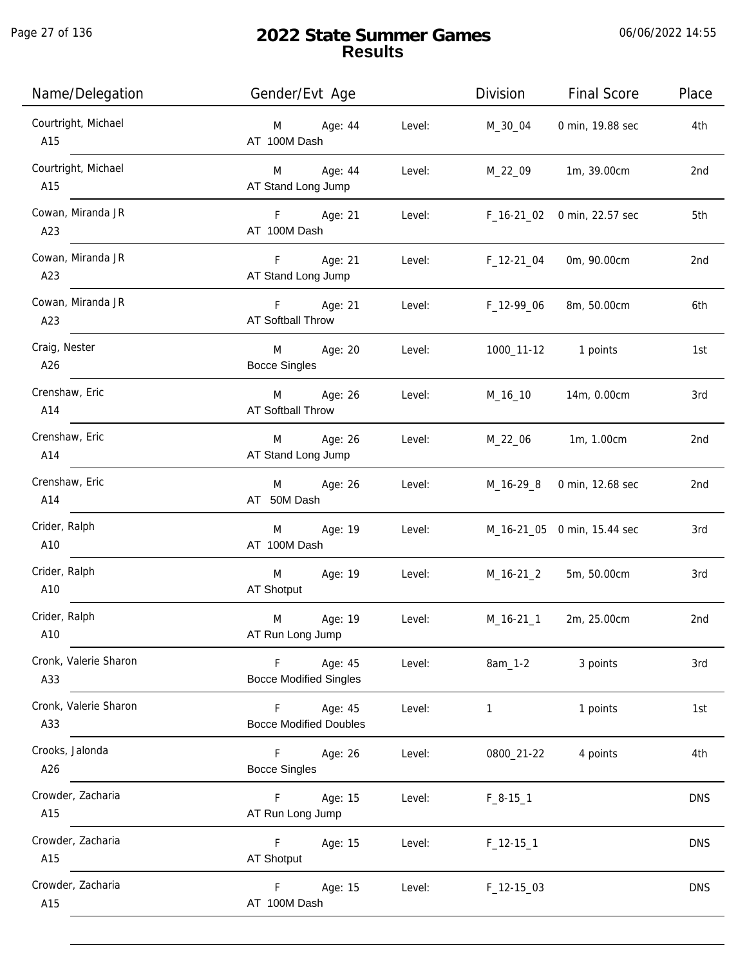Page 27 of 136

| Name/Delegation              | Gender/Evt Age                                |        | Division            | <b>Final Score</b>          | Place           |
|------------------------------|-----------------------------------------------|--------|---------------------|-----------------------------|-----------------|
| Courtright, Michael<br>A15   | Age: 44<br>M<br>AT 100M Dash                  | Level: | M_30_04             | 0 min, 19.88 sec            | 4th             |
| Courtright, Michael<br>A15   | M Age: 44<br>AT Stand Long Jump               | Level: | M_22_09             | 1m, 39.00cm                 | 2 <sub>nd</sub> |
| Cowan, Miranda JR<br>A23     | F Age: 21<br>AT 100M Dash                     | Level: |                     | F_16-21_02 0 min, 22.57 sec | 5th             |
| Cowan, Miranda JR<br>A23     | Age: 21<br>F<br>AT Stand Long Jump            |        | Level: F_12-21_04   | 0m, 90.00cm                 | 2 <sub>nd</sub> |
| Cowan, Miranda JR<br>A23     | F Age: 21<br>AT Softball Throw                | Level: | F_12-99_06          | 8m, 50.00cm                 | 6th             |
| Craig, Nester<br>A26         | M<br>Age: 20<br><b>Bocce Singles</b>          | Level: |                     | 1000_11-12 1 points         | 1st             |
| Crenshaw, Eric<br>A14        | M Age: 26<br>AT Softball Throw                | Level: | M_16_10             | 14m, 0.00cm                 | 3rd             |
| Crenshaw, Eric<br>A14        | M Age: 26<br>AT Stand Long Jump               | Level: | M_22_06             | 1m, 1.00cm                  | 2nd             |
| Crenshaw, Eric<br>A14        | Age: 26<br>M<br>AT 50M Dash                   | Level: |                     | M_16-29_8 0 min, 12.68 sec  | 2nd             |
| Crider, Ralph<br>A10         | M<br>Age: 19<br>AT 100M Dash                  | Level: |                     | M_16-21_05 0 min, 15.44 sec | 3rd             |
| Crider, Ralph<br>A10         | M<br>Age: 19<br>AT Shotput                    | Level: | M_16-21_2           | 5m, 50.00cm                 | 3rd             |
| Crider, Ralph<br>A10         | M<br>Age: 19<br>AT Run Long Jump              | Level: | M_16-21_1           | 2m, 25.00cm                 | 2 <sub>nd</sub> |
| Cronk, Valerie Sharon<br>A33 | F<br>Age: 45<br><b>Bocce Modified Singles</b> | Level: | 8am_1-2             | 3 points                    | 3rd             |
| Cronk, Valerie Sharon<br>A33 | Age: 45<br>F<br><b>Bocce Modified Doubles</b> | Level: | $\mathbf{1}$        | 1 points                    | 1st             |
| Crooks, Jalonda<br>A26       | F.<br>Age: 26<br><b>Bocce Singles</b>         | Level: | 0800_21-22          | 4 points                    | 4th             |
| Crowder, Zacharia<br>A15     | Age: 15<br>F.<br>AT Run Long Jump             | Level: | $F_8-15-1$          |                             | <b>DNS</b>      |
| Crowder, Zacharia<br>A15     | F<br>Age: 15<br>AT Shotput                    | Level: | $F_12-151$          |                             | <b>DNS</b>      |
| Crowder, Zacharia<br>A15     | Age: 15<br>F.<br>AT 100M Dash                 | Level: | $F_1$ 12-15 $_0$ 03 |                             | <b>DNS</b>      |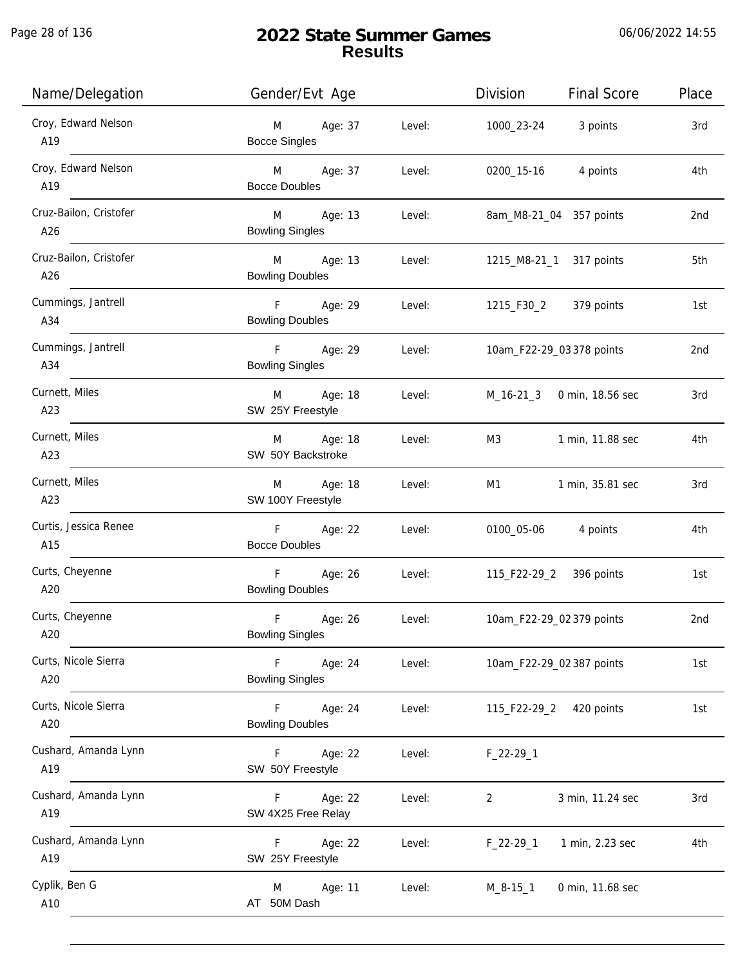| Name/Delegation               | Gender/Evt Age                                             | Division<br><b>Final Score</b>     | Place |
|-------------------------------|------------------------------------------------------------|------------------------------------|-------|
| Croy, Edward Nelson<br>A19    | Age: 37<br>Level:<br>M<br><b>Bocce Singles</b>             | 1000_23-24 3 points                | 3rd   |
| Croy, Edward Nelson<br>A19    | M Age: 37<br>Level:<br><b>Bocce Doubles</b>                | 0200_15-16 4 points                | 4th   |
| Cruz-Bailon, Cristofer<br>A26 | M Age: 13<br>Level:<br><b>Bowling Singles</b>              | 8am_M8-21_04 357 points            | 2nd   |
| Cruz-Bailon, Cristofer<br>A26 | M Age: 13<br>Level:<br><b>Bowling Doubles</b>              | 1215_M8-21_1 317 points            | 5th   |
| Cummings, Jantrell<br>A34     | F Age: 29<br>Level:<br><b>Bowling Doubles</b>              | 1215_F30_2 379 points              | 1st   |
| Cummings, Jantrell<br>A34     | F Age: 29 Level:<br><b>Bowling Singles</b>                 | 10am_F22-29_03 378 points          | 2nd   |
| Curnett, Miles<br>A23         | M Age: 18<br>Level:<br>SW 25Y Freestyle                    | M_16-21_3 0 min, 18.56 sec         | 3rd   |
| Curnett, Miles<br>A23         | M Age: 18<br>Level:<br>SW 50Y Backstroke                   | M3<br>1 min, 11.88 sec             | 4th   |
| Curnett, Miles<br>A23         | Age: 18<br>Level:<br>M<br>SW 100Y Freestyle                | 1 min, 35.81 sec<br>M1             | 3rd   |
| Curtis, Jessica Renee<br>A15  | F Age: 22<br>Level:<br><b>Bocce Doubles</b>                | 0100_05-06 4 points                | 4th   |
| Curts, Cheyenne<br>A20        | F<br>Age: 26<br><b>Bowling Doubles</b>                     | Level: 115_F22-29_2 396 points     | 1st   |
| Curts, Cheyenne<br>A20        | $\mathsf F$<br>Age: 26<br>Level:<br><b>Bowling Singles</b> | 10am_F22-29_02 379 points          | 2nd   |
| Curts, Nicole Sierra<br>A20   | F<br>Age: 24<br>Level:<br><b>Bowling Singles</b>           | 10am_F22-29_02 387 points          | 1st   |
| Curts, Nicole Sierra<br>A20   | F.<br>Age: 24<br>Level:<br><b>Bowling Doubles</b>          | 115_F22-29_2<br>420 points         | 1st   |
| Cushard, Amanda Lynn<br>A19   | F.<br>Age: 22<br>Level:<br>SW 50Y Freestyle                | $F_22-29-1$                        |       |
| Cushard, Amanda Lynn<br>A19   | Age: 22<br>Level:<br>F.<br>SW 4X25 Free Relay              | 3 min, 11.24 sec<br>$\overline{2}$ | 3rd   |
| Cushard, Amanda Lynn<br>A19   | Age: 22<br>F.<br>Level:<br>SW 25Y Freestyle                | 1 min, 2.23 sec<br>$F_22-29-1$     | 4th   |
| Cyplik, Ben G<br>A10          | Age: 11<br>Level:<br>M<br>AT 50M Dash                      | $M_8 - 15 - 1$<br>0 min, 11.68 sec |       |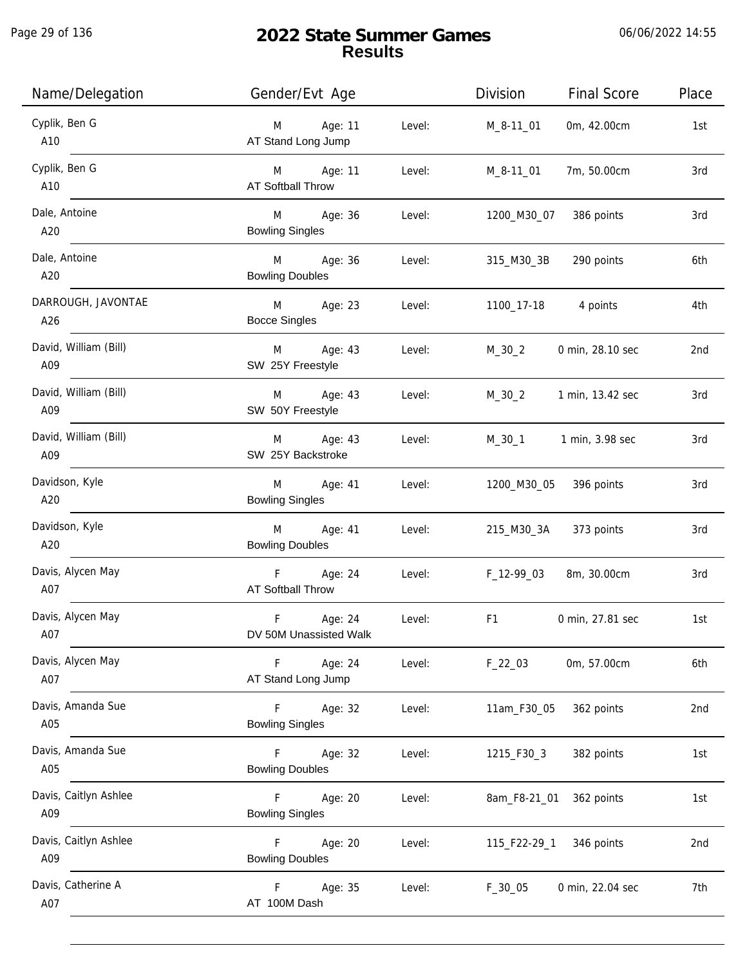Page 29 of 136

| Name/Delegation              | Gender/Evt Age                                             | Division<br><b>Final Score</b> | Place |
|------------------------------|------------------------------------------------------------|--------------------------------|-------|
| Cyplik, Ben G<br>A10         | Age: 11<br>Level:<br>M<br>AT Stand Long Jump               | 0m, 42.00cm<br>M_8-11_01       | 1st   |
| Cyplik, Ben G<br>A10         | M Age: 11<br>Level:<br>AT Softball Throw                   | 7m, 50.00cm<br>M_8-11_01       | 3rd   |
| Dale, Antoine<br>A20         | M Age: 36<br>Level:<br><b>Bowling Singles</b>              | 1200_M30_07 386 points         | 3rd   |
| Dale, Antoine<br>A20         | M Age: 36<br>Level:<br><b>Bowling Doubles</b>              | 315_M30_3B<br>290 points       | 6th   |
| DARROUGH, JAVONTAE<br>A26    | M Age: 23<br>Level:<br><b>Bocce Singles</b>                | 1100_17-18 4 points            | 4th   |
| David, William (Bill)<br>A09 | M Age: 43<br>Level:<br>SW 25Y Freestyle                    | $M_30_2$<br>0 min, 28.10 sec   | 2nd   |
| David, William (Bill)<br>A09 | Age: 43<br>M<br>Level:<br>SW 50Y Freestyle                 | $M_30_2$<br>1 min, 13.42 sec   | 3rd   |
| David, William (Bill)<br>A09 | Age: 43<br>Level:<br>M<br>SW 25Y Backstroke                | M_30_1 1 min, 3.98 sec         | 3rd   |
| Davidson, Kyle<br>A20        | Age: 41<br>Level:<br>M<br><b>Bowling Singles</b>           | 396 points<br>1200_M30_05      | 3rd   |
| Davidson, Kyle<br>A20        | Age: 41<br>M<br>Level:<br><b>Bowling Doubles</b>           | 215_M30_3A 373 points          | 3rd   |
| Davis, Alycen May<br>A07     | F Age: 24<br>Level:<br>AT Softball Throw                   | 8m, 30.00cm<br>F_12-99_03      | 3rd   |
| Davis, Alycen May<br>A07     | $\mathsf F$<br>Age: 24<br>Level:<br>DV 50M Unassisted Walk | F1<br>0 min, 27.81 sec         | 1st   |
| Davis, Alycen May<br>A07     | F<br>Age: 24<br>Level:<br>AT Stand Long Jump               | $F_22_03$<br>0m, 57.00cm       | 6th   |
| Davis, Amanda Sue<br>A05     | $\mathsf F$<br>Age: 32<br>Level:<br><b>Bowling Singles</b> | 11am_F30_05<br>362 points      | 2nd   |
| Davis, Amanda Sue<br>A05     | Age: 32<br>Level:<br>F.<br><b>Bowling Doubles</b>          | 1215_F30_3<br>382 points       | 1st   |
| Davis, Caitlyn Ashlee<br>A09 | Age: 20<br>Level:<br>F.<br><b>Bowling Singles</b>          | 8am_F8-21_01<br>362 points     | 1st   |
| Davis, Caitlyn Ashlee<br>A09 | Age: 20<br>Level:<br>F.<br><b>Bowling Doubles</b>          | 115_F22-29_1<br>346 points     | 2nd   |
| Davis, Catherine A<br>A07    | F.<br>Age: 35<br>Level:<br>AT 100M Dash                    | $F_30_05$<br>0 min, 22.04 sec  | 7th   |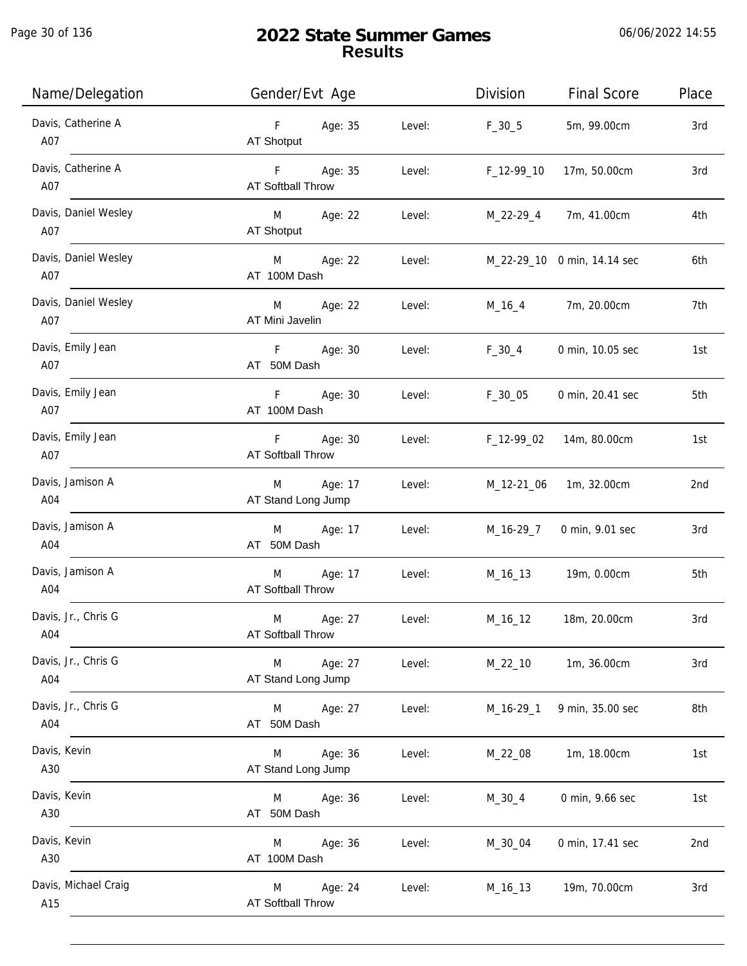Page 30 of 136

| Name/Delegation             | Gender/Evt Age                                     | Division<br><b>Final Score</b>  | Place |
|-----------------------------|----------------------------------------------------|---------------------------------|-------|
| Davis, Catherine A<br>A07   | F Age: 35<br>Level:<br>AT Shotput                  | $F_30_5$<br>5m, 99.00cm         | 3rd   |
| Davis, Catherine A<br>A07   | F Age: 35<br>Level:<br><b>AT Softball Throw</b>    | 17m, 50.00cm<br>$F_12-99-10$    | 3rd   |
| Davis, Daniel Wesley<br>A07 | M Age: 22<br>Level:<br>AT Shotput                  | M_22-29_4<br>7m, 41.00cm        | 4th   |
| Davis, Daniel Wesley<br>A07 | M Age: 22<br>Level:<br>AT 100M Dash                | M_22-29_10 0 min, 14.14 sec     | 6th   |
| Davis, Daniel Wesley<br>A07 | M<br>Age: 22<br>Level:<br>AT Mini Javelin          | M_16_4 7m, 20.00cm              | 7th   |
| Davis, Emily Jean<br>A07    | F Age: 30<br>Level:<br>AT 50M Dash                 | $F_30_4$<br>0 min, 10.05 sec    | 1st   |
| Davis, Emily Jean<br>A07    | F Age: 30<br>Level:<br>AT 100M Dash                | F_30_05<br>0 min, 20.41 sec     | 5th   |
| Davis, Emily Jean<br>A07    | F Age: 30<br>Level:<br><b>AT Softball Throw</b>    | F_12-99_02<br>14m, 80.00cm      | 1st   |
| Davis, Jamison A<br>A04     | M Age: 17<br>Level:<br>AT Stand Long Jump          | 1m, 32.00cm<br>M_12-21_06       | 2nd   |
| Davis, Jamison A<br>A04     | Age: 17<br>M<br>Level:<br>AT 50M Dash              | M_16-29_7<br>0 min, 9.01 sec    | 3rd   |
| Davis, Jamison A<br>A04     | Age: 17<br>M<br>Level:<br><b>AT Softball Throw</b> | M_16_13 19m, 0.00cm             | 5th   |
| Davis, Jr., Chris G<br>A04  | M<br>Age: 27<br>Level:<br>AT Softball Throw        | M_16_12<br>18m, 20.00cm         | 3rd   |
| Davis, Jr., Chris G<br>A04  | Age: 27<br>Level:<br>M<br>AT Stand Long Jump       | 1m, 36.00cm<br>$M_22_10$        | 3rd   |
| Davis, Jr., Chris G<br>A04  | Age: 27<br>Level:<br>M<br>AT 50M Dash              | 9 min, 35.00 sec<br>$M_16-29_1$ | 8th   |
| Davis, Kevin<br>A30         | Age: 36<br>Level:<br>M<br>AT Stand Long Jump       | 1m, 18.00cm<br>$M_22_08$        | 1st   |
| Davis, Kevin<br>A30         | Age: 36<br>Level:<br>M<br>AT 50M Dash              | 0 min, 9.66 sec<br>M_30_4       | 1st   |
| Davis, Kevin<br>A30         | Age: 36<br>Level:<br>M<br>AT 100M Dash             | 0 min, 17.41 sec<br>M_30_04     | 2nd   |
| Davis, Michael Craig<br>A15 | Age: 24<br>M<br>Level:<br>AT Softball Throw        | 19m, 70.00cm<br>M_16_13         | 3rd   |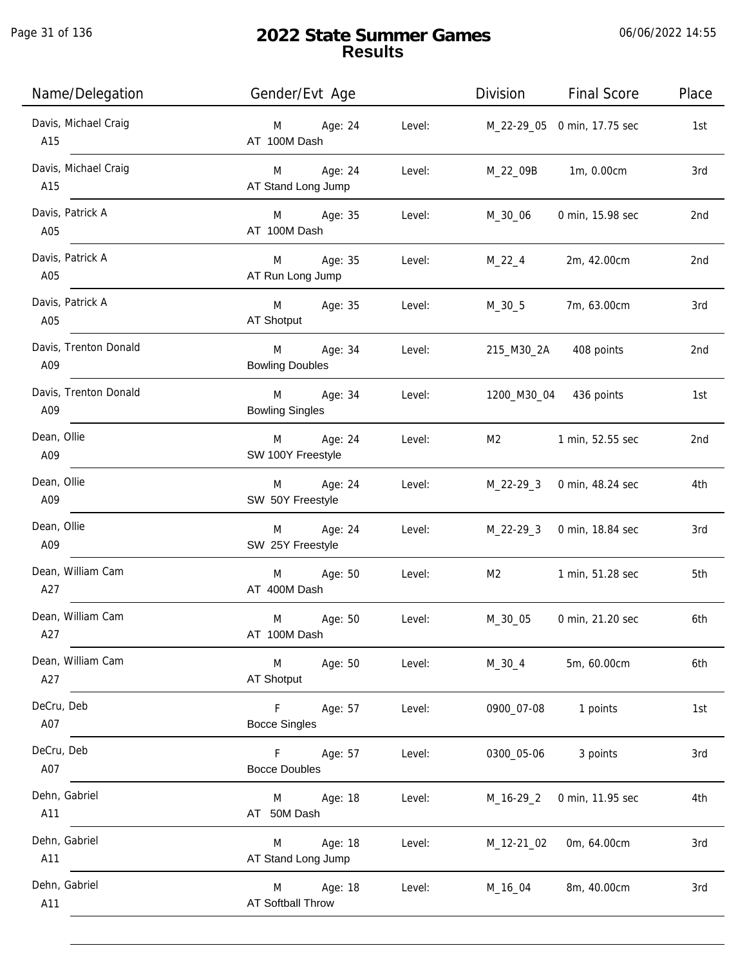Page 31 of 136

| Name/Delegation              | Gender/Evt Age                                   | Division<br><b>Final Score</b><br>Place |
|------------------------------|--------------------------------------------------|-----------------------------------------|
| Davis, Michael Craig<br>A15  | M Age: 24<br>Level:<br>AT 100M Dash              | M_22-29_05 0 min, 17.75 sec<br>1st      |
| Davis, Michael Craig<br>A15  | M Age: 24<br>Level:<br>AT Stand Long Jump        | M_22_09B 1m, 0.00cm<br>3rd              |
| Davis, Patrick A<br>A05      | M Age: 35<br>Level:<br>AT 100M Dash              | 0 min, 15.98 sec<br>M_30_06<br>2nd      |
| Davis, Patrick A<br>A05      | M Age: 35<br>Level:<br>AT Run Long Jump          | $M_22_4$<br>2m, 42.00cm<br>2nd          |
| Davis, Patrick A<br>A05      | M Age: 35<br>Level:<br>AT Shotput                | 7m, 63.00cm<br>M_30_5<br>3rd            |
| Davis, Trenton Donald<br>A09 | M<br>Age: 34<br>Level:<br><b>Bowling Doubles</b> | 215_M30_2A 408 points<br>2nd            |
| Davis, Trenton Donald<br>A09 | M Age: 34<br>Level:<br><b>Bowling Singles</b>    | 1200_M30_04 436 points<br>1st           |
| Dean, Ollie<br>A09           | M Age: 24<br>Level:<br>SW 100Y Freestyle         | M2<br>1 min, 52.55 sec<br>2nd           |
| Dean, Ollie<br>A09           | Age: 24<br>Level:<br>M<br>SW 50Y Freestyle       | M_22-29_3 0 min, 48.24 sec<br>4th       |
| Dean, Ollie<br>A09           | Age: 24<br>M<br>Level:<br>SW 25Y Freestyle       | M_22-29_3 0 min, 18.84 sec<br>3rd       |
| Dean, William Cam<br>A27     | M Age: 50<br>Level:<br>AT 400M Dash              | M2<br>1 min, 51.28 sec<br>5th           |
| Dean, William Cam<br>A27     | M<br>Age: 50<br>Level:<br>AT 100M Dash           | 6th<br>M_30_05<br>0 min, 21.20 sec      |
| Dean, William Cam<br>A27     | Level:<br>M<br>Age: 50<br>AT Shotput             | $M_30_4$<br>5m, 60.00cm<br>6th          |
| DeCru, Deb<br>A07            | F<br>Age: 57<br>Level:<br><b>Bocce Singles</b>   | 1 points<br>1st<br>0900_07-08           |
| DeCru, Deb<br>A07            | Age: 57<br>F.<br>Level:<br><b>Bocce Doubles</b>  | 0300_05-06<br>3 points<br>3rd           |
| Dehn, Gabriel<br>A11         | Age: 18<br>Level:<br>M<br>AT 50M Dash            | 4th<br>M_16-29_2<br>0 min, 11.95 sec    |
| Dehn, Gabriel<br>A11         | Age: 18<br>Level:<br>M<br>AT Stand Long Jump     | M_12-21_02<br>0m, 64.00cm<br>3rd        |
| Dehn, Gabriel<br>A11         | Age: 18<br>M<br>AT Softball Throw                | 8m, 40.00cm<br>Level:<br>M_16_04<br>3rd |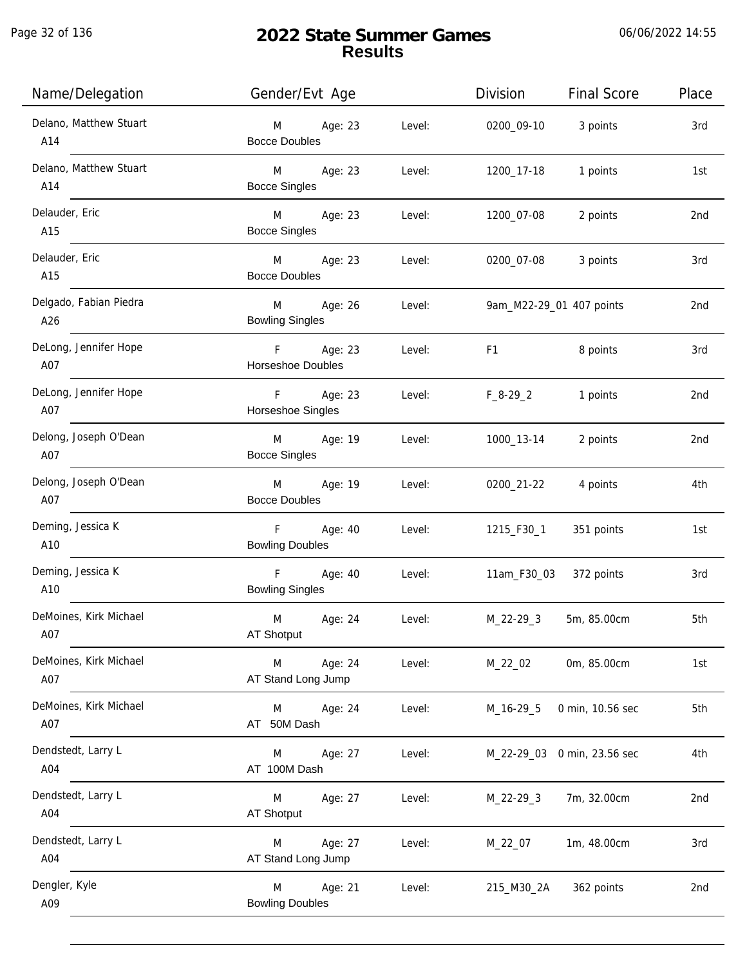j.

| Name/Delegation               | Gender/Evt Age                                               | Division<br><b>Final Score</b> | Place |
|-------------------------------|--------------------------------------------------------------|--------------------------------|-------|
| Delano, Matthew Stuart<br>A14 | M<br>Age: 23<br>Level:<br><b>Bocce Doubles</b>               | 0200_09-10<br>3 points         | 3rd   |
| Delano, Matthew Stuart<br>A14 | M <sub>ar</sub><br>Age: 23<br>Level:<br><b>Bocce Singles</b> | 1 points<br>1200_17-18         | 1st   |
| Delauder, Eric<br>A15         | M <sub>ar</sub><br>Age: 23<br>Level:<br><b>Bocce Singles</b> | 1200_07-08<br>2 points         | 2nd   |
| Delauder, Eric<br>A15         | <b>M</b><br>Age: 23<br>Level:<br><b>Bocce Doubles</b>        | 0200_07-08<br>3 points         | 3rd   |
| Delgado, Fabian Piedra<br>A26 | <b>M</b><br>Age: 26<br>Level:<br><b>Bowling Singles</b>      | 9am_M22-29_01 407 points       | 2nd   |
| DeLong, Jennifer Hope<br>A07  | F Age: 23<br>Level:<br>Horseshoe Doubles                     | 8 points<br>F1                 | 3rd   |
| DeLong, Jennifer Hope<br>A07  | F<br>Age: 23<br>Level:<br>Horseshoe Singles                  | $F_8-29_2$<br>1 points         | 2nd   |
| Delong, Joseph O'Dean<br>A07  | M Age: 19<br>Level:<br><b>Bocce Singles</b>                  | 1000_13-14<br>2 points         | 2nd   |
| Delong, Joseph O'Dean<br>A07  | M<br>Age: 19<br>Level:<br><b>Bocce Doubles</b>               | 0200_21-22<br>4 points         | 4th   |
| Deming, Jessica K<br>A10      | $F =$<br>Age: 40<br>Level:<br><b>Bowling Doubles</b>         | 1215_F30_1<br>351 points       | 1st   |
| Deming, Jessica K<br>A10      | F<br>Age: 40<br>Level:<br><b>Bowling Singles</b>             | 11am_F30_03<br>372 points      | 3rd   |
| DeMoines, Kirk Michael<br>A07 | M<br>Age: 24<br>Level:<br>AT Shotput                         | $M_22 - 29 - 3$<br>5m, 85.00cm | 5th   |
| DeMoines, Kirk Michael<br>A07 | M<br>Age: 24<br>Level:<br>AT Stand Long Jump                 | 0m, 85.00cm<br>M_22_02         | 1st   |
| DeMoines, Kirk Michael<br>A07 | Age: 24<br>M<br>Level:<br>AT 50M Dash                        | 0 min, 10.56 sec<br>M_16-29_5  | 5th   |
| Dendstedt, Larry L<br>A04     | M<br>Age: 27<br>Level:<br>AT 100M Dash                       | M_22-29_03 0 min, 23.56 sec    | 4th   |
| Dendstedt, Larry L<br>A04     | M<br>Age: 27<br>Level:<br><b>AT Shotput</b>                  | 7m, 32.00cm<br>$M_22-29_3$     | 2nd   |
| Dendstedt, Larry L<br>A04     | Age: 27<br>M<br>Level:<br>AT Stand Long Jump                 | 1m, 48.00cm<br>M_22_07         | 3rd   |
| Dengler, Kyle<br>A09          | Age: 21<br>Level:<br>M<br><b>Bowling Doubles</b>             | 362 points<br>215_M30_2A       | 2nd   |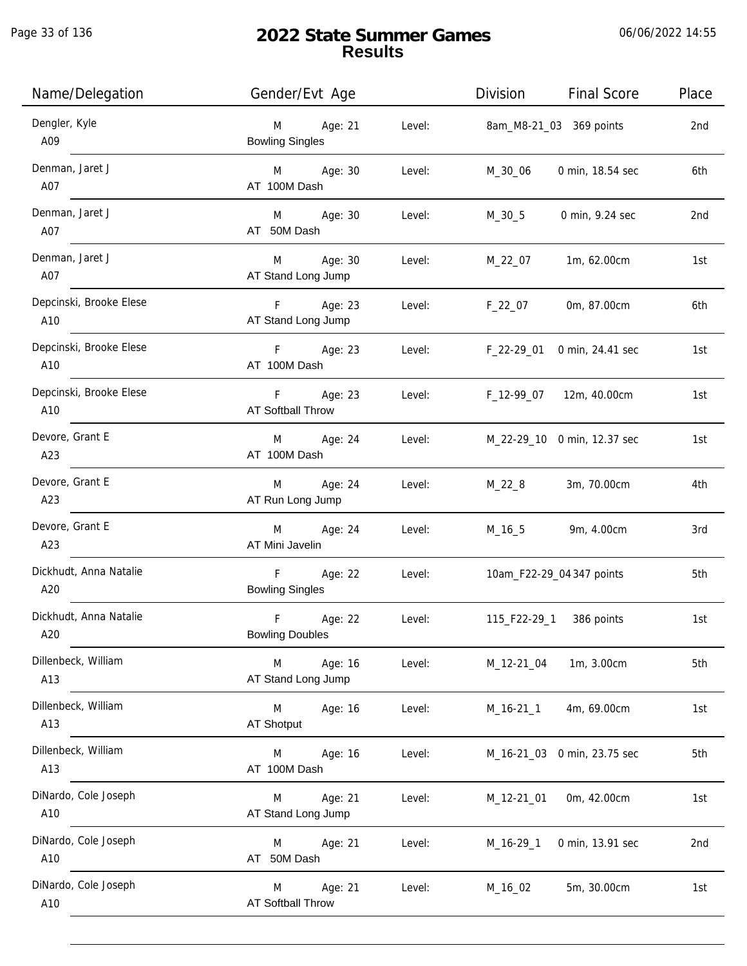| Name/Delegation                | Gender/Evt Age                             |        | Division    | <b>Final Score</b>          | Place |
|--------------------------------|--------------------------------------------|--------|-------------|-----------------------------|-------|
| Dengler, Kyle<br>A09           | Age: 21<br>M<br><b>Bowling Singles</b>     | Level: |             | 8am_M8-21_03 369 points     | 2nd   |
| Denman, Jaret J<br>A07         | Age: 30<br>M <sub>ar</sub><br>AT 100M Dash | Level: | M_30_06     | 0 min, 18.54 sec            | 6th   |
| Denman, Jaret J<br>A07         | M Age: 30<br>AT 50M Dash                   | Level: | M_30_5      | 0 min, 9.24 sec             | 2nd   |
| Denman, Jaret J<br>A07         | Age: 30<br>M<br>AT Stand Long Jump         | Level: | M_22_07     | 1m, 62.00cm                 | 1st   |
| Depcinski, Brooke Elese<br>A10 | Age: 23<br>F<br>AT Stand Long Jump         | Level: | $F_22_07$   | 0m, 87.00cm                 | 6th   |
| Depcinski, Brooke Elese<br>A10 | F Age: 23<br>AT 100M Dash                  | Level: | F_22-29_01  | 0 min, 24.41 sec            | 1st   |
| Depcinski, Brooke Elese<br>A10 | F Age: 23<br><b>AT Softball Throw</b>      | Level: | F_12-99_07  | 12m, 40.00cm                | 1st   |
| Devore, Grant E<br>A23         | Age: 24<br>M<br>AT 100M Dash               | Level: |             | M_22-29_10 0 min, 12.37 sec | 1st   |
| Devore, Grant E<br>A23         | Age: 24<br>M<br>AT Run Long Jump           | Level: | $M_22_8$    | 3m, 70.00cm                 | 4th   |
| Devore, Grant E<br>A23         | Age: 24<br>M<br>AT Mini Javelin            | Level: | $M_16_5$    | 9m, 4.00cm                  | 3rd   |
| Dickhudt, Anna Natalie<br>A20  | F<br>Age: 22<br><b>Bowling Singles</b>     | Level: |             | 10am_F22-29_04 347 points   | 5th   |
| Dickhudt, Anna Natalie<br>A20  | F<br>Age: 22<br><b>Bowling Doubles</b>     | Level: |             | 115_F22-29_1 386 points     | 1st   |
| Dillenbeck, William<br>A13     | M<br>Age: 16<br>AT Stand Long Jump         | Level: | M_12-21_04  | 1m, 3.00cm                  | 5th   |
| Dillenbeck, William<br>A13     | M<br>Age: 16<br>AT Shotput                 | Level: | $M_16-21_1$ | 4m, 69.00cm                 | 1st   |
| Dillenbeck, William<br>A13     | M<br>Age: 16<br>AT 100M Dash               | Level: |             | M_16-21_03 0 min, 23.75 sec | 5th   |
| DiNardo, Cole Joseph<br>A10    | Age: 21<br>M<br>AT Stand Long Jump         | Level: | M_12-21_01  | 0m, 42.00cm                 | 1st   |
| DiNardo, Cole Joseph<br>A10    | Age: 21<br>M<br>AT 50M Dash                | Level: | $M_16-29_1$ | 0 min, 13.91 sec            | 2nd   |
| DiNardo, Cole Joseph<br>A10    | Age: 21<br>M<br>AT Softball Throw          | Level: | M_16_02     | 5m, 30.00cm                 | 1st   |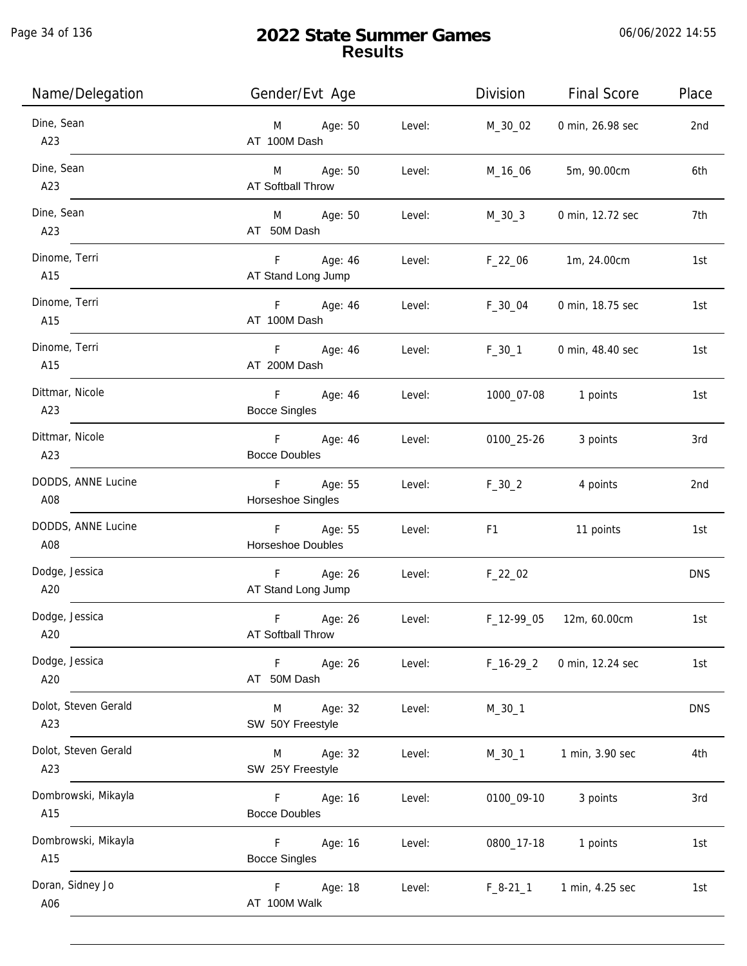| Name/Delegation             | Gender/Evt Age                                  | Division                                                                                                                                                                                                                       | <b>Final Score</b>  | Place      |
|-----------------------------|-------------------------------------------------|--------------------------------------------------------------------------------------------------------------------------------------------------------------------------------------------------------------------------------|---------------------|------------|
| Dine, Sean<br>A23           | M Age: 50<br>Level:<br>AT 100M Dash             | M_30_02                                                                                                                                                                                                                        | 0 min, 26.98 sec    | 2nd        |
| Dine, Sean<br>A23           | M Age: 50<br>Level:<br><b>AT Softball Throw</b> | M_16_06                                                                                                                                                                                                                        | 5m, 90.00cm         | 6th        |
| Dine, Sean<br>A23           | M Age: 50<br>Level:<br>AT 50M Dash              | $M_30_3$                                                                                                                                                                                                                       | 0 min, 12.72 sec    | 7th        |
| Dinome, Terri<br>A15        | F Age: 46<br>Level:<br>AT Stand Long Jump       | $F_22_06$                                                                                                                                                                                                                      | 1m, 24.00cm         | 1st        |
| Dinome, Terri<br>A15        | F Age: 46<br>Level:<br>AT 100M Dash             | $F_30_04$                                                                                                                                                                                                                      | 0 min, 18.75 sec    | 1st        |
| Dinome, Terri<br>A15        | F Age: 46<br>Level:<br>AT 200M Dash             | $F_30_1$                                                                                                                                                                                                                       | 0 min, 48.40 sec    | 1st        |
| Dittmar, Nicole<br>A23      | F Age: 46<br>Level:<br><b>Bocce Singles</b>     |                                                                                                                                                                                                                                | 1000_07-08 1 points | 1st        |
| Dittmar, Nicole<br>A23      | F Age: 46<br>Level:<br><b>Bocce Doubles</b>     | 0100_25-26                                                                                                                                                                                                                     | 3 points            | 3rd        |
| DODDS, ANNE Lucine<br>A08   | F Age: 55<br>Level:<br>Horseshoe Singles        | $F_30_2$                                                                                                                                                                                                                       | 4 points            | 2nd        |
| DODDS, ANNE Lucine<br>A08   | F Age: 55<br>Level:<br>Horseshoe Doubles        | F1 and the state of the state of the state of the state of the state of the state of the state of the state of the state of the state of the state of the state of the state of the state of the state of the state of the sta | 11 points           | 1st        |
| Dodge, Jessica<br>A20       | F Age: 26<br>Level:<br>AT Stand Long Jump       | $F_22_02$                                                                                                                                                                                                                      |                     | <b>DNS</b> |
| Dodge, Jessica<br>A20       | F<br>Age: 26<br>Level:<br>AT Softball Throw     | F_12-99_05                                                                                                                                                                                                                     | 12m, 60.00cm        | 1st        |
| Dodge, Jessica<br>A20       | Age: 26<br>Level:<br>F<br>AT 50M Dash           | $F_16-29_2$                                                                                                                                                                                                                    | 0 min, 12.24 sec    | 1st        |
| Dolot, Steven Gerald<br>A23 | Age: 32<br>Level:<br>M<br>SW 50Y Freestyle      | $M_30_1$                                                                                                                                                                                                                       |                     | <b>DNS</b> |
| Dolot, Steven Gerald<br>A23 | Age: 32<br>Level:<br>M<br>SW 25Y Freestyle      | $M_30_1$                                                                                                                                                                                                                       | 1 min, 3.90 sec     | 4th        |
| Dombrowski, Mikayla<br>A15  | Age: 16<br>Level:<br>F.<br><b>Bocce Doubles</b> | 0100_09-10                                                                                                                                                                                                                     | 3 points            | 3rd        |
| Dombrowski, Mikayla<br>A15  | Age: 16<br>Level:<br>F.<br><b>Bocce Singles</b> | 0800_17-18                                                                                                                                                                                                                     | 1 points            | 1st        |
| Doran, Sidney Jo<br>A06     | F<br>Age: 18<br>Level:<br>AT 100M Walk          | $F_8-21_1$                                                                                                                                                                                                                     | 1 min, 4.25 sec     | 1st        |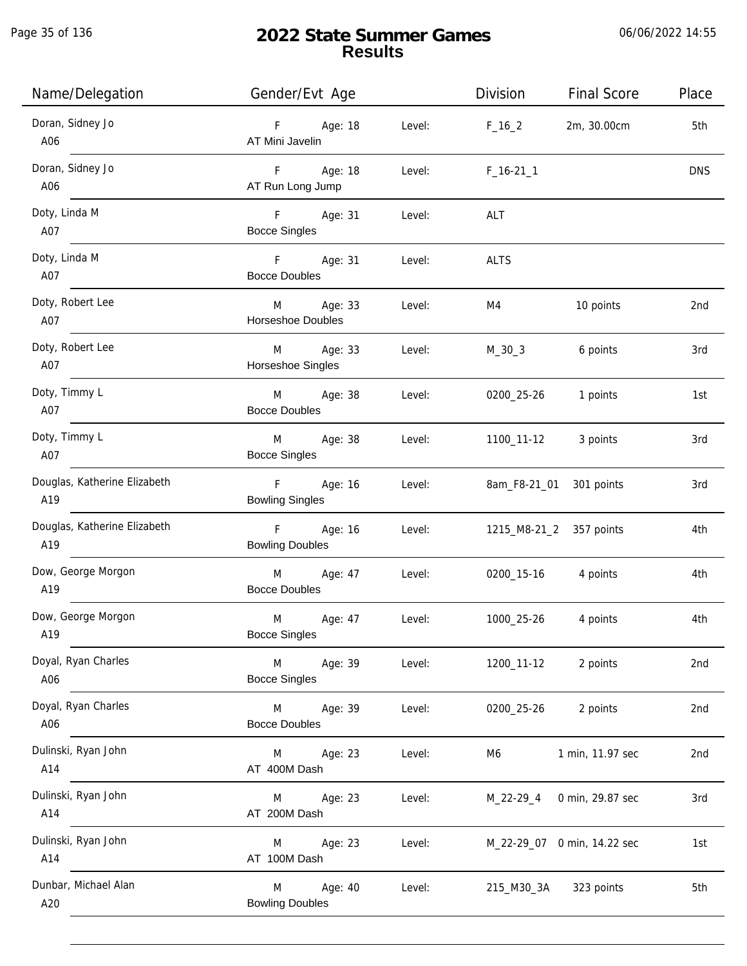| Name/Delegation                     | Gender/Evt Age                              | Division             | <b>Final Score</b>          | Place      |
|-------------------------------------|---------------------------------------------|----------------------|-----------------------------|------------|
| Doran, Sidney Jo<br>A06             | F Age: 18<br>AT Mini Javelin                | Level: $F_16_2$      | 2m, 30.00cm                 | 5th        |
| Doran, Sidney Jo<br>A06             | Age: 18<br>F<br>AT Run Long Jump            | Level:<br>$F_16-211$ |                             | <b>DNS</b> |
| Doty, Linda M<br>A07                | F Age: 31<br><b>Bocce Singles</b>           | Level:<br>ALT        |                             |            |
| Doty, Linda M<br>A07                | F Age: 31<br>Level:<br><b>Bocce Doubles</b> | <b>ALTS</b>          |                             |            |
| Doty, Robert Lee<br>A07             | M Age: 33<br>Horseshoe Doubles              | Level:<br>M4         | 10 points                   | 2nd        |
| Doty, Robert Lee<br>A07             | M Age: 33<br>Horseshoe Singles              | $M_30_3$<br>Level:   | 6 points                    | 3rd        |
| Doty, Timmy L<br>A07                | M Age: 38<br><b>Bocce Doubles</b>           | Level:<br>0200_25-26 | 1 points                    | 1st        |
| Doty, Timmy L<br>A07                | M Age: 38<br><b>Bocce Singles</b>           | Level:<br>1100_11-12 | 3 points                    | 3rd        |
| Douglas, Katherine Elizabeth<br>A19 | F Age: 16<br><b>Bowling Singles</b>         | Level:               | 8am_F8-21_01 301 points     | 3rd        |
| Douglas, Katherine Elizabeth<br>A19 | F Age: 16<br><b>Bowling Doubles</b>         | Level:               | 1215_M8-21_2 357 points     | 4th        |
| Dow, George Morgon<br>A19           | M Age: 47<br><b>Bocce Doubles</b>           | Level:               | 0200_15-16 4 points         | 4th        |
| Dow, George Morgon<br>A19           | M<br>Age: 47<br><b>Bocce Singles</b>        | Level:<br>1000_25-26 | 4 points                    | 4th        |
| Doyal, Ryan Charles<br>A06          | M<br>Age: 39<br><b>Bocce Singles</b>        | Level:<br>1200_11-12 | 2 points                    | 2nd        |
| Doyal, Ryan Charles<br>A06          | Age: 39<br>M<br><b>Bocce Doubles</b>        | Level:<br>0200_25-26 | 2 points                    | 2nd        |
| Dulinski, Ryan John<br>A14          | Age: 23<br>M<br>AT 400M Dash                | Level:<br>M6         | 1 min, 11.97 sec            | 2nd        |
| Dulinski, Ryan John<br>A14          | Age: 23<br>M<br>AT 200M Dash                | Level:<br>M_22-29_4  | 0 min, 29.87 sec            | 3rd        |
| Dulinski, Ryan John<br>A14          | Age: 23<br>M<br>AT 100M Dash                | Level:               | M_22-29_07 0 min, 14.22 sec | 1st        |
| Dunbar, Michael Alan<br>A20         | Age: 40<br>M<br><b>Bowling Doubles</b>      | Level:<br>215_M30_3A | 323 points                  | 5th        |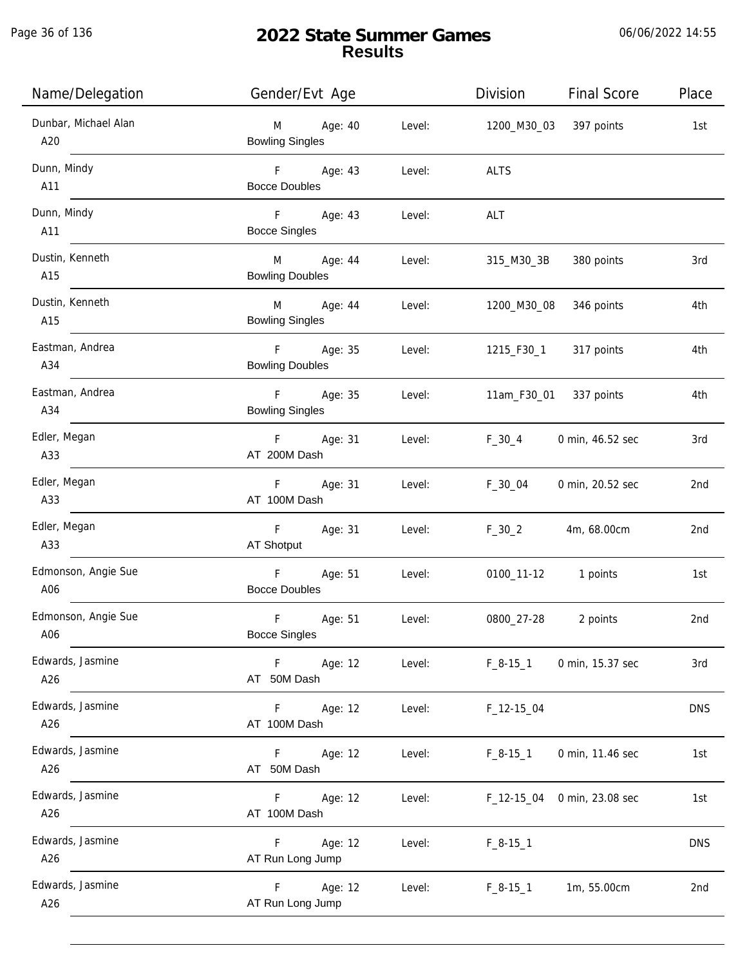Page 36 of 136

# **2022 State Summer Games Results**

06/06/2022 14:55

| Name/Delegation             | Gender/Evt Age                                 |        | Division               | <b>Final Score</b>     | Place      |
|-----------------------------|------------------------------------------------|--------|------------------------|------------------------|------------|
| Dunbar, Michael Alan<br>A20 | Age: 40<br>M<br><b>Bowling Singles</b>         | Level: | 1200_M30_03 397 points |                        | 1st        |
| Dunn, Mindy<br>A11          | F Age: 43<br><b>Bocce Doubles</b>              | Level: | <b>ALTS</b>            |                        |            |
| Dunn, Mindy<br>A11          | F Age: 43<br><b>Bocce Singles</b>              | Level: | ALT                    |                        |            |
| Dustin, Kenneth<br>A15      | M<br>Age: 44<br><b>Bowling Doubles</b>         | Level: | 315_M30_3B             | 380 points             | 3rd        |
| Dustin, Kenneth<br>A15      | M<br>Age: 44<br><b>Bowling Singles</b>         | Level: | 1200_M30_08            | 346 points             | 4th        |
| Eastman, Andrea<br>A34      | F Age: 35<br><b>Bowling Doubles</b>            | Level: | 1215_F30_1             | 317 points             | 4th        |
| Eastman, Andrea<br>A34      | F<br>Age: 35<br><b>Bowling Singles</b>         | Level: |                        | 11am_F30_01 337 points | 4th        |
| Edler, Megan<br>A33         | F Age: 31<br>AT 200M Dash                      | Level: | $F_30_4$               | 0 min, 46.52 sec       | 3rd        |
| Edler, Megan<br>A33         | Age: 31<br>F<br>AT 100M Dash                   | Level: | $F_30_04$              | 0 min, 20.52 sec       | 2nd        |
| Edler, Megan<br>A33         | F<br>Age: 31<br>AT Shotput                     | Level: | $F_30_2$               | 4m, 68.00cm            | 2nd        |
| Edmonson, Angie Sue<br>A06  | $\mathsf F$<br>Age: 51<br><b>Bocce Doubles</b> | Level: | 0100_11-12 1 points    |                        | 1st        |
| Edmonson, Angie Sue<br>A06  | $\mathsf F$<br>Age: 51<br><b>Bocce Singles</b> | Level: | 0800_27-28             | 2 points               | 2nd        |
| Edwards, Jasmine<br>A26     | F<br>Age: 12<br>AT 50M Dash                    | Level: | $F_8-15-1$             | 0 min, 15.37 sec       | 3rd        |
| Edwards, Jasmine<br>A26     | Age: 12<br>F.<br>AT 100M Dash                  | Level: | $F_1$ 12-15 $_0$ 04    |                        | <b>DNS</b> |
| Edwards, Jasmine<br>A26     | F.<br>Age: 12<br>AT 50M Dash                   | Level: | $F_8-15-1$             | 0 min, 11.46 sec       | 1st        |
| Edwards, Jasmine<br>A26     | F.<br>Age: 12<br>AT 100M Dash                  | Level: | F_12-15_04             | 0 min, 23.08 sec       | 1st        |
| Edwards, Jasmine<br>A26     | Age: 12<br>F.<br>AT Run Long Jump              | Level: | $F_8-15-1$             |                        | <b>DNS</b> |
| Edwards, Jasmine<br>A26     | F<br>Age: 12<br>AT Run Long Jump               | Level: | $F_8-15-1$             | 1m, 55.00cm            | 2nd        |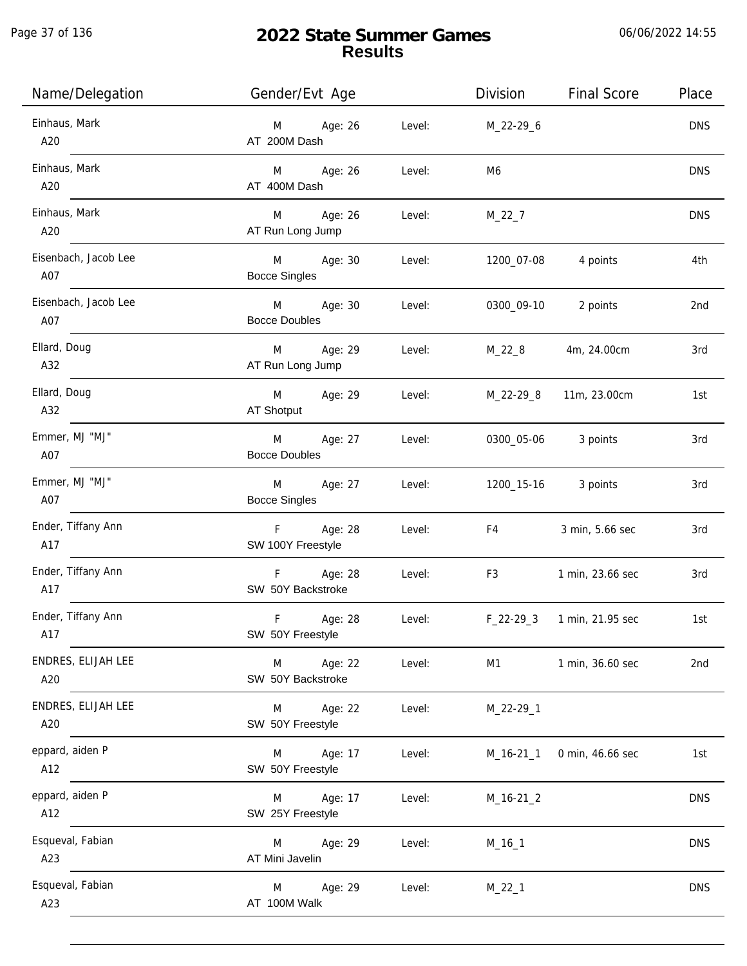j.

| Name/Delegation             | Gender/Evt Age                       |        | Division       | <b>Final Score</b>         | Place      |
|-----------------------------|--------------------------------------|--------|----------------|----------------------------|------------|
| Einhaus, Mark<br>A20        | M Age: 26<br>AT 200M Dash            | Level: | M_22-29_6      |                            | <b>DNS</b> |
| Einhaus, Mark<br>A20        | M Age: 26<br>AT 400M Dash            | Level: | M6             |                            | <b>DNS</b> |
| Einhaus, Mark<br>A20        | M Age: 26<br>AT Run Long Jump        | Level: | $M_22_7$       |                            | <b>DNS</b> |
| Eisenbach, Jacob Lee<br>A07 | M Age: 30<br><b>Bocce Singles</b>    | Level: | 1200_07-08     | 4 points                   | 4th        |
| Eisenbach, Jacob Lee<br>A07 | M Age: 30<br><b>Bocce Doubles</b>    | Level: |                | 0300_09-10 2 points        | 2nd        |
| Ellard, Doug<br>A32         | M Age: 29<br>AT Run Long Jump        | Level: | M_22_8         | 4m, 24.00cm                | 3rd        |
| Ellard, Doug<br>A32         | M Age: 29<br>AT Shotput              | Level: | M_22-29_8      | 11m, 23.00cm               | 1st        |
| Emmer, MJ "MJ"<br>A07       | M<br>Age: 27<br><b>Bocce Doubles</b> | Level: | 0300_05-06     | 3 points                   | 3rd        |
| Emmer, MJ "MJ"<br>A07       | Age: 27<br>M<br><b>Bocce Singles</b> | Level: | 1200_15-16     | 3 points                   | 3rd        |
| Ender, Tiffany Ann<br>A17   | F Age: 28<br>SW 100Y Freestyle       | Level: | F4             | 3 min, 5.66 sec            | 3rd        |
| Ender, Tiffany Ann<br>A17   | F Age: 28<br>SW 50Y Backstroke       | Level: | F <sub>3</sub> | 1 min, 23.66 sec           | 3rd        |
| Ender, Tiffany Ann<br>A17   | F<br>Age: 28<br>SW 50Y Freestyle     | Level: |                | F_22-29_3 1 min, 21.95 sec | 1st        |
| ENDRES, ELIJAH LEE<br>A20   | M<br>Age: 22<br>SW 50Y Backstroke    | Level: | M1             | 1 min, 36.60 sec           | 2nd        |
| ENDRES, ELIJAH LEE<br>A20   | M<br>Age: 22<br>SW 50Y Freestyle     | Level: | $M_22-29-1$    |                            |            |
| eppard, aiden P<br>A12      | Age: 17<br>M<br>SW 50Y Freestyle     | Level: | $M_16-21_1$    | 0 min, 46.66 sec           | 1st        |
| eppard, aiden P<br>A12      | Age: 17<br>M<br>SW 25Y Freestyle     | Level: | $M_16-21_2$    |                            | <b>DNS</b> |
| Esqueval, Fabian<br>A23     | Age: 29<br>M<br>AT Mini Javelin      | Level: | $M_16_1$       |                            | <b>DNS</b> |
| Esqueval, Fabian<br>A23     | Age: 29<br>M<br>AT 100M Walk         | Level: | $M_22_1$       |                            | <b>DNS</b> |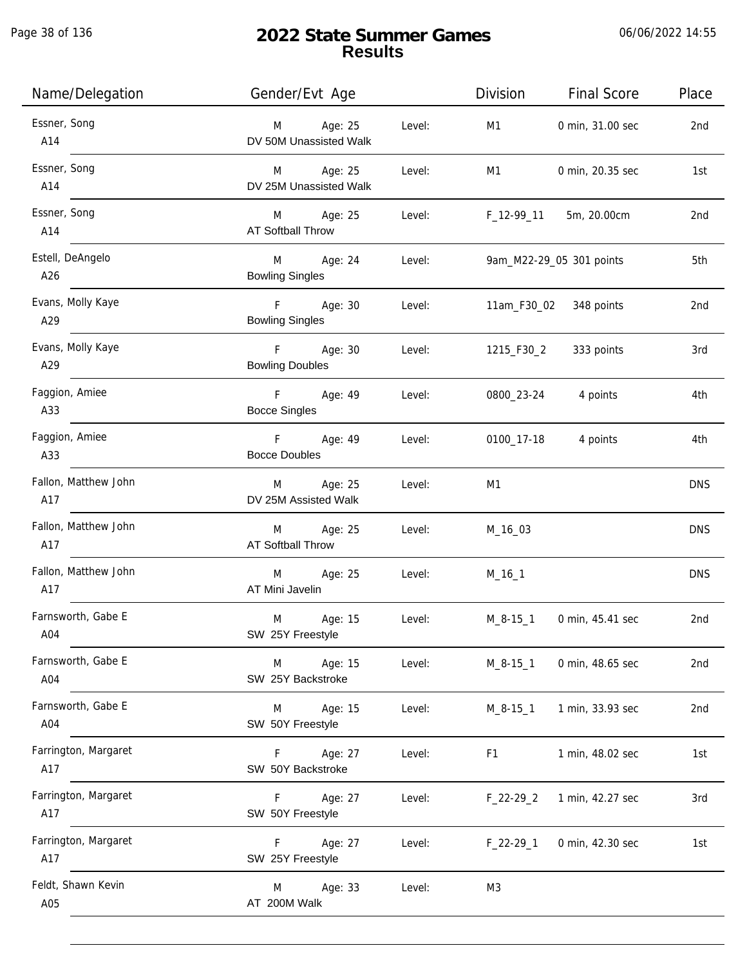Page 38 of 136

j.

| Name/Delegation             | Gender/Evt Age                        |        | Division       | <b>Final Score</b>       | Place           |
|-----------------------------|---------------------------------------|--------|----------------|--------------------------|-----------------|
| Essner, Song<br>A14         | M Age: 25<br>DV 50M Unassisted Walk   | Level: | M1             | 0 min, 31.00 sec         | 2nd             |
| Essner, Song<br>A14         | M Age: 25<br>DV 25M Unassisted Walk   | Level: | M1             | 0 min, 20.35 sec         | 1st             |
| Essner, Song<br>A14         | M Age: 25<br><b>AT Softball Throw</b> | Level: |                | F_12-99_11 5m, 20.00cm   | 2 <sub>nd</sub> |
| Estell, DeAngelo<br>A26     | M Age: 24<br><b>Bowling Singles</b>   | Level: |                | 9am_M22-29_05 301 points | 5th             |
| Evans, Molly Kaye<br>A29    | F Age: 30<br><b>Bowling Singles</b>   | Level: |                | 11am_F30_02 348 points   | 2nd             |
| Evans, Molly Kaye<br>A29    | F Age: 30<br><b>Bowling Doubles</b>   | Level: | 1215_F30_2     | 333 points               | 3rd             |
| Faggion, Amiee<br>A33       | F Age: 49<br><b>Bocce Singles</b>     | Level: |                | 0800_23-24 4 points      | 4th             |
| Faggion, Amiee<br>A33       | F Age: 49<br><b>Bocce Doubles</b>     | Level: | 0100_17-18     | 4 points                 | 4th             |
| Fallon, Matthew John<br>A17 | M Age: 25<br>DV 25M Assisted Walk     | Level: | M1             |                          | <b>DNS</b>      |
| Fallon, Matthew John<br>A17 | M Age: 25<br>AT Softball Throw        | Level: | M_16_03        |                          | <b>DNS</b>      |
| Fallon, Matthew John<br>A17 | M Age: 25<br>AT Mini Javelin          | Level: | $M_16_1$       |                          | <b>DNS</b>      |
| Farnsworth, Gabe E<br>A04   | M<br>Age: 15<br>SW 25Y Freestyle      | Level: | M_8-15_1       | 0 min, 45.41 sec         | 2nd             |
| Farnsworth, Gabe E<br>A04   | Age: 15<br>M<br>SW 25Y Backstroke     | Level: | $M_8-15-1$     | 0 min, 48.65 sec         | 2nd             |
| Farnsworth, Gabe E<br>A04   | M<br>Age: 15<br>SW 50Y Freestyle      | Level: | $M_8-15-1$     | 1 min, 33.93 sec         | 2nd             |
| Farrington, Margaret<br>A17 | Age: 27<br>F.<br>SW 50Y Backstroke    | Level: | F1             | 1 min, 48.02 sec         | 1st             |
| Farrington, Margaret<br>A17 | F.<br>Age: 27<br>SW 50Y Freestyle     | Level: | $F_22-29_2$    | 1 min, 42.27 sec         | 3rd             |
| Farrington, Margaret<br>A17 | Age: 27<br>F.<br>SW 25Y Freestyle     | Level: | $F_22-29_1$    | 0 min, 42.30 sec         | 1st             |
| Feldt, Shawn Kevin<br>A05   | Age: 33<br>M<br>AT 200M Walk          | Level: | M <sub>3</sub> |                          |                 |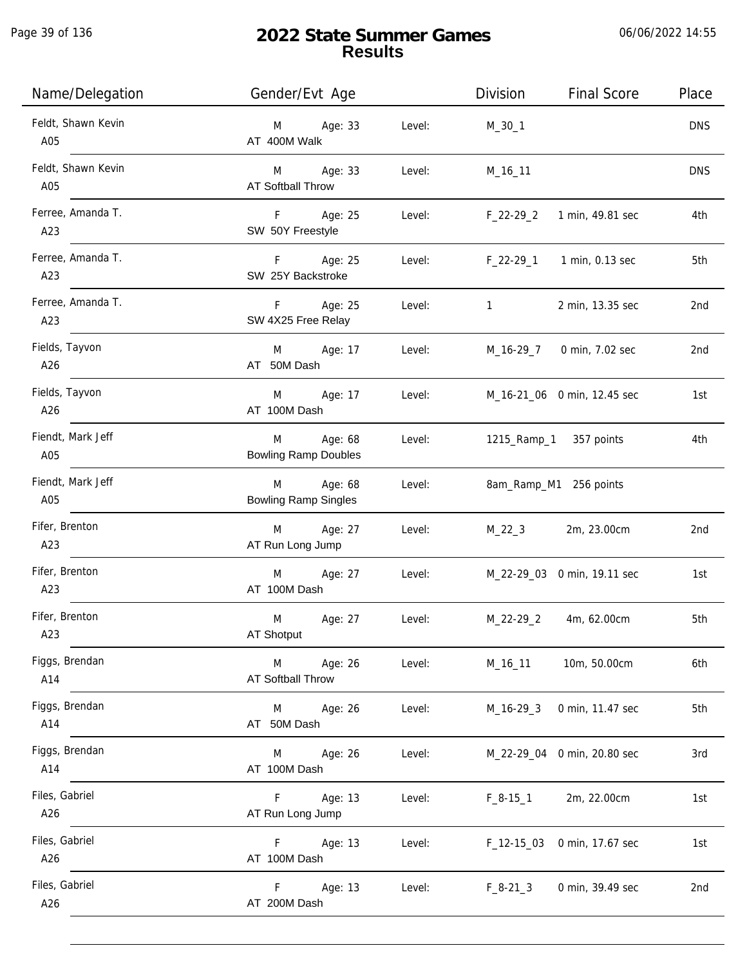Page 39 of 136

| Name/Delegation           | Gender/Evt Age                              |        | Division                  | <b>Final Score</b>               | Place      |
|---------------------------|---------------------------------------------|--------|---------------------------|----------------------------------|------------|
| Feldt, Shawn Kevin<br>A05 | Age: 33<br>M<br>AT 400M Walk                | Level: | $M_30_1$                  |                                  | <b>DNS</b> |
| Feldt, Shawn Kevin<br>A05 | M Age: 33<br>AT Softball Throw              | Level: | $M_16_11$                 |                                  | <b>DNS</b> |
| Ferree, Amanda T.<br>A23  | F Age: 25<br>SW 50Y Freestyle               | Level: | $F_22-29_2$               | 1 min, 49.81 sec                 | 4th        |
| Ferree, Amanda T.<br>A23  | F Age: 25<br>SW 25Y Backstroke              |        |                           | Level: F_22-29_1 1 min, 0.13 sec | 5th        |
| Ferree, Amanda T.<br>A23  | Age: 25<br>F<br>SW 4X25 Free Relay          | Level: | $1 \quad \text{or} \quad$ | 2 min, 13.35 sec                 | 2nd        |
| Fields, Tayvon<br>A26     | Age: 17<br>M<br>AT 50M Dash                 | Level: |                           | M_16-29_7 0 min, 7.02 sec        | 2nd        |
| Fields, Tayvon<br>A26     | Age: 17<br>M<br>AT 100M Dash                | Level: |                           | M_16-21_06 0 min, 12.45 sec      | 1st        |
| Fiendt, Mark Jeff<br>A05  | Age: 68<br>M<br><b>Bowling Ramp Doubles</b> | Level: |                           | 1215_Ramp_1 357 points           | 4th        |
| Fiendt, Mark Jeff<br>A05  | Age: 68<br>M<br><b>Bowling Ramp Singles</b> | Level: |                           | 8am_Ramp_M1 256 points           |            |
| Fifer, Brenton<br>A23     | Age: 27<br>M<br>AT Run Long Jump            | Level: | $M_22_3$                  | 2m, 23.00cm                      | 2nd        |
| Fifer, Brenton<br>A23     | M<br>Age: 27<br>AT 100M Dash                | Level: |                           | M_22-29_03 0 min, 19.11 sec      | 1st        |
| Fifer, Brenton<br>A23     | M<br>Age: 27<br>AT Shotput                  | Level: | M_22-29_2                 | 4m, 62.00cm                      | 5th        |
| Figgs, Brendan<br>A14     | Age: 26<br>M<br><b>AT Softball Throw</b>    | Level: | M_16_11                   | 10m, 50.00cm                     | 6th        |
| Figgs, Brendan<br>A14     | Age: 26<br>M<br>AT 50M Dash                 | Level: | M_16-29_3                 | 0 min, 11.47 sec                 | 5th        |
| Figgs, Brendan<br>A14     | Age: 26<br>M<br>AT 100M Dash                | Level: |                           | M_22-29_04 0 min, 20.80 sec      | 3rd        |
| Files, Gabriel<br>A26     | F<br>Age: 13<br>AT Run Long Jump            | Level: | $F_8 - 15 - 1$            | 2m, 22.00cm                      | 1st        |
| Files, Gabriel<br>A26     | Age: 13<br>F<br>AT 100M Dash                | Level: |                           | F_12-15_03 0 min, 17.67 sec      | 1st        |
| Files, Gabriel<br>A26     | F<br>Age: 13<br>AT 200M Dash                | Level: | $F_8-21_3$                | 0 min, 39.49 sec                 | 2nd        |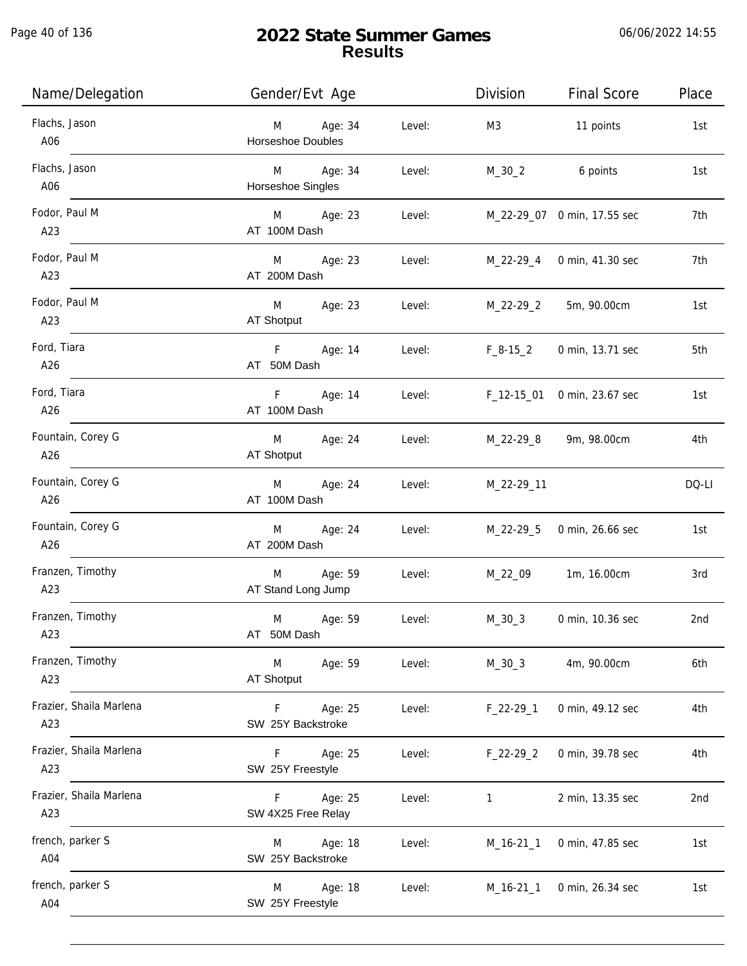Page 40 of 136

j.

| Name/Delegation                | Gender/Evt Age                             |        | Division       | <b>Final Score</b>          | Place |
|--------------------------------|--------------------------------------------|--------|----------------|-----------------------------|-------|
| Flachs, Jason<br>A06           | Age: 34<br>M<br><b>Horseshoe Doubles</b>   | Level: | M <sub>3</sub> | 11 points                   | 1st   |
| Flachs, Jason<br>A06           | M Age: 34<br>Horseshoe Singles             | Level: | M_30_2         | 6 points                    | 1st   |
| Fodor, Paul M<br>A23           | M Age: 23<br>AT 100M Dash                  | Level: |                | M_22-29_07 0 min, 17.55 sec | 7th   |
| Fodor, Paul M<br>A23           | Age: 23<br>M <sub>ar</sub><br>AT 200M Dash | Level: |                | M_22-29_4 0 min, 41.30 sec  | 7th   |
| Fodor, Paul M<br>A23           | <b>M</b><br>Age: 23<br>AT Shotput          | Level: | M_22-29_2      | 5m, 90.00cm                 | 1st   |
| Ford, Tiara<br>A26             | Fig. 1<br>Age: 14<br>AT 50M Dash           | Level: | $F_8-15_2$     | 0 min, 13.71 sec            | 5th   |
| Ford, Tiara<br>A26             | F<br>Age: 14<br>AT 100M Dash               | Level: | F_12-15_01     | 0 min, 23.67 sec            | 1st   |
| Fountain, Corey G<br>A26       | M<br>Age: 24<br>AT Shotput                 | Level: | M_22-29_8      | 9m, 98.00cm                 | 4th   |
| Fountain, Corey G<br>A26       | Age: 24<br>M<br>AT 100M Dash               | Level: | M_22-29_11     |                             | DQ-LI |
| Fountain, Corey G<br>A26       | Age: 24<br>M<br>AT 200M Dash               | Level: | M_22-29_5      | 0 min, 26.66 sec            | 1st   |
| Franzen, Timothy<br>A23        | Age: 59<br>M<br>AT Stand Long Jump         | Level: | M_22_09        | 1m, 16.00cm                 | 3rd   |
| Franzen, Timothy<br>A23        | Age: 59<br>M<br>AT 50M Dash                | Level: | $M_30_3$       | 0 min, 10.36 sec            | 2nd   |
| Franzen, Timothy<br>A23        | M<br>Age: 59<br>AT Shotput                 | Level: | $M_30_3$       | 4m, 90.00cm                 | 6th   |
| Frazier, Shaila Marlena<br>A23 | Age: 25<br>F<br>SW 25Y Backstroke          | Level: | $F_22-29-1$    | 0 min, 49.12 sec            | 4th   |
| Frazier, Shaila Marlena<br>A23 | F.<br>Age: 25<br>SW 25Y Freestyle          | Level: | $F_22-29_2$    | 0 min, 39.78 sec            | 4th   |
| Frazier, Shaila Marlena<br>A23 | Age: 25<br>F.<br>SW 4X25 Free Relay        | Level: | 1              | 2 min, 13.35 sec            | 2nd   |
| french, parker S<br>A04        | Age: 18<br>M<br>SW 25Y Backstroke          | Level: | $M_16-21_1$    | 0 min, 47.85 sec            | 1st   |
| french, parker S<br>A04        | Age: 18<br>M<br>SW 25Y Freestyle           | Level: | $M_16-21_1$    | 0 min, 26.34 sec            | 1st   |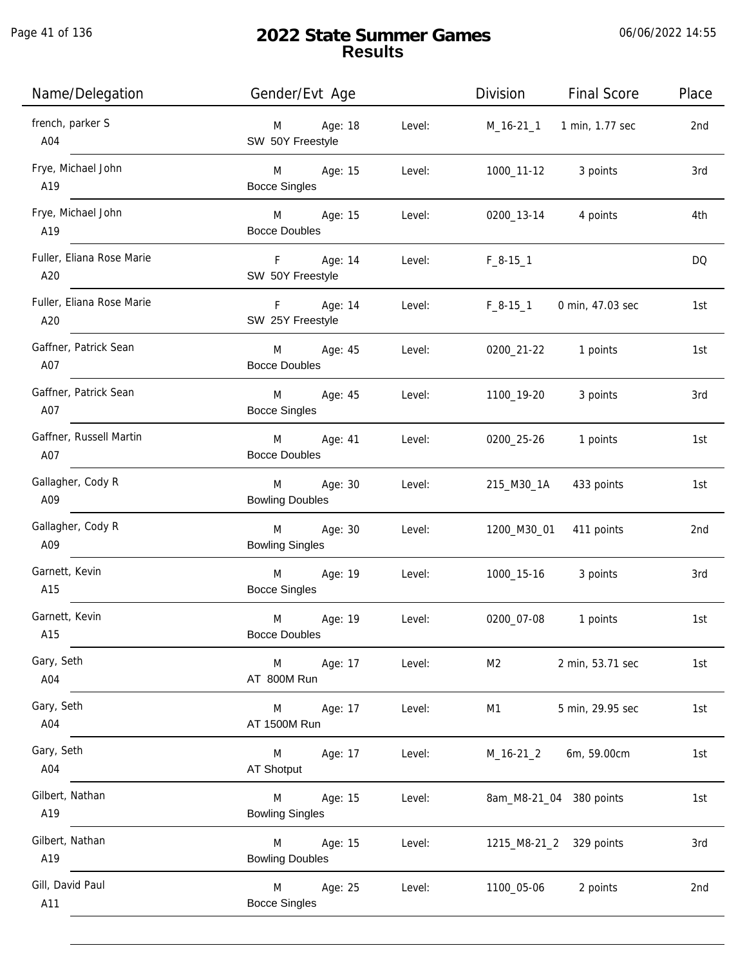| Name/Delegation                  | Gender/Evt Age                                   | Division<br><b>Final Score</b>     | Place |
|----------------------------------|--------------------------------------------------|------------------------------------|-------|
| french, parker S<br>A04          | Age: 18<br>Level:<br>M<br>SW 50Y Freestyle       | M_16-21_1 1 min, 1.77 sec          | 2nd   |
| Frye, Michael John<br>A19        | M Age: 15<br>Level:<br><b>Bocce Singles</b>      | 1000_11-12 3 points                | 3rd   |
| Frye, Michael John<br>A19        | M Age: 15<br>Level:<br><b>Bocce Doubles</b>      | 0200_13-14 4 points                | 4th   |
| Fuller, Eliana Rose Marie<br>A20 | F Age: 14<br>Level:<br>SW 50Y Freestyle          | $F_8-15-1$                         | DQ.   |
| Fuller, Eliana Rose Marie<br>A20 | F Age: 14<br>Level:<br>SW 25Y Freestyle          | $F_8 - 15 - 1$<br>0 min, 47.03 sec | 1st   |
| Gaffner, Patrick Sean<br>A07     | M Age: 45<br>Level:<br><b>Bocce Doubles</b>      | 0200_21-22 1 points                | 1st   |
| Gaffner, Patrick Sean<br>A07     | M Age: 45<br>Level:<br><b>Bocce Singles</b>      | 1100_19-20<br>3 points             | 3rd   |
| Gaffner, Russell Martin<br>A07   | Age: 41<br>Level:<br>M<br><b>Bocce Doubles</b>   | 0200_25-26<br>1 points             | 1st   |
| Gallagher, Cody R<br>A09         | Age: 30<br>M<br>Level:<br><b>Bowling Doubles</b> | 215_M30_1A<br>433 points           | 1st   |
| Gallagher, Cody R<br>A09         | M<br>Age: 30<br>Level:<br><b>Bowling Singles</b> | 1200_M30_01 411 points             | 2nd   |
| Garnett, Kevin<br>A15            | M<br>Age: 19<br>Level:<br><b>Bocce Singles</b>   | 1000_15-16<br>3 points             | 3rd   |
| Garnett, Kevin<br>A15            | M<br>Age: 19<br>Level:<br><b>Bocce Doubles</b>   | 0200_07-08<br>1 points             | 1st   |
| Gary, Seth<br>A04                | Age: 17<br>Level:<br>M<br>AT 800M Run            | M <sub>2</sub><br>2 min, 53.71 sec | 1st   |
| Gary, Seth<br>A04                | Age: 17<br>Level:<br>M<br>AT 1500M Run           | 5 min, 29.95 sec<br>M1             | 1st   |
| Gary, Seth<br>A04                | Age: 17<br>Level:<br>M<br><b>AT Shotput</b>      | $M_16-21_2$<br>6m, 59.00cm         | 1st   |
| Gilbert, Nathan<br>A19           | Age: 15<br>Level:<br>M<br><b>Bowling Singles</b> | 8am_M8-21_04 380 points            | 1st   |
| Gilbert, Nathan<br>A19           | Age: 15<br>Level:<br>M<br><b>Bowling Doubles</b> | 1215_M8-21_2 329 points            | 3rd   |
| Gill, David Paul<br>A11          | M<br>Age: 25<br>Level:<br><b>Bocce Singles</b>   | 1100_05-06<br>2 points             | 2nd   |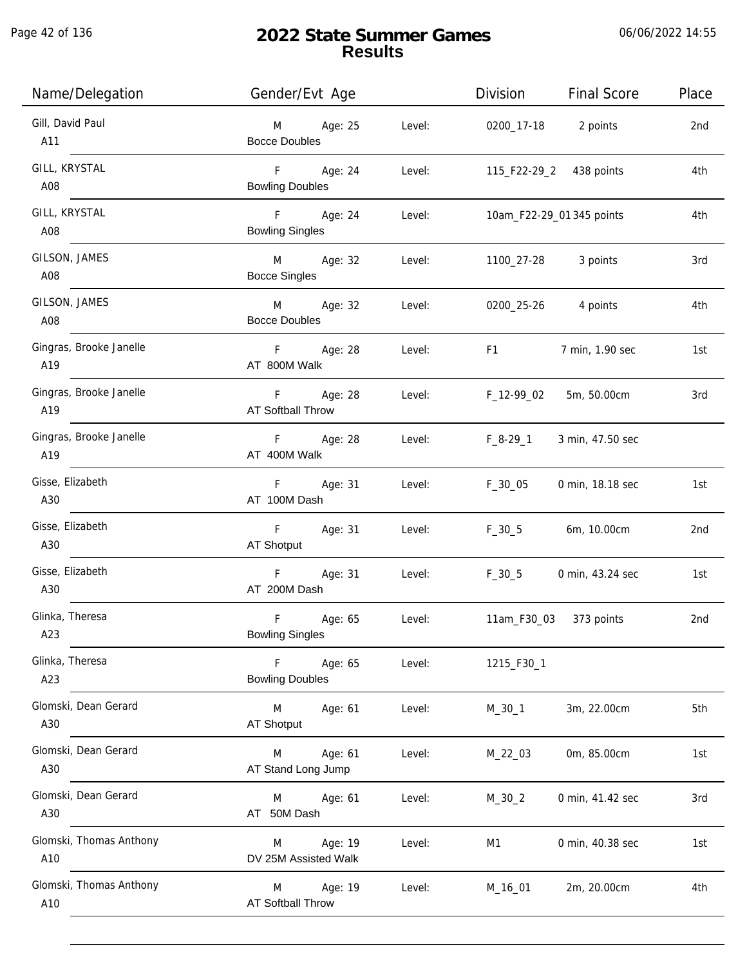Page 42 of 136

| Name/Delegation                | Gender/Evt Age                                              | Division<br><b>Final Score</b>                                                                                                                                                                                                                    | Place |
|--------------------------------|-------------------------------------------------------------|---------------------------------------------------------------------------------------------------------------------------------------------------------------------------------------------------------------------------------------------------|-------|
| Gill, David Paul<br>A11        | M Age: 25<br>Level:<br><b>Bocce Doubles</b>                 | 0200_17-18 2 points                                                                                                                                                                                                                               | 2nd   |
| GILL, KRYSTAL<br>A08           | F Age: 24<br>Level:<br><b>Bowling Doubles</b>               | 115_F22-29_2 438 points                                                                                                                                                                                                                           | 4th   |
| GILL, KRYSTAL<br>A08           | F Age: 24<br>Level:<br><b>Bowling Singles</b>               | 10am_F22-29_01 345 points                                                                                                                                                                                                                         | 4th   |
| GILSON, JAMES<br>A08           | M Age: 32<br>Level:<br><b>Bocce Singles</b>                 | 1100_27-28 3 points                                                                                                                                                                                                                               | 3rd   |
| GILSON, JAMES<br>A08           | M Age: 32<br>Level:<br><b>Bocce Doubles</b>                 | 0200_25-26 4 points                                                                                                                                                                                                                               | 4th   |
| Gingras, Brooke Janelle<br>A19 | F Age: 28<br>Level:<br>AT 800M Walk                         | F1 and the state of the state of the state of the state of the state of the state of the state of the state of the state of the state of the state of the state of the state of the state of the state of the state of the sta<br>7 min, 1.90 sec | 1st   |
| Gingras, Brooke Janelle<br>A19 | F Age: 28<br>Level:<br>AT Softball Throw                    | F_12-99_02<br>5m, 50.00cm                                                                                                                                                                                                                         | 3rd   |
| Gingras, Brooke Janelle<br>A19 | F Age: 28<br>Level:<br>AT 400M Walk                         | F_8-29_1<br>3 min, 47.50 sec                                                                                                                                                                                                                      |       |
| Gisse, Elizabeth<br>A30        | F Age: 31<br>Level:<br>AT 100M Dash                         | $F_30_05$<br>0 min, 18.18 sec                                                                                                                                                                                                                     | 1st   |
| Gisse, Elizabeth<br>A30        | F Age: 31<br>Level:<br>AT Shotput                           | $F_30_5$<br>6m, 10.00cm                                                                                                                                                                                                                           | 2nd   |
| Gisse, Elizabeth<br>A30        | F Age: 31<br>Level:<br>AT 200M Dash                         | $F_30_5$<br>0 min, 43.24 sec                                                                                                                                                                                                                      | 1st   |
| Glinka, Theresa<br>A23         | F<br>Age: 65<br>Level:<br><b>Bowling Singles</b>            | 11am_F30_03 373 points                                                                                                                                                                                                                            | 2nd   |
| Glinka, Theresa<br>A23         | $\mathsf{F}$<br>Age: 65<br>Level:<br><b>Bowling Doubles</b> | 1215_F30_1                                                                                                                                                                                                                                        |       |
| Glomski, Dean Gerard<br>A30    | M<br>Age: 61<br>Level:<br>AT Shotput                        | 3m, 22.00cm<br>$M_30_1$                                                                                                                                                                                                                           | 5th   |
| Glomski, Dean Gerard<br>A30    | Age: 61<br>Level:<br>M<br>AT Stand Long Jump                | 0m, 85.00cm<br>M_22_03                                                                                                                                                                                                                            | 1st   |
| Glomski, Dean Gerard<br>A30    | Age: 61<br>Level:<br>M<br>AT 50M Dash                       | $M_30_2$<br>0 min, 41.42 sec                                                                                                                                                                                                                      | 3rd   |
| Glomski, Thomas Anthony<br>A10 | Age: 19<br>Level:<br>M<br>DV 25M Assisted Walk              | 0 min, 40.38 sec<br>M1                                                                                                                                                                                                                            | 1st   |
| Glomski, Thomas Anthony<br>A10 | Age: 19<br>Level:<br>M<br><b>AT Softball Throw</b>          | 2m, 20.00cm<br>M_16_01                                                                                                                                                                                                                            | 4th   |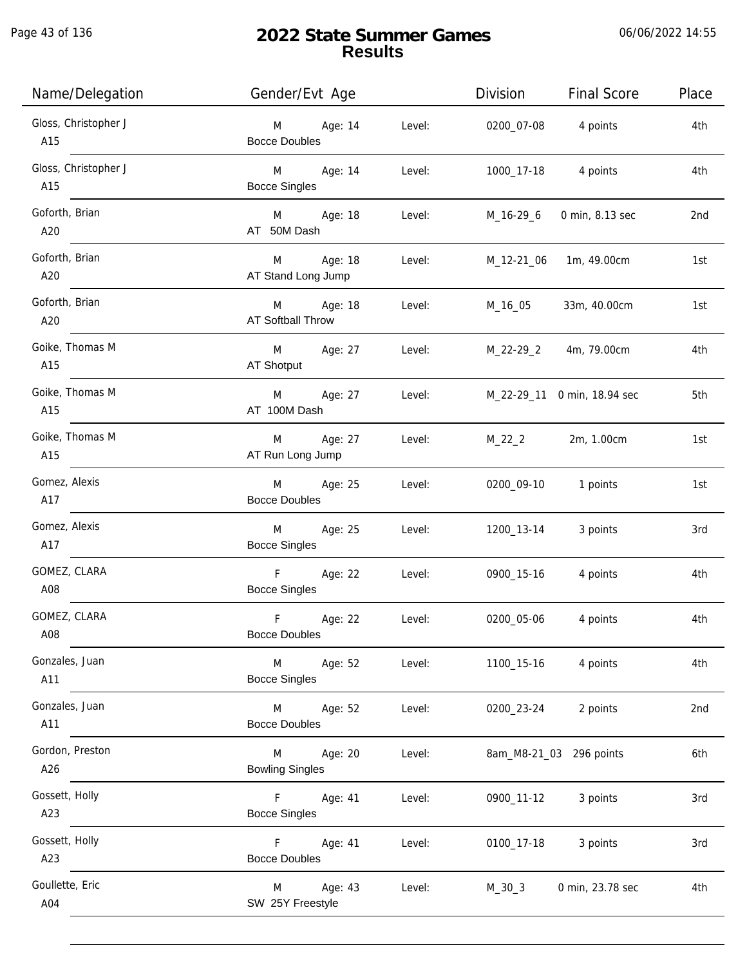Page 43 of 136

| Name/Delegation             | Gender/Evt Age                                               | Division              | <b>Final Score</b>      | Place |
|-----------------------------|--------------------------------------------------------------|-----------------------|-------------------------|-------|
| Gloss, Christopher J<br>A15 | M Age: 14<br>Level:<br><b>Bocce Doubles</b>                  |                       | 0200_07-08 4 points     | 4th   |
| Gloss, Christopher J<br>A15 | M Age: 14<br>Level:<br><b>Bocce Singles</b>                  |                       | 1000_17-18 4 points     | 4th   |
| Goforth, Brian<br>A20       | M Age: 18<br>AT 50M Dash                                     | Level:<br>M_16-29_6   | 0 min, 8.13 sec         | 2nd   |
| Goforth, Brian<br>A20       | M Age: 18<br>AT Stand Long Jump                              | Level:                | M_12-21_06 1m, 49.00cm  | 1st   |
| Goforth, Brian<br>A20       | M Age: 18<br>Level:<br>AT Softball Throw                     | M_16_05               | 33m, 40.00cm            | 1st   |
| Goike, Thomas M<br>A15      | M Age: 27 Level:<br>AT Shotput                               | M_22-29_2 4m, 79.00cm |                         | 4th   |
| Goike, Thomas M<br>A15      | M Age: 27 Level: M_22-29_11 0 min, 18.94 sec<br>AT 100M Dash |                       |                         | 5th   |
| Goike, Thomas M<br>A15      | M Age: 27<br>Level:<br>AT Run Long Jump                      | $M_22_2$              | 2m, 1.00cm              | 1st   |
| Gomez, Alexis<br>A17        | M Age: 25<br>Level:<br><b>Bocce Doubles</b>                  |                       | 0200_09-10 1 points     | 1st   |
| Gomez, Alexis<br>A17        | M<br>Age: 25<br>Level:<br><b>Bocce Singles</b>               | 1200_13-14            | 3 points                | 3rd   |
| GOMEZ, CLARA<br>A08         | F Age: 22<br>Level:<br><b>Bocce Singles</b>                  |                       | 0900_15-16 4 points     | 4th   |
| GOMEZ, CLARA<br>A08         | $\mathsf F$<br>Age: 22<br>Level:<br><b>Bocce Doubles</b>     | 0200_05-06            | 4 points                | 4th   |
| Gonzales, Juan<br>A11       | <b>M</b><br>Age: 52<br>Level:<br><b>Bocce Singles</b>        | 1100_15-16            | 4 points                | 4th   |
| Gonzales, Juan<br>A11       | M Age: 52<br>Level:<br><b>Bocce Doubles</b>                  | 0200_23-24            | 2 points                | 2nd   |
| Gordon, Preston<br>A26      | M<br>Age: 20<br>Level:<br><b>Bowling Singles</b>             |                       | 8am_M8-21_03 296 points | 6th   |
| Gossett, Holly<br>A23       | F <sub>12</sub><br>Age: 41<br>Level:<br><b>Bocce Singles</b> | 0900_11-12            | 3 points                | 3rd   |
| Gossett, Holly<br>A23       | F Age: 41<br>Level:<br><b>Bocce Doubles</b>                  | 0100_17-18            | 3 points                | 3rd   |
| Goullette, Eric<br>A04      | Age: 43<br>M<br>Level:<br>SW 25Y Freestyle                   | $M_30_3$              | 0 min, 23.78 sec        | 4th   |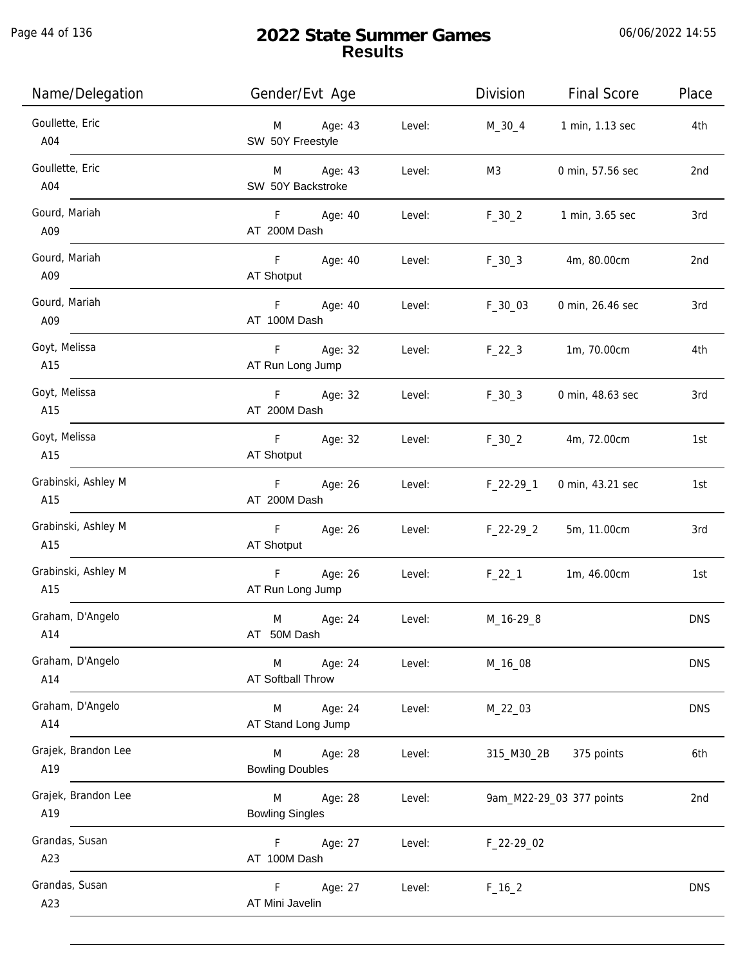| Name/Delegation            | Gender/Evt Age                                 |        | Division    | <b>Final Score</b>       | Place      |
|----------------------------|------------------------------------------------|--------|-------------|--------------------------|------------|
| Goullette, Eric<br>A04     | Age: 43<br>M<br>SW 50Y Freestyle               | Level: | M_30_4      | 1 min, 1.13 sec          | 4th        |
| Goullette, Eric<br>A04     | M Age: 43<br>SW 50Y Backstroke                 | Level: | M3          | 0 min, 57.56 sec         | 2nd        |
| Gourd, Mariah<br>A09       | F<br>Age: 40<br>AT 200M Dash                   | Level: | $F_30_2$    | 1 min, 3.65 sec          | 3rd        |
| Gourd, Mariah<br>A09       | F Age: 40<br>AT Shotput                        | Level: | $F_30_3$    | 4m, 80.00cm              | 2nd        |
| Gourd, Mariah<br>A09       | F<br>Age: 40<br>AT 100M Dash                   | Level: | $F_30_03$   | 0 min, 26.46 sec         | 3rd        |
| Goyt, Melissa<br>A15       | F <sub>12</sub><br>Age: 32<br>AT Run Long Jump | Level: | $F_22_3$    | 1m, 70.00cm              | 4th        |
| Goyt, Melissa<br>A15       | F Age: 32<br>AT 200M Dash                      | Level: | $F_30_3$    | 0 min, 48.63 sec         | 3rd        |
| Goyt, Melissa<br>A15       | Age: 32<br>F.<br>AT Shotput                    | Level: | $F_30_2$    | 4m, 72.00cm              | 1st        |
| Grabinski, Ashley M<br>A15 | F<br>Age: 26<br>AT 200M Dash                   | Level: | $F_22-29-1$ | 0 min, 43.21 sec         | 1st        |
| Grabinski, Ashley M<br>A15 | $\mathsf F$<br>Age: 26<br>AT Shotput           | Level: | F_22-29_2   | 5m, 11.00cm              | 3rd        |
| Grabinski, Ashley M<br>A15 | F<br>Age: 26<br>AT Run Long Jump               | Level: | $F_22_1$    | 1m, 46.00cm              | 1st        |
| Graham, D'Angelo<br>A14    | M<br>Age: 24<br>AT 50M Dash                    | Level: | M_16-29_8   |                          | <b>DNS</b> |
| Graham, D'Angelo<br>A14    | Age: 24<br>M<br>AT Softball Throw              | Level: | M_16_08     |                          | <b>DNS</b> |
| Graham, D'Angelo<br>A14    | Age: 24<br>M<br>AT Stand Long Jump             | Level: | M_22_03     |                          | <b>DNS</b> |
| Grajek, Brandon Lee<br>A19 | Age: 28<br>M<br><b>Bowling Doubles</b>         | Level: | 315_M30_2B  | 375 points               | 6th        |
| Grajek, Brandon Lee<br>A19 | Age: 28<br>M<br><b>Bowling Singles</b>         | Level: |             | 9am_M22-29_03 377 points | 2nd        |
| Grandas, Susan<br>A23      | Age: 27<br>F.<br>AT 100M Dash                  | Level: | F_22-29_02  |                          |            |
| Grandas, Susan<br>A23      | F<br>Age: 27<br>AT Mini Javelin                | Level: | $F_16_2$    |                          | <b>DNS</b> |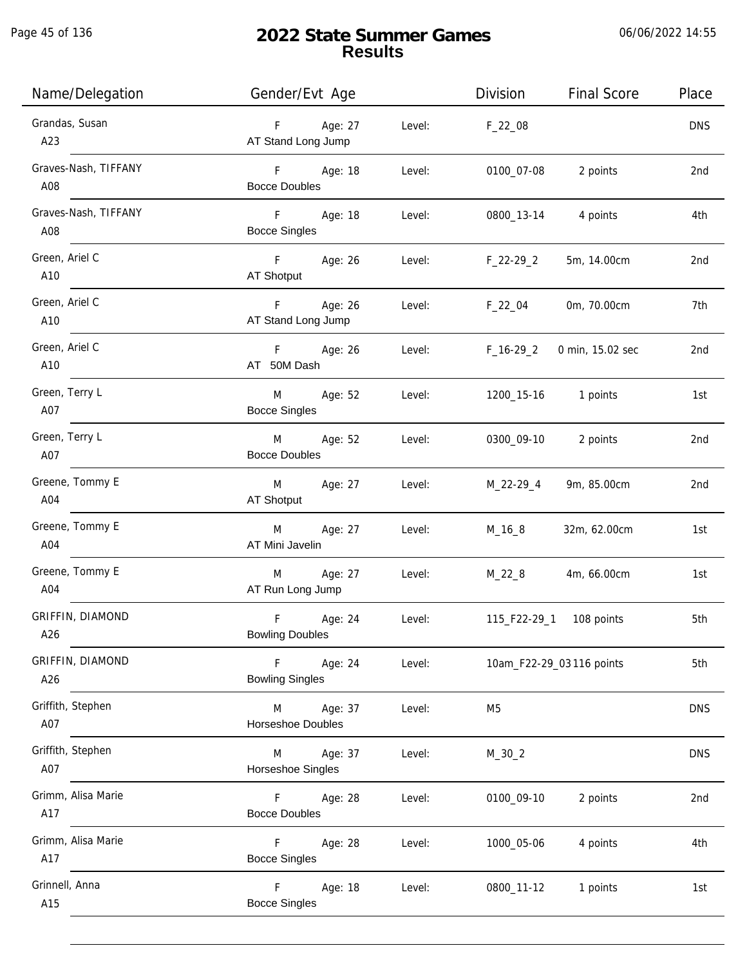Page 45 of 136

| Name/Delegation                | Gender/Evt Age                                             | Division<br><b>Final Score</b>  | Place      |
|--------------------------------|------------------------------------------------------------|---------------------------------|------------|
| Grandas, Susan<br>A23          | Age: 27<br>F<br>Level:<br>AT Stand Long Jump               | $F_22_08$                       | <b>DNS</b> |
| Graves-Nash, TIFFANY<br>A08    | F Age: 18<br>Level:<br><b>Bocce Doubles</b>                | 0100_07-08<br>2 points          | 2nd        |
| Graves-Nash, TIFFANY<br>A08    | F<br>Age: 18<br>Level:<br><b>Bocce Singles</b>             | 0800_13-14<br>4 points          | 4th        |
| Green, Ariel C<br>A10          | F Age: 26<br>Level:<br>AT Shotput                          | F_22-29_2<br>5m, 14.00cm        | 2nd        |
| Green, Ariel C<br>A10          | F<br>Age: 26<br>Level:<br>AT Stand Long Jump               | $F_22_04$<br>0m, 70.00cm        | 7th        |
| Green, Ariel C<br>A10          | F Age: 26<br>Level:<br>AT 50M Dash                         | $F_16-29_2$<br>0 min, 15.02 sec | 2nd        |
| Green, Terry L<br>A07          | M<br>Age: 52<br>Level:<br><b>Bocce Singles</b>             | 1200_15-16   1 points           | 1st        |
| Green, Terry L<br>A07          | Age: 52<br>Level:<br>M<br><b>Bocce Doubles</b>             | 0300_09-10<br>2 points          | 2nd        |
| Greene, Tommy E<br>A04         | Age: 27<br>M<br>Level:<br>AT Shotput                       | M_22-29_4<br>9m, 85.00cm        | 2nd        |
| Greene, Tommy E<br>A04         | M<br>Age: 27<br>Level:<br>AT Mini Javelin                  | $M_16_8$<br>32m, 62.00cm        | 1st        |
| Greene, Tommy E<br>A04         | Age: 27<br>M<br>Level:<br>AT Run Long Jump                 | $M_22_8$<br>4m, 66.00cm         | 1st        |
| <b>GRIFFIN, DIAMOND</b><br>A26 | $\mathsf F$<br>Age: 24<br>Level:<br><b>Bowling Doubles</b> |                                 | 5th        |
| <b>GRIFFIN, DIAMOND</b><br>A26 | F.<br>Age: 24<br>Level:<br><b>Bowling Singles</b>          | 10am_F22-29_03 116 points       | 5th        |
| Griffith, Stephen<br>A07       | Age: 37<br>Level:<br>M<br>Horseshoe Doubles                | M <sub>5</sub>                  | <b>DNS</b> |
| Griffith, Stephen<br>A07       | Age: 37<br>Level:<br>M<br>Horseshoe Singles                | $M_30_2$                        | <b>DNS</b> |
| Grimm, Alisa Marie<br>A17      | Age: 28<br>Level:<br>F.<br><b>Bocce Doubles</b>            | 0100_09-10<br>2 points          | 2nd        |
| Grimm, Alisa Marie<br>A17      | F<br>Age: 28<br>Level:<br><b>Bocce Singles</b>             | 4 points<br>1000_05-06          | 4th        |
| Grinnell, Anna<br>A15          | F<br>Age: 18<br>Level:<br><b>Bocce Singles</b>             | 0800_11-12<br>1 points          | 1st        |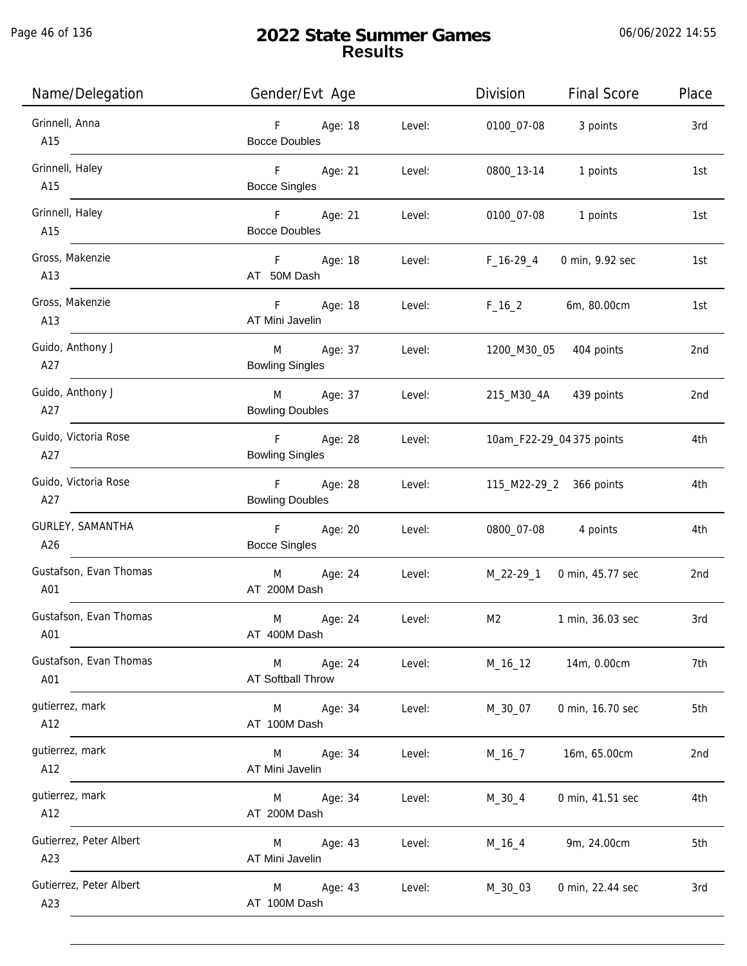| Name/Delegation                | Gender/Evt Age                                     | Division<br><b>Final Score</b> | Place |
|--------------------------------|----------------------------------------------------|--------------------------------|-------|
| Grinnell, Anna<br>A15          | F Age: 18<br>Level:<br><b>Bocce Doubles</b>        | 0100_07-08<br>3 points         | 3rd   |
| Grinnell, Haley<br>A15         | F Age: 21<br>Level:<br><b>Bocce Singles</b>        | 1 points<br>0800_13-14         | 1st   |
| Grinnell, Haley<br>A15         | F Age: 21<br>Level:<br><b>Bocce Doubles</b>        | 0100_07-08 1 points            | 1st   |
| Gross, Makenzie<br>A13         | F Age: 18<br>Level:<br>AT 50M Dash                 | F_16-29_4<br>0 min, 9.92 sec   | 1st   |
| Gross, Makenzie<br>A13         | F<br>Age: 18<br>Level:<br>AT Mini Javelin          | 6m, 80.00cm<br>$F_16_2$        | 1st   |
| Guido, Anthony J<br>A27        | M<br>Age: 37<br>Level:<br><b>Bowling Singles</b>   | 1200_M30_05 404 points         | 2nd   |
| Guido, Anthony J<br>A27        | M Age: 37<br>Level:<br><b>Bowling Doubles</b>      | 215_M30_4A 439 points          | 2nd   |
| Guido, Victoria Rose<br>A27    | F Age: 28<br>Level:<br><b>Bowling Singles</b>      | 10am_F22-29_04 375 points      | 4th   |
| Guido, Victoria Rose<br>A27    | F Age: 28<br>Level:<br><b>Bowling Doubles</b>      | 115_M22-29_2 366 points        | 4th   |
| GURLEY, SAMANTHA<br>A26        | F Age: 20<br>Level:<br><b>Bocce Singles</b>        | 0800_07-08 4 points            | 4th   |
| Gustafson, Evan Thomas<br>A01  | M<br>Age: 24<br>Level:<br>AT 200M Dash             | M_22-29_1 0 min, 45.77 sec     | 2nd   |
| Gustafson, Evan Thomas<br>A01  | M<br>Age: 24<br>Level:<br>AT 400M Dash             | M2<br>1 min, 36.03 sec         | 3rd   |
| Gustafson, Evan Thomas<br>A01  | Age: 24<br>Level:<br>M<br><b>AT Softball Throw</b> | 14m, 0.00cm<br>M_16_12         | 7th   |
| gutierrez, mark<br>A12         | Age: 34<br>Level:<br>M<br>AT 100M Dash             | 0 min, 16.70 sec<br>M_30_07    | 5th   |
| gutierrez, mark<br>A12         | Level:<br>M<br>Age: 34<br>AT Mini Javelin          | 16m, 65.00cm<br>$M_16_7$       | 2nd   |
| gutierrez, mark<br>A12         | Age: 34<br>Level:<br>M<br>AT 200M Dash             | 0 min, 41.51 sec<br>M_30_4     | 4th   |
| Gutierrez, Peter Albert<br>A23 | Age: 43<br>Level:<br>M<br>AT Mini Javelin          | 9m, 24.00cm<br>$M_16_4$        | 5th   |
| Gutierrez, Peter Albert<br>A23 | Age: 43<br>Level:<br>M<br>AT 100M Dash             | M_30_03<br>0 min, 22.44 sec    | 3rd   |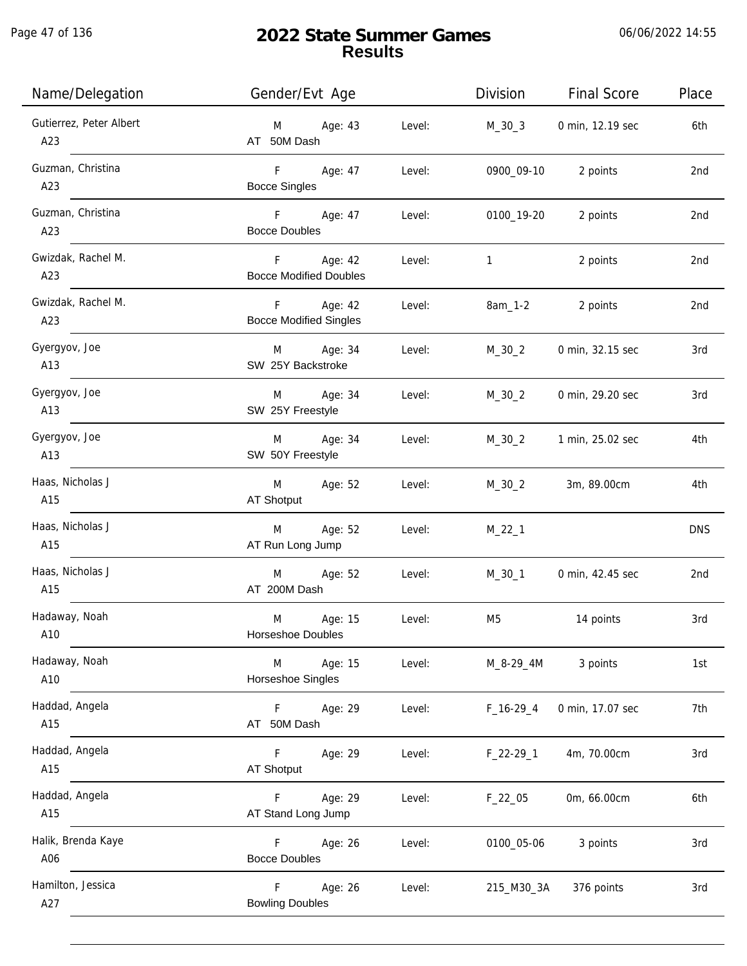Page 47 of 136

| Name/Delegation                | Gender/Evt Age                                |        | Division       | <b>Final Score</b> | Place           |
|--------------------------------|-----------------------------------------------|--------|----------------|--------------------|-----------------|
| Gutierrez, Peter Albert<br>A23 | Age: 43<br>M<br>AT 50M Dash                   | Level: | M_30_3         | 0 min, 12.19 sec   | 6th             |
| Guzman, Christina<br>A23       | F<br>Age: 47<br><b>Bocce Singles</b>          | Level: | 0900_09-10     | 2 points           | 2nd             |
| Guzman, Christina<br>A23       | F Age: 47<br><b>Bocce Doubles</b>             | Level: | 0100_19-20     | 2 points           | 2 <sub>nd</sub> |
| Gwizdak, Rachel M.<br>A23      | F<br>Age: 42<br><b>Bocce Modified Doubles</b> | Level: | $\mathbf{1}$   | 2 points           | 2nd             |
| Gwizdak, Rachel M.<br>A23      | F<br>Age: 42<br><b>Bocce Modified Singles</b> | Level: | 8am_1-2        | 2 points           | 2nd             |
| Gyergyov, Joe<br>A13           | Age: 34<br>M<br>SW 25Y Backstroke             | Level: | $M_30_2$       | 0 min, 32.15 sec   | 3rd             |
| Gyergyov, Joe<br>A13           | Age: 34<br>M<br>SW 25Y Freestyle              | Level: | $M_30_2$       | 0 min, 29.20 sec   | 3rd             |
| Gyergyov, Joe<br>A13           | Age: 34<br>M<br>SW 50Y Freestyle              | Level: | $M_30_2$       | 1 min, 25.02 sec   | 4th             |
| Haas, Nicholas J<br>A15        | Age: 52<br>M<br>AT Shotput                    | Level: | $M_30_2$       | 3m, 89.00cm        | 4th             |
| Haas, Nicholas J<br>A15        | Age: 52<br>M<br>AT Run Long Jump              | Level: | $M_22_1$       |                    | <b>DNS</b>      |
| Haas, Nicholas J<br>A15        | M<br>Age: 52<br>AT 200M Dash                  | Level: | $M_30_1$       | 0 min, 42.45 sec   | 2nd             |
| Hadaway, Noah<br>A10           | M<br>Age: 15<br>Horseshoe Doubles             | Level: | M <sub>5</sub> | 14 points          | 3rd             |
| Hadaway, Noah<br>A10           | Age: 15<br>M<br>Horseshoe Singles             | Level: | M_8-29_4M      | 3 points           | 1st             |
| Haddad, Angela<br>A15          | F<br>Age: 29<br>AT 50M Dash                   | Level: | $F_16-29_4$    | 0 min, 17.07 sec   | 7th             |
| Haddad, Angela<br>A15          | F.<br>Age: 29<br><b>AT Shotput</b>            | Level: | $F_22-29-1$    | 4m, 70.00cm        | 3rd             |
| Haddad, Angela<br>A15          | Age: 29<br>F.<br>AT Stand Long Jump           | Level: | $F_22_05$      | 0m, 66.00cm        | 6th             |
| Halik, Brenda Kaye<br>A06      | Age: 26<br>F.<br><b>Bocce Doubles</b>         | Level: | 0100_05-06     | 3 points           | 3rd             |
| Hamilton, Jessica<br>A27       | Age: 26<br>F.<br><b>Bowling Doubles</b>       | Level: | 215_M30_3A     | 376 points         | 3rd             |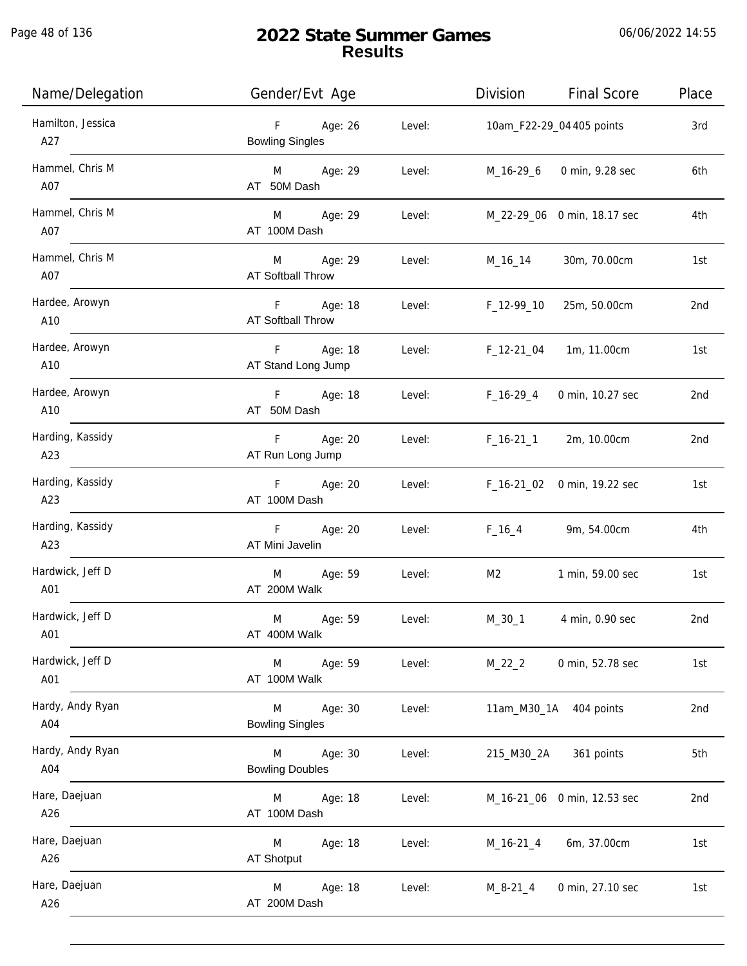Page 48 of 136

j.

| Name/Delegation          | Gender/Evt Age                         |        | Division          | <b>Final Score</b>          | Place |
|--------------------------|----------------------------------------|--------|-------------------|-----------------------------|-------|
| Hamilton, Jessica<br>A27 | F<br>Age: 26<br><b>Bowling Singles</b> | Level: |                   | 10am_F22-29_04 405 points   | 3rd   |
| Hammel, Chris M<br>A07   | M Age: 29<br>AT 50M Dash               | Level: |                   | M_16-29_6 0 min, 9.28 sec   | 6th   |
| Hammel, Chris M<br>A07   | M Age: 29<br>AT 100M Dash              | Level: |                   | M_22-29_06 0 min, 18.17 sec | 4th   |
| Hammel, Chris M<br>A07   | M Age: 29<br>AT Softball Throw         | Level: | M_16_14           | 30m, 70.00cm                | 1st   |
| Hardee, Arowyn<br>A10    | F Age: 18<br>AT Softball Throw         |        | Level: F_12-99_10 | 25m, 50.00cm                | 2nd   |
| Hardee, Arowyn<br>A10    | F Age: 18<br>AT Stand Long Jump        |        | Level: F_12-21_04 | 1m, 11.00cm                 | 1st   |
| Hardee, Arowyn<br>A10    | F Age: 18<br>AT 50M Dash               | Level: | F_16-29_4         | 0 min, 10.27 sec            | 2nd   |
| Harding, Kassidy<br>A23  | $F =$<br>Age: 20<br>AT Run Long Jump   | Level: | $F_1$ 16-21 $1$   | 2m, 10.00cm                 | 2nd   |
| Harding, Kassidy<br>A23  | F Age: 20<br>AT 100M Dash              | Level: |                   | F_16-21_02 0 min, 19.22 sec | 1st   |
| Harding, Kassidy<br>A23  | F Age: 20<br>AT Mini Javelin           | Level: | $F_16_4$          | 9m, 54.00cm                 | 4th   |
| Hardwick, Jeff D<br>A01  | M Age: 59<br>AT 200M Walk              | Level: | M2                | 1 min, 59.00 sec            | 1st   |
| Hardwick, Jeff D<br>A01  | Age: 59<br>M<br>AT 400M Walk           | Level: | M_30_1            | 4 min, 0.90 sec             | 2nd   |
| Hardwick, Jeff D<br>A01  | M<br>Age: 59<br>AT 100M Walk           | Level: | $M_22_2$          | 0 min, 52.78 sec            | 1st   |
| Hardy, Andy Ryan<br>A04  | M<br>Age: 30<br><b>Bowling Singles</b> | Level: |                   | 11am_M30_1A 404 points      | 2nd   |
| Hardy, Andy Ryan<br>A04  | M<br>Age: 30<br><b>Bowling Doubles</b> | Level: |                   | 215_M30_2A 361 points       | 5th   |
| Hare, Daejuan<br>A26     | M<br>Age: 18<br>AT 100M Dash           | Level: |                   | M_16-21_06 0 min, 12.53 sec | 2nd   |
| Hare, Daejuan<br>A26     | Age: 18<br>M<br>AT Shotput             | Level: | M_16-21_4         | 6m, 37.00cm                 | 1st   |
| Hare, Daejuan<br>A26     | Age: 18<br>M<br>AT 200M Dash           | Level: | M_8-21_4          | 0 min, 27.10 sec            | 1st   |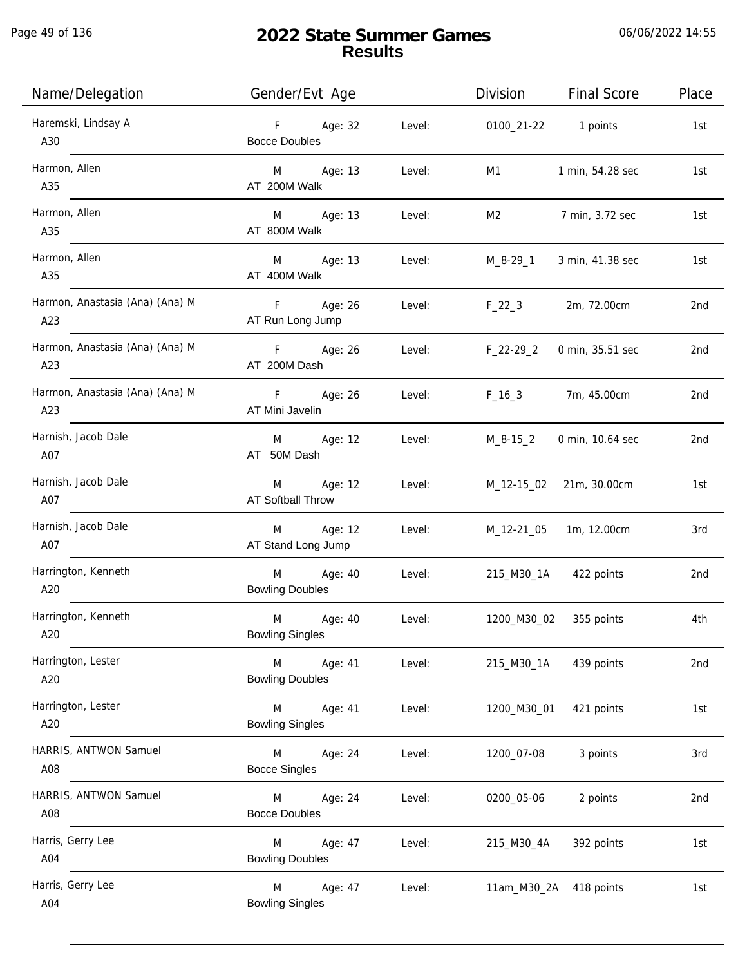| Name/Delegation                        | Gender/Evt Age                         |        | Division     | <b>Final Score</b> | Place |
|----------------------------------------|----------------------------------------|--------|--------------|--------------------|-------|
| Haremski, Lindsay A<br>A30             | F.<br>Age: 32<br><b>Bocce Doubles</b>  | Level: | 0100_21-22   | 1 points           | 1st   |
| Harmon, Allen<br>A35                   | Age: 13<br>M<br>AT 200M Walk           | Level: | M1           | 1 min, 54.28 sec   | 1st   |
| Harmon, Allen<br>A35                   | Age: 13<br>M<br>AT 800M Walk           | Level: | M2           | 7 min, 3.72 sec    | 1st   |
| Harmon, Allen<br>A35                   | M<br>Age: 13<br>AT 400M Walk           | Level: | M_8-29_1     | 3 min, 41.38 sec   | 1st   |
| Harmon, Anastasia (Ana) (Ana) M<br>A23 | F<br>Age: 26<br>AT Run Long Jump       | Level: | $F_22_3$     | 2m, 72.00cm        | 2nd   |
| Harmon, Anastasia (Ana) (Ana) M<br>A23 | F<br>Age: 26<br>AT 200M Dash           | Level: | $F_22-29_2$  | 0 min, 35.51 sec   | 2nd   |
| Harmon, Anastasia (Ana) (Ana) M<br>A23 | F<br>Age: 26<br>AT Mini Javelin        | Level: | $F_16_3$     | 7m, 45.00cm        | 2nd   |
| Harnish, Jacob Dale<br>A07             | Age: 12<br>M<br>AT 50M Dash            | Level: | $M_8 - 15_2$ | 0 min, 10.64 sec   | 2nd   |
| Harnish, Jacob Dale<br>A07             | Age: 12<br>M<br>AT Softball Throw      | Level: | M_12-15_02   | 21m, 30.00cm       | 1st   |
| Harnish, Jacob Dale<br>A07             | Age: 12<br>M<br>AT Stand Long Jump     | Level: | M_12-21_05   | 1m, 12.00cm        | 3rd   |
| Harrington, Kenneth<br>A20             | M<br>Age: 40<br><b>Bowling Doubles</b> | Level: | 215_M30_1A   | 422 points         | 2nd   |
| Harrington, Kenneth<br>A20             | M<br>Age: 40<br><b>Bowling Singles</b> | Level: | 1200_M30_02  | 355 points         | 4th   |
| Harrington, Lester<br>A20              | Age: 41<br>M<br><b>Bowling Doubles</b> | Level: | 215_M30_1A   | 439 points         | 2nd   |
| Harrington, Lester<br>A20              | M<br>Age: 41<br><b>Bowling Singles</b> | Level: | 1200_M30_01  | 421 points         | 1st   |
| HARRIS, ANTWON Samuel<br>A08           | M<br>Age: 24<br><b>Bocce Singles</b>   | Level: | 1200_07-08   | 3 points           | 3rd   |
| HARRIS, ANTWON Samuel<br>A08           | Age: 24<br>M<br><b>Bocce Doubles</b>   | Level: | 0200_05-06   | 2 points           | 2nd   |
| Harris, Gerry Lee<br>A04               | Age: 47<br>M<br><b>Bowling Doubles</b> | Level: | 215_M30_4A   | 392 points         | 1st   |
| Harris, Gerry Lee<br>A04               | M<br>Age: 47<br><b>Bowling Singles</b> | Level: | 11am_M30_2A  | 418 points         | 1st   |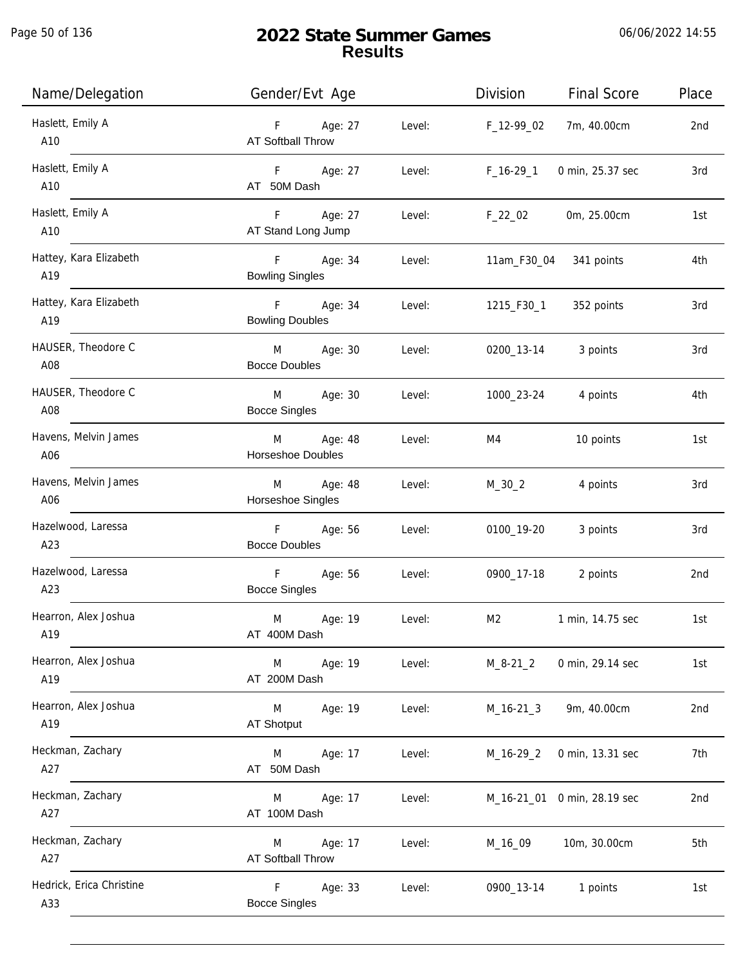Page 50 of 136

| Name/Delegation                 | Gender/Evt Age                                     | Division<br><b>Final Score</b><br>Place |
|---------------------------------|----------------------------------------------------|-----------------------------------------|
| Haslett, Emily A<br>A10         | Age: 27<br>F<br>Level:<br><b>AT Softball Throw</b> | F_12-99_02<br>7m, 40.00cm<br>2nd        |
| Haslett, Emily A<br>A10         | F Age: 27<br>Level:<br>AT 50M Dash                 | $F_16-29_1$<br>0 min, 25.37 sec<br>3rd  |
| Haslett, Emily A<br>A10         | Age: 27<br>F<br>Level:<br>AT Stand Long Jump       | $F_22_02$<br>0m, 25.00cm<br>1st         |
| Hattey, Kara Elizabeth<br>A19   | F Age: 34<br>Level:<br><b>Bowling Singles</b>      | 11am_F30_04 341 points<br>4th           |
| Hattey, Kara Elizabeth<br>A19   | F Age: 34<br>Level:<br><b>Bowling Doubles</b>      | 352 points<br>1215_F30_1<br>3rd         |
| HAUSER, Theodore C<br>A08       | M<br>Age: 30<br>Level:<br><b>Bocce Doubles</b>     | 0200_13-14<br>3 points<br>3rd           |
| HAUSER, Theodore C<br>A08       | Age: 30<br>M<br>Level:<br><b>Bocce Singles</b>     | 1000_23-24<br>4 points<br>4th           |
| Havens, Melvin James<br>A06     | M<br>Age: 48<br>Level:<br>Horseshoe Doubles        | M4<br>10 points<br>1st                  |
| Havens, Melvin James<br>A06     | Age: 48<br>Level:<br>M<br>Horseshoe Singles        | $M_30_2$<br>4 points<br>3rd             |
| Hazelwood, Laressa<br>A23       | F<br>Age: 56<br>Level:<br><b>Bocce Doubles</b>     | 0100_19-20<br>3 points<br>3rd           |
| Hazelwood, Laressa<br>A23       | F<br>Age: 56<br>Level:<br><b>Bocce Singles</b>     | 0900_17-18<br>2 points<br>2nd           |
| Hearron, Alex Joshua<br>A19     | M<br>Age: 19<br>Level:<br>AT 400M Dash             | M2<br>1 min, 14.75 sec<br>1st           |
| Hearron, Alex Joshua<br>A19     | Age: 19<br>Level:<br>M<br>AT 200M Dash             | $M_8 - 21_2$<br>0 min, 29.14 sec<br>1st |
| Hearron, Alex Joshua<br>A19     | M<br>Age: 19<br>Level:<br>AT Shotput               | 9m, 40.00cm<br>2nd<br>$M_16-21_3$       |
| Heckman, Zachary<br>A27         | Age: 17<br>Level:<br>M<br>AT 50M Dash              | 7th<br>$M_16-29_2$<br>0 min, 13.31 sec  |
| Heckman, Zachary<br>A27         | Age: 17<br>Level:<br>M<br>AT 100M Dash             | 2nd<br>M_16-21_01 0 min, 28.19 sec      |
| Heckman, Zachary<br>A27         | Age: 17<br>Level:<br>M<br>AT Softball Throw        | 10m, 30.00cm<br>5th<br>M_16_09          |
| Hedrick, Erica Christine<br>A33 | F.<br>Age: 33<br>Level:<br><b>Bocce Singles</b>    | 0900_13-14<br>1 points<br>1st           |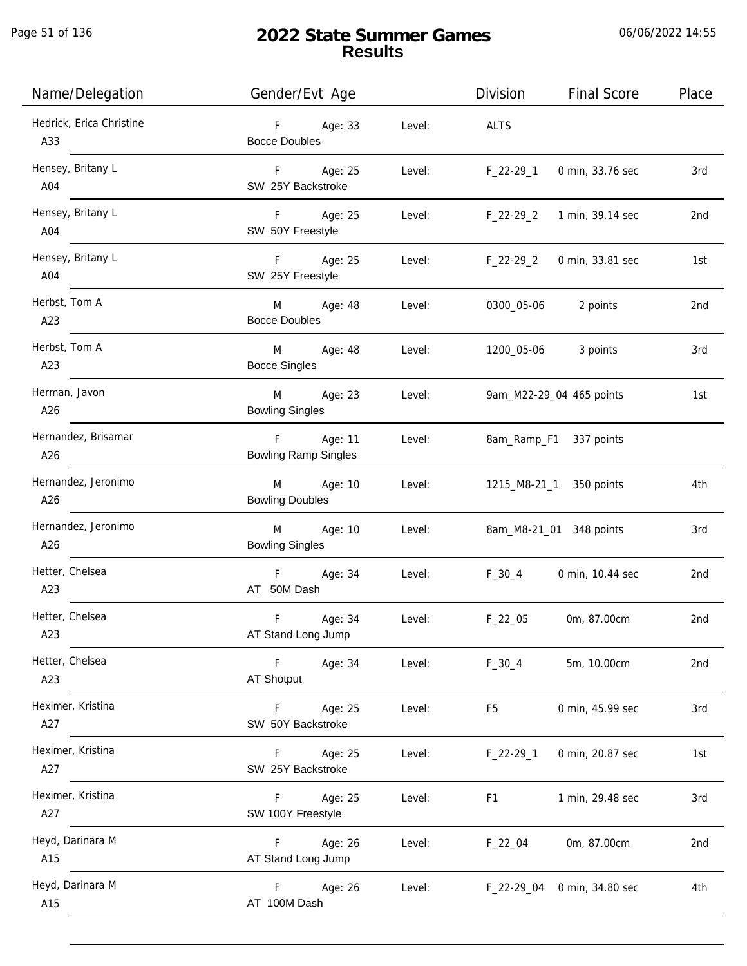j.

# **2022 State Summer Games Results**

06/06/2022 14:55

| Name/Delegation                 | Gender/Evt Age                                            | Division<br><b>Final Score</b>     | Place |
|---------------------------------|-----------------------------------------------------------|------------------------------------|-------|
| Hedrick, Erica Christine<br>A33 | F<br>Age: 33<br>Level:<br><b>Bocce Doubles</b>            | <b>ALTS</b>                        |       |
| Hensey, Britany L<br>A04        | Age: 25<br>F <sub>12</sub><br>Level:<br>SW 25Y Backstroke | $F_22-29_1$<br>0 min, 33.76 sec    | 3rd   |
| Hensey, Britany L<br>A04        | F Age: 25<br>Level:<br>SW 50Y Freestyle                   | $F_22-29_2$<br>1 min, 39.14 sec    | 2nd   |
| Hensey, Britany L<br>A04        | F Age: 25<br>Level:<br>SW 25Y Freestyle                   | $F_22-29_2$<br>0 min, 33.81 sec    | 1st   |
| Herbst, Tom A<br>A23            | M<br>Age: 48<br>Level:<br><b>Bocce Doubles</b>            | 0300_05-06<br>2 points             | 2nd   |
| Herbst, Tom A<br>A23            | M<br>Age: 48<br>Level:<br><b>Bocce Singles</b>            | 1200_05-06<br>3 points             | 3rd   |
| Herman, Javon<br>A26            | M<br>Age: 23<br>Level:<br><b>Bowling Singles</b>          | 9am_M22-29_04 465 points           | 1st   |
| Hernandez, Brisamar<br>A26      | $F =$<br>Age: 11<br>Level:<br><b>Bowling Ramp Singles</b> | 8am_Ramp_F1 337 points             |       |
| Hernandez, Jeronimo<br>A26      | M<br>Age: 10<br>Level:<br><b>Bowling Doubles</b>          | 1215_M8-21_1 350 points            | 4th   |
| Hernandez, Jeronimo<br>A26      | M<br>Age: 10<br>Level:<br><b>Bowling Singles</b>          | 8am_M8-21_01 348 points            | 3rd   |
| Hetter, Chelsea<br>A23          | Age: 34<br>F<br>Level:<br>AT 50M Dash                     | $F_30_4$<br>0 min, 10.44 sec       | 2nd   |
| Hetter, Chelsea<br>A23          | F<br>Age: 34<br>Level:<br>AT Stand Long Jump              | $F_22_05$<br>0m, 87.00cm           | 2nd   |
| Hetter, Chelsea<br>A23          | $\mathsf F$<br>Age: 34<br>Level:<br><b>AT Shotput</b>     | $F_30_4$<br>5m, 10.00cm            | 2nd   |
| Heximer, Kristina<br>A27        | Age: 25<br>Level:<br>F<br>SW 50Y Backstroke               | F <sub>5</sub><br>0 min, 45.99 sec | 3rd   |
| Heximer, Kristina<br>A27        | Age: 25<br>Level:<br>F<br>SW 25Y Backstroke               | 0 min, 20.87 sec<br>$F_22-29-1$    | 1st   |
| Heximer, Kristina<br>A27        | Age: 25<br>Level:<br>F.<br>SW 100Y Freestyle              | 1 min, 29.48 sec<br>F1             | 3rd   |
| Heyd, Darinara M<br>A15         | Age: 26<br>F.<br>Level:<br>AT Stand Long Jump             | $F_22_04$<br>0m, 87.00cm           | 2nd   |
| Heyd, Darinara M<br>A15         | F.<br>Age: 26<br>Level:<br>AT 100M Dash                   | $F_22-29_04$<br>0 min, 34.80 sec   | 4th   |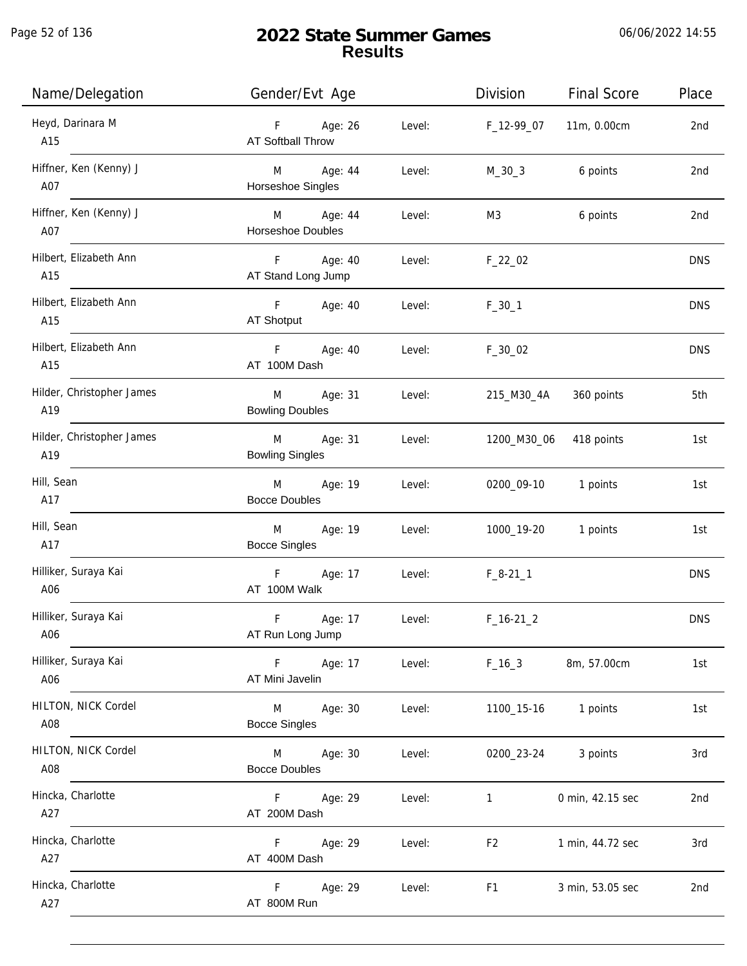Page 52 of 136

| Name/Delegation                  | Gender/Evt Age                             |        | Division       | <b>Final Score</b> | Place      |
|----------------------------------|--------------------------------------------|--------|----------------|--------------------|------------|
| Heyd, Darinara M<br>A15          | F Age: 26<br>AT Softball Throw             | Level: | F_12-99_07     | 11m, 0.00cm        | 2nd        |
| Hiffner, Ken (Kenny) J<br>A07    | M Age: 44<br>Horseshoe Singles             | Level: | $M_30_3$       | 6 points           | 2nd        |
| Hiffner, Ken (Kenny) J<br>A07    | M Age: 44<br>Horseshoe Doubles             | Level: | M3             | 6 points           | 2nd        |
| Hilbert, Elizabeth Ann<br>A15    | F<br>Age: 40<br>AT Stand Long Jump         | Level: | $F_22_02$      |                    | <b>DNS</b> |
| Hilbert, Elizabeth Ann<br>A15    | F Age: 40<br>AT Shotput                    | Level: | $F_30_1$       |                    | <b>DNS</b> |
| Hilbert, Elizabeth Ann<br>A15    | F <sub>12</sub><br>Age: 40<br>AT 100M Dash | Level: | $F_30_02$      |                    | <b>DNS</b> |
| Hilder, Christopher James<br>A19 | Age: 31<br>M<br><b>Bowling Doubles</b>     | Level: | 215_M30_4A     | 360 points         | 5th        |
| Hilder, Christopher James<br>A19 | Age: 31<br>M<br><b>Bowling Singles</b>     | Level: | 1200_M30_06    | 418 points         | 1st        |
| Hill, Sean<br>A17                | Age: 19<br>M<br><b>Bocce Doubles</b>       | Level: | 0200_09-10     | 1 points           | 1st        |
| Hill, Sean<br>A17                | M<br>Age: 19<br><b>Bocce Singles</b>       | Level: | 1000_19-20     | 1 points           | 1st        |
| Hilliker, Suraya Kai<br>A06      | F Age: 17<br>AT 100M Walk                  | Level: | $F_8-21-1$     |                    | <b>DNS</b> |
| Hilliker, Suraya Kai<br>A06      | F<br>Age: 17<br>AT Run Long Jump           | Level: | $F_16-21_2$    |                    | <b>DNS</b> |
| Hilliker, Suraya Kai<br>A06      | Age: 17<br>F.<br>AT Mini Javelin           | Level: | $F_16_3$       | 8m, 57.00cm        | 1st        |
| HILTON, NICK Cordel<br>A08       | Age: 30<br>M<br><b>Bocce Singles</b>       | Level: | 1100_15-16     | 1 points           | 1st        |
| HILTON, NICK Cordel<br>A08       | Age: 30<br>M<br><b>Bocce Doubles</b>       | Level: | 0200_23-24     | 3 points           | 3rd        |
| Hincka, Charlotte<br>A27         | F<br>Age: 29<br>AT 200M Dash               | Level: | $\mathbf{1}$   | 0 min, 42.15 sec   | 2nd        |
| Hincka, Charlotte<br>A27         | F<br>Age: 29<br>AT 400M Dash               | Level: | F <sub>2</sub> | 1 min, 44.72 sec   | 3rd        |
| Hincka, Charlotte<br>A27         | Age: 29<br>F<br>AT 800M Run                | Level: | F <sub>1</sub> | 3 min, 53.05 sec   | 2nd        |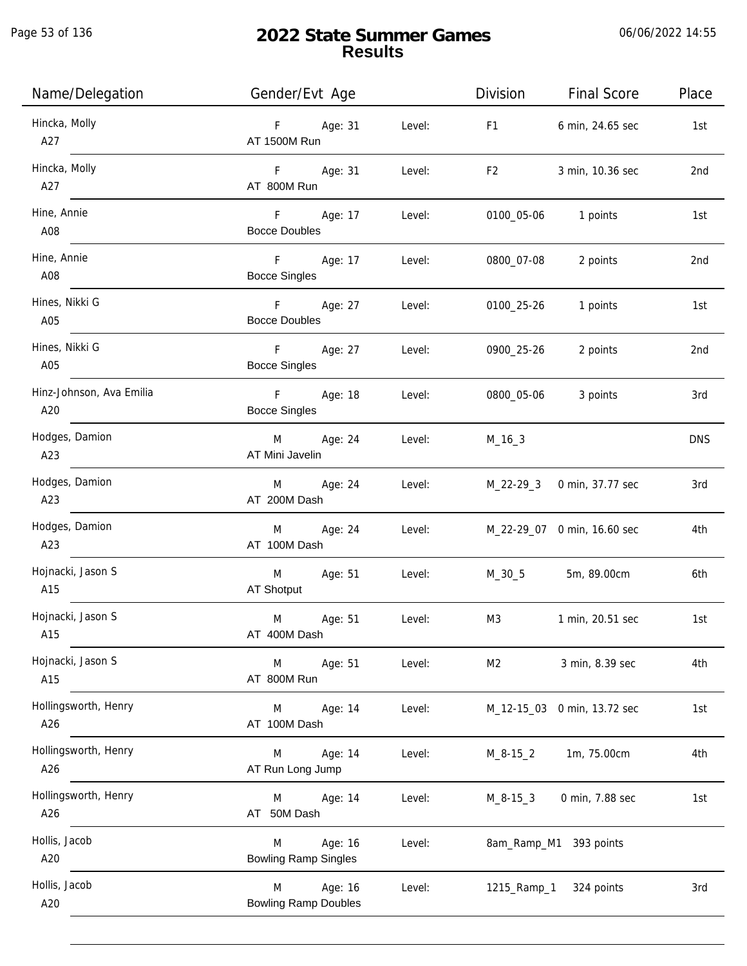| Name/Delegation                 | Gender/Evt Age                                        | Division       | <b>Final Score</b>          | Place           |
|---------------------------------|-------------------------------------------------------|----------------|-----------------------------|-----------------|
| Hincka, Molly<br>A27            | F Age: 31<br>Level:<br>AT 1500M Run                   | F <sub>1</sub> | 6 min, 24.65 sec            | 1st             |
| Hincka, Molly<br>A27            | F Age: 31<br>Level:<br>AT 800M Run                    | F2             | 3 min, 10.36 sec            | 2 <sub>nd</sub> |
| Hine, Annie<br>A08              | F Age: 17<br>Level:<br>Bocce Doubles                  |                | 0100_05-06 1 points         | 1st             |
| Hine, Annie<br>A08              | F Age: 17<br>Level:<br><b>Bocce Singles</b>           | 0800_07-08     | 2 points                    | 2nd             |
| Hines, Nikki G<br>A05           | F Age: 27<br>Level:<br><b>Bocce Doubles</b>           | 0100_25-26     | 1 points                    | 1st             |
| Hines, Nikki G<br>A05           | F Age: 27 Level:<br><b>Bocce Singles</b>              | 0900_25-26     | 2 points                    | 2nd             |
| Hinz-Johnson, Ava Emilia<br>A20 | F Age: 18<br>Level:<br><b>Bocce Singles</b>           | 0800_05-06     | 3 points                    | 3rd             |
| Hodges, Damion<br>A23           | M Age: 24<br>Level:<br>AT Mini Javelin                | $M_16_3$       |                             | <b>DNS</b>      |
| Hodges, Damion<br>A23           | Age: 24<br>Level:<br>M<br>AT 200M Dash                |                | M_22-29_3 0 min, 37.77 sec  | 3rd             |
| Hodges, Damion<br>A23           | Age: 24<br>Level:<br>M<br>AT 100M Dash                |                | M_22-29_07 0 min, 16.60 sec | 4th             |
| Hojnacki, Jason S<br>A15        | Age: 51<br>M<br>Level:<br>AT Shotput                  | M_30_5         | 5m, 89.00cm                 | 6th             |
| Hojnacki, Jason S<br>A15        | M<br>Age: 51<br>Level:<br>AT 400M Dash                | M3             | 1 min, 20.51 sec            | 1st             |
| Hojnacki, Jason S<br>A15        | Age: 51<br>M<br>Level:<br>AT 800M Run                 | M2             | 3 min, 8.39 sec             | 4th             |
| Hollingsworth, Henry<br>A26     | Age: 14<br>Level:<br>M<br>AT 100M Dash                |                | M_12-15_03 0 min, 13.72 sec | 1st             |
| Hollingsworth, Henry<br>A26     | Age: 14<br>Level:<br>M<br>AT Run Long Jump            | M_8-15_2       | 1m, 75.00cm                 | 4th             |
| Hollingsworth, Henry<br>A26     | Age: 14<br>Level:<br>M<br>AT 50M Dash                 | M_8-15_3       | 0 min, 7.88 sec             | 1st             |
| Hollis, Jacob<br>A20            | Age: 16<br>Level:<br>M<br><b>Bowling Ramp Singles</b> |                | 8am_Ramp_M1 393 points      |                 |
| Hollis, Jacob<br>A20            | Age: 16<br>Level:<br>M<br><b>Bowling Ramp Doubles</b> | 1215_Ramp_1    | 324 points                  | 3rd             |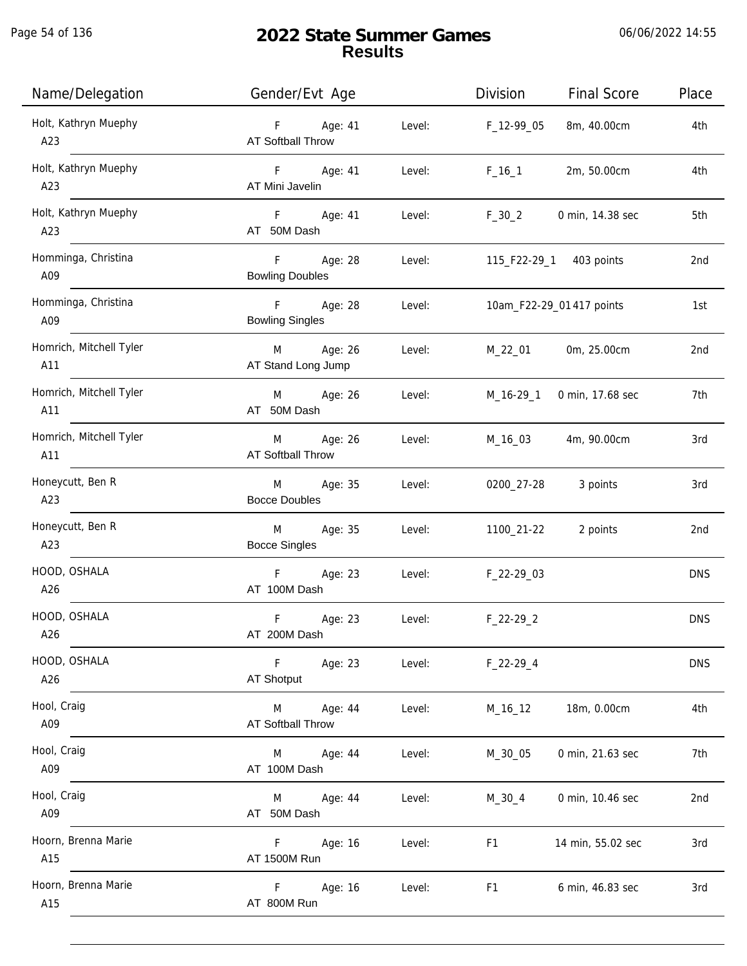| Name/Delegation                | Gender/Evt Age                                     | Division<br><b>Final Score</b>     | Place      |
|--------------------------------|----------------------------------------------------|------------------------------------|------------|
| Holt, Kathryn Muephy<br>A23    | Age: 41<br>F<br>Level:<br>AT Softball Throw        | 8m, 40.00cm<br>F_12-99_05          | 4th        |
| Holt, Kathryn Muephy<br>A23    | F<br>Age: 41<br>Level:<br>AT Mini Javelin          | $F_16_1$<br>2m, 50.00cm            | 4th        |
| Holt, Kathryn Muephy<br>A23    | F<br>Age: 41<br>Level:<br>AT 50M Dash              | $F_30_2$<br>0 min, 14.38 sec       | 5th        |
| Homminga, Christina<br>A09     | F<br>Age: 28<br>Level:<br><b>Bowling Doubles</b>   | 115_F22-29_1 403 points            | 2nd        |
| Homminga, Christina<br>A09     | F<br>Age: 28<br>Level:<br><b>Bowling Singles</b>   | 10am_F22-29_01 417 points          | 1st        |
| Homrich, Mitchell Tyler<br>A11 | M Age: 26<br>Level:<br>AT Stand Long Jump          | M_22_01<br>0m, 25.00cm             | 2nd        |
| Homrich, Mitchell Tyler<br>A11 | Age: 26<br>Level:<br>M<br>AT 50M Dash              | M_16-29_1<br>0 min, 17.68 sec      | 7th        |
| Homrich, Mitchell Tyler<br>A11 | Age: 26<br>Level:<br>M<br><b>AT Softball Throw</b> | 4m, 90.00cm<br>M_16_03             | 3rd        |
| Honeycutt, Ben R<br>A23        | Age: 35<br>M<br>Level:<br><b>Bocce Doubles</b>     | 0200_27-28<br>3 points             | 3rd        |
| Honeycutt, Ben R<br>A23        | M<br>Age: 35<br>Level:<br><b>Bocce Singles</b>     | 2 points<br>1100_21-22             | 2nd        |
| HOOD, OSHALA<br>A26            | F<br>Age: 23<br>Level:<br>AT 100M Dash             | F_22-29_03                         | <b>DNS</b> |
| HOOD, OSHALA<br>A26            | F<br>Age: 23<br>Level:<br>AT 200M Dash             | $F_22-29_2$                        | <b>DNS</b> |
| HOOD, OSHALA<br>A26            | F.<br>Age: 23<br>Level:<br><b>AT Shotput</b>       | $F_22-29-4$                        | <b>DNS</b> |
| Hool, Craig<br>A09             | Age: 44<br>Level:<br>M<br>AT Softball Throw        | 18m, 0.00cm<br>M_16_12             | 4th        |
| Hool, Craig<br>A09             | Age: 44<br>Level:<br>M<br>AT 100M Dash             | 0 min, 21.63 sec<br>M_30_05        | 7th        |
| Hool, Craig<br>A09             | Age: 44<br>Level:<br>M<br>AT 50M Dash              | 0 min, 10.46 sec<br>$M_30_4$       | 2nd        |
| Hoorn, Brenna Marie<br>A15     | F.<br>Age: 16<br>Level:<br>AT 1500M Run            | F1<br>14 min, 55.02 sec            | 3rd        |
| Hoorn, Brenna Marie<br>A15     | F.<br>Age: 16<br>Level:<br>AT 800M Run             | F <sub>1</sub><br>6 min, 46.83 sec | 3rd        |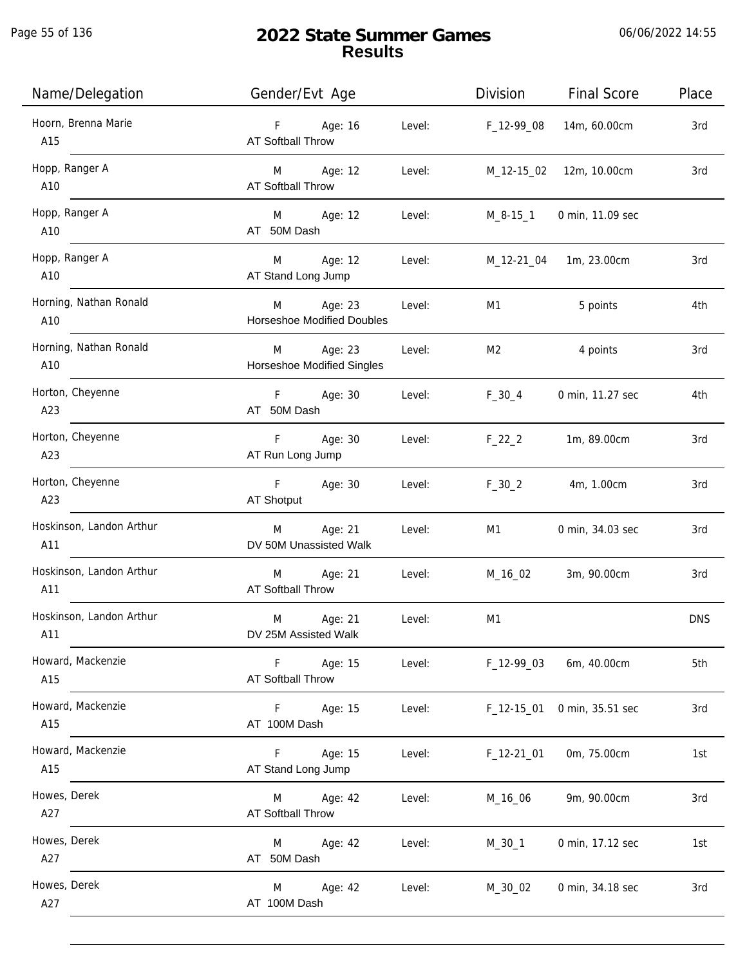Page 55 of 136

| Name/Delegation                 | Gender/Evt Age                                       | Division<br><b>Final Score</b> | Place      |
|---------------------------------|------------------------------------------------------|--------------------------------|------------|
| Hoorn, Brenna Marie<br>A15      | Age: 16<br>F<br>Level:<br><b>AT Softball Throw</b>   | 14m, 60.00cm<br>F_12-99_08     | 3rd        |
| Hopp, Ranger A<br>A10           | M Age: 12<br>Level:<br>AT Softball Throw             | 12m, 10.00cm<br>M_12-15_02     | 3rd        |
| Hopp, Ranger A<br>A10           | M Age: 12<br>Level:<br>AT 50M Dash                   | M_8-15_1<br>0 min, 11.09 sec   |            |
| Hopp, Ranger A<br>A10           | Age: 12<br>Level:<br>M<br>AT Stand Long Jump         | 1m, 23.00cm<br>M_12-21_04      | 3rd        |
| Horning, Nathan Ronald<br>A10   | Age: 23<br>M<br>Level:<br>Horseshoe Modified Doubles | 5 points<br>M1                 | 4th        |
| Horning, Nathan Ronald<br>A10   | Age: 23<br>M<br>Level:<br>Horseshoe Modified Singles | M2<br>4 points                 | 3rd        |
| Horton, Cheyenne<br>A23         | F<br>Age: 30<br>Level:<br>AT 50M Dash                | $F_30_4$<br>0 min, 11.27 sec   | 4th        |
| Horton, Cheyenne<br>A23         | F<br>Age: 30<br>Level:<br>AT Run Long Jump           | $F_22_2$<br>1m, 89.00cm        | 3rd        |
| Horton, Cheyenne<br>A23         | F<br>Age: 30<br>Level:<br>AT Shotput                 | $F_30_2$<br>4m, 1.00cm         | 3rd        |
| Hoskinson, Landon Arthur<br>A11 | Age: 21<br>Level:<br>M<br>DV 50M Unassisted Walk     | 0 min, 34.03 sec<br>M1         | 3rd        |
| Hoskinson, Landon Arthur<br>A11 | Age: 21<br>M<br>Level:<br><b>AT Softball Throw</b>   | M_16_02<br>3m, 90.00cm         | 3rd        |
| Hoskinson, Landon Arthur<br>A11 | M<br>Age: 21<br>Level:<br>DV 25M Assisted Walk       | M1                             | <b>DNS</b> |
| Howard, Mackenzie<br>A15        | Age: 15<br>F<br>Level:<br><b>AT Softball Throw</b>   | F_12-99_03<br>6m, 40.00cm      | 5th        |
| Howard, Mackenzie<br>A15        | F<br>Age: 15<br>Level:<br>AT 100M Dash               | F_12-15_01<br>0 min, 35.51 sec | 3rd        |
| Howard, Mackenzie<br>A15        | Age: 15<br>F.<br>Level:<br>AT Stand Long Jump        | 0m, 75.00cm<br>$F_12-2101$     | 1st        |
| Howes, Derek<br>A27             | Age: 42<br>Level:<br>M<br><b>AT Softball Throw</b>   | 9m, 90.00cm<br>M_16_06         | 3rd        |
| Howes, Derek<br>A27             | Age: 42<br>Level:<br>M<br>AT 50M Dash                | $M_30_1$<br>0 min, 17.12 sec   | 1st        |
| Howes, Derek<br>A27             | Age: 42<br>Level:<br>M<br>AT 100M Dash               | M_30_02<br>0 min, 34.18 sec    | 3rd        |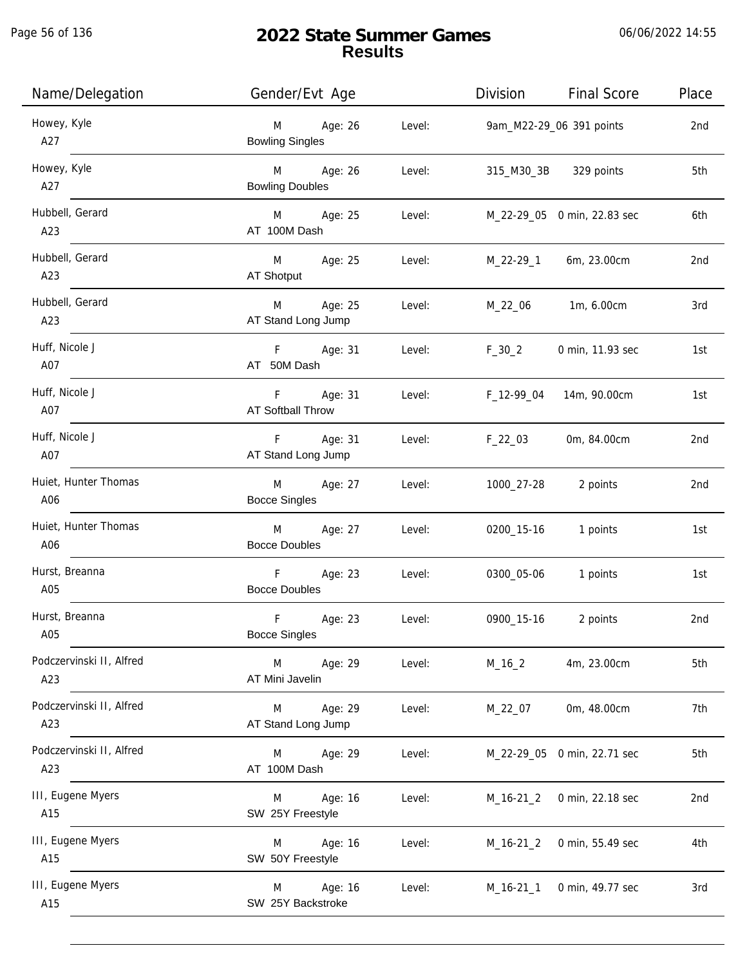| Name/Delegation                 | Gender/Evt Age                                             |        |                           | Division Final Score        | Place |
|---------------------------------|------------------------------------------------------------|--------|---------------------------|-----------------------------|-------|
| Howey, Kyle<br>A27              | M Age: 26<br><b>Bowling Singles</b>                        | Level: |                           | 9am_M22-29_06 391 points    | 2nd   |
| Howey, Kyle<br>A27              | M Age: 26<br><b>Bowling Doubles</b>                        | Level: |                           | 315_M30_3B 329 points       | 5th   |
| Hubbell, Gerard<br>A23          | M Age: 25<br>AT 100M Dash                                  | Level: |                           | M_22-29_05 0 min, 22.83 sec | 6th   |
| Hubbell, Gerard<br>A23          | M Age: 25<br>AT Shotput                                    | Level: |                           | M_22-29_1 6m, 23.00cm       | 2nd   |
| Hubbell, Gerard<br>A23          | M Age: 25<br>AT Stand Long Jump                            |        | Level: M_22_06 1m, 6.00cm |                             | 3rd   |
| Huff, Nicole J<br>A07           | F Age: 31 Level:<br>AT 50M Dash                            |        | $F_30_2$                  | 0 min, 11.93 sec            | 1st   |
| Huff, Nicole J<br>A07           | F Age: 31<br>AT Softball Throw                             | Level: |                           | F_12-99_04 14m, 90.00cm     | 1st   |
| Huff, Nicole J<br>A07           | F Age: 31 Level: F_22_03 0m, 84.00cm<br>AT Stand Long Jump |        |                           |                             | 2nd   |
| Huiet, Hunter Thomas<br>A06     | M Age: 27 Level:<br><b>Bocce Singles</b>                   |        | 1000_27-28                | 2 points                    | 2nd   |
| Huiet, Hunter Thomas<br>A06     | M Age: 27 Level:<br><b>Bocce Doubles</b>                   |        |                           | 0200_15-16 1 points         | 1st   |
| Hurst, Breanna<br>A05           | F Age: 23<br><b>Bocce Doubles</b>                          | Level: | 0300_05-06                | 1 points                    | 1st   |
| Hurst, Breanna<br>A05           | F<br>Age: 23<br><b>Bocce Singles</b>                       | Level: | 0900_15-16                | 2 points                    | 2nd   |
| Podczervinski II, Alfred<br>A23 | <b>M</b><br>Age: 29<br>AT Mini Javelin                     | Level: | $M_16_2$                  | 4m, 23.00cm                 | 5th   |
| Podczervinski II, Alfred<br>A23 | Age: 29<br>M<br>AT Stand Long Jump                         | Level: | M_22_07                   | 0m, 48.00cm                 | 7th   |
| Podczervinski II, Alfred<br>A23 | M Age: 29<br>AT 100M Dash                                  | Level: |                           | M_22-29_05 0 min, 22.71 sec | 5th   |
| III, Eugene Myers<br>A15        | Age: 16<br>M<br>SW 25Y Freestyle                           | Level: | $M_16-21_2$               | 0 min, 22.18 sec            | 2nd   |
| III, Eugene Myers<br>A15        | Age: 16<br>M<br>SW 50Y Freestyle                           | Level: | $M_16-21_2$               | 0 min, 55.49 sec            | 4th   |
| III, Eugene Myers<br>A15        | Age: 16<br>M<br>SW 25Y Backstroke                          | Level: | M_16-21_1                 | 0 min, 49.77 sec            | 3rd   |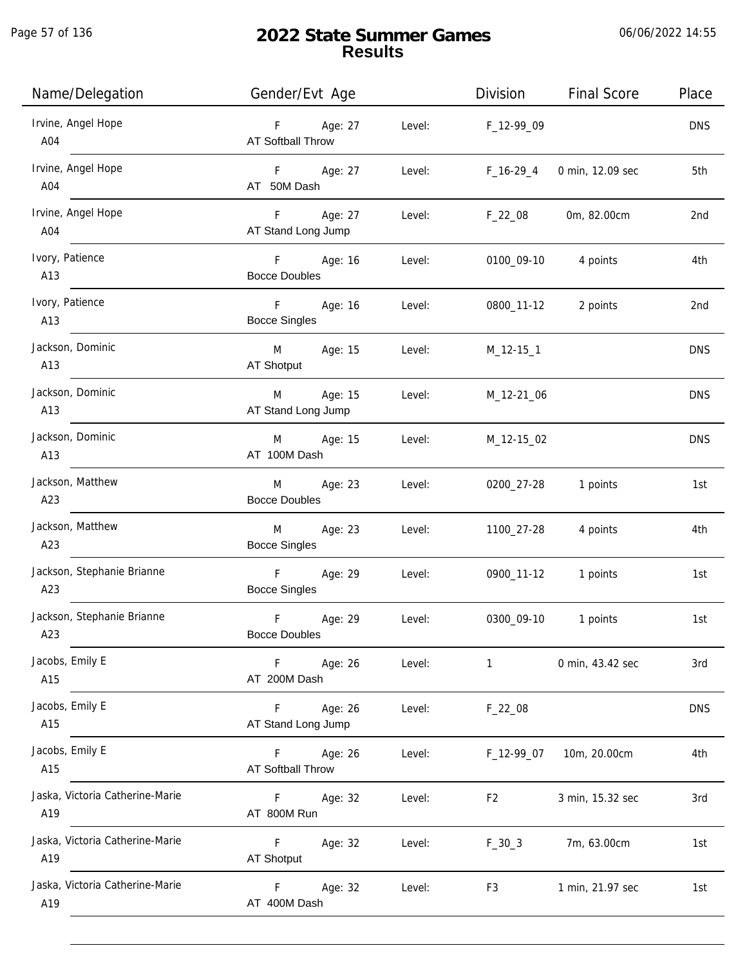Page 57 of 136

| Name/Delegation                        | Gender/Evt Age                              |        | Division          | <b>Final Score</b>  | Place      |
|----------------------------------------|---------------------------------------------|--------|-------------------|---------------------|------------|
| Irvine, Angel Hope<br>$\overline{A04}$ | F Age: 27<br><b>AT Softball Throw</b>       |        | Level: F_12-99_09 |                     | <b>DNS</b> |
| Irvine, Angel Hope<br>A04              | F Age: 27<br>AT 50M Dash                    | Level: | $F_16-29_4$       | 0 min, 12.09 sec    | 5th        |
| Irvine, Angel Hope<br>A04              | F Age: 27<br>AT Stand Long Jump             |        | Level: F_22_08    | 0m, 82.00cm         | 2nd        |
| Ivory, Patience<br>A13                 | F Age: 16<br><b>Bocce Doubles</b>           | Level: |                   | 0100_09-10 4 points | 4th        |
| Ivory, Patience<br>A13                 | F Age: 16<br><b>Bocce Singles</b>           | Level: |                   | 0800_11-12 2 points | 2nd        |
| Jackson, Dominic<br>A13                | M Age: 15<br>AT Shotput                     | Level: | M_12-15_1         |                     | <b>DNS</b> |
| Jackson, Dominic<br>A13                | M Age: 15<br>AT Stand Long Jump             |        | Level: M_12-21_06 |                     | <b>DNS</b> |
| Jackson, Dominic<br>A13                | M Age: 15 Level: M_12-15_02<br>AT 100M Dash |        |                   |                     | <b>DNS</b> |
| Jackson, Matthew<br>A23                | M Age: 23<br><b>Bocce Doubles</b>           | Level: | 0200_27-28        | 1 points            | 1st        |
| Jackson, Matthew<br>A23                | M<br>Age: 23<br><b>Bocce Singles</b>        | Level: | 1100_27-28        | 4 points            | 4th        |
| Jackson, Stephanie Brianne<br>A23      | F Age: 29<br><b>Bocce Singles</b>           | Level: | 0900_11-12        | 1 points            | 1st        |
| Jackson, Stephanie Brianne<br>A23      | F<br>Age: 29<br><b>Bocce Doubles</b>        | Level: | 0300_09-10        | 1 points            | 1st        |
| Jacobs, Emily E<br>A15                 | F Age: 26<br>AT 200M Dash                   | Level: | $\mathbf{1}$      | 0 min, 43.42 sec    | 3rd        |
| Jacobs, Emily E<br>A15                 | F<br>Age: 26<br>AT Stand Long Jump          | Level: | $F_22_08$         |                     | <b>DNS</b> |
| Jacobs, Emily E<br>A15                 | F Age: 26<br>AT Softball Throw              | Level: | F_12-99_07        | 10m, 20.00cm        | 4th        |
| Jaska, Victoria Catherine-Marie<br>A19 | F Age: 32<br>AT 800M Run                    | Level: | F <sub>2</sub>    | 3 min, 15.32 sec    | 3rd        |
| Jaska, Victoria Catherine-Marie<br>A19 | F<br>Age: 32<br>AT Shotput                  | Level: | $F_30_3$          | 7m, 63.00cm         | 1st        |
| Jaska, Victoria Catherine-Marie<br>A19 | F<br>Age: 32<br>AT 400M Dash                | Level: | F <sub>3</sub>    | 1 min, 21.97 sec    | 1st        |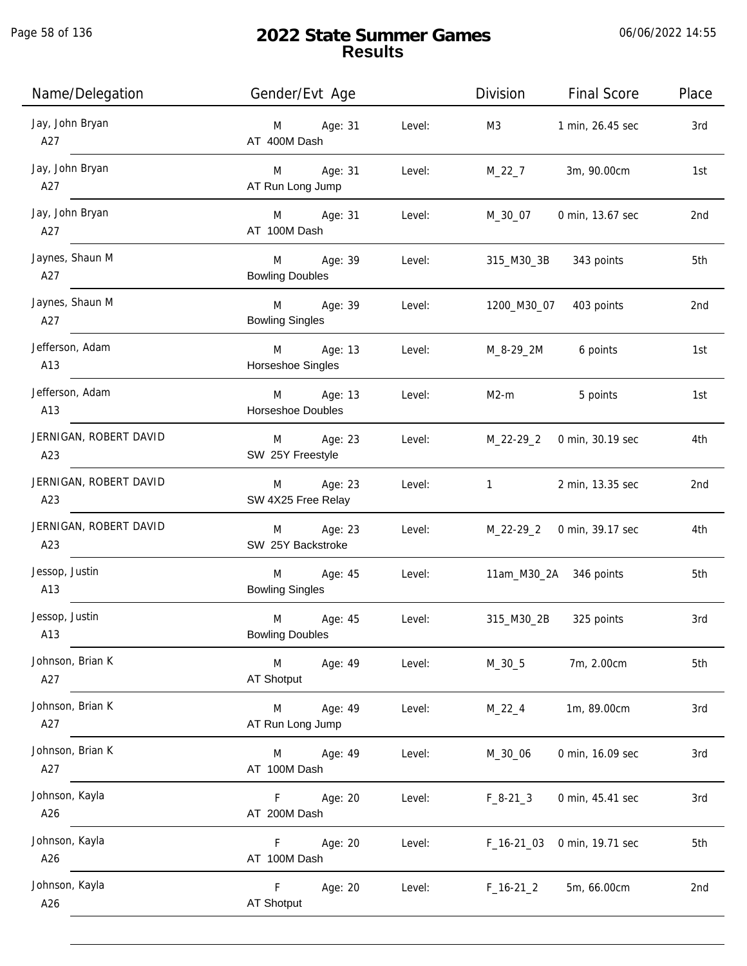| Name/Delegation                     | Gender/Evt Age                                       |        | Division                  | <b>Final Score</b>                | Place |
|-------------------------------------|------------------------------------------------------|--------|---------------------------|-----------------------------------|-------|
| Jay, John Bryan<br>$\overline{A27}$ | M Age: 31<br>AT 400M Dash                            | Level: | M3                        | 1 min, 26.45 sec                  | 3rd   |
| Jay, John Bryan<br>A27              | M Age: 31<br>AT Run Long Jump                        | Level: | M_22_7                    | 3m, 90.00cm                       | 1st   |
| Jay, John Bryan<br>A27              | M Age: 31<br>AT 100M Dash                            | Level: | M_30_07                   | 0 min, 13.67 sec                  | 2nd   |
| Jaynes, Shaun M<br>A27              | M Age: 39<br><b>Bowling Doubles</b>                  | Level: |                           | 315_M30_3B 343 points             | 5th   |
| Jaynes, Shaun M<br>A27              | M Age: 39 Level:<br><b>Bowling Singles</b>           |        | 1200_M30_07 403 points    |                                   | 2nd   |
| Jefferson, Adam<br>A13              | M Age: 13<br>Horseshoe Singles                       |        | Level: M_8-29_2M 6 points |                                   | 1st   |
| Jefferson, Adam<br>A13              | M Age: 13<br>Horseshoe Doubles                       | Level: | $M2-m$                    | 5 points                          | 1st   |
| JERNIGAN, ROBERT DAVID<br>A23       | M Age: 23<br>SW 25Y Freestyle                        | Level: |                           | M_22-29_2 0 min, 30.19 sec        | 4th   |
| JERNIGAN, ROBERT DAVID<br>A23       | M Age: 23<br>SW 4X25 Free Relay                      | Level: | $1 \quad \text{or} \quad$ | 2 min, 13.35 sec                  | 2nd   |
| JERNIGAN, ROBERT DAVID<br>A23       | M Age: 23<br>SW 25Y Backstroke                       |        |                           | Level: M_22-29_2 0 min, 39.17 sec | 4th   |
| Jessop, Justin<br>A13               | M Age: 45<br><b>Bowling Singles</b>                  |        |                           | Level: 11am_M30_2A 346 points     | 5th   |
| Jessop, Justin<br>A13               | M <sub>ar</sub><br>Age: 45<br><b>Bowling Doubles</b> | Level: |                           | 315_M30_2B 325 points             | 3rd   |
| Johnson, Brian K<br>A27             | M<br>Age: 49<br>AT Shotput                           | Level: | $M_30_5$                  | 7m, 2.00cm                        | 5th   |
| Johnson, Brian K<br>A27             | Age: 49<br>M<br>AT Run Long Jump                     | Level: | $M_22_4$                  | 1m, 89.00cm                       | 3rd   |
| Johnson, Brian K<br>A27             | Age: 49<br>M<br>AT 100M Dash                         | Level: | M_30_06                   | 0 min, 16.09 sec                  | 3rd   |
| Johnson, Kayla<br>A26               | Age: 20<br>F.<br>AT 200M Dash                        | Level: | $F_8-21-3$                | 0 min, 45.41 sec                  | 3rd   |
| Johnson, Kayla<br>A26               | Age: 20<br>F.<br>AT 100M Dash                        | Level: | $F_16-2103$               | 0 min, 19.71 sec                  | 5th   |
| Johnson, Kayla<br>A26               | F<br>Age: 20<br>AT Shotput                           | Level: | $F_16-21_2$               | 5m, 66.00cm                       | 2nd   |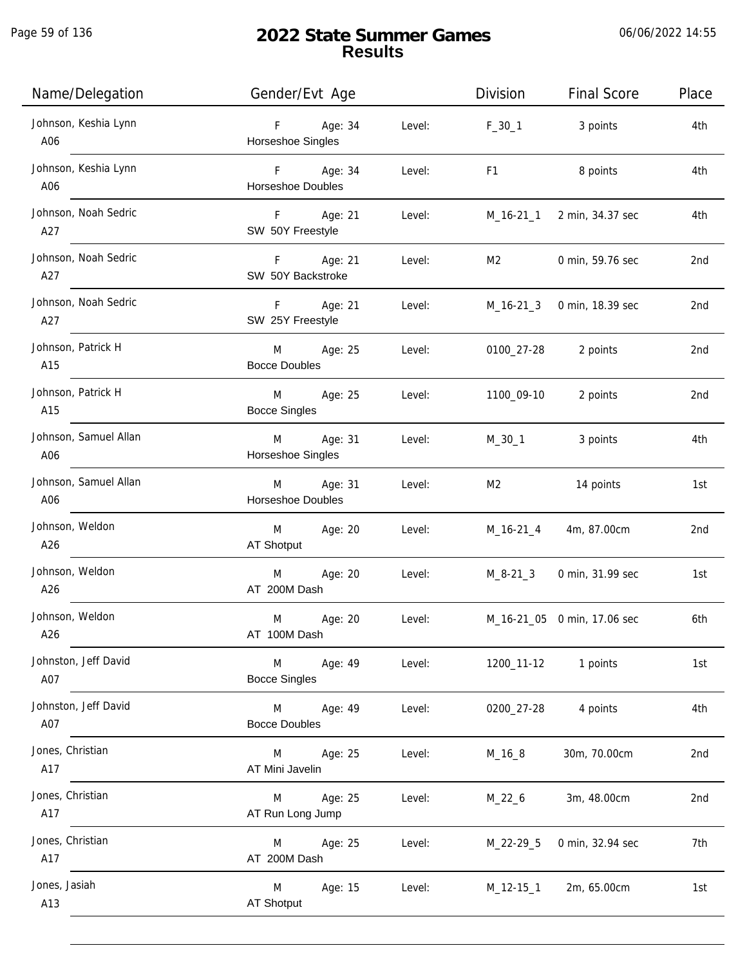| Name/Delegation              | Gender/Evt Age                        |        | Division                                                                                                                                                                                                                       | <b>Final Score</b>          | Place           |
|------------------------------|---------------------------------------|--------|--------------------------------------------------------------------------------------------------------------------------------------------------------------------------------------------------------------------------------|-----------------------------|-----------------|
| Johnson, Keshia Lynn<br>A06  | Age: 34<br>F<br>Horseshoe Singles     | Level: | $F_30_1$                                                                                                                                                                                                                       | 3 points                    | 4th             |
| Johnson, Keshia Lynn<br>A06  | F Age: 34<br><b>Horseshoe Doubles</b> | Level: | F1 and the state of the state of the state of the state of the state of the state of the state of the state of the state of the state of the state of the state of the state of the state of the state of the state of the sta | 8 points                    | 4th             |
| Johnson, Noah Sedric<br>A27  | F Age: 21<br>SW 50Y Freestyle         | Level: |                                                                                                                                                                                                                                | M_16-21_1 2 min, 34.37 sec  | 4th             |
| Johnson, Noah Sedric<br>A27  | F Age: 21<br>SW 50Y Backstroke        | Level: | M2                                                                                                                                                                                                                             | 0 min, 59.76 sec            | 2 <sub>nd</sub> |
| Johnson, Noah Sedric<br>A27  | Age: 21<br>F<br>SW 25Y Freestyle      | Level: |                                                                                                                                                                                                                                | M_16-21_3 0 min, 18.39 sec  | 2nd             |
| Johnson, Patrick H<br>A15    | M Age: 25<br><b>Bocce Doubles</b>     | Level: | 0100_27-28                                                                                                                                                                                                                     | 2 points                    | 2nd             |
| Johnson, Patrick H<br>A15    | M Age: 25<br><b>Bocce Singles</b>     | Level: | 1100_09-10                                                                                                                                                                                                                     | 2 points                    | 2nd             |
| Johnson, Samuel Allan<br>A06 | M Age: 31<br>Horseshoe Singles        | Level: | $M_30_1$                                                                                                                                                                                                                       | 3 points                    | 4th             |
| Johnson, Samuel Allan<br>A06 | Age: 31<br>M<br>Horseshoe Doubles     | Level: | M <sub>2</sub>                                                                                                                                                                                                                 | 14 points                   | 1st             |
| Johnson, Weldon<br>A26       | Age: 20<br>M<br>AT Shotput            | Level: | M_16-21_4                                                                                                                                                                                                                      | 4m, 87.00cm                 | 2 <sub>nd</sub> |
| Johnson, Weldon<br>A26       | M<br>Age: 20<br>AT 200M Dash          | Level: | M_8-21_3                                                                                                                                                                                                                       | 0 min, 31.99 sec            | 1st             |
| Johnson, Weldon<br>A26       | M<br>Age: 20<br>AT 100M Dash          | Level: |                                                                                                                                                                                                                                | M_16-21_05 0 min, 17.06 sec | 6th             |
| Johnston, Jeff David<br>A07  | M<br>Age: 49<br><b>Bocce Singles</b>  | Level: | 1200_11-12                                                                                                                                                                                                                     | 1 points                    | 1st             |
| Johnston, Jeff David<br>A07  | M<br>Age: 49<br><b>Bocce Doubles</b>  | Level: | 0200_27-28                                                                                                                                                                                                                     | 4 points                    | 4th             |
| Jones, Christian<br>A17      | Age: 25<br>M<br>AT Mini Javelin       | Level: | M_16_8                                                                                                                                                                                                                         | 30m, 70.00cm                | 2nd             |
| Jones, Christian<br>A17      | Age: 25<br>M<br>AT Run Long Jump      | Level: | M_22_6                                                                                                                                                                                                                         | 3m, 48.00cm                 | 2nd             |
| Jones, Christian<br>A17      | Age: 25<br>M<br>AT 200M Dash          | Level: | M_22-29_5                                                                                                                                                                                                                      | 0 min, 32.94 sec            | 7th             |
| Jones, Jasiah<br>A13         | M<br>Age: 15<br>AT Shotput            | Level: | M_12-15_1                                                                                                                                                                                                                      | 2m, 65.00cm                 | 1st             |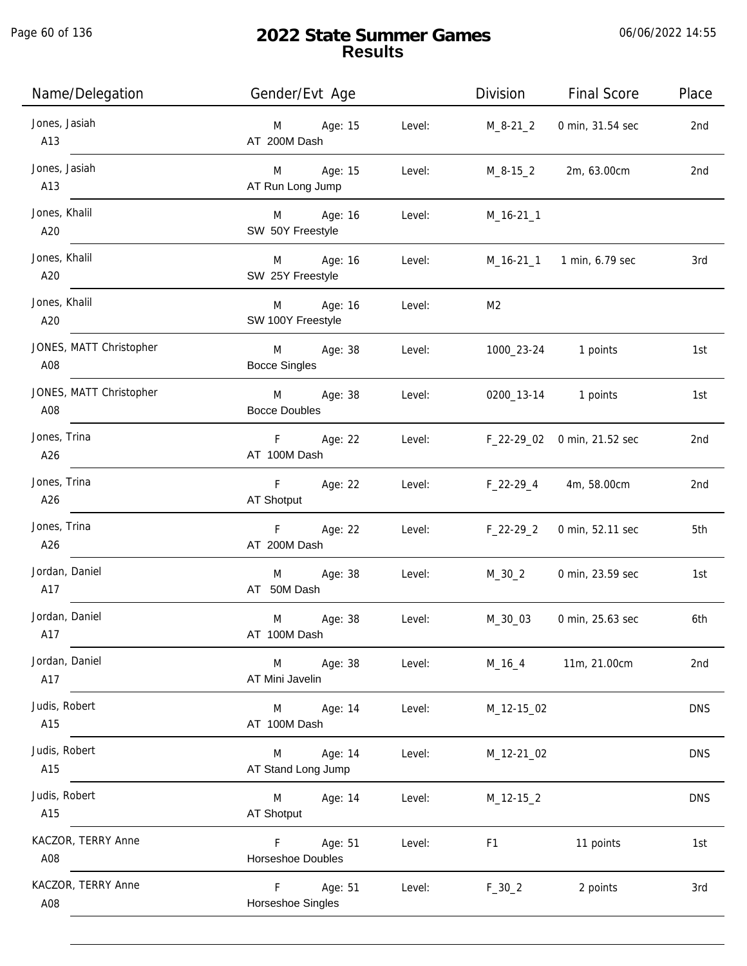Page 60 of 136

| Name/Delegation                | Gender/Evt Age                             |        | Division         | <b>Final Score</b>          | Place      |
|--------------------------------|--------------------------------------------|--------|------------------|-----------------------------|------------|
| Jones, Jasiah<br>A13           | Age: 15<br>M<br>AT 200M Dash               | Level: | $M_8 - 21_2$     | 0 min, 31.54 sec            | 2nd        |
| Jones, Jasiah<br>A13           | Age: 15<br>M<br>AT Run Long Jump           | Level: | M_8-15_2         | 2m, 63.00cm                 | 2nd        |
| Jones, Khalil<br>A20           | M<br>Age: 16<br>SW 50Y Freestyle           | Level: | $M_16-21_1$      |                             |            |
| Jones, Khalil<br>A20           | Age: 16<br>M<br>SW 25Y Freestyle           | Level: |                  | M_16-21_1 1 min, 6.79 sec   | 3rd        |
| Jones, Khalil<br>A20           | Age: 16<br>M<br>SW 100Y Freestyle          | Level: | M <sub>2</sub>   |                             |            |
| JONES, MATT Christopher<br>A08 | Age: 38<br>M<br><b>Bocce Singles</b>       | Level: | 1000_23-24       | 1 points                    | 1st        |
| JONES, MATT Christopher<br>A08 | M<br>Age: 38<br><b>Bocce Doubles</b>       | Level: |                  | 0200_13-14 1 points         | 1st        |
| Jones, Trina<br>A26            | F <sub>11</sub><br>Age: 22<br>AT 100M Dash | Level: |                  | F_22-29_02 0 min, 21.52 sec | 2nd        |
| Jones, Trina<br>A26            | F<br>Age: 22<br>AT Shotput                 | Level: | $F_2$ 22-29 $_4$ | 4m, 58.00cm                 | 2nd        |
| Jones, Trina<br>A26            | F<br>Age: 22<br>AT 200M Dash               | Level: | $F_22-29_2$      | 0 min, 52.11 sec            | 5th        |
| Jordan, Daniel<br>A17          | M<br>Age: 38<br>AT 50M Dash                | Level: | $M_30_2$         | 0 min, 23.59 sec            | 1st        |
| Jordan, Daniel<br>A17          | M<br>Age: 38<br>AT 100M Dash               | Level: | M_30_03          | 0 min, 25.63 sec            | 6th        |
| Jordan, Daniel<br>A17          | Age: 38<br>M<br>AT Mini Javelin            | Level: | M_16_4           | 11m, 21.00cm                | 2nd        |
| Judis, Robert<br>A15           | Age: 14<br>M<br>AT 100M Dash               | Level: | M_12-15_02       |                             | <b>DNS</b> |
| Judis, Robert<br>A15           | Age: 14<br>M<br>AT Stand Long Jump         | Level: | M_12-21_02       |                             | <b>DNS</b> |
| Judis, Robert<br>A15           | Age: 14<br>M<br>AT Shotput                 | Level: | $M_12-15_2$      |                             | <b>DNS</b> |
| KACZOR, TERRY Anne<br>A08      | Age: 51<br>F.<br>Horseshoe Doubles         | Level: | F <sub>1</sub>   | 11 points                   | 1st        |
| KACZOR, TERRY Anne<br>A08      | F<br>Age: 51<br>Horseshoe Singles          | Level: | $F_30_2$         | 2 points                    | 3rd        |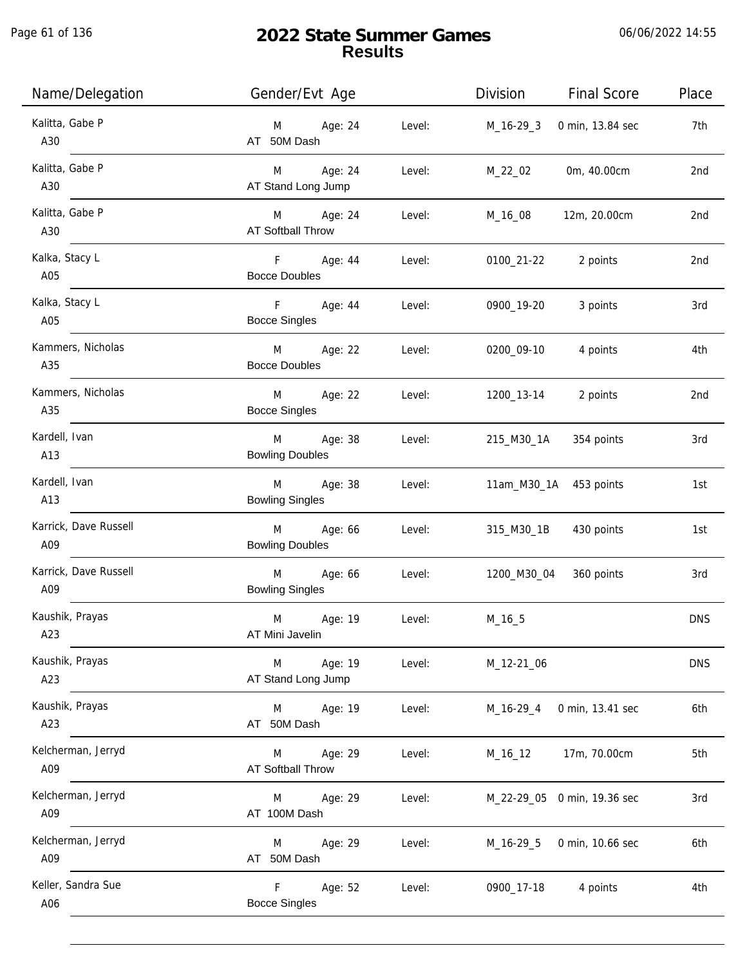Page 61 of 136

j.

| Name/Delegation              | Gender/Evt Age                                        |        | Division    | <b>Final Score</b>          | Place           |
|------------------------------|-------------------------------------------------------|--------|-------------|-----------------------------|-----------------|
| Kalitta, Gabe P<br>A30       | M Age: 24<br>AT 50M Dash                              | Level: | M_16-29_3   | 0 min, 13.84 sec            | 7th             |
| Kalitta, Gabe P<br>A30       | M Age: 24<br>AT Stand Long Jump                       | Level: | M_22_02     | 0m, 40.00cm                 | 2nd             |
| Kalitta, Gabe P<br>A30       | M Age: 24<br><b>AT Softball Throw</b>                 | Level: | M_16_08     | 12m, 20.00cm                | 2nd             |
| Kalka, Stacy L<br>A05        | F Age: 44<br><b>Bocce Doubles</b>                     | Level: | 0100_21-22  | 2 points                    | 2nd             |
| Kalka, Stacy L<br>A05        | F Age: 44<br><b>Bocce Singles</b>                     | Level: | 0900_19-20  | 3 points                    | 3rd             |
| Kammers, Nicholas<br>A35     | M Age: 22<br><b>Bocce Doubles</b>                     | Level: | 0200_09-10  | 4 points                    | 4th             |
| Kammers, Nicholas<br>A35     | M Age: 22<br><b>Bocce Singles</b>                     | Level: |             | 1200_13-14 2 points         | 2 <sub>nd</sub> |
| Kardell, Ivan<br>A13         | M <sub>1</sub><br>Age: 38<br><b>Bowling Doubles</b>   | Level: | 215_M30_1A  | 354 points                  | 3rd             |
| Kardell, Ivan<br>A13         | Age: 38<br>M<br><b>Bowling Singles</b>                | Level: |             | 11am_M30_1A 453 points      | 1st             |
| Karrick, Dave Russell<br>A09 | M <sub>art</sub><br>Age: 66<br><b>Bowling Doubles</b> | Level: | 315_M30_1B  | 430 points                  | 1st             |
| Karrick, Dave Russell<br>A09 | $M \sim 1$<br>Age: 66<br><b>Bowling Singles</b>       | Level: | 1200_M30_04 | 360 points                  | 3rd             |
| Kaushik, Prayas<br>A23       | M<br>Age: 19<br>AT Mini Javelin                       | Level: | $M_16_5$    |                             | <b>DNS</b>      |
| Kaushik, Prayas<br>A23       | Age: 19<br>M<br>AT Stand Long Jump                    | Level: | M_12-21_06  |                             | <b>DNS</b>      |
| Kaushik, Prayas<br>A23       | M<br>Age: 19<br>AT 50M Dash                           | Level: | M_16-29_4   | 0 min, 13.41 sec            | 6th             |
| Kelcherman, Jerryd<br>A09    | Age: 29<br>M<br>AT Softball Throw                     | Level: | M_16_12     | 17m, 70.00cm                | 5th             |
| Kelcherman, Jerryd<br>A09    | Age: 29<br>M<br>AT 100M Dash                          | Level: |             | M_22-29_05 0 min, 19.36 sec | 3rd             |
| Kelcherman, Jerryd<br>A09    | Age: 29<br>M<br>AT 50M Dash                           | Level: | M_16-29_5   | 0 min, 10.66 sec            | 6th             |
| Keller, Sandra Sue<br>A06    | Age: 52<br>F.<br><b>Bocce Singles</b>                 | Level: | 0900_17-18  | 4 points                    | 4th             |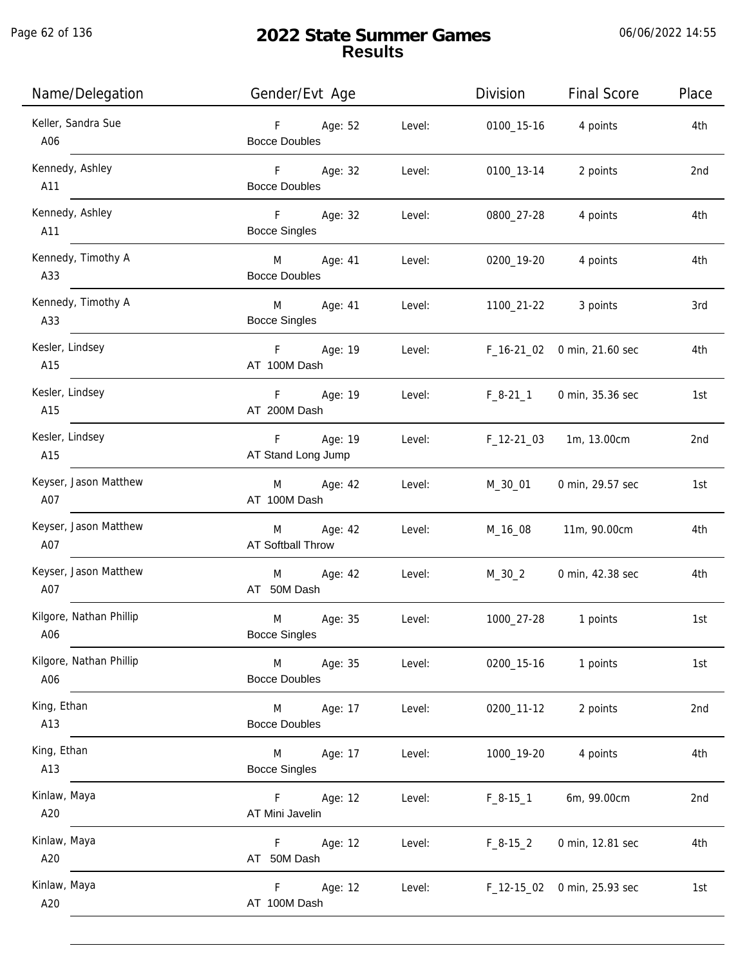Page 62 of 136

j.

| Name/Delegation                | Gender/Evt Age                                     |        | Division   | <b>Final Score</b>          | Place |
|--------------------------------|----------------------------------------------------|--------|------------|-----------------------------|-------|
| Keller, Sandra Sue<br>A06      | F Age: 52<br><b>Bocce Doubles</b>                  | Level: |            | 0100_15-16 4 points         | 4th   |
| Kennedy, Ashley<br>A11         | F Age: 32<br><b>Bocce Doubles</b>                  | Level: | 0100_13-14 | 2 points                    | 2nd   |
| Kennedy, Ashley<br>A11         | $F = 1$<br>Age: 32<br><b>Bocce Singles</b>         | Level: | 0800_27-28 | 4 points                    | 4th   |
| Kennedy, Timothy A<br>A33      | M Age: 41<br><b>Bocce Doubles</b>                  | Level: | 0200_19-20 | 4 points                    | 4th   |
| Kennedy, Timothy A<br>A33      | M <sub>ar</sub><br>Age: 41<br><b>Bocce Singles</b> | Level: |            | 1100_21-22 3 points         | 3rd   |
| Kesler, Lindsey<br>A15         | F Age: 19<br>AT 100M Dash                          | Level: |            | F_16-21_02 0 min, 21.60 sec | 4th   |
| Kesler, Lindsey<br>A15         | F Age: 19<br>AT 200M Dash                          | Level: | F_8-21_1   | 0 min, 35.36 sec            | 1st   |
| Kesler, Lindsey<br>A15         | F Age: 19<br>AT Stand Long Jump                    | Level: | F_12-21_03 | 1m, 13.00cm                 | 2nd   |
| Keyser, Jason Matthew<br>A07   | M Age: 42<br>AT 100M Dash                          | Level: | M_30_01    | 0 min, 29.57 sec            | 1st   |
| Keyser, Jason Matthew<br>A07   | M Age: 42<br>AT Softball Throw                     | Level: | M_16_08    | 11m, 90.00cm                | 4th   |
| Keyser, Jason Matthew<br>A07   | Age: 42<br>M <sub>ar</sub><br>AT 50M Dash          | Level: | $M_30_2$   | 0 min, 42.38 sec            | 4th   |
| Kilgore, Nathan Phillip<br>A06 | M<br>Age: 35<br><b>Bocce Singles</b>               | Level: |            | 1000_27-28 1 points         | 1st   |
| Kilgore, Nathan Phillip<br>A06 | M<br>Age: 35<br><b>Bocce Doubles</b>               | Level: | 0200_15-16 | 1 points                    | 1st   |
| King, Ethan<br>A13             | <b>M</b><br>Age: 17<br><b>Bocce Doubles</b>        | Level: | 0200_11-12 | 2 points                    | 2nd   |
| King, Ethan<br>A13             | <b>M</b><br>Age: 17<br><b>Bocce Singles</b>        | Level: | 1000_19-20 | 4 points                    | 4th   |
| Kinlaw, Maya<br>A20            | F<br>Age: 12<br>AT Mini Javelin                    | Level: | $F_8-15-1$ | 6m, 99.00cm                 | 2nd   |
| Kinlaw, Maya<br>A20            | Age: 12<br>F.<br>AT 50M Dash                       | Level: | $F_8-15_2$ | 0 min, 12.81 sec            | 4th   |
| Kinlaw, Maya<br>A20            | Age: 12<br>F.<br>AT 100M Dash                      | Level: |            | F_12-15_02 0 min, 25.93 sec | 1st   |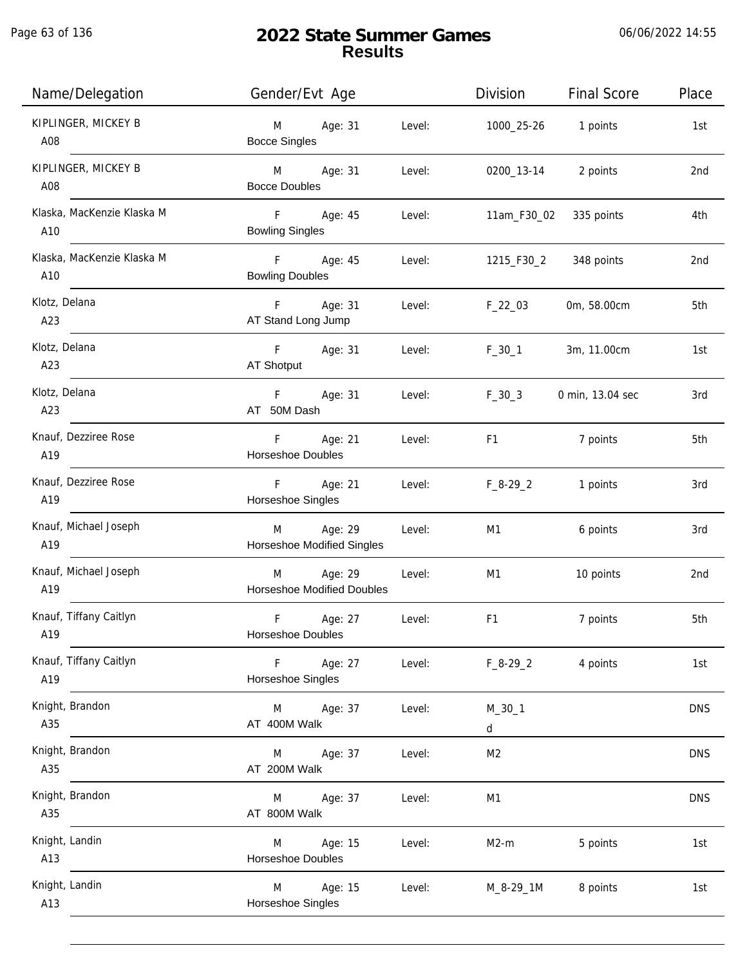Page 63 of 136

j.

| Name/Delegation                   | Gender/Evt Age                                 |        | Division            | <b>Final Score</b> | Place      |
|-----------------------------------|------------------------------------------------|--------|---------------------|--------------------|------------|
| KIPLINGER, MICKEY B<br>A08        | Age: 31<br>M<br><b>Bocce Singles</b>           | Level: | 1000_25-26 1 points |                    | 1st        |
| KIPLINGER, MICKEY B<br>A08        | <b>M</b><br>Age: 31<br><b>Bocce Doubles</b>    | Level: | 0200_13-14          | 2 points           | 2nd        |
| Klaska, MacKenzie Klaska M<br>A10 | F Age: 45<br><b>Bowling Singles</b>            | Level: | 11am_F30_02         | 335 points         | 4th        |
| Klaska, MacKenzie Klaska M<br>A10 | F Age: 45<br><b>Bowling Doubles</b>            | Level: | 1215_F30_2          | 348 points         | 2nd        |
| Klotz, Delana<br>A23              | F Age: 31<br>AT Stand Long Jump                | Level: | $F_22_03$           | 0m, 58.00cm        | 5th        |
| Klotz, Delana<br>A23              | F Age: 31<br>AT Shotput                        | Level: | $F_30_1$            | 3m, 11.00cm        | 1st        |
| Klotz, Delana<br>A23              | F<br>Age: 31<br>AT 50M Dash                    | Level: | $F_30_3$            | 0 min, 13.04 sec   | 3rd        |
| Knauf, Dezziree Rose<br>A19       | F<br>Age: 21<br>Horseshoe Doubles              | Level: | F <sub>1</sub>      | 7 points           | 5th        |
| Knauf, Dezziree Rose<br>A19       | F Age: 21<br>Horseshoe Singles                 | Level: | $F_8-29_2$          | 1 points           | 3rd        |
| Knauf, Michael Joseph<br>A19      | Age: 29<br>M<br>Horseshoe Modified Singles     | Level: | M1                  | 6 points           | 3rd        |
| Knauf, Michael Joseph<br>A19      | M Age: 29<br><b>Horseshoe Modified Doubles</b> | Level: | M1                  | 10 points          | 2nd        |
| Knauf, Tiffany Caitlyn<br>A19     | F<br>Age: 27<br>Horseshoe Doubles              | Level: | F <sub>1</sub>      | 7 points           | 5th        |
| Knauf, Tiffany Caitlyn<br>A19     | F<br>Age: 27<br>Horseshoe Singles              | Level: | $F_8-29_2$          | 4 points           | 1st        |
| Knight, Brandon<br>A35            | M<br>Age: 37<br>AT 400M Walk                   | Level: | $M_30_1$<br>d       |                    | <b>DNS</b> |
| Knight, Brandon<br>A35            | Age: 37<br>M<br>AT 200M Walk                   | Level: | M <sub>2</sub>      |                    | <b>DNS</b> |
| Knight, Brandon<br>A35            | Age: 37<br>M<br>AT 800M Walk                   | Level: | M <sub>1</sub>      |                    | <b>DNS</b> |
| Knight, Landin<br>A13             | Age: 15<br>M<br>Horseshoe Doubles              | Level: | $M2-m$              | 5 points           | 1st        |
| Knight, Landin<br>A13             | Age: 15<br>M<br>Horseshoe Singles              | Level: | M_8-29_1M           | 8 points           | 1st        |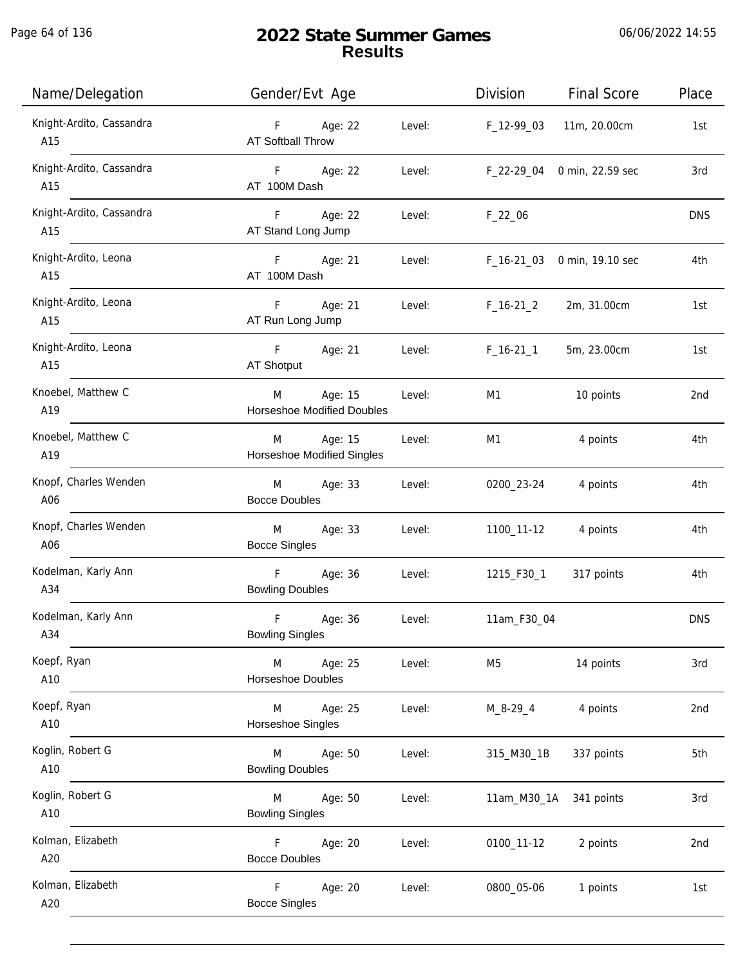| Name/Delegation                 | Gender/Evt Age                                              | Division<br><b>Final Score</b>        | Place      |
|---------------------------------|-------------------------------------------------------------|---------------------------------------|------------|
| Knight-Ardito, Cassandra<br>A15 | F Age: 22<br>Level:<br><b>AT Softball Throw</b>             | F_12-99_03<br>11m, 20.00cm            | 1st        |
| Knight-Ardito, Cassandra<br>A15 | F Age: 22<br>Level:<br>AT 100M Dash                         | F_22-29_04 0 min, 22.59 sec           | 3rd        |
| Knight-Ardito, Cassandra<br>A15 | F Age: 22<br>Level:<br>AT Stand Long Jump                   | $F_22_06$                             | <b>DNS</b> |
| Knight-Ardito, Leona<br>A15     | F Age: 21<br>AT 100M Dash                                   | Level:<br>F_16-21_03 0 min, 19.10 sec | 4th        |
| Knight-Ardito, Leona<br>A15     | F<br>Age: 21<br>Level:<br>AT Run Long Jump                  | $F_16-21_2$<br>2m, 31.00cm            | 1st        |
| Knight-Ardito, Leona<br>A15     | F Age: 21 Level:<br>AT Shotput                              | $F_16-21_1$<br>5m, 23.00cm            | 1st        |
| Knoebel, Matthew C<br>A19       | M<br>Age: 15<br>Level:<br><b>Horseshoe Modified Doubles</b> | M1<br>10 points                       | 2nd        |
| Knoebel, Matthew C<br>A19       | Age: 15<br>Level:<br>M<br><b>Horseshoe Modified Singles</b> | M1<br>4 points                        | 4th        |
| Knopf, Charles Wenden<br>A06    | M Age: 33<br>Level:<br><b>Bocce Doubles</b>                 | 0200_23-24<br>4 points                | 4th        |
| Knopf, Charles Wenden<br>A06    | M<br>Age: 33<br>Level:<br><b>Bocce Singles</b>              | 1100_11-12<br>4 points                | 4th        |
| Kodelman, Karly Ann<br>A34      | F<br>Age: 36<br>Level:<br><b>Bowling Doubles</b>            | 1215_F30_1<br>317 points              | 4th        |
| Kodelman, Karly Ann<br>A34      | F<br>Age: 36<br>Level:<br><b>Bowling Singles</b>            | 11am_F30_04                           | <b>DNS</b> |
| Koepf, Ryan<br>A10              | Age: 25<br>M<br>Level:<br>Horseshoe Doubles                 | 14 points<br>M5                       | 3rd        |
| Koepf, Ryan<br>A10              | Age: 25<br>M<br>Level:<br>Horseshoe Singles                 | 4 points<br>M_8-29_4                  | 2nd        |
| Koglin, Robert G<br>A10         | Age: 50<br>M<br>Level:<br><b>Bowling Doubles</b>            | 337 points<br>315_M30_1B              | 5th        |
| Koglin, Robert G<br>A10         | M<br>Age: 50<br>Level:<br><b>Bowling Singles</b>            | 11am_M30_1A<br>341 points             | 3rd        |
| Kolman, Elizabeth<br>A20        | Age: 20<br>F<br>Level:<br><b>Bocce Doubles</b>              | 0100_11-12<br>2 points                | 2nd        |
| Kolman, Elizabeth<br>A20        | F<br>Age: 20<br>Level:<br><b>Bocce Singles</b>              | 0800_05-06<br>1 points                | 1st        |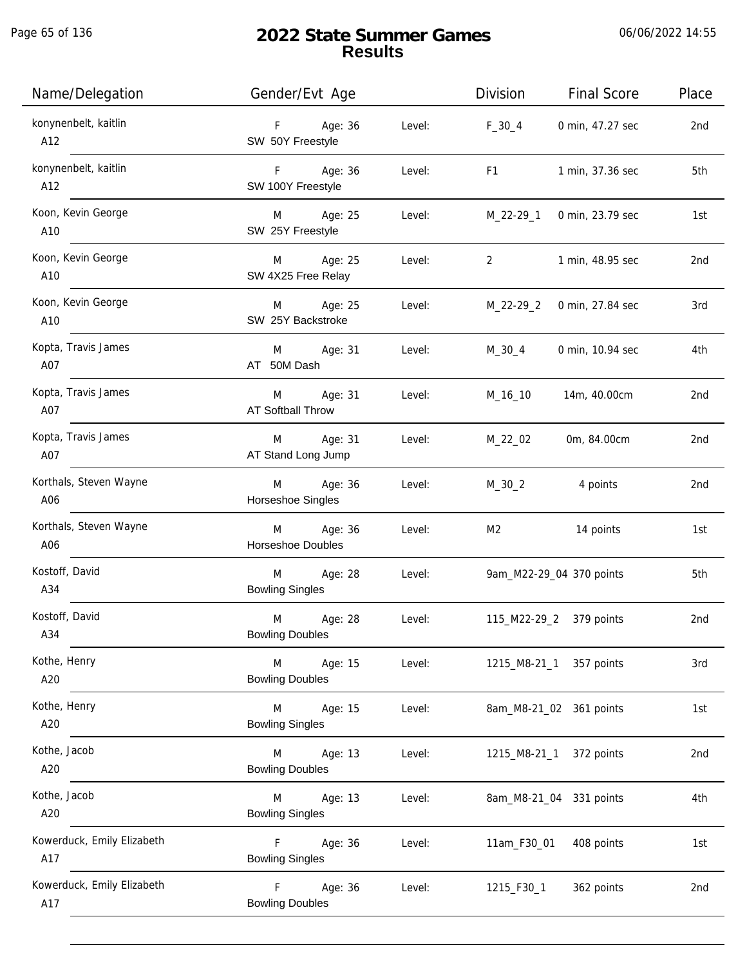| Name/Delegation                   | Gender/Evt Age                          |        | Division       | <b>Final Score</b>       | Place |
|-----------------------------------|-----------------------------------------|--------|----------------|--------------------------|-------|
| konynenbelt, kaitlin<br>A12       | Age: 36<br>F<br>SW 50Y Freestyle        | Level: | $F_30_4$       | 0 min, 47.27 sec         | 2nd   |
| konynenbelt, kaitlin<br>A12       | F Age: 36<br>SW 100Y Freestyle          | Level: | F <sub>1</sub> | 1 min, 37.36 sec         | 5th   |
| Koon, Kevin George<br>A10         | M Age: 25<br>SW 25Y Freestyle           | Level: | M_22-29_1      | 0 min, 23.79 sec         | 1st   |
| Koon, Kevin George<br>A10         | Age: 25<br>M<br>SW 4X25 Free Relay      | Level: | $\overline{2}$ | 1 min, 48.95 sec         | 2nd   |
| Koon, Kevin George<br>A10         | Age: 25<br>M<br>SW 25Y Backstroke       | Level: | M_22-29_2      | 0 min, 27.84 sec         | 3rd   |
| Kopta, Travis James<br>A07        | Age: 31<br>M<br>AT 50M Dash             | Level: | $M_30_4$       | 0 min, 10.94 sec         | 4th   |
| Kopta, Travis James<br>A07        | Age: 31<br>M<br>AT Softball Throw       | Level: | M_16_10        | 14m, 40.00cm             | 2nd   |
| Kopta, Travis James<br>A07        | Age: 31<br>M<br>AT Stand Long Jump      | Level: | M_22_02        | 0m, 84.00cm              | 2nd   |
| Korthals, Steven Wayne<br>A06     | Age: 36<br>M<br>Horseshoe Singles       | Level: | $M_30_2$       | 4 points                 | 2nd   |
| Korthals, Steven Wayne<br>A06     | Age: 36<br>M<br>Horseshoe Doubles       | Level: | M2             | 14 points                | 1st   |
| Kostoff, David<br>A34             | Age: 28<br>M<br><b>Bowling Singles</b>  | Level: |                | 9am_M22-29_04 370 points | 5th   |
| Kostoff, David<br>A34             | M<br>Age: 28<br><b>Bowling Doubles</b>  | Level: |                | 115_M22-29_2 379 points  | 2nd   |
| Kothe, Henry<br>A20               | M<br>Age: 15<br><b>Bowling Doubles</b>  | Level: | 1215_M8-21_1   | 357 points               | 3rd   |
| Kothe, Henry<br>A20               | M<br>Age: 15<br><b>Bowling Singles</b>  | Level: |                | 8am_M8-21_02 361 points  | 1st   |
| Kothe, Jacob<br>A20               | Age: 13<br>M<br><b>Bowling Doubles</b>  | Level: |                | 1215_M8-21_1 372 points  | 2nd   |
| Kothe, Jacob<br>A20               | Age: 13<br>M<br><b>Bowling Singles</b>  | Level: |                | 8am_M8-21_04 331 points  | 4th   |
| Kowerduck, Emily Elizabeth<br>A17 | F.<br>Age: 36<br><b>Bowling Singles</b> | Level: | 11am_F30_01    | 408 points               | 1st   |
| Kowerduck, Emily Elizabeth<br>A17 | F<br>Age: 36<br><b>Bowling Doubles</b>  | Level: | 1215_F30_1     | 362 points               | 2nd   |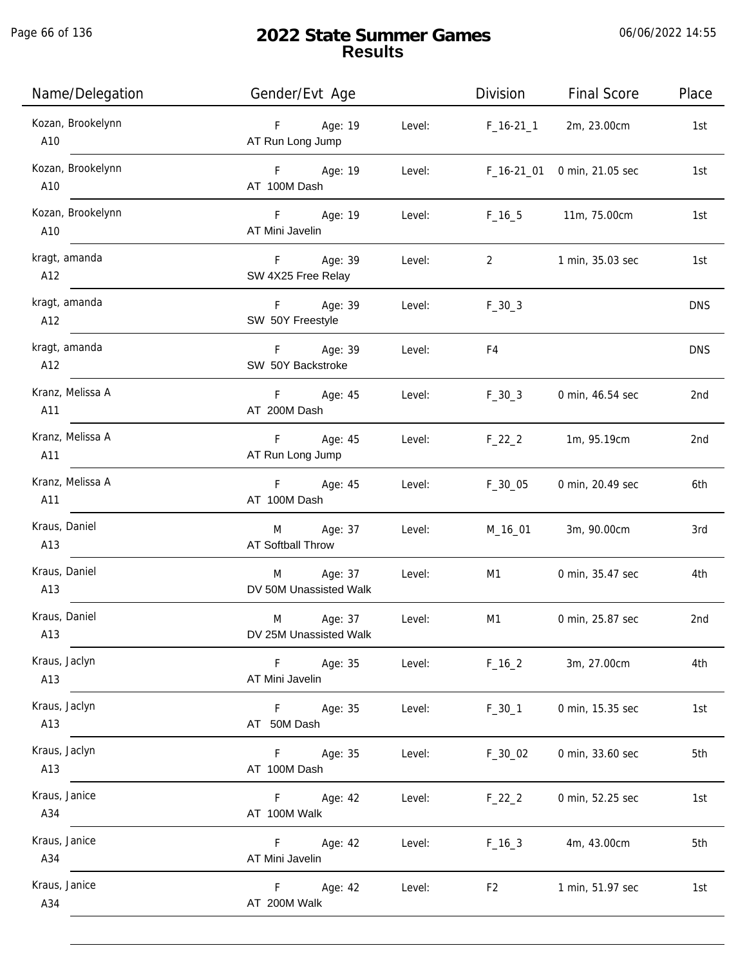Page 66 of 136

| Name/Delegation          | Gender/Evt Age                                   | Division         | <b>Final Score</b> | Place      |
|--------------------------|--------------------------------------------------|------------------|--------------------|------------|
| Kozan, Brookelynn<br>A10 | F Age: 19<br>AT Run Long Jump                    | Level: F_16-21_1 | 2m, 23.00cm        | 1st        |
| Kozan, Brookelynn<br>A10 | F Age: 19<br>Level:<br>AT 100M Dash              | F_16-21_01       | 0 min, 21.05 sec   | 1st        |
| Kozan, Brookelynn<br>A10 | F<br>Age: 19<br>Level:<br>AT Mini Javelin        | $F_{16\_5}$      | 11m, 75.00cm       | 1st        |
| kragt, amanda<br>A12     | F<br>Age: 39<br>Level:<br>SW 4X25 Free Relay     | $\overline{2}$   | 1 min, 35.03 sec   | 1st        |
| kragt, amanda<br>A12     | F Age: 39<br>Level:<br>SW 50Y Freestyle          | $F_30_3$         |                    | <b>DNS</b> |
| kragt, amanda<br>A12     | Age: 39<br>F.<br>Level:<br>SW 50Y Backstroke     | F4               |                    | <b>DNS</b> |
| Kranz, Melissa A<br>A11  | F Age: 45<br>Level:<br>AT 200M Dash              | $F_30_3$         | 0 min, 46.54 sec   | 2nd        |
| Kranz, Melissa A<br>A11  | F Age: 45<br>Level:<br>AT Run Long Jump          | $F_22_2$         | 1m, 95.19cm        | 2nd        |
| Kranz, Melissa A<br>A11  | F Age: 45<br>Level:<br>AT 100M Dash              | $F_30_05$        | 0 min, 20.49 sec   | 6th        |
| Kraus, Daniel<br>A13     | Age: 37<br>M<br>Level:<br>AT Softball Throw      | M_16_01          | 3m, 90.00cm        | 3rd        |
| Kraus, Daniel<br>A13     | Age: 37<br>M<br>Level:<br>DV 50M Unassisted Walk | M1               | 0 min, 35.47 sec   | 4th        |
| Kraus, Daniel<br>A13     | M<br>Age: 37<br>Level:<br>DV 25M Unassisted Walk | M1               | 0 min, 25.87 sec   | 2nd        |
| Kraus, Jaclyn<br>A13     | Age: 35<br>Level:<br>F.<br>AT Mini Javelin       | $F_16_2$         | 3m, 27.00cm        | 4th        |
| Kraus, Jaclyn<br>A13     | F.<br>Age: 35<br>Level:<br>AT 50M Dash           | $F_30_1$         | 0 min, 15.35 sec   | 1st        |
| Kraus, Jaclyn<br>A13     | Age: 35<br>Level:<br>F.<br>AT 100M Dash          | $F_30_02$        | 0 min, 33.60 sec   | 5th        |
| Kraus, Janice<br>A34     | F.<br>Age: 42<br>Level:<br>AT 100M Walk          | $F_22_2$         | 0 min, 52.25 sec   | 1st        |
| Kraus, Janice<br>A34     | F.<br>Age: 42<br>Level:<br>AT Mini Javelin       | $F_16_3$         | 4m, 43.00cm        | 5th        |
| Kraus, Janice<br>A34     | F.<br>Age: 42<br>Level:<br>AT 200M Walk          | F <sub>2</sub>   | 1 min, 51.97 sec   | 1st        |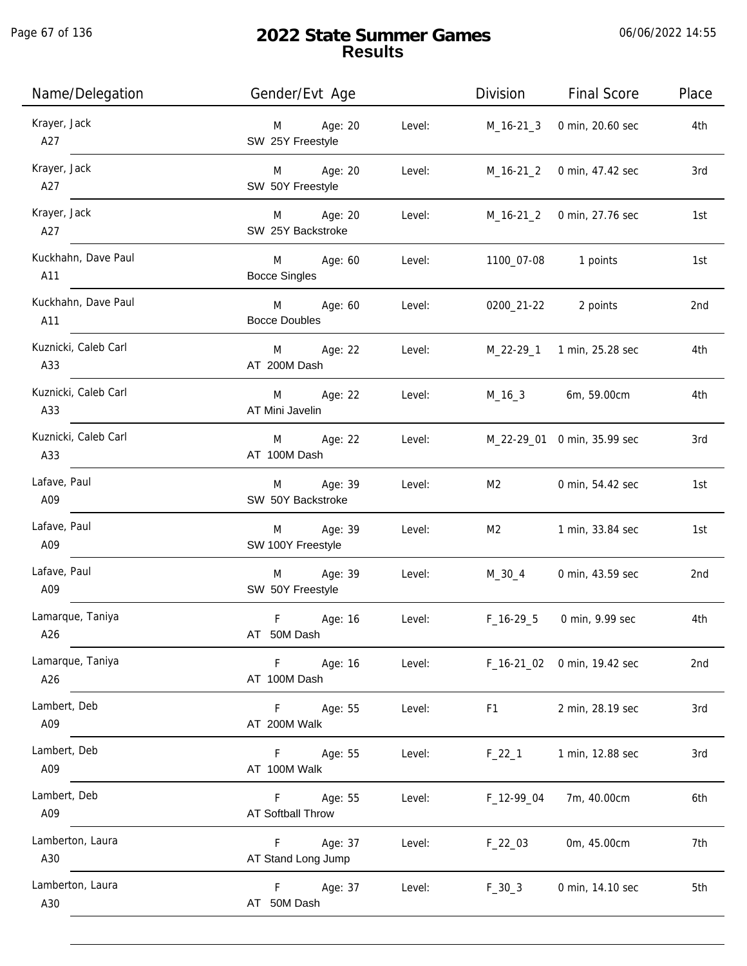| Name/Delegation             | Gender/Evt Age                                       | Division                              | <b>Final Score</b><br>Place |
|-----------------------------|------------------------------------------------------|---------------------------------------|-----------------------------|
| Krayer, Jack<br>A27         | Age: 20<br>M<br>SW 25Y Freestyle                     | Level:<br>M_16-21_3                   | 0 min, 20.60 sec<br>4th     |
| Krayer, Jack<br>A27         | M Age: 20<br>SW 50Y Freestyle                        | Level:<br>M_16-21_2 0 min, 47.42 sec  | 3rd                         |
| Krayer, Jack<br>A27         | M Age: 20<br>SW 25Y Backstroke                       | Level:<br>M_16-21_2 0 min, 27.76 sec  | 1st                         |
| Kuckhahn, Dave Paul<br>A11  | M Age: 60<br>Level:<br><b>Bocce Singles</b>          | 1100_07-08 1 points                   | 1st                         |
| Kuckhahn, Dave Paul<br>A11  | M Age: 60<br>Level:<br><b>Bocce Doubles</b>          | 0200_21-22 2 points                   | 2nd                         |
| Kuznicki, Caleb Carl<br>A33 | M Age: 22<br>AT 200M Dash                            | Level: M_22-29_1 1 min, 25.28 sec     | 4th                         |
| Kuznicki, Caleb Carl<br>A33 | M Age: 22<br>AT Mini Javelin                         | Level: M_16_3 6m, 59.00cm             | 4th                         |
| Kuznicki, Caleb Carl<br>A33 | M Age: 22<br>AT 100M Dash                            | M_22-29_01 0 min, 35.99 sec<br>Level: | 3rd                         |
| Lafave, Paul<br>A09         | M Age: 39<br>Level:<br>SW 50Y Backstroke             | M2                                    | 0 min, 54.42 sec<br>1st     |
| Lafave, Paul<br>A09         | M Age: 39<br>Level:<br>SW 100Y Freestyle             | M2                                    | 1 min, 33.84 sec<br>1st     |
| Lafave, Paul<br>A09         | M Age: 39<br>Level:<br>SW 50Y Freestyle              | M_30_4 0 min, 43.59 sec               | 2nd                         |
| Lamarque, Taniya<br>A26     | F<br>Age: 16<br>Level:<br>AT 50M Dash                | F_16-29_5                             | 0 min, 9.99 sec<br>4th      |
| Lamarque, Taniya<br>A26     | Age: 16<br>Level:<br>F<br>AT 100M Dash               | F_16-21_02 0 min, 19.42 sec           | 2nd                         |
| Lambert, Deb<br>A09         | Age: 55<br>Level:<br>F <sub>12</sub><br>AT 200M Walk | F <sub>1</sub>                        | 3rd<br>2 min, 28.19 sec     |
| Lambert, Deb<br>A09         | Level:<br>F.<br>Age: 55<br>AT 100M Walk              | $F_22_1$                              | 1 min, 12.88 sec<br>3rd     |
| Lambert, Deb<br>A09         | Age: 55<br>Level:<br>F.<br>AT Softball Throw         | F_12-99_04                            | 7m, 40.00cm<br>6th          |
| Lamberton, Laura<br>A30     | Age: 37<br>F.<br>Level:<br>AT Stand Long Jump        | $F_22_03$                             | 0m, 45.00cm<br>7th          |
| Lamberton, Laura<br>A30     | F<br>Age: 37<br>Level:<br>AT 50M Dash                | $F_30_3$                              | 5th<br>0 min, 14.10 sec     |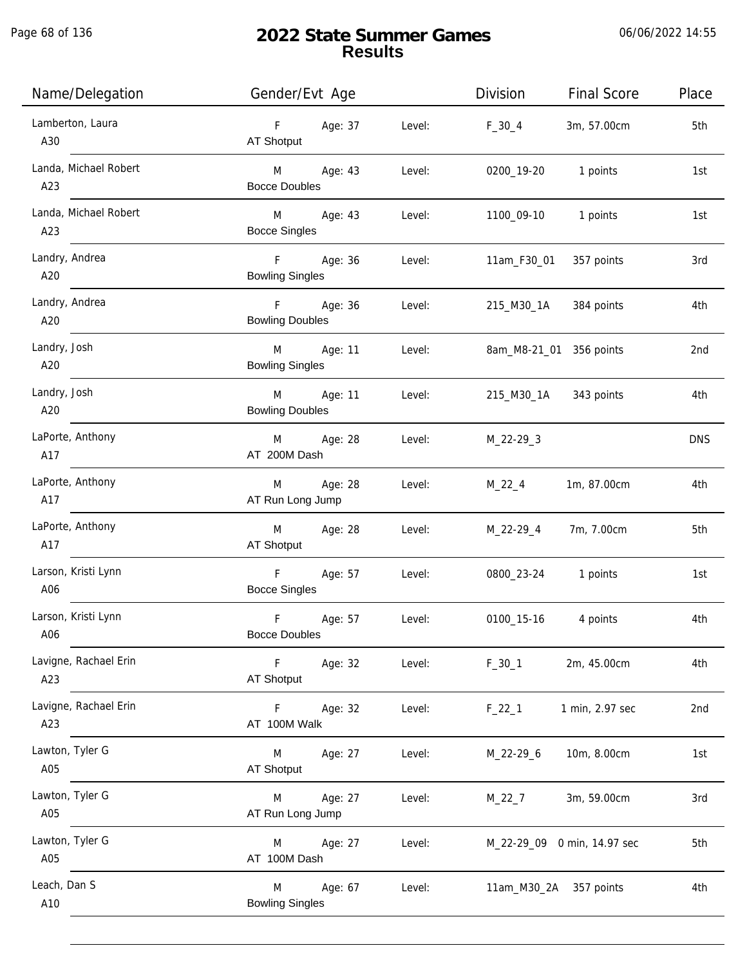Page 68 of 136

j.

| Name/Delegation              | Gender/Evt Age                                       |        | Division                | <b>Final Score</b>          | Place      |
|------------------------------|------------------------------------------------------|--------|-------------------------|-----------------------------|------------|
| Lamberton, Laura<br>A30      | Age: 37<br>F<br>AT Shotput                           | Level: | $F_30_4$                | 3m, 57.00cm                 | 5th        |
| Landa, Michael Robert<br>A23 | <b>M</b><br>Age: 43<br><b>Bocce Doubles</b>          | Level: | 0200_19-20              | 1 points                    | 1st        |
| Landa, Michael Robert<br>A23 | M <sub>art</sub><br>Age: 43<br><b>Bocce Singles</b>  | Level: | 1100_09-10              | 1 points                    | 1st        |
| Landry, Andrea<br>A20        | F <sub>12</sub><br>Age: 36<br><b>Bowling Singles</b> | Level: | 11am_F30_01             | 357 points                  | 3rd        |
| Landry, Andrea<br>A20        | $F =$<br>Age: 36<br><b>Bowling Doubles</b>           | Level: | 215_M30_1A              | 384 points                  | 4th        |
| Landry, Josh<br>A20          | M<br>Age: 11<br><b>Bowling Singles</b>               | Level: | 8am_M8-21_01 356 points |                             | 2nd        |
| Landry, Josh<br>A20          | M<br>Age: 11<br><b>Bowling Doubles</b>               | Level: | 215_M30_1A              | 343 points                  | 4th        |
| LaPorte, Anthony<br>A17      | Age: 28<br>M<br>AT 200M Dash                         | Level: | $M_22-29-3$             |                             | <b>DNS</b> |
| LaPorte, Anthony<br>A17      | Age: 28<br>M<br>AT Run Long Jump                     | Level: | $M_22_4$                | 1m, 87.00cm                 | 4th        |
| LaPorte, Anthony<br>A17      | M<br>Age: 28<br>AT Shotput                           | Level: | M_22-29_4               | 7m, 7.00cm                  | 5th        |
| Larson, Kristi Lynn<br>A06   | F<br>Age: 57<br><b>Bocce Singles</b>                 | Level: | 0800_23-24              | 1 points                    | 1st        |
| Larson, Kristi Lynn<br>A06   | $\mathsf F$<br>Age: 57<br><b>Bocce Doubles</b>       | Level: | 0100_15-16              | 4 points                    | 4th        |
| Lavigne, Rachael Erin<br>A23 | $\mathsf F$<br>Age: 32<br><b>AT Shotput</b>          | Level: | $F_30_1$                | 2m, 45.00cm                 | 4th        |
| Lavigne, Rachael Erin<br>A23 | Age: 32<br>F.<br>AT 100M Walk                        | Level: | $F_22_1$                | 1 min, 2.97 sec             | 2nd        |
| Lawton, Tyler G<br>A05       | M<br>Age: 27<br><b>AT Shotput</b>                    | Level: | M_22-29_6               | 10m, 8.00cm                 | 1st        |
| Lawton, Tyler G<br>A05       | Age: 27<br>M<br>AT Run Long Jump                     | Level: | $M_22_7$                | 3m, 59.00cm                 | 3rd        |
| Lawton, Tyler G<br>A05       | Age: 27<br>M<br>AT 100M Dash                         | Level: |                         | M_22-29_09 0 min, 14.97 sec | 5th        |
| Leach, Dan S<br>A10          | M<br>Age: 67<br><b>Bowling Singles</b>               | Level: | 11am_M30_2A             | 357 points                  | 4th        |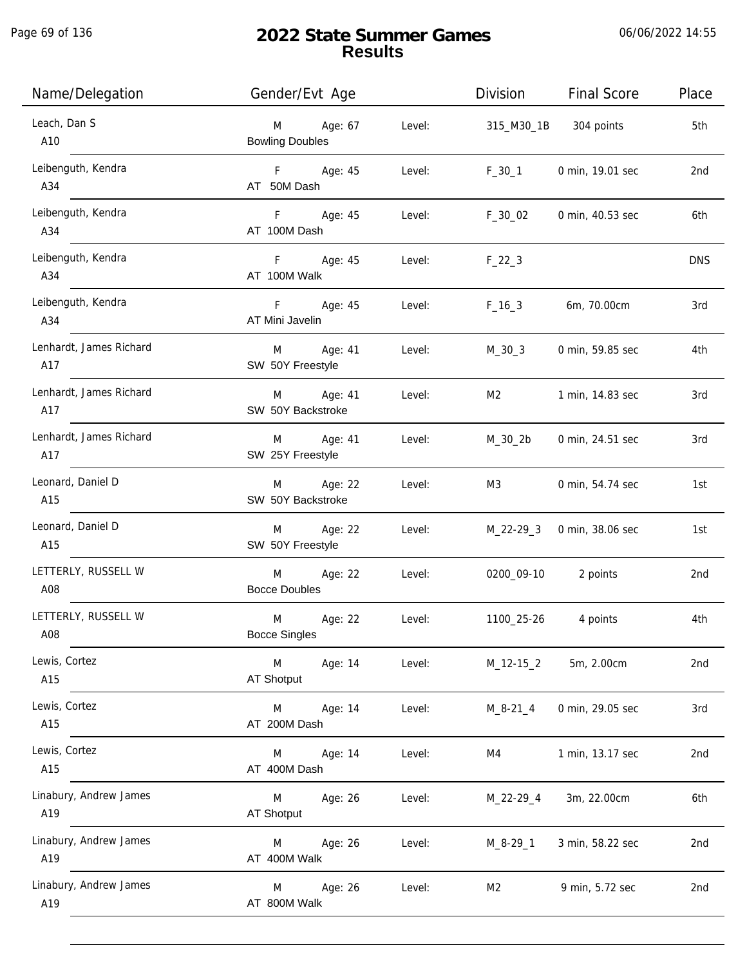Page 69 of 136

j.

| Name/Delegation                | Gender/Evt Age                         |        | Division        | <b>Final Score</b> | Place      |
|--------------------------------|----------------------------------------|--------|-----------------|--------------------|------------|
| Leach, Dan S<br>A10            | M<br>Age: 67<br><b>Bowling Doubles</b> | Level: | 315_M30_1B      | 304 points         | 5th        |
| Leibenguth, Kendra<br>A34      | F Age: 45<br>AT 50M Dash               | Level: | $F_30_1$        | 0 min, 19.01 sec   | 2nd        |
| Leibenguth, Kendra<br>A34      | F Age: 45<br>AT 100M Dash              | Level: | $F_30_02$       | 0 min, 40.53 sec   | 6th        |
| Leibenguth, Kendra<br>A34      | F Age: 45<br>AT 100M Walk              | Level: | $F_22_3$        |                    | <b>DNS</b> |
| Leibenguth, Kendra<br>A34      | F Age: 45<br>AT Mini Javelin           | Level: | $F_{16-3}$      | 6m, 70.00cm        | 3rd        |
| Lenhardt, James Richard<br>A17 | M Age: 41<br>SW 50Y Freestyle          | Level: | M_30_3          | 0 min, 59.85 sec   | 4th        |
| Lenhardt, James Richard<br>A17 | M Age: 41<br>SW 50Y Backstroke         | Level: | M2              | 1 min, 14.83 sec   | 3rd        |
| Lenhardt, James Richard<br>A17 | M<br>Age: 41<br>SW 25Y Freestyle       | Level: | M_30_2b         | 0 min, 24.51 sec   | 3rd        |
| Leonard, Daniel D<br>A15       | Age: 22<br>M<br>SW 50Y Backstroke      | Level: | M3              | 0 min, 54.74 sec   | 1st        |
| Leonard, Daniel D<br>A15       | Age: 22<br>M<br>SW 50Y Freestyle       | Level: | $M_22 - 29 - 3$ | 0 min, 38.06 sec   | 1st        |
| LETTERLY, RUSSELL W<br>A08     | M<br>Age: 22<br><b>Bocce Doubles</b>   | Level: | 0200_09-10      | 2 points           | 2nd        |
| LETTERLY, RUSSELL W<br>A08     | M<br>Age: 22<br><b>Bocce Singles</b>   | Level: | 1100_25-26      | 4 points           | 4th        |
| Lewis, Cortez<br>A15           | M<br>Age: 14<br><b>AT Shotput</b>      | Level: | $M_12-15_2$     | 5m, 2.00cm         | 2nd        |
| Lewis, Cortez<br>A15           | M<br>Age: 14<br>AT 200M Dash           | Level: | $M_8 - 21 - 4$  | 0 min, 29.05 sec   | 3rd        |
| Lewis, Cortez<br>A15           | M<br>Age: 14<br>AT 400M Dash           | Level: | M4              | 1 min, 13.17 sec   | 2nd        |
| Linabury, Andrew James<br>A19  | M<br>Age: 26<br><b>AT Shotput</b>      | Level: | M_22-29_4       | 3m, 22.00cm        | 6th        |
| Linabury, Andrew James<br>A19  | Age: 26<br>M<br>AT 400M Walk           | Level: | $M_8-29-1$      | 3 min, 58.22 sec   | 2nd        |
| Linabury, Andrew James<br>A19  | Age: 26<br>M<br>AT 800M Walk           | Level: | M <sub>2</sub>  | 9 min, 5.72 sec    | 2nd        |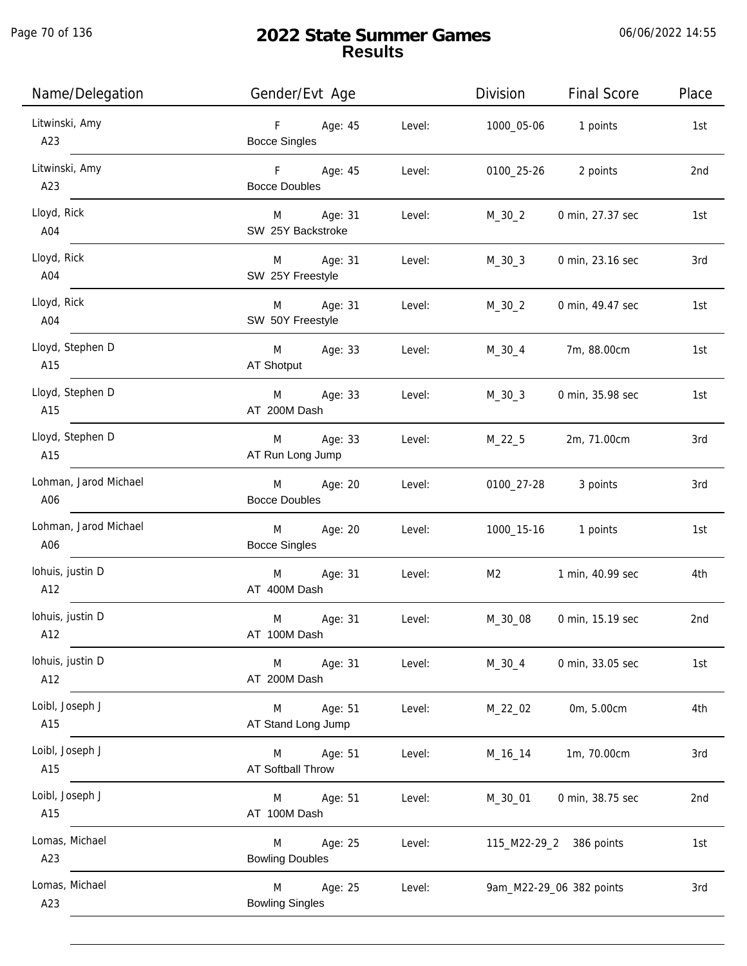| Name/Delegation              | Gender/Evt Age                         |        | Division              | <b>Final Score</b>       | Place |
|------------------------------|----------------------------------------|--------|-----------------------|--------------------------|-------|
| Litwinski, Amy<br>A23        | F Age: 45<br><b>Bocce Singles</b>      | Level: | 1000_05-06   1 points |                          | 1st   |
| Litwinski, Amy<br>A23        | F Age: 45<br><b>Bocce Doubles</b>      | Level: | 0100_25-26            | 2 points                 | 2nd   |
| Lloyd, Rick<br>A04           | M Age: 31<br>SW 25Y Backstroke         | Level: | M_30_2                | 0 min, 27.37 sec         | 1st   |
| Lloyd, Rick<br>A04           | M Age: 31<br>SW 25Y Freestyle          | Level: | $M_30_3$              | 0 min, 23.16 sec         | 3rd   |
| Lloyd, Rick<br>A04           | M Age: 31<br>SW 50Y Freestyle          | Level: | M_30_2                | 0 min, 49.47 sec         | 1st   |
| Lloyd, Stephen D<br>A15      | M Age: 33<br>AT Shotput                | Level: | M_30_4                | 7m, 88.00cm              | 1st   |
| Lloyd, Stephen D<br>A15      | M Age: 33<br>AT 200M Dash              | Level: | M_30_3                | 0 min, 35.98 sec         | 1st   |
| Lloyd, Stephen D<br>A15      | Age: 33<br>M<br>AT Run Long Jump       | Level: | M_22_5                | 2m, 71.00cm              | 3rd   |
| Lohman, Jarod Michael<br>A06 | Age: 20<br>M<br><b>Bocce Doubles</b>   | Level: |                       | 0100_27-28 3 points      | 3rd   |
| Lohman, Jarod Michael<br>A06 | M<br>Age: 20<br><b>Bocce Singles</b>   | Level: |                       | 1000_15-16   1 points    | 1st   |
| lohuis, justin D<br>A12      | Age: 31<br>M<br>AT 400M Dash           | Level: | M <sub>2</sub>        | 1 min, 40.99 sec         | 4th   |
| lohuis, justin D<br>A12      | M<br>Age: 31<br>AT 100M Dash           | Level: | M_30_08               | 0 min, 15.19 sec         | 2nd   |
| lohuis, justin D<br>A12      | Age: 31<br>M<br>AT 200M Dash           | Level: | $M_30_4$              | 0 min, 33.05 sec         | 1st   |
| Loibl, Joseph J<br>A15       | Age: 51<br>M<br>AT Stand Long Jump     | Level: | M_22_02               | 0m, 5.00cm               | 4th   |
| Loibl, Joseph J<br>A15       | Age: 51<br>M<br>AT Softball Throw      | Level: | M_16_14               | 1m, 70.00cm              | 3rd   |
| Loibl, Joseph J<br>A15       | Age: 51<br>M<br>AT 100M Dash           | Level: | M_30_01               | 0 min, 38.75 sec         | 2nd   |
| Lomas, Michael<br>A23        | Age: 25<br>M<br><b>Bowling Doubles</b> | Level: |                       | 115_M22-29_2 386 points  | 1st   |
| Lomas, Michael<br>A23        | M<br>Age: 25<br><b>Bowling Singles</b> | Level: |                       | 9am_M22-29_06 382 points | 3rd   |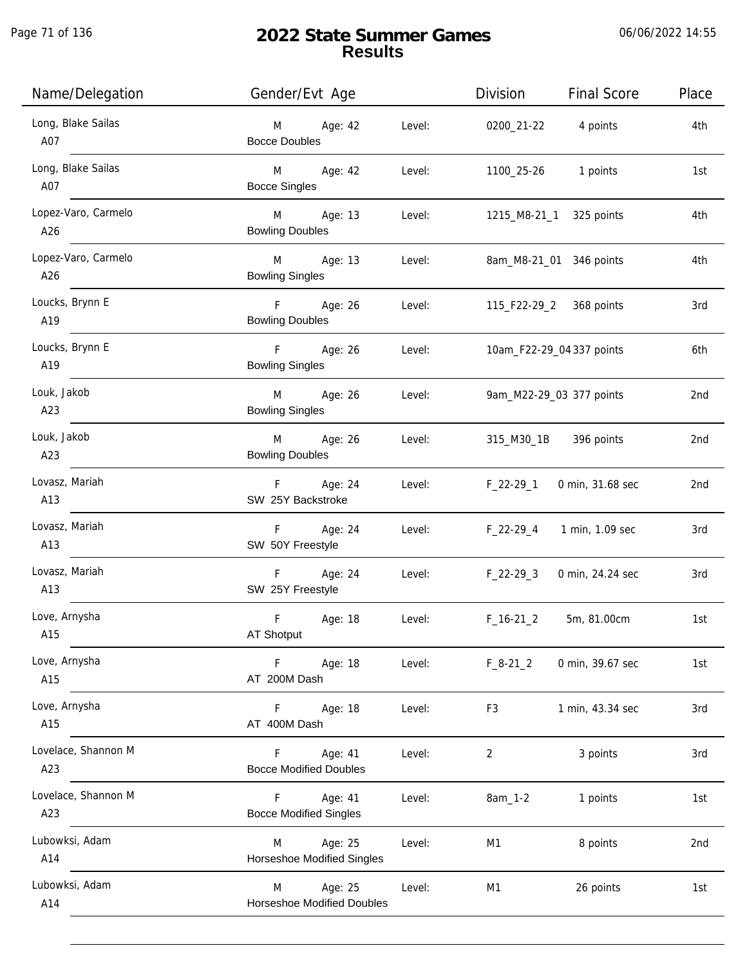Page 71 of 136

j.

| Name/Delegation            | Gender/Evt Age                                    |        | Division                | Final Score               | Place           |
|----------------------------|---------------------------------------------------|--------|-------------------------|---------------------------|-----------------|
| Long, Blake Sailas<br>A07  | M Age: 42<br><b>Bocce Doubles</b>                 | Level: | 0200_21-22 4 points     |                           | 4th             |
| Long, Blake Sailas<br>A07  | M Age: 42<br><b>Bocce Singles</b>                 | Level: | 1100_25-26 1 points     |                           | 1st             |
| Lopez-Varo, Carmelo<br>A26 | M Age: 13<br><b>Bowling Doubles</b>               | Level: |                         | 1215_M8-21_1 325 points   | 4th             |
| Lopez-Varo, Carmelo<br>A26 | M Age: 13<br><b>Bowling Singles</b>               | Level: |                         | 8am_M8-21_01 346 points   | 4th             |
| Loucks, Brynn E<br>A19     | F Age: 26<br><b>Bowling Doubles</b>               | Level: | 115_F22-29_2 368 points |                           | 3rd             |
| Loucks, Brynn E<br>A19     | F Age: 26<br><b>Bowling Singles</b>               | Level: |                         | 10am_F22-29_04 337 points | 6th             |
| Louk, Jakob<br>A23         | M Age: 26<br><b>Bowling Singles</b>               | Level: |                         | 9am_M22-29_03 377 points  | 2nd             |
| Louk, Jakob<br>A23         | M Age: 26<br><b>Bowling Doubles</b>               | Level: |                         | 315_M30_1B 396 points     | 2nd             |
| Lovasz, Mariah<br>A13      | F Age: 24<br>SW 25Y Backstroke                    | Level: | F_22-29_1               | 0 min, 31.68 sec          | 2nd             |
| Lovasz, Mariah<br>A13      | F Age: 24<br>SW 50Y Freestyle                     | Level: |                         | F_22-29_4 1 min, 1.09 sec | 3rd             |
| Lovasz, Mariah<br>A13      | F Age: 24<br>SW 25Y Freestyle                     | Level: | F_22-29_3               | 0 min, 24.24 sec          | 3rd             |
| Love, Arnysha<br>A15       | F.<br>Age: 18<br>AT Shotput                       | Level: | $F_16-21_2$             | 5m, 81.00cm               | 1st             |
| Love, Arnysha<br>A15       | F<br>Age: 18<br>AT 200M Dash                      | Level: | $F_8-21_2$              | 0 min, 39.67 sec          | 1st             |
| Love, Arnysha<br>A15       | F<br>Age: 18<br>AT 400M Dash                      | Level: | F <sub>3</sub>          | 1 min, 43.34 sec          | 3rd             |
| Lovelace, Shannon M<br>A23 | F.<br>Age: 41<br><b>Bocce Modified Doubles</b>    | Level: | 2                       | 3 points                  | 3rd             |
| Lovelace, Shannon M<br>A23 | F.<br>Age: 41<br><b>Bocce Modified Singles</b>    | Level: | 8am_1-2                 | 1 points                  | 1st             |
| Lubowksi, Adam<br>A14      | Age: 25<br>M<br>Horseshoe Modified Singles        | Level: | M1                      | 8 points                  | 2 <sub>nd</sub> |
| Lubowksi, Adam<br>A14      | Age: 25<br>M<br><b>Horseshoe Modified Doubles</b> | Level: | M1                      | 26 points                 | 1st             |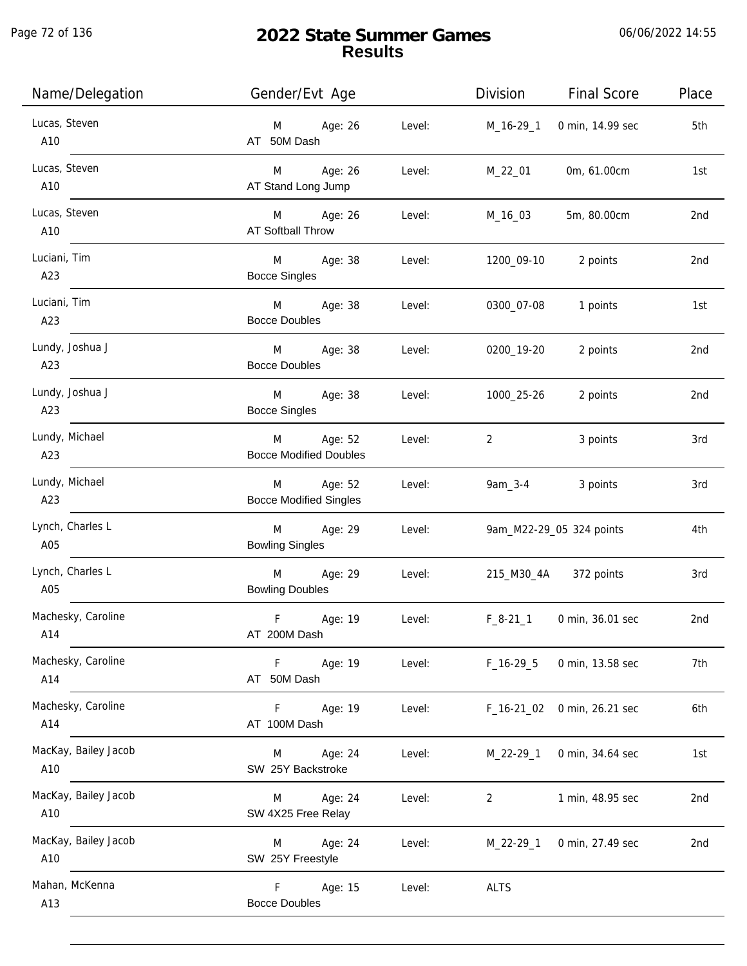j.

| Name/Delegation             | Gender/Evt Age                                          | Division<br><b>Final Score</b>     | Place           |
|-----------------------------|---------------------------------------------------------|------------------------------------|-----------------|
| Lucas, Steven<br>A10        | M Age: 26<br>Level:<br>AT 50M Dash                      | 0 min, 14.99 sec<br>M_16-29_1      | 5th             |
| Lucas, Steven<br>A10        | M Age: 26<br>Level:<br>AT Stand Long Jump               | M_22_01<br>0m, 61.00cm             | 1st             |
| Lucas, Steven<br>A10        | M Age: 26<br>Level:<br>AT Softball Throw                | 5m, 80.00cm<br>M_16_03             | 2nd             |
| Luciani, Tim<br>A23         | M Age: 38<br>Level:<br><b>Bocce Singles</b>             | 1200_09-10<br>2 points             | 2nd             |
| Luciani, Tim<br>A23         | M Age: 38<br>Level:<br><b>Bocce Doubles</b>             | 0300_07-08<br>1 points             | 1st             |
| Lundy, Joshua J<br>A23      | M Age: 38<br>Level:<br><b>Bocce Doubles</b>             | 0200_19-20<br>2 points             | 2nd             |
| Lundy, Joshua J<br>A23      | M Age: 38<br>Level:<br><b>Bocce Singles</b>             | 1000_25-26<br>2 points             | 2nd             |
| Lundy, Michael<br>A23       | Age: 52<br>Level:<br>M<br><b>Bocce Modified Doubles</b> | 3 points<br>2                      | 3rd             |
| Lundy, Michael<br>A23       | M Age: 52<br>Level:<br><b>Bocce Modified Singles</b>    | $9am_3-4$<br>3 points              | 3rd             |
| Lynch, Charles L<br>A05     | M Age: 29<br>Level:<br><b>Bowling Singles</b>           | 9am_M22-29_05 324 points           | 4th             |
| Lynch, Charles L<br>A05     | M Age: 29<br>Level:<br><b>Bowling Doubles</b>           | 215_M30_4A 372 points              | 3rd             |
| Machesky, Caroline<br>A14   | F.<br>Age: 19<br>Level:<br>AT 200M Dash                 | $F_8-21_1$<br>0 min, 36.01 sec     | 2 <sub>nd</sub> |
| Machesky, Caroline<br>A14   | Level:<br>F<br>Age: 19<br>AT 50M Dash                   | $F_16-29-5$<br>0 min, 13.58 sec    | 7th             |
| Machesky, Caroline<br>A14   | Age: 19<br>F.<br>Level:<br>AT 100M Dash                 | 0 min, 26.21 sec<br>F_16-21_02     | 6th             |
| MacKay, Bailey Jacob<br>A10 | Age: 24<br>Level:<br>M<br>SW 25Y Backstroke             | M_22-29_1<br>0 min, 34.64 sec      | 1st             |
| MacKay, Bailey Jacob<br>A10 | Age: 24<br>Level:<br>M<br>SW 4X25 Free Relay            | 1 min, 48.95 sec<br>$\overline{2}$ | 2nd             |
| MacKay, Bailey Jacob<br>A10 | Age: 24<br>Level:<br>M<br>SW 25Y Freestyle              | 0 min, 27.49 sec<br>$M_22-29-1$    | 2nd             |
| Mahan, McKenna<br>A13       | Age: 15<br>F.<br>Level:<br><b>Bocce Doubles</b>         | <b>ALTS</b>                        |                 |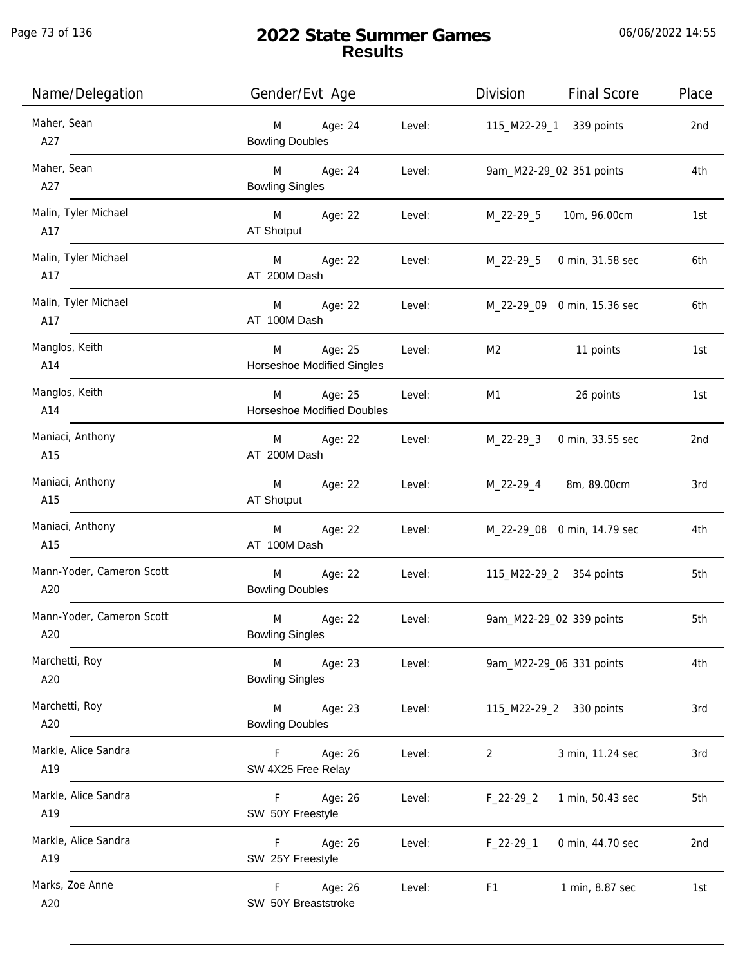j.

| Name/Delegation                  | Gender/Evt Age                                       |        | Division    | <b>Final Score</b>          | Place           |
|----------------------------------|------------------------------------------------------|--------|-------------|-----------------------------|-----------------|
| Maher, Sean<br>A27               | M<br>Age: 24<br><b>Bowling Doubles</b>               | Level: |             | 115_M22-29_1 339 points     | 2nd             |
| Maher, Sean<br>A27               | M <sub>ar</sub><br>Age: 24<br><b>Bowling Singles</b> | Level: |             | 9am_M22-29_02 351 points    | 4th             |
| Malin, Tyler Michael<br>A17      | M Age: 22<br>AT Shotput                              | Level: | M_22-29_5   | 10m, 96.00cm                | 1st             |
| Malin, Tyler Michael<br>A17      | M Age: 22<br>AT 200M Dash                            | Level: |             | M_22-29_5 0 min, 31.58 sec  | 6th             |
| Malin, Tyler Michael<br>A17      | M Age: 22<br>AT 100M Dash                            | Level: |             | M_22-29_09 0 min, 15.36 sec | 6th             |
| Manglos, Keith<br>A14            | M<br>Age: 25<br>Horseshoe Modified Singles           | Level: | M2          | 11 points                   | 1st             |
| Manglos, Keith<br>A14            | M<br>Age: 25<br><b>Horseshoe Modified Doubles</b>    | Level: | M1          | 26 points                   | 1st             |
| Maniaci, Anthony<br>A15          | M<br>Age: 22<br>AT 200M Dash                         | Level: | M_22-29_3   | 0 min, 33.55 sec            | 2 <sub>nd</sub> |
| Maniaci, Anthony<br>A15          | M<br>Age: 22<br>AT Shotput                           | Level: | M_22-29_4   | 8m, 89.00cm                 | 3rd             |
| Maniaci, Anthony<br>A15          | Age: 22<br>M<br>AT 100M Dash                         | Level: |             | M_22-29_08 0 min, 14.79 sec | 4th             |
| Mann-Yoder, Cameron Scott<br>A20 | M<br>Age: 22<br><b>Bowling Doubles</b>               | Level: |             | 115_M22-29_2 354 points     | 5th             |
| Mann-Yoder, Cameron Scott<br>A20 | Age: 22<br>M<br><b>Bowling Singles</b>               | Level: |             | 9am_M22-29_02 339 points    | 5th             |
| Marchetti, Roy<br>A20            | M<br>Age: 23<br><b>Bowling Singles</b>               | Level: |             | 9am_M22-29_06 331 points    | 4th             |
| Marchetti, Roy<br>A20            | M<br>Age: 23<br><b>Bowling Doubles</b>               | Level: |             | 115_M22-29_2 330 points     | 3rd             |
| Markle, Alice Sandra<br>A19      | Age: 26<br>F.<br>SW 4X25 Free Relay                  | Level: | 2           | 3 min, 11.24 sec            | 3rd             |
| Markle, Alice Sandra<br>A19      | F.<br>Age: 26<br>SW 50Y Freestyle                    | Level: | $F_22-29_2$ | 1 min, 50.43 sec            | 5th             |
| Markle, Alice Sandra<br>A19      | Age: 26<br>F.<br>SW 25Y Freestyle                    | Level: | $F_22-29-1$ | 0 min, 44.70 sec            | 2nd             |
| Marks, Zoe Anne<br>A20           | Age: 26<br>F.<br>SW 50Y Breaststroke                 | Level: | F1          | 1 min, 8.87 sec             | 1st             |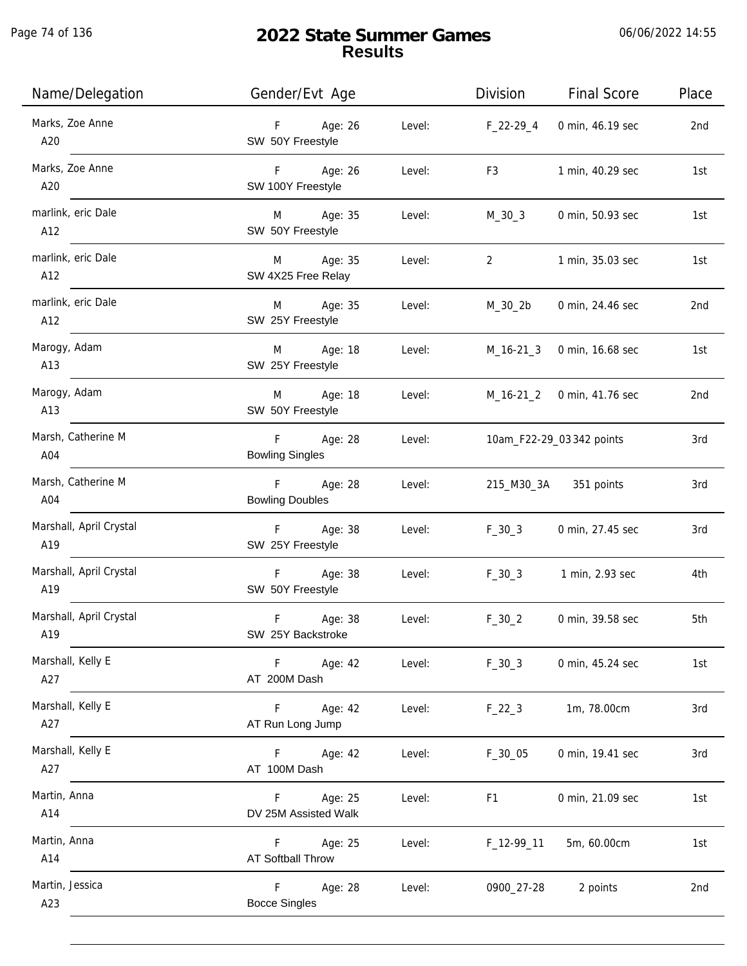Page 74 of 136

j.

| Name/Delegation                | Gender/Evt Age                                  | Division       | <b>Final Score</b>         | Place |
|--------------------------------|-------------------------------------------------|----------------|----------------------------|-------|
| Marks, Zoe Anne<br>A20         | F Age: 26<br>Level:<br>SW 50Y Freestyle         | F_22-29_4      | 0 min, 46.19 sec           | 2nd   |
| Marks, Zoe Anne<br>A20         | F Age: 26<br>Level:<br>SW 100Y Freestyle        | F <sub>3</sub> | 1 min, 40.29 sec           | 1st   |
| marlink, eric Dale<br>A12      | M Age: 35<br>Level:<br>SW 50Y Freestyle         | M_30_3         | 0 min, 50.93 sec           | 1st   |
| marlink, eric Dale<br>A12      | M Age: 35<br>Level:<br>SW 4X25 Free Relay       | $\overline{2}$ | 1 min, 35.03 sec           | 1st   |
| marlink, eric Dale<br>A12      | M Age: 35<br>Level:<br>SW 25Y Freestyle         | M_30_2b        | 0 min, 24.46 sec           | 2nd   |
| Marogy, Adam<br>A13            | M Age: 18<br>Level:<br>SW 25Y Freestyle         | M_16-21_3      | 0 min, 16.68 sec           | 1st   |
| Marogy, Adam<br>A13            | Age: 18<br>M<br>Level:<br>SW 50Y Freestyle      |                | M_16-21_2 0 min, 41.76 sec | 2nd   |
| Marsh, Catherine M<br>A04      | F Age: 28<br>Level:<br><b>Bowling Singles</b>   |                | 10am_F22-29_03 342 points  | 3rd   |
| Marsh, Catherine M<br>A04      | F Age: 28<br>Level:<br><b>Bowling Doubles</b>   | 215_M30_3A     | 351 points                 | 3rd   |
| Marshall, April Crystal<br>A19 | F Age: 38<br>Level:<br>SW 25Y Freestyle         | $F_30_3$       | 0 min, 27.45 sec           | 3rd   |
| Marshall, April Crystal<br>A19 | F Age: 38<br>Level:<br>SW 50Y Freestyle         | $F_30_3$       | 1 min, 2.93 sec            | 4th   |
| Marshall, April Crystal<br>A19 | F<br>Age: 38<br>Level:<br>SW 25Y Backstroke     | $F_30_2$       | 0 min, 39.58 sec           | 5th   |
| Marshall, Kelly E<br>A27       | F<br>Age: 42<br>Level:<br>AT 200M Dash          | $F_30_3$       | 0 min, 45.24 sec           | 1st   |
| Marshall, Kelly E<br>A27       | F.<br>Age: 42<br>Level:<br>AT Run Long Jump     | $F_22_3$       | 1m, 78.00cm                | 3rd   |
| Marshall, Kelly E<br>A27       | F.<br>Age: 42<br>Level:<br>AT 100M Dash         | $F_30_05$      | 0 min, 19.41 sec           | 3rd   |
| Martin, Anna<br>A14            | Age: 25<br>Level:<br>F.<br>DV 25M Assisted Walk | F1             | 0 min, 21.09 sec           | 1st   |
| Martin, Anna<br>A14            | F.<br>Age: 25<br>Level:<br>AT Softball Throw    | $F_12-99-11$   | 5m, 60.00cm                | 1st   |
| Martin, Jessica<br>A23         | Age: 28<br>F.<br>Level:<br><b>Bocce Singles</b> | 0900_27-28     | 2 points                   | 2nd   |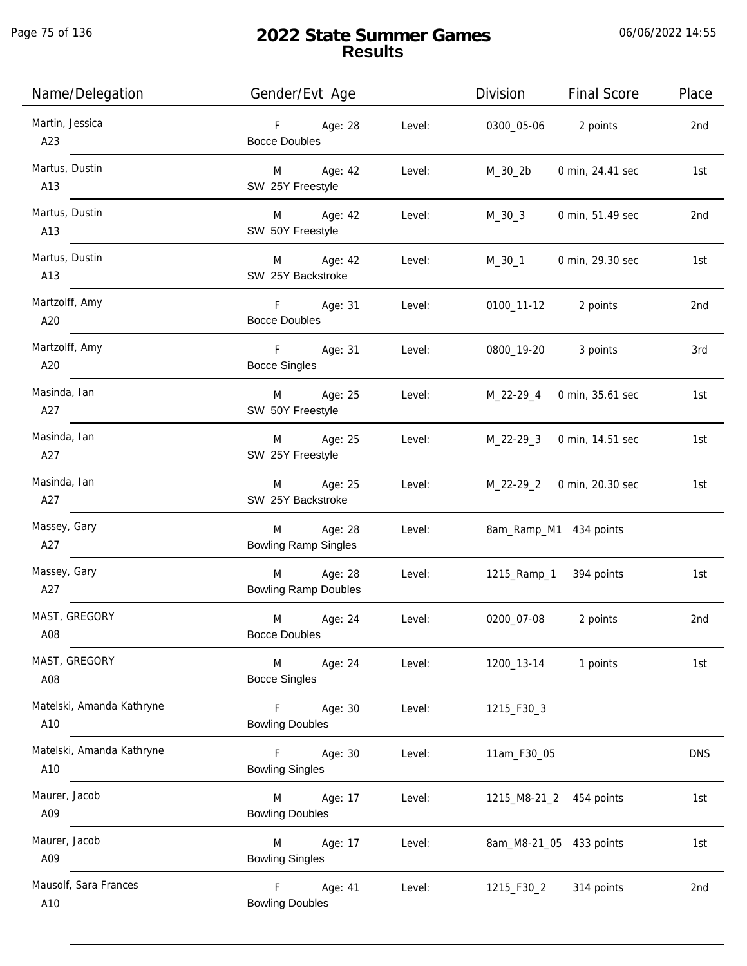Page 75 of 136

j.

| Name/Delegation                  | Gender/Evt Age                                            |        | Division    | <b>Final Score</b>         | Place      |
|----------------------------------|-----------------------------------------------------------|--------|-------------|----------------------------|------------|
| Martin, Jessica<br>A23           | F Age: 28<br><b>Bocce Doubles</b>                         | Level: |             | 0300_05-06 2 points        | 2nd        |
| Martus, Dustin<br>A13            | M Age: 42<br>SW 25Y Freestyle                             | Level: | M_30_2b     | 0 min, 24.41 sec           | 1st        |
| Martus, Dustin<br>A13            | M Age: 42<br>SW 50Y Freestyle                             | Level: | M_30_3      | 0 min, 51.49 sec           | 2nd        |
| Martus, Dustin<br>A13            | M Age: 42<br>SW 25Y Backstroke                            | Level: | M_30_1      | 0 min, 29.30 sec           | 1st        |
| Martzolff, Amy<br>A20            | F Age: 31<br><b>Bocce Doubles</b>                         | Level: |             | 0100_11-12 2 points        | 2nd        |
| Martzolff, Amy<br>A20            | F Age: 31<br><b>Bocce Singles</b>                         | Level: |             | 0800_19-20 3 points        | 3rd        |
| Masinda, Ian<br>A27              | M Age: 25<br>SW 50Y Freestyle                             | Level: |             | M_22-29_4 0 min, 35.61 sec | 1st        |
| Masinda, Ian<br>A27              | M Age: 25<br>SW 25Y Freestyle                             | Level: | M_22-29_3   | 0 min, 14.51 sec           | 1st        |
| Masinda, Ian<br>A27              | M<br>Age: 25<br>SW 25Y Backstroke                         | Level: |             | M_22-29_2 0 min, 20.30 sec | 1st        |
| Massey, Gary<br>A27              | Age: 28<br>M <sub>ar</sub><br><b>Bowling Ramp Singles</b> | Level: |             | 8am_Ramp_M1 434 points     |            |
| Massey, Gary<br>A27              | Age: 28<br>M<br><b>Bowling Ramp Doubles</b>               | Level: |             | 1215_Ramp_1 394 points     | 1st        |
| MAST, GREGORY<br>A08             | Age: 24<br>M<br><b>Bocce Doubles</b>                      | Level: | 0200_07-08  | 2 points                   | 2nd        |
| MAST, GREGORY<br>A08             | M<br>Age: 24<br><b>Bocce Singles</b>                      | Level: | 1200_13-14  | 1 points                   | 1st        |
| Matelski, Amanda Kathryne<br>A10 | F<br>Age: 30<br><b>Bowling Doubles</b>                    | Level: | 1215_F30_3  |                            |            |
| Matelski, Amanda Kathryne<br>A10 | F<br>Age: 30<br><b>Bowling Singles</b>                    | Level: | 11am_F30_05 |                            | <b>DNS</b> |
| Maurer, Jacob<br>A09             | M<br>Age: 17<br><b>Bowling Doubles</b>                    | Level: |             | 1215_M8-21_2 454 points    | 1st        |
| Maurer, Jacob<br>A09             | M<br>Age: 17<br><b>Bowling Singles</b>                    | Level: |             | 8am_M8-21_05 433 points    | 1st        |
| Mausolf, Sara Frances<br>A10     | F.<br>Age: 41<br><b>Bowling Doubles</b>                   | Level: | 1215_F30_2  | 314 points                 | 2nd        |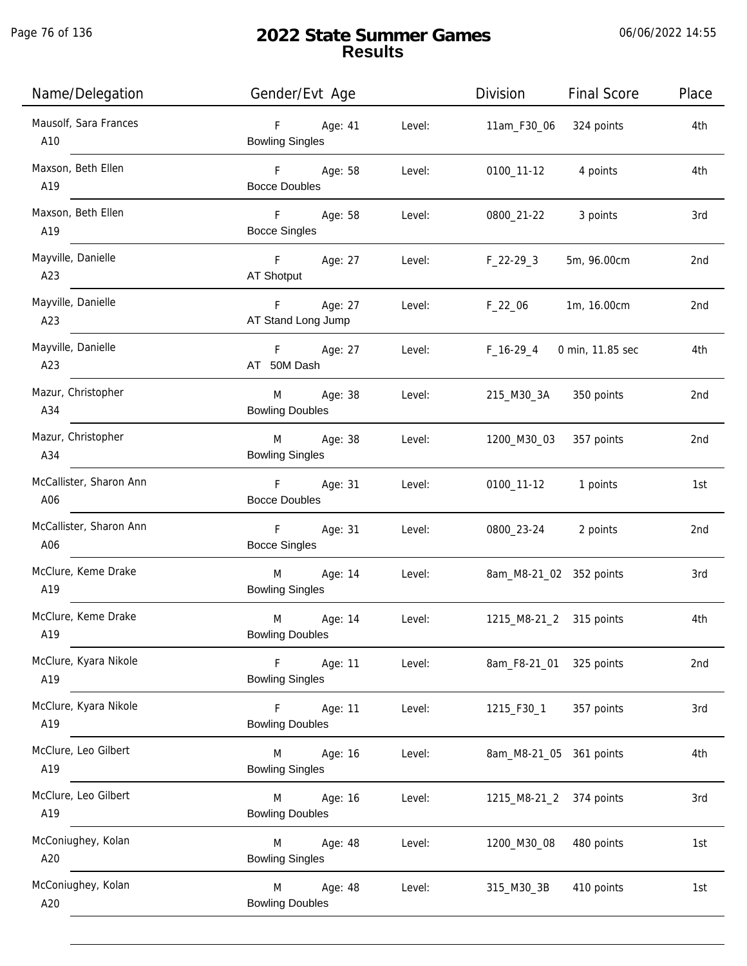Page 76 of 136

| Name/Delegation                | Gender/Evt Age                                               | Division<br><b>Final Score</b> | Place |
|--------------------------------|--------------------------------------------------------------|--------------------------------|-------|
| Mausolf, Sara Frances<br>A10   | F<br>Age: 41<br>Level:<br><b>Bowling Singles</b>             | 11am_F30_06<br>324 points      | 4th   |
| Maxson, Beth Ellen<br>A19      | F <sub>12</sub><br>Age: 58<br>Level:<br><b>Bocce Doubles</b> | 4 points<br>0100_11-12         | 4th   |
| Maxson, Beth Ellen<br>A19      | Fig. 10<br>Age: 58<br>Level:<br><b>Bocce Singles</b>         | 3 points<br>0800_21-22         | 3rd   |
| Mayville, Danielle<br>A23      | F Age: 27<br>Level:<br>AT Shotput                            | 5m, 96.00cm<br>F_22-29_3       | 2nd   |
| Mayville, Danielle<br>A23      | F<br>Age: 27<br>Level:<br>AT Stand Long Jump                 | $F_22_06$<br>1m, 16.00cm       | 2nd   |
| Mayville, Danielle<br>A23      | F Age: 27 Level:<br>AT 50M Dash                              | F_16-29_4<br>0 min, 11.85 sec  | 4th   |
| Mazur, Christopher<br>A34      | Age: 38<br>M<br>Level:<br><b>Bowling Doubles</b>             | 215_M30_3A<br>350 points       | 2nd   |
| Mazur, Christopher<br>A34      | M<br>Age: 38<br>Level:<br><b>Bowling Singles</b>             | 1200_M30_03<br>357 points      | 2nd   |
| McCallister, Sharon Ann<br>A06 | F Age: 31<br>Level:<br><b>Bocce Doubles</b>                  | 0100_11-12<br>1 points         | 1st   |
| McCallister, Sharon Ann<br>A06 | F<br>Age: 31<br>Level:<br><b>Bocce Singles</b>               | 0800_23-24<br>2 points         | 2nd   |
| McClure, Keme Drake<br>A19     | Age: 14<br>M<br>Level:<br><b>Bowling Singles</b>             | 8am_M8-21_02 352 points        | 3rd   |
| McClure, Keme Drake<br>A19     | M<br>Age: 14<br>Level:<br><b>Bowling Doubles</b>             | 1215_M8-21_2 315 points        | 4th   |
| McClure, Kyara Nikole<br>A19   | F<br>Age: 11<br>Level:<br><b>Bowling Singles</b>             | 8am_F8-21_01 325 points        | 2nd   |
| McClure, Kyara Nikole<br>A19   | F<br>Age: 11<br>Level:<br><b>Bowling Doubles</b>             | 357 points<br>1215_F30_1       | 3rd   |
| McClure, Leo Gilbert<br>A19    | M<br>Age: 16<br>Level:<br><b>Bowling Singles</b>             | 8am_M8-21_05 361 points        | 4th   |
| McClure, Leo Gilbert<br>A19    | M<br>Age: 16<br>Level:<br><b>Bowling Doubles</b>             | 1215_M8-21_2 374 points        | 3rd   |
| McConiughey, Kolan<br>A20      | Age: 48<br>Level:<br>M<br><b>Bowling Singles</b>             | 1200_M30_08<br>480 points      | 1st   |
| McConiughey, Kolan<br>A20      | M<br>Age: 48<br>Level:<br><b>Bowling Doubles</b>             | 410 points<br>315_M30_3B       | 1st   |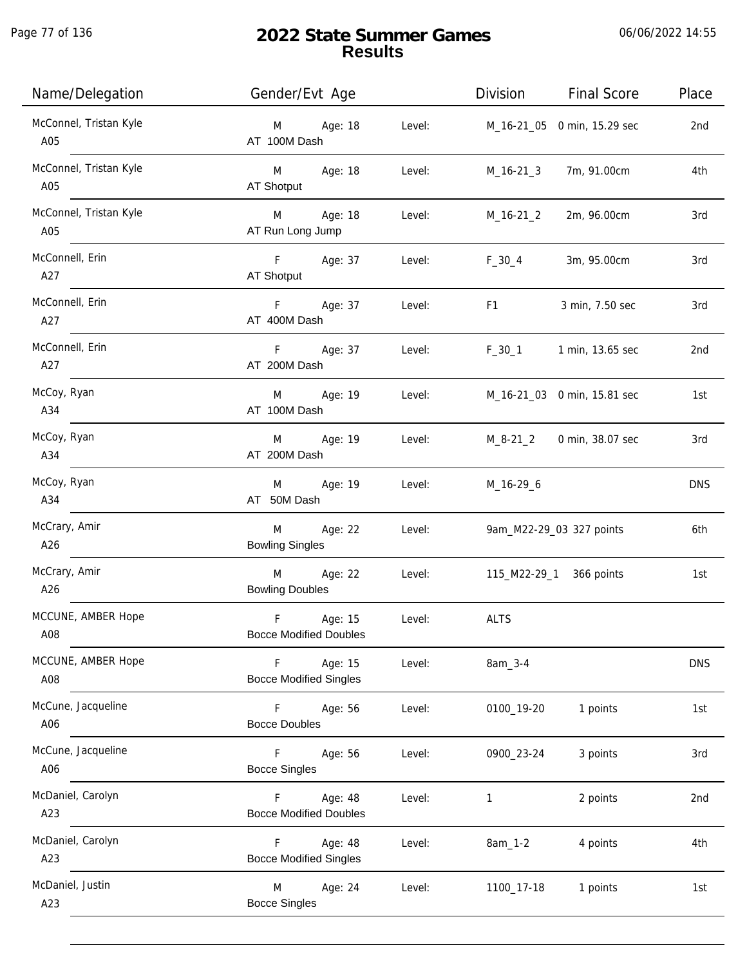Page 77 of 136

| Name/Delegation               | Gender/Evt Age                                          |        | Division                                                                                                                                                                                                                       | <b>Final Score</b>          | Place      |
|-------------------------------|---------------------------------------------------------|--------|--------------------------------------------------------------------------------------------------------------------------------------------------------------------------------------------------------------------------------|-----------------------------|------------|
| McConnel, Tristan Kyle<br>A05 | M Age: 18<br>AT 100M Dash                               | Level: |                                                                                                                                                                                                                                | M_16-21_05 0 min, 15.29 sec | 2nd        |
| McConnel, Tristan Kyle<br>A05 | M Age: 18<br>AT Shotput                                 | Level: | M_16-21_3                                                                                                                                                                                                                      | 7m, 91.00cm                 | 4th        |
| McConnel, Tristan Kyle<br>A05 | M Age: 18<br>AT Run Long Jump                           | Level: | M_16-21_2                                                                                                                                                                                                                      | 2m, 96.00cm                 | 3rd        |
| McConnell, Erin<br>A27        | F Age: 37<br>AT Shotput                                 | Level: | $F_{-}30_{-}4$                                                                                                                                                                                                                 | 3m, 95.00cm                 | 3rd        |
| McConnell, Erin<br>A27        | F Age: 37<br>Level:<br>AT 400M Dash                     |        | F1 and the state of the state of the state of the state of the state of the state of the state of the state of the state of the state of the state of the state of the state of the state of the state of the state of the sta | 3 min, 7.50 sec             | 3rd        |
| McConnell, Erin<br>A27        | F Age: 37<br>Level:<br>AT 200M Dash                     |        | F_30_1 1 min, 13.65 sec                                                                                                                                                                                                        |                             | 2nd        |
| McCoy, Ryan<br>A34            | M Age: 19<br>AT 100M Dash                               | Level: |                                                                                                                                                                                                                                | M_16-21_03 0 min, 15.81 sec | 1st        |
| McCoy, Ryan<br>A34            | M Age: 19<br>AT 200M Dash                               | Level: | M_8-21_2                                                                                                                                                                                                                       | 0 min, 38.07 sec            | 3rd        |
| McCoy, Ryan<br>A34            | Age: 19<br>M<br>AT 50M Dash                             | Level: | M_16-29_6                                                                                                                                                                                                                      |                             | <b>DNS</b> |
| McCrary, Amir<br>A26          | Age: 22<br>M<br><b>Bowling Singles</b>                  | Level: |                                                                                                                                                                                                                                | 9am_M22-29_03 327 points    | 6th        |
| McCrary, Amir<br>A26          | M<br>Age: 22<br><b>Bowling Doubles</b>                  | Level: | 115_M22-29_1 366 points                                                                                                                                                                                                        |                             | 1st        |
| MCCUNE, AMBER Hope<br>A08     | $\mathsf F$<br>Age: 15<br><b>Bocce Modified Doubles</b> | Level: | <b>ALTS</b>                                                                                                                                                                                                                    |                             |            |
| MCCUNE, AMBER Hope<br>A08     | F<br>Age: 15<br><b>Bocce Modified Singles</b>           | Level: | 8am_3-4                                                                                                                                                                                                                        |                             | <b>DNS</b> |
| McCune, Jacqueline<br>A06     | Age: 56<br>F.<br><b>Bocce Doubles</b>                   | Level: | 0100_19-20                                                                                                                                                                                                                     | 1 points                    | 1st        |
| McCune, Jacqueline<br>A06     | F.<br>Age: 56<br><b>Bocce Singles</b>                   | Level: | 0900_23-24                                                                                                                                                                                                                     | 3 points                    | 3rd        |
| McDaniel, Carolyn<br>A23      | Age: 48<br>F.<br><b>Bocce Modified Doubles</b>          | Level: | 1                                                                                                                                                                                                                              | 2 points                    | 2nd        |
| McDaniel, Carolyn<br>A23      | Age: 48<br>F<br><b>Bocce Modified Singles</b>           | Level: | $8am_1-2$                                                                                                                                                                                                                      | 4 points                    | 4th        |
| McDaniel, Justin<br>A23       | M<br>Age: 24<br><b>Bocce Singles</b>                    | Level: | 1100_17-18                                                                                                                                                                                                                     | 1 points                    | 1st        |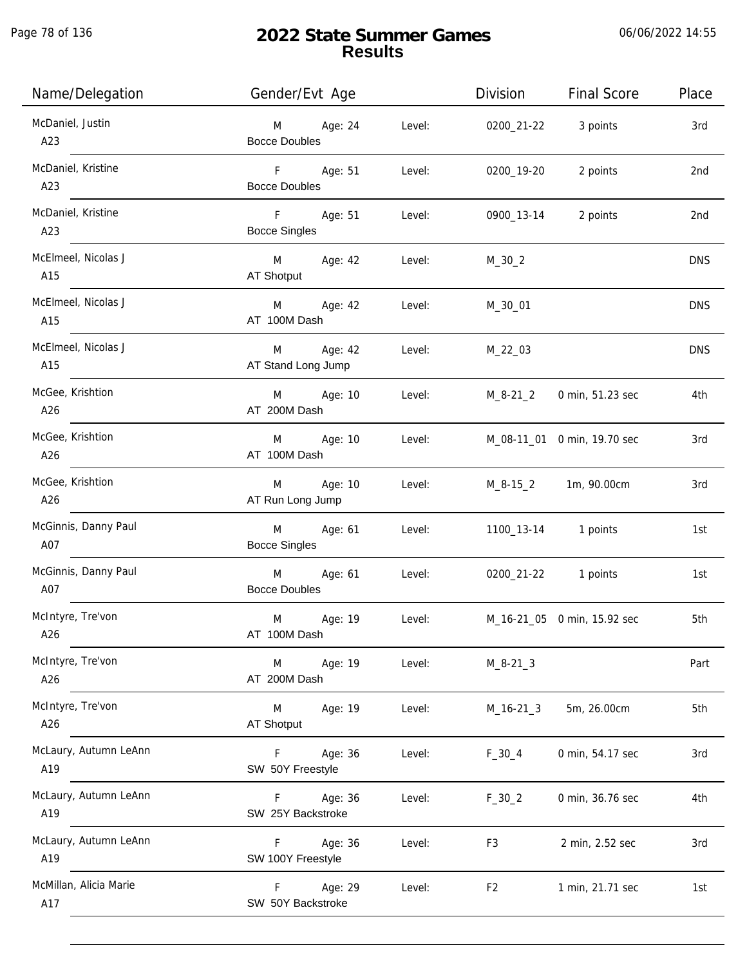| Name/Delegation               | Gender/Evt Age                                     |        | Division       | <b>Final Score</b>          | Place      |
|-------------------------------|----------------------------------------------------|--------|----------------|-----------------------------|------------|
| McDaniel, Justin<br>A23       | M Age: 24<br><b>Bocce Doubles</b>                  | Level: | 0200_21-22     | 3 points                    | 3rd        |
| McDaniel, Kristine<br>A23     | F Age: 51<br><b>Bocce Doubles</b>                  | Level: | 0200_19-20     | 2 points                    | 2nd        |
| McDaniel, Kristine<br>A23     | F <sub>11</sub><br>Age: 51<br><b>Bocce Singles</b> | Level: | 0900_13-14     | 2 points                    | 2nd        |
| McElmeel, Nicolas J<br>A15    | M Age: 42<br>AT Shotput                            | Level: | $M_30_2$       |                             | <b>DNS</b> |
| McElmeel, Nicolas J<br>A15    | M Age: 42<br>AT 100M Dash                          | Level: | M_30_01        |                             | <b>DNS</b> |
| McElmeel, Nicolas J<br>A15    | Age: 42<br>M<br>AT Stand Long Jump                 | Level: | $M_22_03$      |                             | <b>DNS</b> |
| McGee, Krishtion<br>A26       | M Age: 10<br>AT 200M Dash                          | Level: | M_8-21_2       | 0 min, 51.23 sec            | 4th        |
| McGee, Krishtion<br>A26       | M Age: 10<br>AT 100M Dash                          | Level: |                | M_08-11_01 0 min, 19.70 sec | 3rd        |
| McGee, Krishtion<br>A26       | Age: 10<br>M<br>AT Run Long Jump                   | Level: |                | M_8-15_2 1m, 90.00cm        | 3rd        |
| McGinnis, Danny Paul<br>A07   | Age: 61<br>M<br><b>Bocce Singles</b>               | Level: |                | 1100_13-14 1 points         | 1st        |
| McGinnis, Danny Paul<br>A07   | M<br>Age: 61<br><b>Bocce Doubles</b>               | Level: |                | 0200_21-22 1 points         | 1st        |
| McIntyre, Tre'von<br>A26      | M<br>Age: 19<br>AT 100M Dash                       | Level: |                | M_16-21_05 0 min, 15.92 sec | 5th        |
| McIntyre, Tre'von<br>A26      | Age: 19<br>M<br>AT 200M Dash                       | Level: | $M_8 - 21 - 3$ |                             | Part       |
| McIntyre, Tre'von<br>A26      | M<br>Age: 19<br>AT Shotput                         | Level: | $M_16-21_3$    | 5m, 26.00cm                 | 5th        |
| McLaury, Autumn LeAnn<br>A19  | Age: 36<br>F.<br>SW 50Y Freestyle                  | Level: | $F_30_4$       | 0 min, 54.17 sec            | 3rd        |
| McLaury, Autumn LeAnn<br>A19  | F.<br>Age: 36<br>SW 25Y Backstroke                 | Level: | $F_30_2$       | 0 min, 36.76 sec            | 4th        |
| McLaury, Autumn LeAnn<br>A19  | Age: 36<br>F.<br>SW 100Y Freestyle                 | Level: | F3             | 2 min, 2.52 sec             | 3rd        |
| McMillan, Alicia Marie<br>A17 | Age: 29<br>F.<br>SW 50Y Backstroke                 | Level: | F <sub>2</sub> | 1 min, 21.71 sec            | 1st        |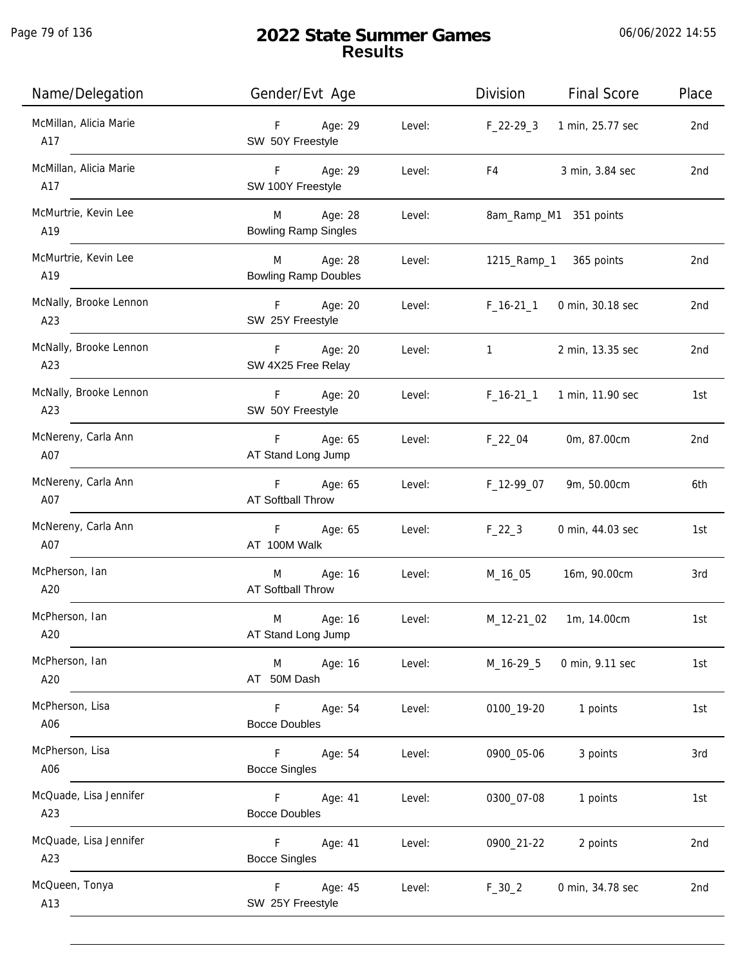| Name/Delegation               | Gender/Evt Age                              |        | Division     | <b>Final Score</b>     | Place |
|-------------------------------|---------------------------------------------|--------|--------------|------------------------|-------|
| McMillan, Alicia Marie<br>A17 | F<br>Age: 29<br>SW 50Y Freestyle            | Level: | $F_22-293$   | 1 min, 25.77 sec       | 2nd   |
| McMillan, Alicia Marie<br>A17 | F<br>Age: 29<br>SW 100Y Freestyle           | Level: | F4           | 3 min, 3.84 sec        | 2nd   |
| McMurtrie, Kevin Lee<br>A19   | Age: 28<br>M<br><b>Bowling Ramp Singles</b> | Level: |              | 8am_Ramp_M1 351 points |       |
| McMurtrie, Kevin Lee<br>A19   | Age: 28<br>M<br><b>Bowling Ramp Doubles</b> | Level: | 1215_Ramp_1  | 365 points             | 2nd   |
| McNally, Brooke Lennon<br>A23 | Age: 20<br>F.<br>SW 25Y Freestyle           | Level: | $F_16-21_1$  | 0 min, 30.18 sec       | 2nd   |
| McNally, Brooke Lennon<br>A23 | Age: 20<br>F.<br>SW 4X25 Free Relay         | Level: | $\mathbf{1}$ | 2 min, 13.35 sec       | 2nd   |
| McNally, Brooke Lennon<br>A23 | Age: 20<br>F.<br>SW 50Y Freestyle           | Level: | $F_16-211$   | 1 min, 11.90 sec       | 1st   |
| McNereny, Carla Ann<br>A07    | Age: 65<br>F.<br>AT Stand Long Jump         | Level: | $F_22_04$    | 0m, 87.00cm            | 2nd   |
| McNereny, Carla Ann<br>A07    | F<br>Age: 65<br>AT Softball Throw           | Level: | F_12-99_07   | 9m, 50.00cm            | 6th   |
| McNereny, Carla Ann<br>A07    | F<br>Age: 65<br>AT 100M Walk                | Level: | $F_22_3$     | 0 min, 44.03 sec       | 1st   |
| McPherson, Ian<br>A20         | Age: 16<br>M<br><b>AT Softball Throw</b>    | Level: | M_16_05      | 16m, 90.00cm           | 3rd   |
| McPherson, Ian<br>A20         | M<br>Age: 16<br>AT Stand Long Jump          | Level: | M_12-21_02   | 1m, 14.00cm            | 1st   |
| McPherson, Ian<br>A20         | Age: 16<br>M<br>AT 50M Dash                 | Level: | M_16-29_5    | 0 min, 9.11 sec        | 1st   |
| McPherson, Lisa<br>A06        | Age: 54<br>F<br><b>Bocce Doubles</b>        | Level: | 0100_19-20   | 1 points               | 1st   |
| McPherson, Lisa<br>A06        | F.<br>Age: 54<br><b>Bocce Singles</b>       | Level: | 0900_05-06   | 3 points               | 3rd   |
| McQuade, Lisa Jennifer<br>A23 | F<br>Age: 41<br><b>Bocce Doubles</b>        | Level: | 0300_07-08   | 1 points               | 1st   |
| McQuade, Lisa Jennifer<br>A23 | F<br>Age: 41<br><b>Bocce Singles</b>        | Level: | 0900_21-22   | 2 points               | 2nd   |
| McQueen, Tonya<br>A13         | F<br>Age: 45<br>SW 25Y Freestyle            | Level: | $F_{30_2}$   | 0 min, 34.78 sec       | 2nd   |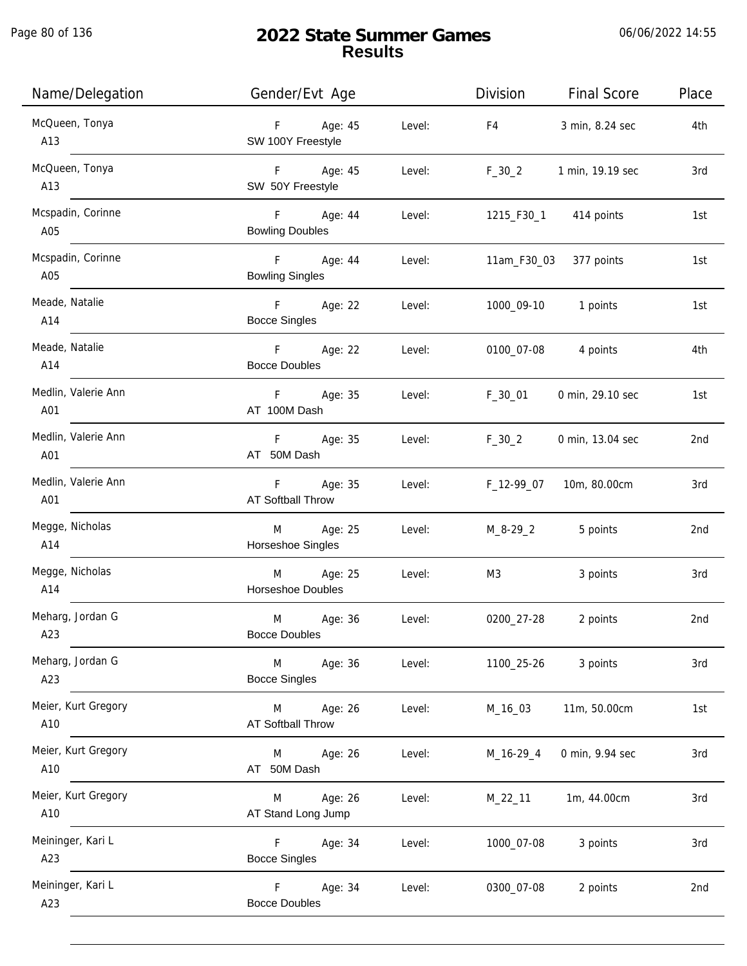Page 80 of 136

| Name/Delegation            | Gender/Evt Age                           |        | Division   | <b>Final Score</b>     | Place |
|----------------------------|------------------------------------------|--------|------------|------------------------|-------|
| McQueen, Tonya<br>A13      | F Age: 45<br>SW 100Y Freestyle           | Level: | F4         | 3 min, 8.24 sec        | 4th   |
| McQueen, Tonya<br>A13      | F Age: 45<br>SW 50Y Freestyle            | Level: | $F_30_2$   | 1 min, 19.19 sec       | 3rd   |
| Mcspadin, Corinne<br>A05   | F Age: 44<br><b>Bowling Doubles</b>      | Level: |            | 1215_F30_1 414 points  | 1st   |
| Mcspadin, Corinne<br>A05   | F Age: 44<br><b>Bowling Singles</b>      | Level: |            | 11am_F30_03 377 points | 1st   |
| Meade, Natalie<br>A14      | F Age: 22<br><b>Bocce Singles</b>        | Level: |            | 1000_09-10 1 points    | 1st   |
| Meade, Natalie<br>A14      | F Age: 22<br><b>Bocce Doubles</b>        | Level: | 0100_07-08 | 4 points               | 4th   |
| Medlin, Valerie Ann<br>A01 | F Age: 35<br>AT 100M Dash                | Level: | F_30_01    | 0 min, 29.10 sec       | 1st   |
| Medlin, Valerie Ann<br>A01 | F Age: 35<br>AT 50M Dash                 | Level: | $F_30_2$   | 0 min, 13.04 sec       | 2nd   |
| Medlin, Valerie Ann<br>A01 | F Age: 35<br>AT Softball Throw           | Level: | F_12-99_07 | 10m, 80.00cm           | 3rd   |
| Megge, Nicholas<br>A14     | Age: 25<br>M<br>Horseshoe Singles        | Level: | M_8-29_2   | 5 points               | 2nd   |
| Megge, Nicholas<br>A14     | Age: 25<br>M<br>Horseshoe Doubles        | Level: | M3         | 3 points               | 3rd   |
| Meharg, Jordan G<br>A23    | M<br>Age: 36<br><b>Bocce Doubles</b>     | Level: | 0200_27-28 | 2 points               | 2nd   |
| Meharg, Jordan G<br>A23    | Age: 36<br>M<br><b>Bocce Singles</b>     | Level: | 1100_25-26 | 3 points               | 3rd   |
| Meier, Kurt Gregory<br>A10 | Age: 26<br>M<br><b>AT Softball Throw</b> | Level: | M_16_03    | 11m, 50.00cm           | 1st   |
| Meier, Kurt Gregory<br>A10 | Age: 26<br>M<br>AT 50M Dash              | Level: | M_16-29_4  | 0 min, 9.94 sec        | 3rd   |
| Meier, Kurt Gregory<br>A10 | Age: 26<br>M<br>AT Stand Long Jump       | Level: | M_22_11    | 1m, 44.00cm            | 3rd   |
| Meininger, Kari L<br>A23   | Age: 34<br>F.<br><b>Bocce Singles</b>    | Level: | 1000_07-08 | 3 points               | 3rd   |
| Meininger, Kari L<br>A23   | Age: 34<br>F.<br><b>Bocce Doubles</b>    | Level: | 0300_07-08 | 2 points               | 2nd   |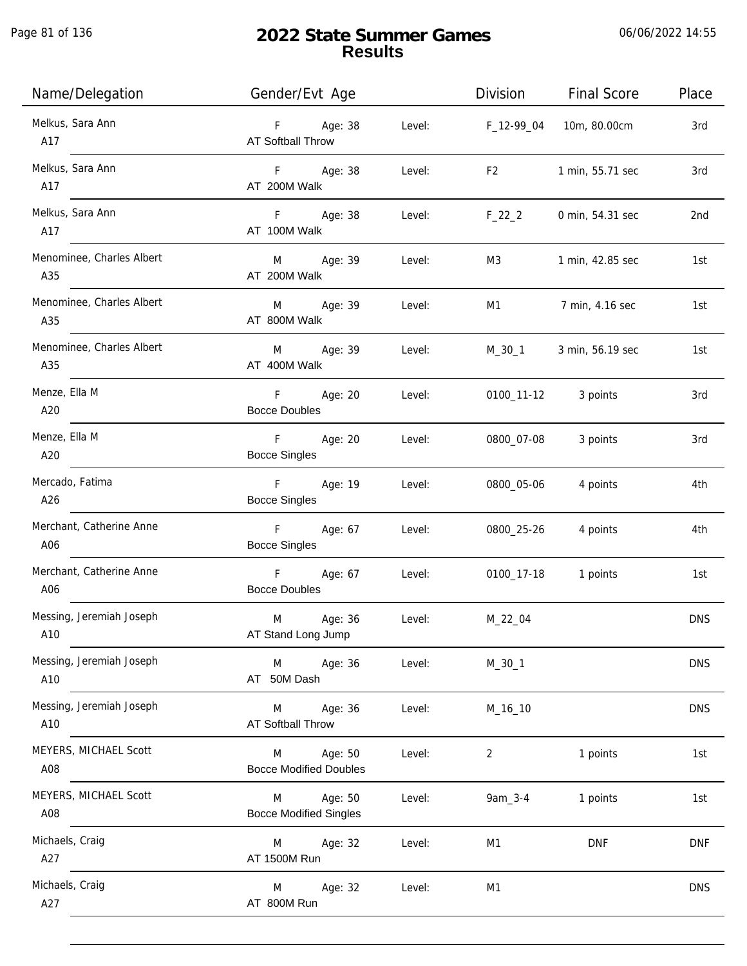Page 81 of 136

| Name/Delegation                  | Gender/Evt Age                                     |        | Division       | <b>Final Score</b>      | Place      |
|----------------------------------|----------------------------------------------------|--------|----------------|-------------------------|------------|
| Melkus, Sara Ann<br>A17          | F Age: 38<br><b>AT Softball Throw</b>              | Level: | F_12-99_04     | 10m, 80.00cm            | 3rd        |
| Melkus, Sara Ann<br>A17          | F Age: 38<br>AT 200M Walk                          | Level: | F <sub>2</sub> | 1 min, 55.71 sec        | 3rd        |
| Melkus, Sara Ann<br>A17          | F Age: 38<br>AT 100M Walk                          | Level: | $F_22_2$       | 0 min, 54.31 sec        | 2nd        |
| Menominee, Charles Albert<br>A35 | M Age: 39<br>AT 200M Walk                          | Level: | M3             | 1 min, 42.85 sec        | 1st        |
| Menominee, Charles Albert<br>A35 | Age: 39<br>M<br>AT 800M Walk                       | Level: | M1             | 7 min, 4.16 sec         | 1st        |
| Menominee, Charles Albert<br>A35 | Age: 39<br>M<br>AT 400M Walk                       | Level: |                | M_30_1 3 min, 56.19 sec | 1st        |
| Menze, Ella M<br>A20             | F.<br>Age: 20<br><b>Bocce Doubles</b>              | Level: |                | 0100_11-12 3 points     | 3rd        |
| Menze, Ella M<br>A20             | F Age: 20<br><b>Bocce Singles</b>                  | Level: | 0800_07-08     | 3 points                | 3rd        |
| Mercado, Fatima<br>A26           | F <sub>11</sub><br>Age: 19<br><b>Bocce Singles</b> | Level: | 0800_05-06     | 4 points                | 4th        |
| Merchant, Catherine Anne<br>A06  | F<br>Age: 67<br><b>Bocce Singles</b>               | Level: | 0800_25-26     | 4 points                | 4th        |
| Merchant, Catherine Anne<br>A06  | F<br>Age: 67<br><b>Bocce Doubles</b>               | Level: | 0100_17-18     | 1 points                | 1st        |
| Messing, Jeremiah Joseph<br>A10  | M<br>Age: 36<br>AT Stand Long Jump                 | Level: | M_22_04        |                         | <b>DNS</b> |
| Messing, Jeremiah Joseph<br>A10  | Age: 36<br>M<br>AT 50M Dash                        | Level: | $M_30_1$       |                         | <b>DNS</b> |
| Messing, Jeremiah Joseph<br>A10  | Age: 36<br>M<br>AT Softball Throw                  | Level: | M_16_10        |                         | <b>DNS</b> |
| MEYERS, MICHAEL Scott<br>A08     | Age: 50<br>M<br><b>Bocce Modified Doubles</b>      | Level: | 2              | 1 points                | 1st        |
| MEYERS, MICHAEL Scott<br>A08     | Age: 50<br>M<br><b>Bocce Modified Singles</b>      | Level: | 9am_3-4        | 1 points                | 1st        |
| Michaels, Craig<br>A27           | Age: 32<br>M<br>AT 1500M Run                       | Level: | M1             | <b>DNF</b>              | <b>DNF</b> |
| Michaels, Craig<br>A27           | Age: 32<br>M<br>AT 800M Run                        | Level: | M1             |                         | <b>DNS</b> |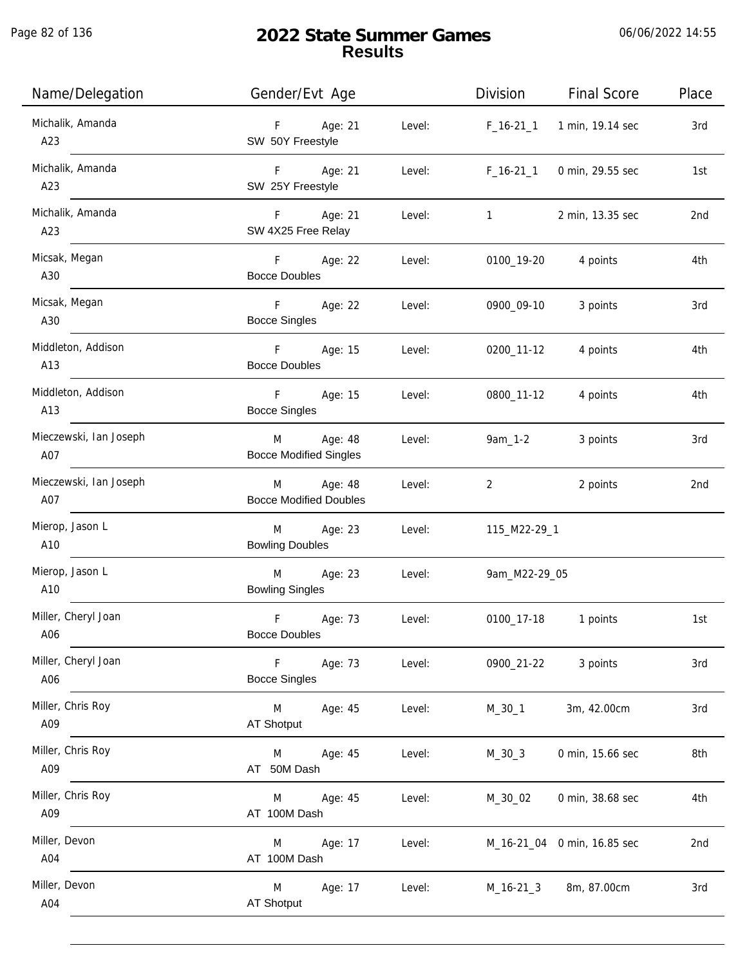| Name/Delegation               | Gender/Evt Age                                          | Division<br><b>Final Score</b>       | Place |
|-------------------------------|---------------------------------------------------------|--------------------------------------|-------|
| Michalik, Amanda<br>A23       | Age: 21<br>F<br>Level:<br>SW 50Y Freestyle              | 1 min, 19.14 sec<br>$F_16-21_1$      | 3rd   |
| Michalik, Amanda<br>A23       | F Age: 21<br>Level:<br>SW 25Y Freestyle                 | $F_16-21_1$<br>0 min, 29.55 sec      | 1st   |
| Michalik, Amanda<br>A23       | F Age: 21<br>Level:<br>SW 4X25 Free Relay               | 2 min, 13.35 sec<br>$1 \quad \cdots$ | 2nd   |
| Micsak, Megan<br>A30          | F<br>Age: 22<br>Level:<br><b>Bocce Doubles</b>          | 0100_19-20<br>4 points               | 4th   |
| Micsak, Megan<br>A30          | F<br>Age: 22<br>Level:<br><b>Bocce Singles</b>          | 0900_09-10<br>3 points               | 3rd   |
| Middleton, Addison<br>A13     | F Age: 15<br>Level:<br><b>Bocce Doubles</b>             | 0200_11-12<br>4 points               | 4th   |
| Middleton, Addison<br>A13     | F Age: 15<br>Level:<br><b>Bocce Singles</b>             | 0800_11-12<br>4 points               | 4th   |
| Mieczewski, Ian Joseph<br>A07 | Age: 48<br>Level:<br>M<br><b>Bocce Modified Singles</b> | $9am_1 - 2$<br>3 points              | 3rd   |
| Mieczewski, Ian Joseph<br>A07 | Age: 48<br>Level:<br>M<br><b>Bocce Modified Doubles</b> | 2 points<br>2                        | 2nd   |
| Mierop, Jason L<br>A10        | Age: 23<br>Level:<br>M<br><b>Bowling Doubles</b>        | 115_M22-29_1                         |       |
| Mierop, Jason L<br>A10        | Age: 23<br>M<br>Level:<br><b>Bowling Singles</b>        | 9am_M22-29_05                        |       |
| Miller, Cheryl Joan<br>A06    | F<br>Age: 73<br>Level:<br><b>Bocce Doubles</b>          | 0100_17-18<br>1 points               | 1st   |
| Miller, Cheryl Joan<br>A06    | F.<br>Age: 73<br>Level:<br><b>Bocce Singles</b>         | 0900_21-22<br>3 points               | 3rd   |
| Miller, Chris Roy<br>A09      | M<br>Age: 45<br>Level:<br>AT Shotput                    | 3m, 42.00cm<br>$M_30_1$              | 3rd   |
| Miller, Chris Roy<br>A09      | Age: 45<br>Level:<br>M<br>AT 50M Dash                   | $M_30_3$<br>0 min, 15.66 sec         | 8th   |
| Miller, Chris Roy<br>A09      | Age: 45<br>Level:<br>M<br>AT 100M Dash                  | M_30_02<br>0 min, 38.68 sec          | 4th   |
| Miller, Devon<br>A04          | Age: 17<br>Level:<br>M<br>AT 100M Dash                  | M_16-21_04 0 min, 16.85 sec          | 2nd   |
| Miller, Devon<br>A04          | M<br>Age: 17<br>Level:<br>AT Shotput                    | M_16-21_3<br>8m, 87.00cm             | 3rd   |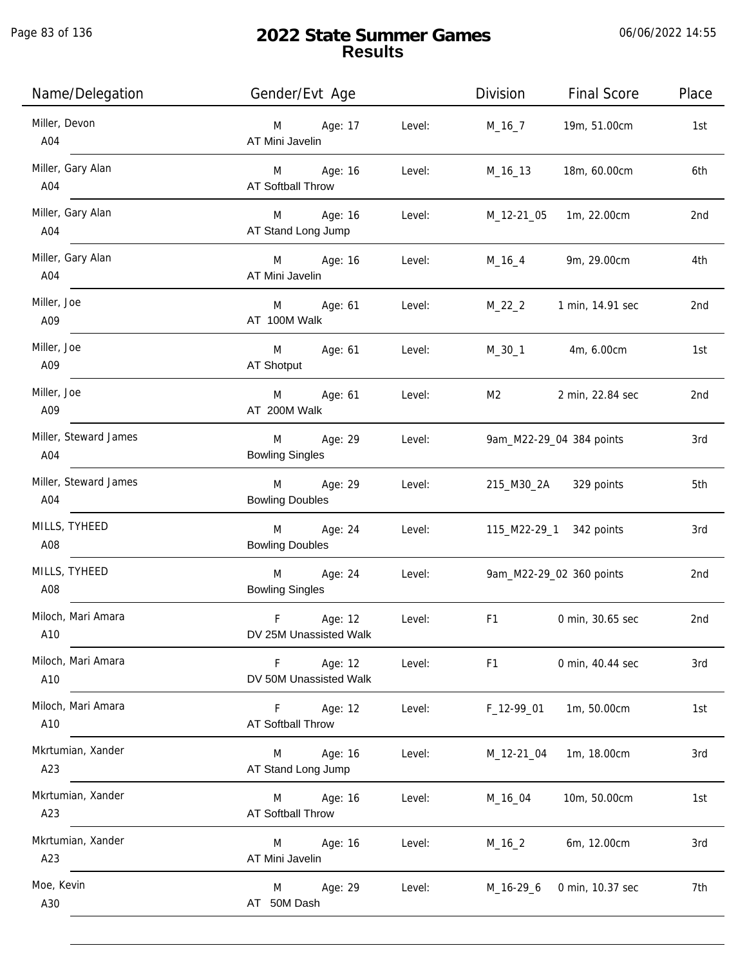Page 83 of 136

| Name/Delegation              | Gender/Evt Age                                     | Division<br><b>Final Score</b>     | Place |
|------------------------------|----------------------------------------------------|------------------------------------|-------|
| Miller, Devon<br>A04         | Age: 17<br>Level:<br>M<br>AT Mini Javelin          | 19m, 51.00cm<br>M_16_7             | 1st   |
| Miller, Gary Alan<br>A04     | M Age: 16<br>Level:<br>AT Softball Throw           | 18m, 60.00cm<br>M_16_13            | 6th   |
| Miller, Gary Alan<br>A04     | Age: 16<br>Level:<br>M<br>AT Stand Long Jump       | 1m, 22.00cm<br>M_12-21_05          | 2nd   |
| Miller, Gary Alan<br>A04     | M Age: 16<br>Level:<br>AT Mini Javelin             | 9m, 29.00cm<br>M_16_4              | 4th   |
| Miller, Joe<br>A09           | M<br>Age: 61<br>Level:<br>AT 100M Walk             | $M_22_2$<br>1 min, 14.91 sec       | 2nd   |
| Miller, Joe<br>A09           | M<br>Age: 61<br>Level:<br>AT Shotput               | 4m, 6.00cm<br>M_30_1               | 1st   |
| Miller, Joe<br>A09           | Age: 61<br>M<br>Level:<br>AT 200M Walk             | 2 min, 22.84 sec<br>M2             | 2nd   |
| Miller, Steward James<br>A04 | M<br>Age: 29<br>Level:<br><b>Bowling Singles</b>   | 9am_M22-29_04 384 points           | 3rd   |
| Miller, Steward James<br>A04 | Age: 29<br>M<br>Level:<br><b>Bowling Doubles</b>   | 215_M30_2A 329 points              | 5th   |
| MILLS, TYHEED<br>A08         | Age: 24<br>M<br>Level:<br><b>Bowling Doubles</b>   | 115_M22-29_1 342 points            | 3rd   |
| MILLS, TYHEED<br>A08         | Age: 24<br>M<br>Level:<br><b>Bowling Singles</b>   | 9am_M22-29_02 360 points           | 2nd   |
| Miloch, Mari Amara<br>A10    | F<br>Age: 12<br>Level:<br>DV 25M Unassisted Walk   | F1<br>0 min, 30.65 sec             | 2nd   |
| Miloch, Mari Amara<br>A10    | Age: 12<br>F.<br>Level:<br>DV 50M Unassisted Walk  | F <sub>1</sub><br>0 min, 40.44 sec | 3rd   |
| Miloch, Mari Amara<br>A10    | Age: 12<br>F<br>Level:<br><b>AT Softball Throw</b> | 1m, 50.00cm<br>$F_12-99_01$        | 1st   |
| Mkrtumian, Xander<br>A23     | Age: 16<br>M<br>Level:<br>AT Stand Long Jump       | 1m, 18.00cm<br>M_12-21_04          | 3rd   |
| Mkrtumian, Xander<br>A23     | Age: 16<br>M<br>Level:<br>AT Softball Throw        | 10m, 50.00cm<br>M_16_04            | 1st   |
| Mkrtumian, Xander<br>A23     | Age: 16<br>Level:<br>M<br>AT Mini Javelin          | $M_16_2$<br>6m, 12.00cm            | 3rd   |
| Moe, Kevin<br>A30            | Age: 29<br>Level:<br>M<br>AT 50M Dash              | M_16-29_6<br>0 min, 10.37 sec      | 7th   |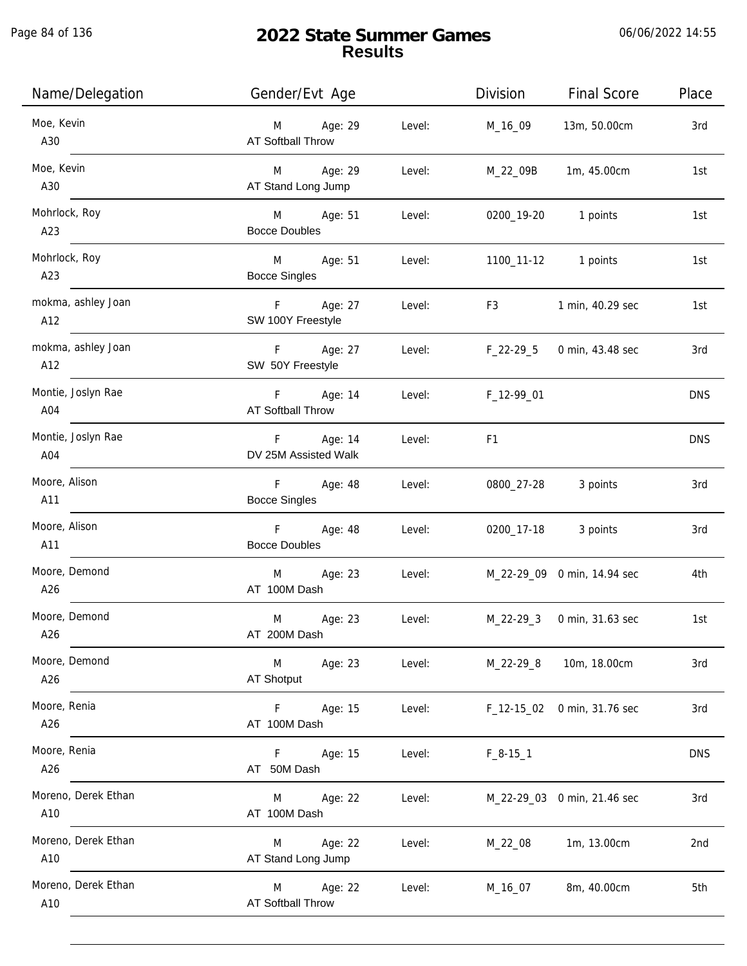| Name/Delegation            | Gender/Evt Age                            |        | Division                                                                                                                                                                                                                       | <b>Final Score</b>          | Place      |
|----------------------------|-------------------------------------------|--------|--------------------------------------------------------------------------------------------------------------------------------------------------------------------------------------------------------------------------------|-----------------------------|------------|
| Moe, Kevin<br>A30          | M Age: 29<br><b>AT Softball Throw</b>     | Level: | M_16_09                                                                                                                                                                                                                        | 13m, 50.00cm                | 3rd        |
| Moe, Kevin<br>A30          | M Age: 29<br>AT Stand Long Jump           | Level: | M_22_09B                                                                                                                                                                                                                       | 1m, 45.00cm                 | 1st        |
| Mohrlock, Roy<br>A23       | M Age: 51<br><b>Bocce Doubles</b>         | Level: |                                                                                                                                                                                                                                | 0200_19-20 1 points         | 1st        |
| Mohrlock, Roy<br>A23       | M Age: 51<br><b>Bocce Singles</b>         | Level: |                                                                                                                                                                                                                                | 1100_11-12 1 points         | 1st        |
| mokma, ashley Joan<br>A12  | F Age: 27<br>SW 100Y Freestyle            | Level: | F3 and the state of the state of the state of the state of the state of the state of the state of the state of the state of the state of the state of the state of the state of the state of the state of the state of the sta | 1 min, 40.29 sec            | 1st        |
| mokma, ashley Joan<br>A12  | F Age: 27<br>SW 50Y Freestyle             | Level: |                                                                                                                                                                                                                                | F_22-29_5 0 min, 43.48 sec  | 3rd        |
| Montie, Joslyn Rae<br>A04  | F Age: 14<br>AT Softball Throw            | Level: | F_12-99_01                                                                                                                                                                                                                     |                             | <b>DNS</b> |
| Montie, Joslyn Rae<br>A04  | F Age: 14<br>DV 25M Assisted Walk         | Level: | F <sub>1</sub>                                                                                                                                                                                                                 |                             | <b>DNS</b> |
| Moore, Alison<br>A11       | F Age: 48<br><b>Bocce Singles</b>         | Level: | 0800_27-28                                                                                                                                                                                                                     | 3 points                    | 3rd        |
| Moore, Alison<br>A11       | F Age: 48<br><b>Bocce Doubles</b>         | Level: |                                                                                                                                                                                                                                | 0200_17-18 3 points         | 3rd        |
| Moore, Demond<br>A26       | M Age: 23<br>AT 100M Dash                 | Level: |                                                                                                                                                                                                                                | M_22-29_09 0 min, 14.94 sec | 4th        |
| Moore, Demond<br>A26       | M<br>Age: 23<br>AT 200M Dash              | Level: |                                                                                                                                                                                                                                | M_22-29_3 0 min, 31.63 sec  | 1st        |
| Moore, Demond<br>A26       | M<br>Age: 23<br>AT Shotput                | Level: | M_22-29_8                                                                                                                                                                                                                      | 10m, 18.00cm                | 3rd        |
| Moore, Renia<br>A26        | F<br>Age: 15<br>AT 100M Dash              | Level: |                                                                                                                                                                                                                                | F_12-15_02 0 min, 31.76 sec | 3rd        |
| Moore, Renia<br>A26        | F <sub>12</sub><br>Age: 15<br>AT 50M Dash | Level: | $F_8-15-1$                                                                                                                                                                                                                     |                             | <b>DNS</b> |
| Moreno, Derek Ethan<br>A10 | Age: 22<br>M<br>AT 100M Dash              | Level: |                                                                                                                                                                                                                                | M_22-29_03 0 min, 21.46 sec | 3rd        |
| Moreno, Derek Ethan<br>A10 | Age: 22<br>M<br>AT Stand Long Jump        | Level: | M_22_08                                                                                                                                                                                                                        | 1m, 13.00cm                 | 2nd        |
| Moreno, Derek Ethan<br>A10 | Age: 22<br>M<br>AT Softball Throw         | Level: | M_16_07                                                                                                                                                                                                                        | 8m, 40.00cm                 | 5th        |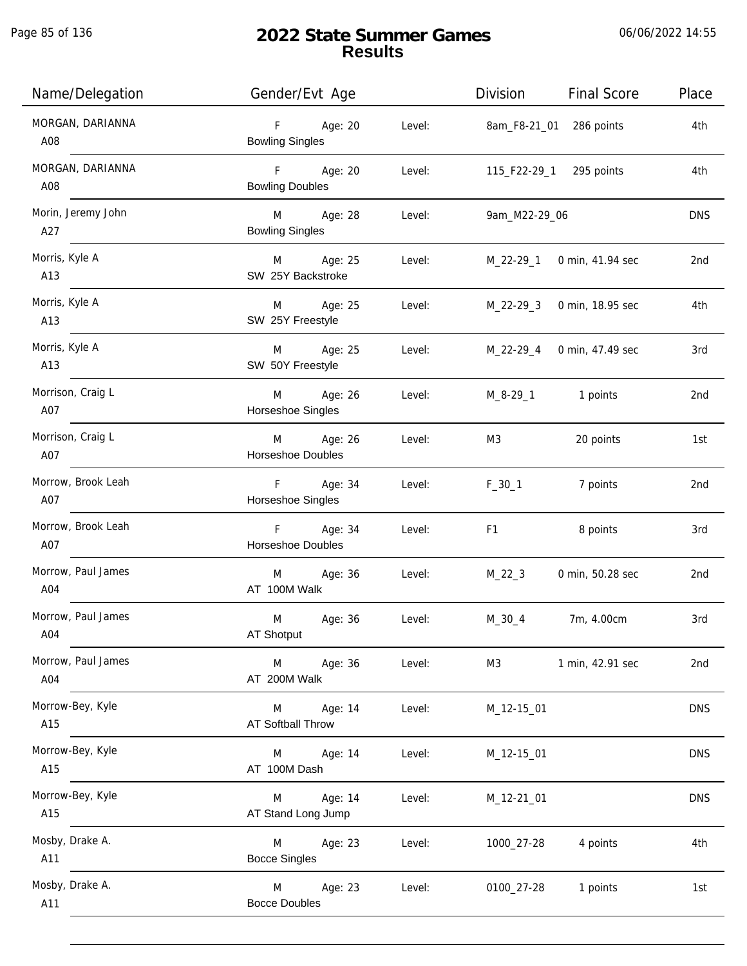Page 85 of 136

j.

| Name/Delegation           | Gender/Evt Age                             |        | <b>Final Score</b><br>Division | Place           |
|---------------------------|--------------------------------------------|--------|--------------------------------|-----------------|
| MORGAN, DARIANNA<br>A08   | $F =$<br>Age: 20<br><b>Bowling Singles</b> | Level: | 8am_F8-21_01 286 points        | 4th             |
| MORGAN, DARIANNA<br>A08   | F Age: 20<br><b>Bowling Doubles</b>        | Level: | 115_F22-29_1 295 points        | 4th             |
| Morin, Jeremy John<br>A27 | M Age: 28<br><b>Bowling Singles</b>        | Level: | 9am_M22-29_06                  | <b>DNS</b>      |
| Morris, Kyle A<br>A13     | M Age: 25<br>SW 25Y Backstroke             | Level: | M_22-29_1 0 min, 41.94 sec     | 2nd             |
| Morris, Kyle A<br>A13     | M Age: 25<br>SW 25Y Freestyle              | Level: | M_22-29_3 0 min, 18.95 sec     | 4th             |
| Morris, Kyle A<br>A13     | M Age: 25<br>SW 50Y Freestyle              | Level: | M_22-29_4 0 min, 47.49 sec     | 3rd             |
| Morrison, Craig L<br>A07  | M Age: 26<br>Horseshoe Singles             | Level: | M_8-29_1 1 points              | 2 <sub>nd</sub> |
| Morrison, Craig L<br>A07  | M Age: 26<br>Horseshoe Doubles             | Level: | M3<br>20 points                | 1st             |
| Morrow, Brook Leah<br>A07 | F Age: 34<br>Horseshoe Singles             | Level: | $F_30_1$<br>7 points           | 2nd             |
| Morrow, Brook Leah<br>A07 | F Age: 34<br>Horseshoe Doubles             | Level: | 8 points<br>F <sub>1</sub>     | 3rd             |
| Morrow, Paul James<br>A04 | M Age: 36<br>AT 100M Walk                  | Level: | M_22_3<br>0 min, 50.28 sec     | 2nd             |
| Morrow, Paul James<br>A04 | Age: 36<br>M<br>AT Shotput                 | Level: | $M_30_4$<br>7m, 4.00cm         | 3rd             |
| Morrow, Paul James<br>A04 | M<br>Age: 36<br>AT 200M Walk               | Level: | 1 min, 42.91 sec<br>M3         | 2nd             |
| Morrow-Bey, Kyle<br>A15   | M<br>Age: 14<br>AT Softball Throw          | Level: | M_12-15_01                     | <b>DNS</b>      |
| Morrow-Bey, Kyle<br>A15   | M<br>Age: 14<br>AT 100M Dash               | Level: | M_12-15_01                     | <b>DNS</b>      |
| Morrow-Bey, Kyle<br>A15   | Age: 14<br>M<br>AT Stand Long Jump         | Level: | M_12-21_01                     | <b>DNS</b>      |
| Mosby, Drake A.<br>A11    | Age: 23<br>M<br><b>Bocce Singles</b>       | Level: | 4 points<br>1000_27-28         | 4th             |
| Mosby, Drake A.<br>A11    | Age: 23<br>M<br><b>Bocce Doubles</b>       | Level: | 0100_27-28<br>1 points         | 1st             |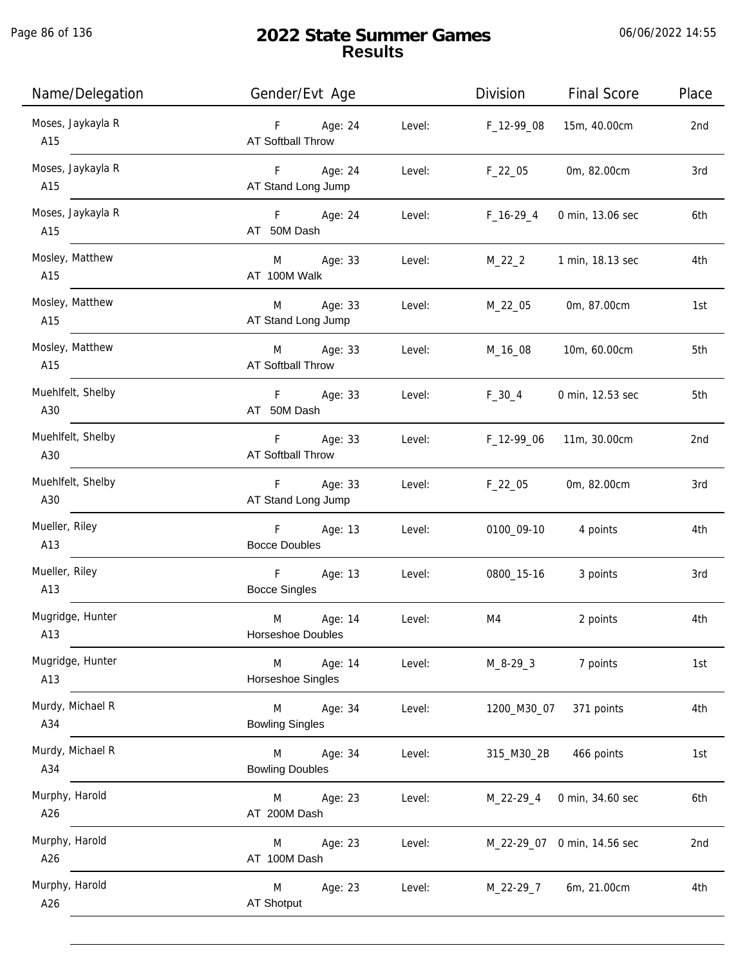Page 86 of 136

 $\overline{a}$ 

| Name/Delegation          | Gender/Evt Age                                     |        | Division       | <b>Final Score</b>          | Place |
|--------------------------|----------------------------------------------------|--------|----------------|-----------------------------|-------|
| Moses, Jaykayla R<br>A15 | F Age: 24<br>AT Softball Throw                     | Level: | F_12-99_08     | 15m, 40.00cm                | 2nd   |
| Moses, Jaykayla R<br>A15 | F Age: 24<br>AT Stand Long Jump                    | Level: | F_22_05        | 0m, 82.00cm                 | 3rd   |
| Moses, Jaykayla R<br>A15 | F Age: 24<br>AT 50M Dash                           | Level: | $F_16-29_4$    | 0 min, 13.06 sec            | 6th   |
| Mosley, Matthew<br>A15   | M Age: 33<br>AT 100M Walk                          | Level: | M_22_2         | 1 min, 18.13 sec            | 4th   |
| Mosley, Matthew<br>A15   | M Age: 33<br>AT Stand Long Jump                    | Level: | M_22_05        | 0m, 87.00cm                 | 1st   |
| Mosley, Matthew<br>A15   | M Age: 33<br>AT Softball Throw                     | Level: | M_16_08        | 10m, 60.00cm                | 5th   |
| Muehlfelt, Shelby<br>A30 | F Age: 33<br>AT 50M Dash                           | Level: | $F_30_4$       | 0 min, 12.53 sec            | 5th   |
| Muehlfelt, Shelby<br>A30 | F Age: 33<br>AT Softball Throw                     | Level: | F_12-99_06     | 11m, 30.00cm                | 2nd   |
| Muehlfelt, Shelby<br>A30 | F Age: 33<br>AT Stand Long Jump                    | Level: | $F_22_05$      | 0m, 82.00cm                 | 3rd   |
| Mueller, Riley<br>A13    | F Age: 13<br><b>Bocce Doubles</b>                  | Level: |                | 0100_09-10 4 points         | 4th   |
| Mueller, Riley<br>A13    | F <sub>12</sub><br>Age: 13<br><b>Bocce Singles</b> | Level: | 0800_15-16     | 3 points                    | 3rd   |
| Mugridge, Hunter<br>A13  | M<br>Age: 14<br>Horseshoe Doubles                  | Level: | M4             | 2 points                    | 4th   |
| Mugridge, Hunter<br>A13  | Age: 14<br>M<br>Horseshoe Singles                  | Level: | $M_8 - 29 - 3$ | 7 points                    | 1st   |
| Murdy, Michael R<br>A34  | M<br>Age: 34<br><b>Bowling Singles</b>             | Level: | 1200_M30_07    | 371 points                  | 4th   |
| Murdy, Michael R<br>A34  | M<br>Age: 34<br><b>Bowling Doubles</b>             | Level: | 315_M30_2B     | 466 points                  | 1st   |
| Murphy, Harold<br>A26    | Age: 23<br>M<br>AT 200M Dash                       | Level: | M_22-29_4      | 0 min, 34.60 sec            | 6th   |
| Murphy, Harold<br>A26    | Age: 23<br>M<br>AT 100M Dash                       | Level: |                | M_22-29_07 0 min, 14.56 sec | 2nd   |
| Murphy, Harold<br>A26    | M<br>Age: 23<br>AT Shotput                         | Level: | M_22-29_7      | 6m, 21.00cm                 | 4th   |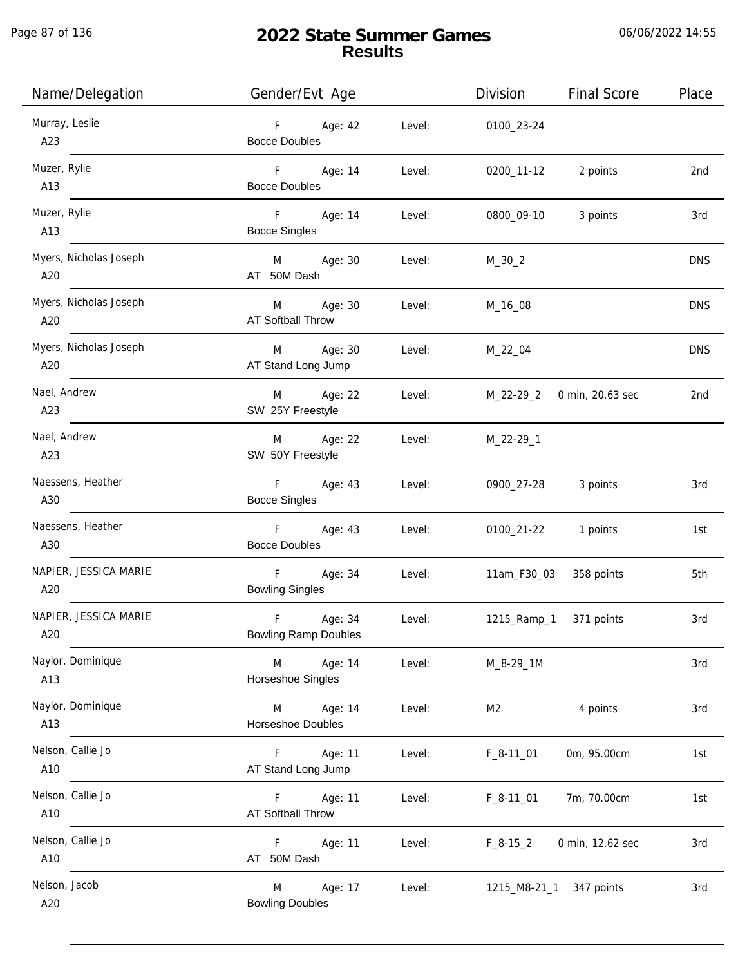j.

### **2022 State Summer Games Results**

06/06/2022 14:55

| Name/Delegation               | Gender/Evt Age                                               | Division<br><b>Final Score</b> | Place      |
|-------------------------------|--------------------------------------------------------------|--------------------------------|------------|
| Murray, Leslie<br>A23         | F<br>Age: 42<br>Level:<br><b>Bocce Doubles</b>               | 0100_23-24                     |            |
| Muzer, Rylie<br>A13           | F <sub>12</sub><br>Age: 14<br>Level:<br><b>Bocce Doubles</b> | 2 points<br>0200_11-12         | 2nd        |
| Muzer, Rylie<br>A13           | F <sub>12</sub><br>Age: 14<br>Level:<br><b>Bocce Singles</b> | 0800_09-10<br>3 points         | 3rd        |
| Myers, Nicholas Joseph<br>A20 | M Age: 30<br>Level:<br>AT 50M Dash                           | $M_30_2$                       | <b>DNS</b> |
| Myers, Nicholas Joseph<br>A20 | M<br>Age: 30<br>Level:<br>AT Softball Throw                  | M_16_08                        | <b>DNS</b> |
| Myers, Nicholas Joseph<br>A20 | Age: 30<br>M<br>Level:<br>AT Stand Long Jump                 | M_22_04                        | <b>DNS</b> |
| Nael, Andrew<br>A23           | Age: 22<br>M<br>Level:<br>SW 25Y Freestyle                   | 0 min, 20.63 sec<br>M_22-29_2  | 2nd        |
| Nael, Andrew<br>A23           | Age: 22<br>M<br>Level:<br>SW 50Y Freestyle                   | M_22-29_1                      |            |
| Naessens, Heather<br>A30      | $F -$<br>Age: 43<br>Level:<br><b>Bocce Singles</b>           | 3 points<br>0900_27-28         | 3rd        |
| Naessens, Heather<br>A30      | $F =$<br>Age: 43<br>Level:<br><b>Bocce Doubles</b>           | 0100_21-22<br>1 points         | 1st        |
| NAPIER, JESSICA MARIE<br>A20  | F<br>Age: 34<br>Level:<br><b>Bowling Singles</b>             | 358 points<br>11am_F30_03      | 5th        |
| NAPIER, JESSICA MARIE<br>A20  | F<br>Age: 34<br>Level:<br><b>Bowling Ramp Doubles</b>        | 1215_Ramp_1<br>371 points      | 3rd        |
| Naylor, Dominique<br>A13      | Age: 14<br>M<br>Level:<br>Horseshoe Singles                  | M_8-29_1M                      | 3rd        |
| Naylor, Dominique<br>A13      | Age: 14<br>M<br>Level:<br>Horseshoe Doubles                  | M <sub>2</sub><br>4 points     | 3rd        |
| Nelson, Callie Jo<br>A10      | Age: 11<br>Level:<br>F.<br>AT Stand Long Jump                | 0m, 95.00cm<br>$F_8-11_01$     | 1st        |
| Nelson, Callie Jo<br>A10      | Age: 11<br>F<br>Level:<br>AT Softball Throw                  | $F_8-11_01$<br>7m, 70.00cm     | 1st        |
| Nelson, Callie Jo<br>A10      | F<br>Age: 11<br>Level:<br>AT 50M Dash                        | $F_8-15_2$<br>0 min, 12.62 sec | 3rd        |
| Nelson, Jacob<br>A20          | M<br>Age: 17<br>Level:<br><b>Bowling Doubles</b>             | 347 points<br>1215_M8-21_1     | 3rd        |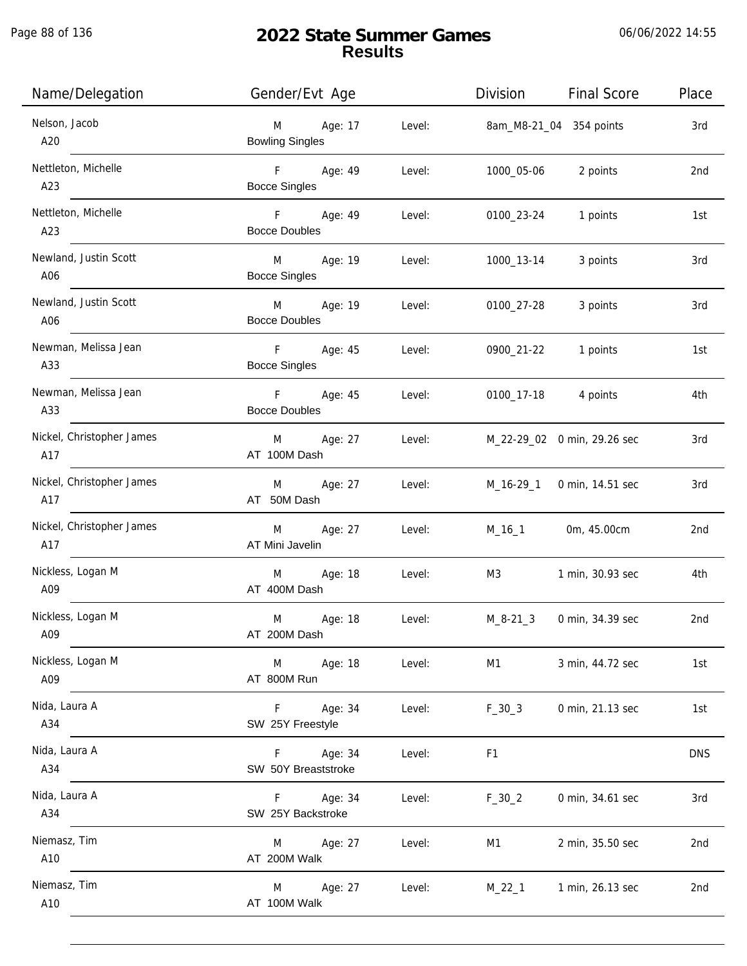j.

| Name/Delegation                  | Gender/Evt Age                                               | Division<br><b>Final Score</b>     | Place      |
|----------------------------------|--------------------------------------------------------------|------------------------------------|------------|
| Nelson, Jacob<br>A20             | M<br>Age: 17<br>Level:<br><b>Bowling Singles</b>             | 8am_M8-21_04 354 points            | 3rd        |
| Nettleton, Michelle<br>A23       | F<br>Age: 49<br>Level:<br><b>Bocce Singles</b>               | 2 points<br>1000_05-06             | 2nd        |
| Nettleton, Michelle<br>A23       | F<br>Age: 49<br>Level:<br><b>Bocce Doubles</b>               | 0100_23-24<br>1 points             | 1st        |
| Newland, Justin Scott<br>A06     | M <sub>1</sub><br>Age: 19<br>Level:<br><b>Bocce Singles</b>  | 3 points<br>1000_13-14             | 3rd        |
| Newland, Justin Scott<br>A06     | <b>M</b><br>Age: 19<br>Level:<br><b>Bocce Doubles</b>        | 0100_27-28<br>3 points             | 3rd        |
| Newman, Melissa Jean<br>A33      | F <sub>11</sub><br>Age: 45<br>Level:<br><b>Bocce Singles</b> | 0900_21-22<br>1 points             | 1st        |
| Newman, Melissa Jean<br>A33      | F<br>Age: 45<br>Level:<br><b>Bocce Doubles</b>               | 0100_17-18<br>4 points             | 4th        |
| Nickel, Christopher James<br>A17 | M<br>Age: 27<br>Level:<br>AT 100M Dash                       | M_22-29_02 0 min, 29.26 sec        | 3rd        |
| Nickel, Christopher James<br>A17 | Age: 27<br>M<br>Level:<br>AT 50M Dash                        | 0 min, 14.51 sec<br>M_16-29_1      | 3rd        |
| Nickel, Christopher James<br>A17 | Age: 27<br>M<br>Level:<br>AT Mini Javelin                    | $M_16_1$<br>0m, 45.00cm            | 2nd        |
| Nickless, Logan M<br>A09         | Age: 18<br>M<br>Level:<br>AT 400M Dash                       | M3<br>1 min, 30.93 sec             | 4th        |
| Nickless, Logan M<br>A09         | M<br>Age: 18<br>Level:<br>AT 200M Dash                       | $M_8 - 21 - 3$<br>0 min, 34.39 sec | 2nd        |
| Nickless, Logan M<br>A09         | M<br>Age: 18<br>Level:<br>AT 800M Run                        | M1<br>3 min, 44.72 sec             | 1st        |
| Nida, Laura A<br>A34             | Age: 34<br>$F =$<br>Level:<br>SW 25Y Freestyle               | $F_30_3$<br>0 min, 21.13 sec       | 1st        |
| Nida, Laura A<br>A34             | Age: 34<br>F.<br>Level:<br>SW 50Y Breaststroke               | F1                                 | <b>DNS</b> |
| Nida, Laura A<br>A34             | Age: 34<br>F.<br>Level:<br>SW 25Y Backstroke                 | 0 min, 34.61 sec<br>$F_30_2$       | 3rd        |
| Niemasz, Tim<br>A10              | Age: 27<br>M<br>Level:<br>AT 200M Walk                       | M1<br>2 min, 35.50 sec             | 2nd        |
| Niemasz, Tim<br>A10              | Age: 27<br>Level:<br>M<br>AT 100M Walk                       | $M_22_1$<br>1 min, 26.13 sec       | 2nd        |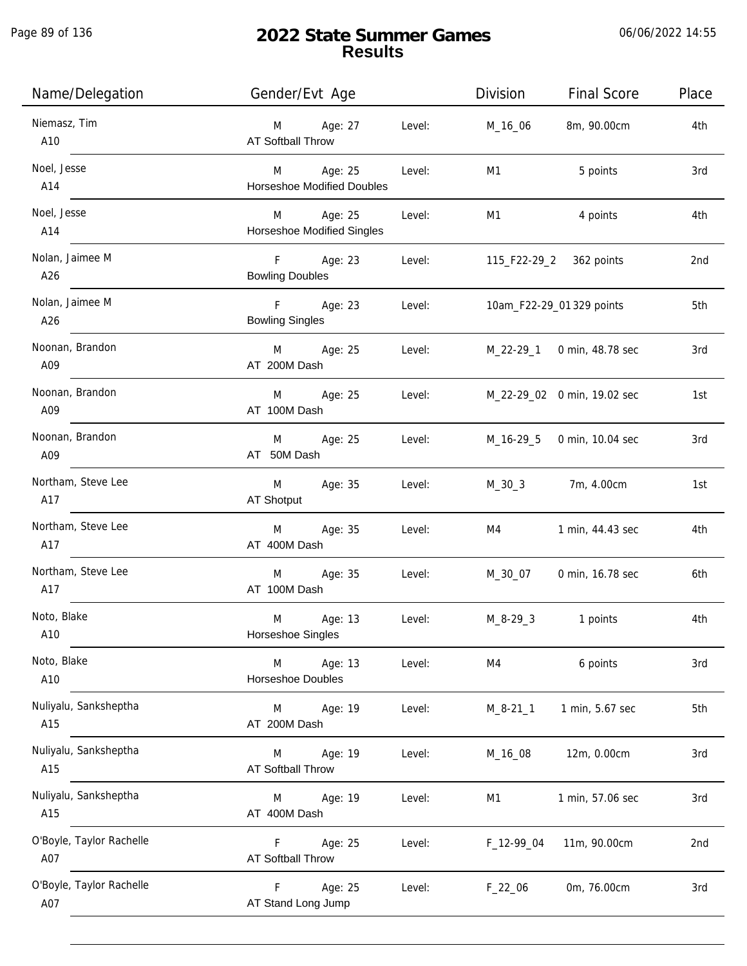Page 89 of 136

| Name/Delegation                 | Gender/Evt Age                                              | Division<br><b>Final Score</b>    | Place |
|---------------------------------|-------------------------------------------------------------|-----------------------------------|-------|
| Niemasz, Tim<br>A10             | Age: 27<br>Level:<br>M<br><b>AT Softball Throw</b>          | 8m, 90.00cm<br>M_16_06            | 4th   |
| Noel, Jesse<br>A14              | Age: 25<br>Level:<br>M<br><b>Horseshoe Modified Doubles</b> | M1<br>5 points                    | 3rd   |
| Noel, Jesse<br>A14              | Age: 25<br>Level:<br>M<br><b>Horseshoe Modified Singles</b> | M1<br>4 points                    | 4th   |
| Nolan, Jaimee M<br>A26          | F Age: 23<br>Level:<br><b>Bowling Doubles</b>               | 115_F22-29_2 362 points           | 2nd   |
| Nolan, Jaimee M<br>A26          | F Age: 23<br>Level:<br><b>Bowling Singles</b>               | 10am_F22-29_01 329 points         | 5th   |
| Noonan, Brandon<br>A09          | M Age: 25<br>Level:<br>AT 200M Dash                         | M_22-29_1 0 min, 48.78 sec        | 3rd   |
| Noonan, Brandon<br>A09          | Age: 25<br>M<br>Level:<br>AT 100M Dash                      | M_22-29_02 0 min, 19.02 sec       | 1st   |
| Noonan, Brandon<br>A09          | Age: 25<br>M<br>Level:<br>AT 50M Dash                       | M_16-29_5 0 min, 10.04 sec        | 3rd   |
| Northam, Steve Lee<br>A17       | M<br>Age: 35<br>Level:<br>AT Shotput                        | M_30_3 7m, 4.00cm                 | 1st   |
| Northam, Steve Lee<br>A17       | Age: 35<br>Level:<br>M<br>AT 400M Dash                      | 1 min, 44.43 sec<br>M4            | 4th   |
| Northam, Steve Lee<br>A17       | Age: 35<br>M<br>Level:<br>AT 100M Dash                      | M_30_07<br>0 min, 16.78 sec       | 6th   |
| Noto, Blake<br>A10              | M<br>Age: 13<br>Level:<br>Horseshoe Singles                 | $M_8 - 29 - 3$<br>1 points        | 4th   |
| Noto, Blake<br>A10              | Age: 13<br>M<br>Level:<br>Horseshoe Doubles                 | 6 points<br>M4                    | 3rd   |
| Nuliyalu, Sanksheptha<br>A15    | Age: 19<br>Level:<br>M<br>AT 200M Dash                      | 1 min, 5.67 sec<br>$M_8 - 21 - 1$ | 5th   |
| Nuliyalu, Sanksheptha<br>A15    | Age: 19<br>Level:<br>M<br>AT Softball Throw                 | 12m, 0.00cm<br>M_16_08            | 3rd   |
| Nuliyalu, Sanksheptha<br>A15    | Age: 19<br>M<br>Level:<br>AT 400M Dash                      | M1<br>1 min, 57.06 sec            | 3rd   |
| O'Boyle, Taylor Rachelle<br>A07 | Age: 25<br>Level:<br>F<br>AT Softball Throw                 | F_12-99_04<br>11m, 90.00cm        | 2nd   |
| O'Boyle, Taylor Rachelle<br>A07 | Age: 25<br>F<br>Level:<br>AT Stand Long Jump                | $F_22_06$<br>0m, 76.00cm          | 3rd   |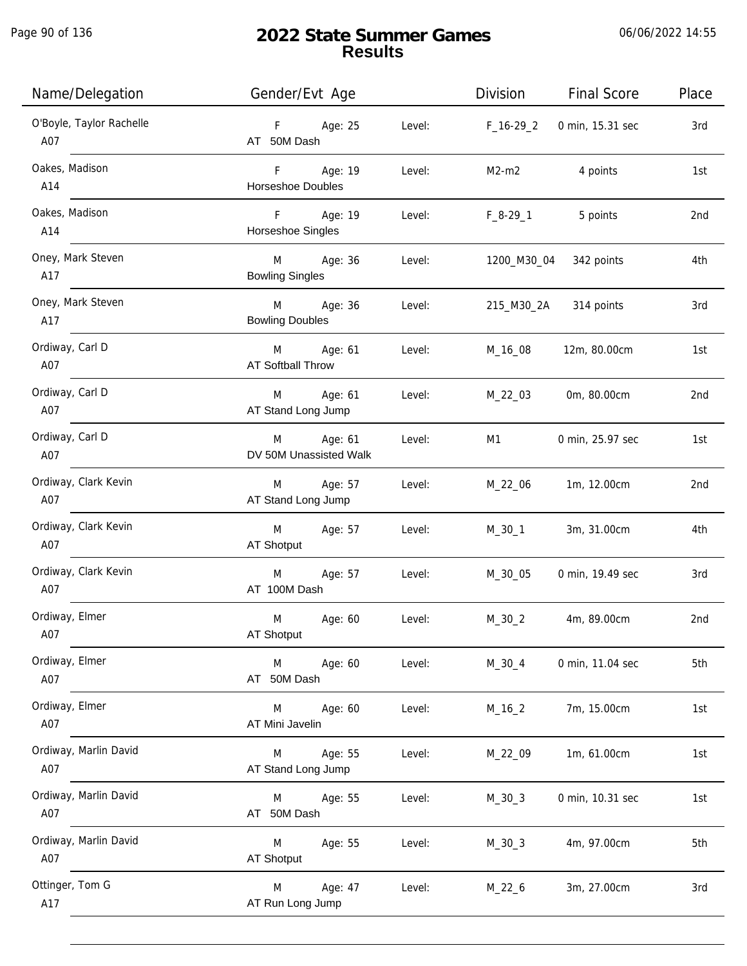Page 90 of 136

| Name/Delegation                 | Gender/Evt Age                                   | Division<br><b>Final Score</b><br>Place |
|---------------------------------|--------------------------------------------------|-----------------------------------------|
| O'Boyle, Taylor Rachelle<br>A07 | F Age: 25<br>Level:<br>AT 50M Dash               | $F_16-29_2$<br>0 min, 15.31 sec<br>3rd  |
| Oakes, Madison<br>A14           | F Age: 19<br>Level:<br><b>Horseshoe Doubles</b>  | $M2-m2$<br>4 points<br>1st              |
| Oakes, Madison<br>A14           | F Age: 19<br>Level:<br>Horseshoe Singles         | F_8-29_1<br>5 points<br>2nd             |
| Oney, Mark Steven<br>A17        | M Age: 36<br>Level:<br><b>Bowling Singles</b>    | 1200_M30_04 342 points<br>4th           |
| Oney, Mark Steven<br>A17        | M Age: 36<br>Level:<br><b>Bowling Doubles</b>    | 314 points<br>215_M30_2A<br>3rd         |
| Ordiway, Carl D<br>A07          | M Age: 61<br>Level:<br><b>AT Softball Throw</b>  | M_16_08<br>12m, 80.00cm<br>1st          |
| Ordiway, Carl D<br>A07          | Age: 61<br>M<br>Level:<br>AT Stand Long Jump     | M_22_03<br>0m, 80.00cm<br>2nd           |
| Ordiway, Carl D<br>A07          | Age: 61<br>Level:<br>M<br>DV 50M Unassisted Walk | M1<br>0 min, 25.97 sec<br>1st           |
| Ordiway, Clark Kevin<br>A07     | Age: 57<br>Level:<br>M<br>AT Stand Long Jump     | M_22_06<br>1m, 12.00cm<br>2nd           |
| Ordiway, Clark Kevin<br>A07     | Age: 57<br>M<br>Level:<br>AT Shotput             | $M_30_1$<br>3m, 31.00cm<br>4th          |
| Ordiway, Clark Kevin<br>A07     | M<br>Age: 57<br>Level:<br>AT 100M Dash           | M_30_05<br>0 min, 19.49 sec<br>3rd      |
| Ordiway, Elmer<br>A07           | M<br>Age: 60<br>Level:<br>AT Shotput             | $M_30_2$<br>4m, 89.00cm<br>2nd          |
| Ordiway, Elmer<br>A07           | Level:<br>M<br>Age: 60<br>AT 50M Dash            | $M_30_4$<br>0 min, 11.04 sec<br>5th     |
| Ordiway, Elmer<br>A07           | M<br>Age: 60<br>Level:<br>AT Mini Javelin        | $M_16_2$<br>7m, 15.00cm<br>1st          |
| Ordiway, Marlin David<br>A07    | Age: 55<br>Level:<br>M<br>AT Stand Long Jump     | 1m, 61.00cm<br>1st<br>M_22_09           |
| Ordiway, Marlin David<br>A07    | Age: 55<br>Level:<br>M<br>AT 50M Dash            | $M_30_3$<br>0 min, 10.31 sec<br>1st     |
| Ordiway, Marlin David<br>A07    | Level:<br>Age: 55<br>M<br>AT Shotput             | $M_30_3$<br>4m, 97.00cm<br>5th          |
| Ottinger, Tom G<br>A17          | Age: 47<br>M<br>Level:<br>AT Run Long Jump       | 3m, 27.00cm<br>$M_22_6$<br>3rd          |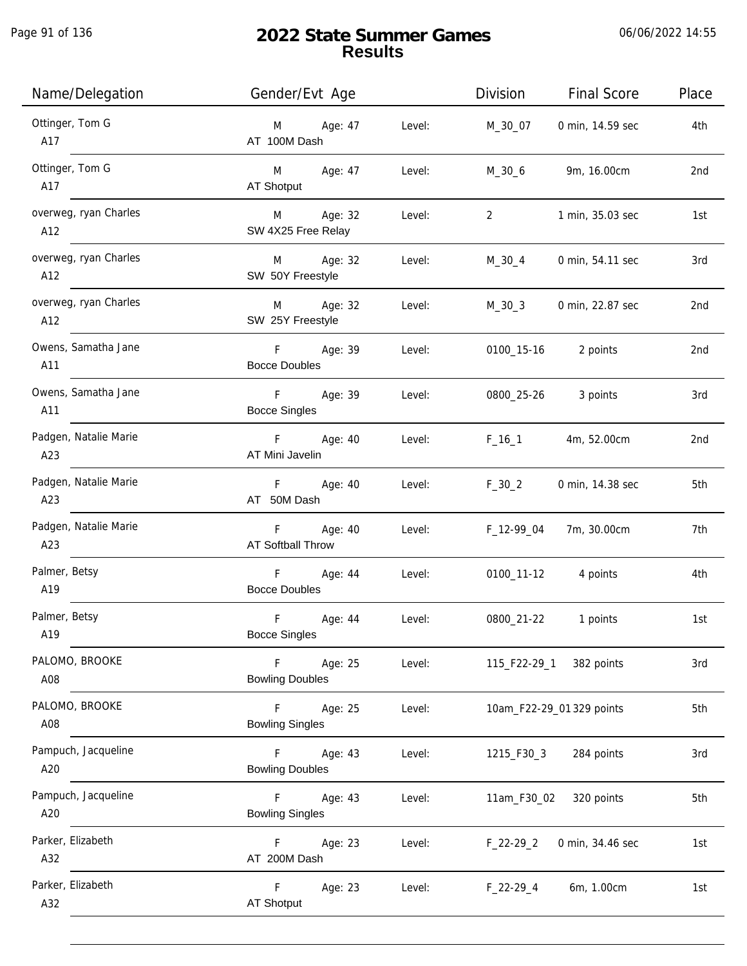| Name/Delegation              | Gender/Evt Age                                              | Division<br><b>Final Score</b>     | Place           |
|------------------------------|-------------------------------------------------------------|------------------------------------|-----------------|
| Ottinger, Tom G<br>A17       | Age: 47<br>Level:<br>M<br>AT 100M Dash                      | 0 min, 14.59 sec<br>M_30_07        | 4th             |
| Ottinger, Tom G<br>A17       | M Age: 47<br>Level:<br>AT Shotput                           | 9m, 16.00cm<br>$M_30_6$            | 2 <sub>nd</sub> |
| overweg, ryan Charles<br>A12 | M Age: 32<br>Level:<br>SW 4X25 Free Relay                   | $\overline{2}$<br>1 min, 35.03 sec | 1st             |
| overweg, ryan Charles<br>A12 | Age: 32<br>M<br>Level:<br>SW 50Y Freestyle                  | M_30_4<br>0 min, 54.11 sec         | 3rd             |
| overweg, ryan Charles<br>A12 | M Age: 32<br>Level:<br>SW 25Y Freestyle                     | M_30_3<br>0 min, 22.87 sec         | 2nd             |
| Owens, Samatha Jane<br>A11   | F Age: 39<br>Level:<br><b>Bocce Doubles</b>                 | 0100_15-16<br>2 points             | 2nd             |
| Owens, Samatha Jane<br>A11   | F Age: 39<br>Level:<br><b>Bocce Singles</b>                 | 0800_25-26<br>3 points             | 3rd             |
| Padgen, Natalie Marie<br>A23 | F Age: 40<br>Level:<br>AT Mini Javelin                      | $F_{16}$ – 1<br>4m, 52.00cm        | 2nd             |
| Padgen, Natalie Marie<br>A23 | F<br>Age: 40<br>Level:<br>AT 50M Dash                       | $F_30_2$<br>0 min, 14.38 sec       | 5th             |
| Padgen, Natalie Marie<br>A23 | F Age: 40<br>Level:<br>AT Softball Throw                    | 7m, 30.00cm<br>F_12-99_04          | 7th             |
| Palmer, Betsy<br>A19         | F<br>Age: 44<br>Level:<br><b>Bocce Doubles</b>              | 0100_11-12 4 points                | 4th             |
| Palmer, Betsy<br>A19         | F<br>Age: 44<br>Level:<br><b>Bocce Singles</b>              | 0800_21-22<br>1 points             | 1st             |
| PALOMO, BROOKE<br>A08        | F<br>Age: 25<br>Level:<br><b>Bowling Doubles</b>            | 115_F22-29_1<br>382 points         | 3rd             |
| PALOMO, BROOKE<br>A08        | $\mathsf{F}$<br>Age: 25<br>Level:<br><b>Bowling Singles</b> | 10am_F22-29_01 329 points          | 5th             |
| Pampuch, Jacqueline<br>A20   | Age: 43<br>Level:<br>F.<br><b>Bowling Doubles</b>           | 1215_F30_3<br>284 points           | 3rd             |
| Pampuch, Jacqueline<br>A20   | Age: 43<br>F.<br>Level:<br><b>Bowling Singles</b>           | 320 points<br>11am_F30_02          | 5th             |
| Parker, Elizabeth<br>A32     | F.<br>Age: 23<br>Level:<br>AT 200M Dash                     | 0 min, 34.46 sec<br>$F_22-29_2$    | 1st             |
| Parker, Elizabeth<br>A32     | $\mathsf{F}$<br>Age: 23<br>Level:<br>AT Shotput             | $F_22-29-4$<br>6m, 1.00cm          | 1st             |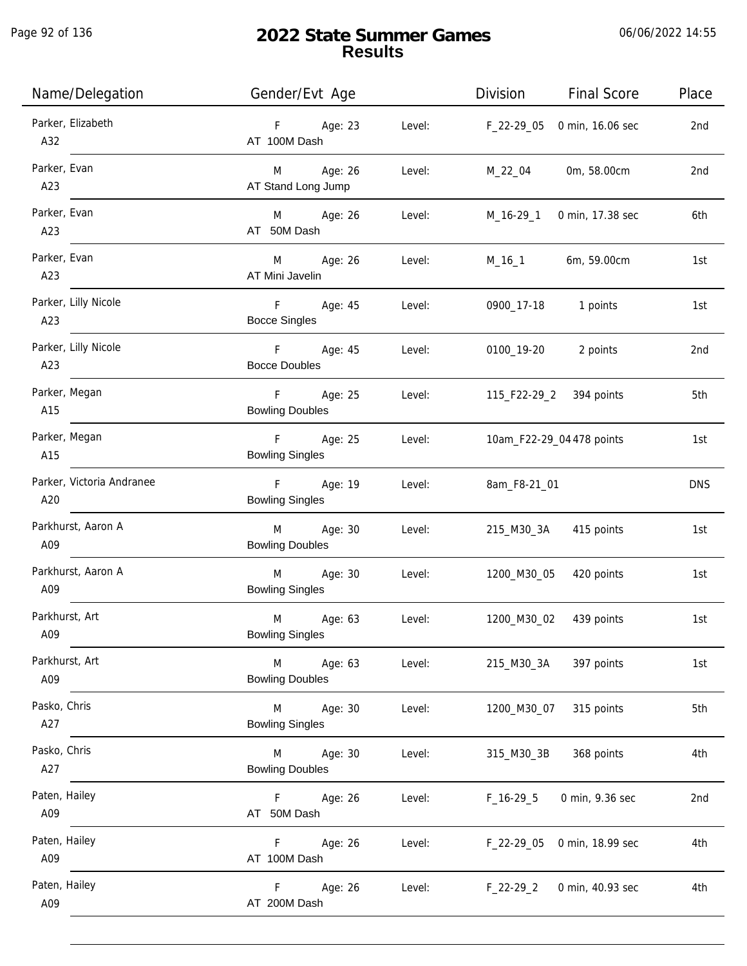j.

| Name/Delegation                  | Gender/Evt Age                                            | Division<br><b>Final Score</b>  | Place           |
|----------------------------------|-----------------------------------------------------------|---------------------------------|-----------------|
| Parker, Elizabeth<br>A32         | F Age: 23<br>Level:<br>AT 100M Dash                       | 0 min, 16.06 sec<br>F_22-29_05  | 2nd             |
| Parker, Evan<br>A23              | M Age: 26<br>Level:<br>AT Stand Long Jump                 | M_22_04<br>0m, 58.00cm          | 2nd             |
| Parker, Evan<br>A23              | M Age: 26<br>Level:<br>AT 50M Dash                        | M_16-29_1<br>0 min, 17.38 sec   | 6th             |
| Parker, Evan<br>A23              | M Age: 26<br>Level:<br>AT Mini Javelin                    | 6m, 59.00cm<br>M_16_1           | 1st             |
| Parker, Lilly Nicole<br>A23      | F Age: 45<br>Level:<br><b>Bocce Singles</b>               | 0900_17-18<br>1 points          | 1st             |
| Parker, Lilly Nicole<br>A23      | F Age: 45<br>Level:<br><b>Bocce Doubles</b>               | 0100_19-20<br>2 points          | 2 <sub>nd</sub> |
| Parker, Megan<br>A15             | Age: 25<br>F.<br>Level:<br><b>Bowling Doubles</b>         | 115_F22-29_2 394 points         | 5th             |
| Parker, Megan<br>A15             | F Age: 25<br>Level:<br><b>Bowling Singles</b>             | 10am_F22-29_04 478 points       | 1st             |
| Parker, Victoria Andranee<br>A20 | F Age: 19<br>Level:<br><b>Bowling Singles</b>             | 8am_F8-21_01                    | <b>DNS</b>      |
| Parkhurst, Aaron A<br>A09        | Age: 30<br>$M \sim 1$<br>Level:<br><b>Bowling Doubles</b> | 415 points<br>215_M30_3A        | 1st             |
| Parkhurst, Aaron A<br>A09        | M Age: 30<br>Level:<br><b>Bowling Singles</b>             | 1200_M30_05<br>420 points       | 1st             |
| Parkhurst, Art<br>A09            | M<br>Age: 63<br>Level:<br><b>Bowling Singles</b>          | 1200_M30_02<br>439 points       | 1st             |
| Parkhurst, Art<br>A09            | Age: 63<br>Level:<br>M<br><b>Bowling Doubles</b>          | 215_M30_3A<br>397 points        | 1st             |
| Pasko, Chris<br>A27              | M<br>Age: 30<br>Level:<br><b>Bowling Singles</b>          | 1200_M30_07<br>315 points       | 5th             |
| Pasko, Chris<br>A27              | Age: 30<br>Level:<br>M<br><b>Bowling Doubles</b>          | 315_M30_3B<br>368 points        | 4th             |
| Paten, Hailey<br>A09             | Age: 26<br>Level:<br>F.<br>AT 50M Dash                    | $F_16-29.5$<br>0 min, 9.36 sec  | 2nd             |
| Paten, Hailey<br>A09             | Age: 26<br>Level:<br>F.<br>AT 100M Dash                   | 0 min, 18.99 sec<br>F_22-29_05  | 4th             |
| Paten, Hailey<br>A09             | Age: 26<br>F.<br>Level:<br>AT 200M Dash                   | $F_22-29_2$<br>0 min, 40.93 sec | 4th             |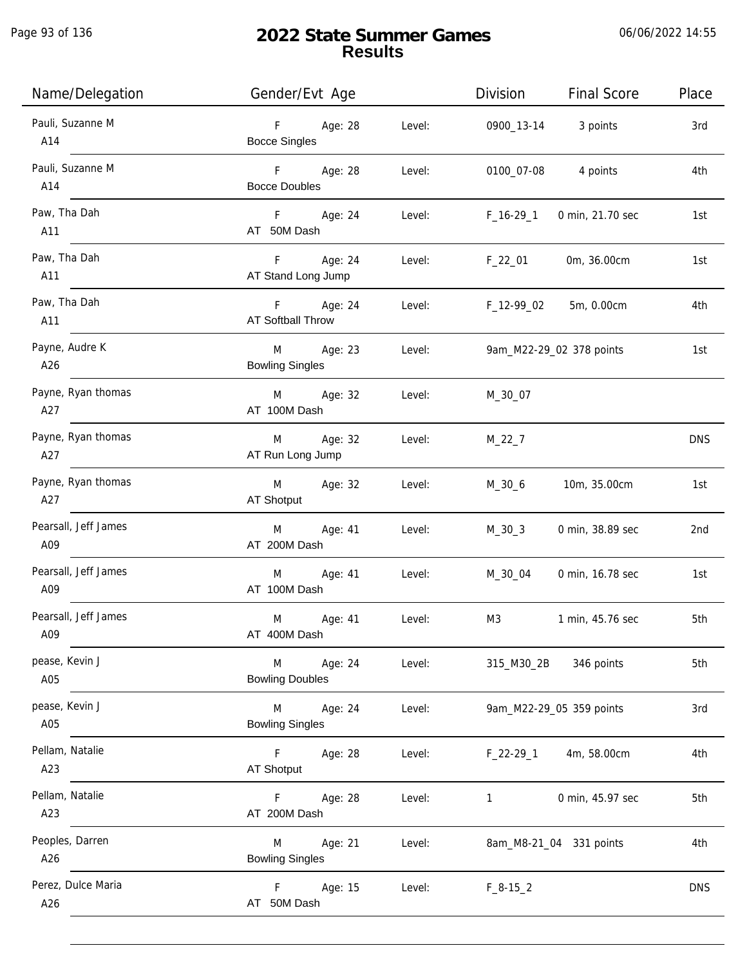Page 93 of 136

j.

| Name/Delegation             | Gender/Evt Age                                               | Division<br><b>Final Score</b><br>Place |  |
|-----------------------------|--------------------------------------------------------------|-----------------------------------------|--|
| Pauli, Suzanne M<br>A14     | F<br>Age: 28<br>Level:<br><b>Bocce Singles</b>               | 0900_13-14 3 points<br>3rd              |  |
| Pauli, Suzanne M<br>A14     | F <sub>11</sub><br>Age: 28<br>Level:<br><b>Bocce Doubles</b> | 0100_07-08<br>4 points<br>4th           |  |
| Paw, Tha Dah<br>A11         | F Age: 24<br>Level:<br>AT 50M Dash                           | $F_16-29_1$<br>0 min, 21.70 sec<br>1st  |  |
| Paw, Tha Dah<br>A11         | F Age: 24<br>Level:<br>AT Stand Long Jump                    | 0m, 36.00cm<br>F_22_01<br>1st           |  |
| Paw, Tha Dah<br>A11         | F Age: 24<br>Level:<br>AT Softball Throw                     | F_12-99_02 5m, 0.00cm<br>4th            |  |
| Payne, Audre K<br>A26       | M Age: 23<br>Level:<br><b>Bowling Singles</b>                | 9am_M22-29_02 378 points<br>1st         |  |
| Payne, Ryan thomas<br>A27   | M Age: 32<br>Level:<br>AT 100M Dash                          | M_30_07                                 |  |
| Payne, Ryan thomas<br>A27   | M<br>Age: 32<br>Level:<br>AT Run Long Jump                   | $M_22_7$<br><b>DNS</b>                  |  |
| Payne, Ryan thomas<br>A27   | M<br>Age: 32<br>Level:<br>AT Shotput                         | 10m, 35.00cm<br>M_30_6<br>1st           |  |
| Pearsall, Jeff James<br>A09 | Age: 41<br>M<br>Level:<br>AT 200M Dash                       | $M_30_3$<br>0 min, 38.89 sec<br>2nd     |  |
| Pearsall, Jeff James<br>A09 | M<br>Age: 41<br>Level:<br>AT 100M Dash                       | M_30_04<br>0 min, 16.78 sec<br>1st      |  |
| Pearsall, Jeff James<br>A09 | M<br>Age: 41<br>Level:<br>AT 400M Dash                       | M3<br>5th<br>1 min, 45.76 sec           |  |
| pease, Kevin J<br>A05       | M<br>Age: 24<br>Level:<br><b>Bowling Doubles</b>             | 315_M30_2B<br>346 points<br>5th         |  |
| pease, Kevin J<br>A05       | M<br>Age: 24<br>Level:<br><b>Bowling Singles</b>             | 9am_M22-29_05 359 points<br>3rd         |  |
| Pellam, Natalie<br>A23      | F<br>Age: 28<br>Level:<br>AT Shotput                         | 4m, 58.00cm<br>4th<br>$F_22-29_1$       |  |
| Pellam, Natalie<br>A23      | Age: 28<br>Level:<br>F.<br>AT 200M Dash                      | 0 min, 45.97 sec<br>5th<br>$\mathbf{1}$ |  |
| Peoples, Darren<br>A26      | Age: 21<br>M<br>Level:<br><b>Bowling Singles</b>             | 8am_M8-21_04 331 points<br>4th          |  |
| Perez, Dulce Maria<br>A26   | Age: 15<br>Level:<br>F.<br>AT 50M Dash                       | <b>DNS</b><br>$F_8-15_2$                |  |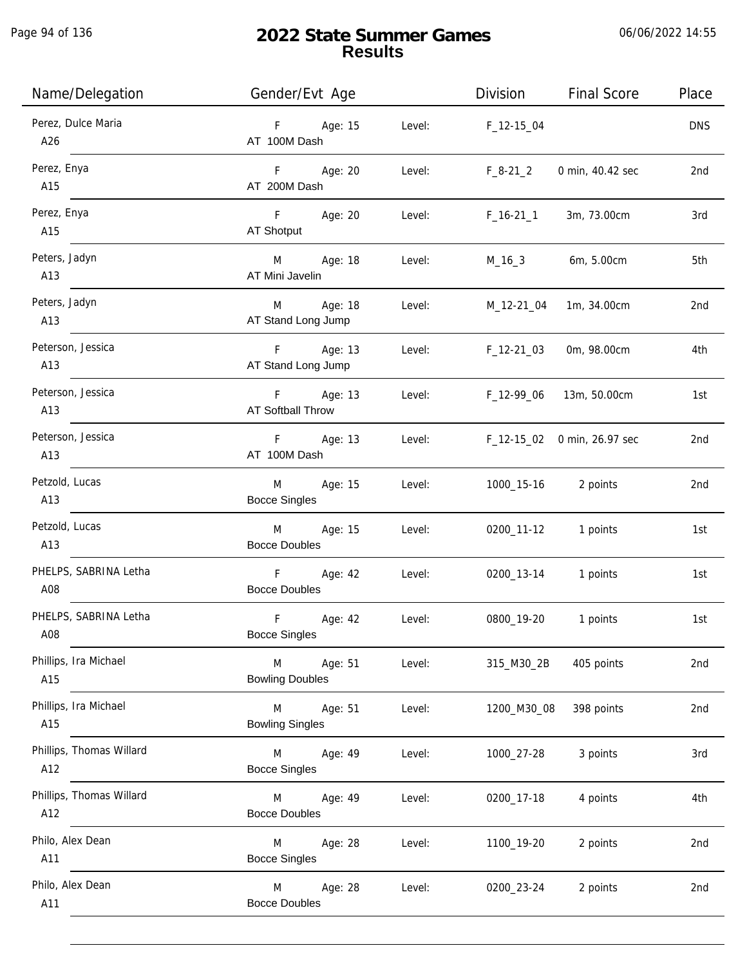Page 94 of 136

| Name/Delegation                 | Gender/Evt Age                                   | Division<br><b>Final Score</b>       | Place           |
|---------------------------------|--------------------------------------------------|--------------------------------------|-----------------|
| Perez, Dulce Maria<br>A26       | F Age: 15<br>AT 100M Dash                        | Level:<br>F_12-15_04                 | <b>DNS</b>      |
| Perez, Enya<br>A15              | F Age: 20<br>Level:<br>AT 200M Dash              | $F_8-21_2$<br>0 min, 40.42 sec       | 2nd             |
| Perez, Enya<br>A15              | F Age: 20<br>AT Shotput                          | Level:<br>$F_16-21_1$<br>3m, 73.00cm | 3rd             |
| Peters, Jadyn<br>A13            | M Age: 18<br>Level:<br>AT Mini Javelin           | M_16_3 6m, 5.00cm                    | 5th             |
| Peters, Jadyn<br>A13            | M Age: 18<br>Level:<br>AT Stand Long Jump        | M_12-21_04<br>1m, 34.00cm            | 2nd             |
| Peterson, Jessica<br>A13        | F Age: 13<br>Level:<br>AT Stand Long Jump        | $F_12-21_03$<br>0m, 98.00cm          | 4th             |
| Peterson, Jessica<br>A13        | F Age: 13<br>Level:<br>AT Softball Throw         | F_12-99_06<br>13m, 50.00cm           | 1st             |
| Peterson, Jessica<br>A13        | F Age: 13<br>Level:<br>AT 100M Dash              | F_12-15_02 0 min, 26.97 sec          | 2nd             |
| Petzold, Lucas<br>A13           | M<br>Age: 15<br>Level:<br><b>Bocce Singles</b>   | 1000_15-16 2 points                  | 2nd             |
| Petzold, Lucas<br>A13           | Age: 15<br>Level:<br>M<br><b>Bocce Doubles</b>   | 0200_11-12 1 points                  | 1st             |
| PHELPS, SABRINA Letha<br>A08    | F Age: 42<br>Level:<br><b>Bocce Doubles</b>      | 0200_13-14 1 points                  | 1st             |
| PHELPS, SABRINA Letha<br>A08    | F<br>Age: 42<br>Level:<br><b>Bocce Singles</b>   | 0800_19-20<br>1 points               | 1st             |
| Phillips, Ira Michael<br>A15    | Age: 51<br>M<br>Level:<br><b>Bowling Doubles</b> | 315_M30_2B<br>405 points             | 2nd             |
| Phillips, Ira Michael<br>A15    | M<br>Age: 51<br>Level:<br><b>Bowling Singles</b> | 1200_M30_08<br>398 points            | 2 <sub>nd</sub> |
| Phillips, Thomas Willard<br>A12 | M<br>Age: 49<br>Level:<br><b>Bocce Singles</b>   | 1000_27-28<br>3 points               | 3rd             |
| Phillips, Thomas Willard<br>A12 | Age: 49<br>Level:<br>M<br><b>Bocce Doubles</b>   | 0200_17-18<br>4 points               | 4th             |
| Philo, Alex Dean<br>A11         | Age: 28<br>Level:<br>M<br><b>Bocce Singles</b>   | 2 points<br>1100_19-20               | 2nd             |
| Philo, Alex Dean<br>A11         | Age: 28<br>Level:<br>M<br><b>Bocce Doubles</b>   | 0200_23-24<br>2 points               | 2nd             |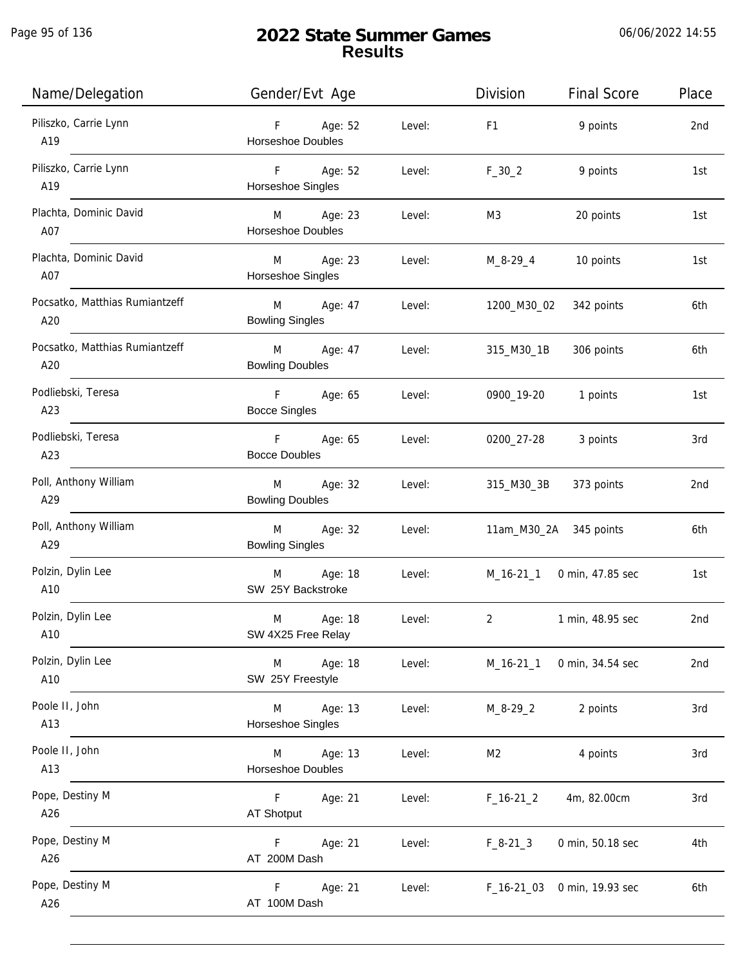j.

| Name/Delegation                       | Gender/Evt Age                      |        | Division               | <b>Final Score</b>         | Place |
|---------------------------------------|-------------------------------------|--------|------------------------|----------------------------|-------|
| Piliszko, Carrie Lynn<br>A19          | F Age: 52<br>Horseshoe Doubles      | Level: | F <sub>1</sub>         | 9 points                   | 2nd   |
| Piliszko, Carrie Lynn<br>A19          | F Age: 52<br>Horseshoe Singles      | Level: | $F_30_2$               | 9 points                   | 1st   |
| Plachta, Dominic David<br>A07         | M Age: 23<br>Horseshoe Doubles      | Level: | M3                     | 20 points                  | 1st   |
| Plachta, Dominic David<br>A07         | M Age: 23<br>Horseshoe Singles      | Level: | M_8-29_4 10 points     |                            | 1st   |
| Pocsatko, Matthias Rumiantzeff<br>A20 | M Age: 47<br><b>Bowling Singles</b> | Level: | 1200_M30_02            | 342 points                 | 6th   |
| Pocsatko, Matthias Rumiantzeff<br>A20 | M Age: 47<br><b>Bowling Doubles</b> | Level: | 315_M30_1B             | 306 points                 | 6th   |
| Podliebski, Teresa<br>A23             | F Age: 65<br><b>Bocce Singles</b>   | Level: | 0900_19-20             | 1 points                   | 1st   |
| Podliebski, Teresa<br>A23             | F Age: 65<br><b>Bocce Doubles</b>   | Level: | 0200_27-28             | 3 points                   | 3rd   |
| Poll, Anthony William<br>A29          | M Age: 32<br><b>Bowling Doubles</b> | Level: | 315_M30_3B             | 373 points                 | 2nd   |
| Poll, Anthony William<br>A29          | M Age: 32<br><b>Bowling Singles</b> | Level: | 11am_M30_2A 345 points |                            | 6th   |
| Polzin, Dylin Lee<br>A10              | M Age: 18<br>SW 25Y Backstroke      | Level: |                        | M_16-21_1 0 min, 47.85 sec | 1st   |
| Polzin, Dylin Lee<br>A10              | Age: 18<br>M<br>SW 4X25 Free Relay  | Level: | $\overline{2}$         | 1 min, 48.95 sec           | 2nd   |
| Polzin, Dylin Lee<br>A10              | Age: 18<br>M<br>SW 25Y Freestyle    | Level: | $M_16-21_1$            | 0 min, 34.54 sec           | 2nd   |
| Poole II, John<br>A13                 | Age: 13<br>M<br>Horseshoe Singles   | Level: | $M_8 - 29 - 2$         | 2 points                   | 3rd   |
| Poole II, John<br>A13                 | M<br>Age: 13<br>Horseshoe Doubles   | Level: | M2                     | 4 points                   | 3rd   |
| Pope, Destiny M<br>A26                | F.<br>Age: 21<br>AT Shotput         | Level: | $F_16-21_2$            | 4m, 82.00cm                | 3rd   |
| Pope, Destiny M<br>A26                | Age: 21<br>F.<br>AT 200M Dash       | Level: | $F_8-21-3$             | 0 min, 50.18 sec           | 4th   |
| Pope, Destiny M<br>A26                | F.<br>Age: 21<br>AT 100M Dash       | Level: | $F_16-2103$            | 0 min, 19.93 sec           | 6th   |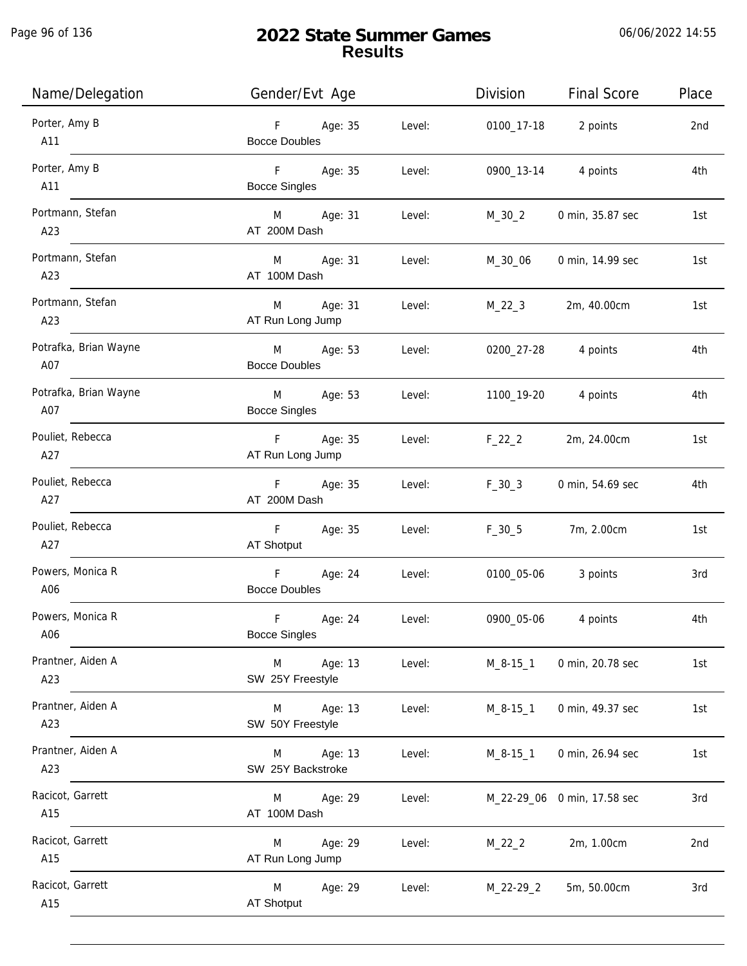Page 96 of 136

j.

| Name/Delegation              | Gender/Evt Age                             |        | Division       | <b>Final Score</b>          | Place |
|------------------------------|--------------------------------------------|--------|----------------|-----------------------------|-------|
| Porter, Amy B<br>A11         | F Age: 35<br><b>Bocce Doubles</b>          | Level: |                | 0100_17-18 2 points         | 2nd   |
| Porter, Amy B<br>A11         | $F = 1$<br>Age: 35<br><b>Bocce Singles</b> | Level: | 0900_13-14     | 4 points                    | 4th   |
| Portmann, Stefan<br>A23      | M Age: 31<br>AT 200M Dash                  | Level: | M_30_2         | 0 min, 35.87 sec            | 1st   |
| Portmann, Stefan<br>A23      | M Age: 31<br>AT 100M Dash                  | Level: | M_30_06        | 0 min, 14.99 sec            | 1st   |
| Portmann, Stefan<br>A23      | M Age: 31<br>AT Run Long Jump              | Level: | $M_22_3$       | 2m, 40.00cm                 | 1st   |
| Potrafka, Brian Wayne<br>A07 | M Age: 53<br><b>Bocce Doubles</b>          | Level: | 0200_27-28     | 4 points                    | 4th   |
| Potrafka, Brian Wayne<br>A07 | M Age: 53<br><b>Bocce Singles</b>          | Level: | 1100_19-20     | 4 points                    | 4th   |
| Pouliet, Rebecca<br>A27      | F Age: 35<br>AT Run Long Jump              | Level: | $F_22_2$       | 2m, 24.00cm                 | 1st   |
| Pouliet, Rebecca<br>A27      | Age: 35<br>$F =$<br>AT 200M Dash           | Level: | $F_30_3$       | 0 min, 54.69 sec            | 4th   |
| Pouliet, Rebecca<br>A27      | $F =$<br>Age: 35<br>AT Shotput             | Level: | $F_30_5$       | 7m, 2.00cm                  | 1st   |
| Powers, Monica R<br>A06      | F<br>Age: 24<br><b>Bocce Doubles</b>       | Level: | 0100_05-06     | 3 points                    | 3rd   |
| Powers, Monica R<br>A06      | F<br>Age: 24<br><b>Bocce Singles</b>       | Level: | 0900_05-06     | 4 points                    | 4th   |
| Prantner, Aiden A<br>A23     | M<br>Age: 13<br>SW 25Y Freestyle           | Level: | $M_8 - 15 - 1$ | 0 min, 20.78 sec            | 1st   |
| Prantner, Aiden A<br>A23     | Age: 13<br>M<br>SW 50Y Freestyle           | Level: | $M_8 - 15 - 1$ | 0 min, 49.37 sec            | 1st   |
| Prantner, Aiden A<br>A23     | Age: 13<br>M<br>SW 25Y Backstroke          | Level: | M_8-15_1       | 0 min, 26.94 sec            | 1st   |
| Racicot, Garrett<br>A15      | M<br>Age: 29<br>AT 100M Dash               | Level: |                | M_22-29_06 0 min, 17.58 sec | 3rd   |
| Racicot, Garrett<br>A15      | Age: 29<br>M<br>AT Run Long Jump           | Level: | $M_22_2$       | 2m, 1.00cm                  | 2nd   |
| Racicot, Garrett<br>A15      | M<br>Age: 29<br><b>AT Shotput</b>          | Level: | $M_22-29_2$    | 5m, 50.00cm                 | 3rd   |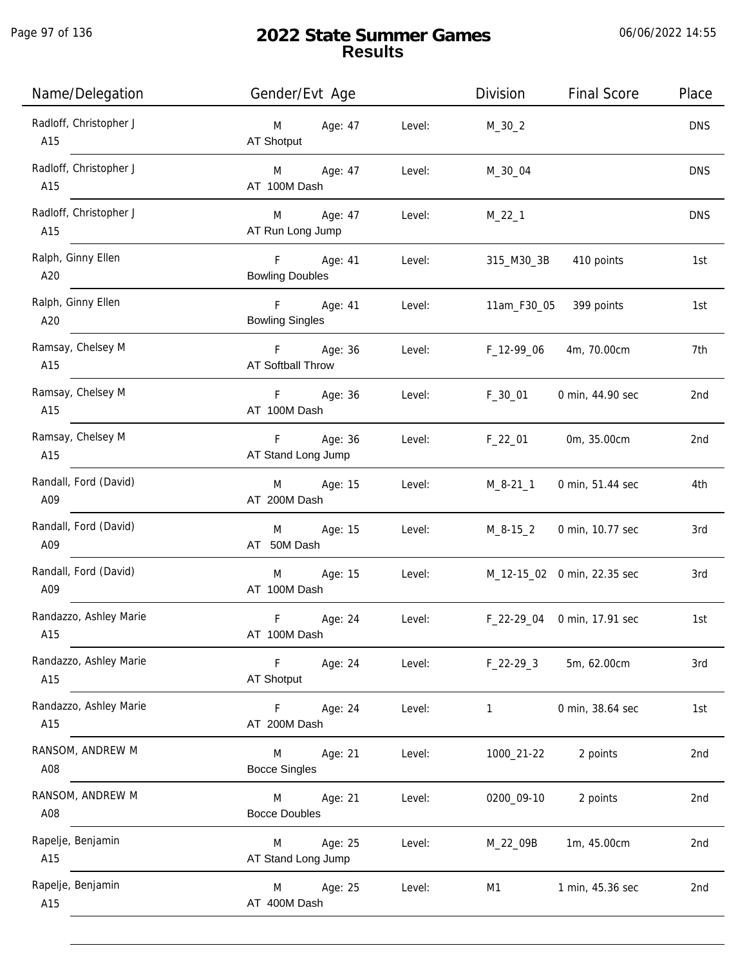Page 97 of 136

| Name/Delegation               | Gender/Evt Age                            |        | Division     | <b>Final Score</b>          | Place      |
|-------------------------------|-------------------------------------------|--------|--------------|-----------------------------|------------|
| Radloff, Christopher J<br>A15 | Age: 47<br>M<br>AT Shotput                | Level: | $M_30_2$     |                             | <b>DNS</b> |
| Radloff, Christopher J<br>A15 | Age: 47<br>M <sub>2</sub><br>AT 100M Dash | Level: | M_30_04      |                             | <b>DNS</b> |
| Radloff, Christopher J<br>A15 | M Age: 47<br>AT Run Long Jump             | Level: | $M_22_1$     |                             | <b>DNS</b> |
| Ralph, Ginny Ellen<br>A20     | F Age: 41<br><b>Bowling Doubles</b>       | Level: | 315_M30_3B   | 410 points                  | 1st        |
| Ralph, Ginny Ellen<br>A20     | F Age: 41<br><b>Bowling Singles</b>       | Level: |              | 11am_F30_05 399 points      | 1st        |
| Ramsay, Chelsey M<br>A15      | F Age: 36<br>AT Softball Throw            | Level: | F_12-99_06   | 4m, 70.00cm                 | 7th        |
| Ramsay, Chelsey M<br>A15      | F Age: 36<br>AT 100M Dash                 | Level: | F_30_01      | 0 min, 44.90 sec            | 2nd        |
| Ramsay, Chelsey M<br>A15      | F Age: 36<br>AT Stand Long Jump           | Level: | $F_22_01$    | 0m, 35.00cm                 | 2nd        |
| Randall, Ford (David)<br>A09  | Age: 15<br>M<br>AT 200M Dash              | Level: | $M_8 - 21_1$ | 0 min, 51.44 sec            | 4th        |
| Randall, Ford (David)<br>A09  | Age: 15<br>M<br>AT 50M Dash               | Level: | M_8-15_2     | 0 min, 10.77 sec            | 3rd        |
| Randall, Ford (David)<br>A09  | M<br>Age: 15<br>AT 100M Dash              | Level: |              | M_12-15_02 0 min, 22.35 sec | 3rd        |
| Randazzo, Ashley Marie<br>A15 | F<br>Age: 24<br>AT 100M Dash              | Level: |              | F_22-29_04 0 min, 17.91 sec | 1st        |
| Randazzo, Ashley Marie<br>A15 | $\mathsf F$<br>Age: 24<br>AT Shotput      | Level: | $F_22-293$   | 5m, 62.00cm                 | 3rd        |
| Randazzo, Ashley Marie<br>A15 | F<br>Age: 24<br>AT 200M Dash              | Level: | $\mathbf{1}$ | 0 min, 38.64 sec            | 1st        |
| RANSOM, ANDREW M<br>A08       | Age: 21<br>M<br><b>Bocce Singles</b>      | Level: | 1000_21-22   | 2 points                    | 2nd        |
| RANSOM, ANDREW M<br>A08       | Age: 21<br>M<br><b>Bocce Doubles</b>      | Level: | 0200_09-10   | 2 points                    | 2nd        |
| Rapelje, Benjamin<br>A15      | Age: 25<br>M<br>AT Stand Long Jump        | Level: | M_22_09B     | 1m, 45.00cm                 | 2nd        |
| Rapelje, Benjamin<br>A15      | Age: 25<br>M<br>AT 400M Dash              | Level: | M1           | 1 min, 45.36 sec            | 2nd        |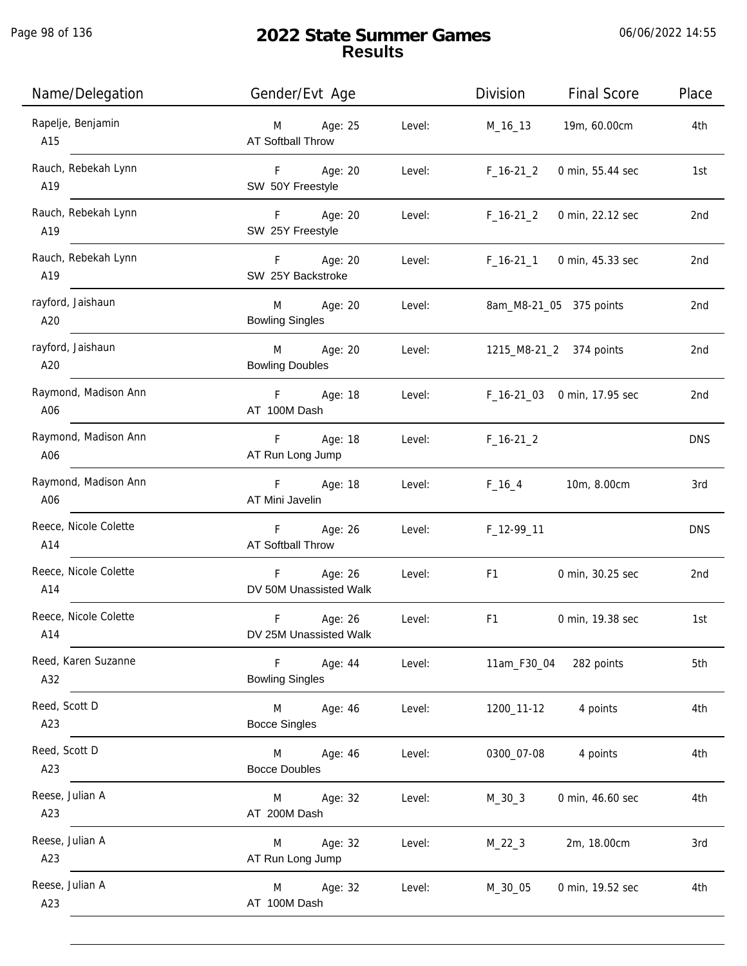Page 98 of 136

j.

| Name/Delegation              | Gender/Evt Age                                         |        | Division       | <b>Final Score</b>          | Place           |
|------------------------------|--------------------------------------------------------|--------|----------------|-----------------------------|-----------------|
| Rapelje, Benjamin<br>A15     | Age: 25<br>M <sub>ar</sub><br><b>AT Softball Throw</b> | Level: | M_16_13        | 19m, 60.00cm                | 4th             |
| Rauch, Rebekah Lynn<br>A19   | F Age: 20<br>SW 50Y Freestyle                          | Level: | $F_16-21_2$    | 0 min, 55.44 sec            | 1st             |
| Rauch, Rebekah Lynn<br>A19   | F Age: 20<br>SW 25Y Freestyle                          | Level: | $F_16-21_2$    | 0 min, 22.12 sec            | 2 <sub>nd</sub> |
| Rauch, Rebekah Lynn<br>A19   | F Age: 20<br>SW 25Y Backstroke                         | Level: |                | F_16-21_1 0 min, 45.33 sec  | 2nd             |
| rayford, Jaishaun<br>A20     | M Age: 20<br><b>Bowling Singles</b>                    | Level: |                | 8am_M8-21_05 375 points     | 2 <sub>nd</sub> |
| rayford, Jaishaun<br>A20     | M Age: 20<br><b>Bowling Doubles</b>                    | Level: |                | 1215_M8-21_2 374 points     | 2nd             |
| Raymond, Madison Ann<br>A06  | F Age: 18<br>AT 100M Dash                              | Level: |                | F_16-21_03 0 min, 17.95 sec | 2nd             |
| Raymond, Madison Ann<br>A06  | F<br>Age: 18<br>AT Run Long Jump                       | Level: | $F_16-21_2$    |                             | <b>DNS</b>      |
| Raymond, Madison Ann<br>A06  | $F =$<br>Age: 18<br>AT Mini Javelin                    | Level: | $F_16_4$       | 10m, 8.00cm                 | 3rd             |
| Reece, Nicole Colette<br>A14 | F Age: 26<br>AT Softball Throw                         | Level: | F_12-99_11     |                             | <b>DNS</b>      |
| Reece, Nicole Colette<br>A14 | F Age: 26<br>DV 50M Unassisted Walk                    | Level: | F <sub>1</sub> | 0 min, 30.25 sec            | 2 <sub>nd</sub> |
| Reece, Nicole Colette<br>A14 | $\mathsf F$<br>Age: 26<br>DV 25M Unassisted Walk       | Level: | F <sub>1</sub> | 0 min, 19.38 sec            | 1st             |
| Reed, Karen Suzanne<br>A32   | F<br>Age: 44<br><b>Bowling Singles</b>                 | Level: | 11am_F30_04    | 282 points                  | 5th             |
| Reed, Scott D<br>A23         | M <sub>ar</sub><br>Age: 46<br><b>Bocce Singles</b>     | Level: | 1200_11-12     | 4 points                    | 4th             |
| Reed, Scott D<br>A23         | M <sub>1</sub><br>Age: 46<br><b>Bocce Doubles</b>      | Level: | 0300_07-08     | 4 points                    | 4th             |
| Reese, Julian A<br>A23       | Age: 32<br>M<br>AT 200M Dash                           | Level: | M_30_3         | 0 min, 46.60 sec            | 4th             |
| Reese, Julian A<br>A23       | Age: 32<br>M<br>AT Run Long Jump                       | Level: | $M_22_3$       | 2m, 18.00cm                 | 3rd             |
| Reese, Julian A<br>A23       | Age: 32<br>M<br>AT 100M Dash                           | Level: | M_30_05        | 0 min, 19.52 sec            | 4th             |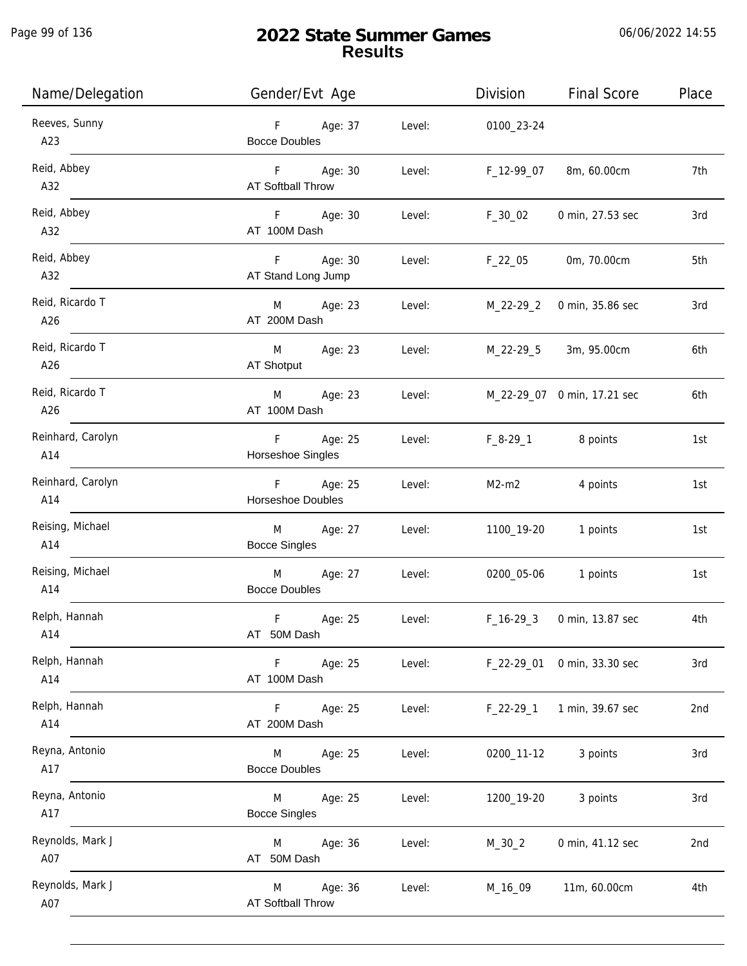Page 99 of 136

j.

# **2022 State Summer Games Results**

06/06/2022 14:55

| Name/Delegation          | Gender/Evt Age                                     |        | Division    | <b>Final Score</b>          | Place |
|--------------------------|----------------------------------------------------|--------|-------------|-----------------------------|-------|
| Reeves, Sunny<br>A23     | F Age: 37<br><b>Bocce Doubles</b>                  | Level: | 0100_23-24  |                             |       |
| Reid, Abbey<br>A32       | F Age: 30<br>AT Softball Throw                     | Level: | F_12-99_07  | 8m, 60.00cm                 | 7th   |
| Reid, Abbey<br>A32       | F Age: 30<br>AT 100M Dash                          | Level: | $F_30_02$   | 0 min, 27.53 sec            | 3rd   |
| Reid, Abbey<br>A32       | F Age: 30<br>AT Stand Long Jump                    | Level: | $F_22_05$   | 0m, 70.00cm                 | 5th   |
| Reid, Ricardo T<br>A26   | M Age: 23<br>AT 200M Dash                          | Level: |             | M_22-29_2 0 min, 35.86 sec  | 3rd   |
| Reid, Ricardo T<br>A26   | M Age: 23<br>AT Shotput                            | Level: | M_22-29_5   | 3m, 95.00cm                 | 6th   |
| Reid, Ricardo T<br>A26   | M<br>Age: 23<br>AT 100M Dash                       | Level: |             | M_22-29_07 0 min, 17.21 sec | 6th   |
| Reinhard, Carolyn<br>A14 | Age: 25<br>$F =$<br>Horseshoe Singles              | Level: |             | F_8-29_1 8 points           | 1st   |
| Reinhard, Carolyn<br>A14 | F Age: 25<br>Horseshoe Doubles                     | Level: | $M2-m2$     | 4 points                    | 1st   |
| Reising, Michael<br>A14  | M <sub>ar</sub><br>Age: 27<br><b>Bocce Singles</b> | Level: | 1100_19-20  | 1 points                    | 1st   |
| Reising, Michael<br>A14  | M<br>Age: 27<br><b>Bocce Doubles</b>               | Level: | 0200_05-06  | 1 points                    | 1st   |
| Relph, Hannah<br>A14     | F<br>Age: 25<br>AT 50M Dash                        | Level: | $F_16-293$  | 0 min, 13.87 sec            | 4th   |
| Relph, Hannah<br>A14     | F<br>Age: 25<br>AT 100M Dash                       | Level: |             | F_22-29_01 0 min, 33.30 sec | 3rd   |
| Relph, Hannah<br>A14     | F<br>Age: 25<br>AT 200M Dash                       | Level: | $F_22-29-1$ | 1 min, 39.67 sec            | 2nd   |
| Reyna, Antonio<br>A17    | Age: 25<br>M<br><b>Bocce Doubles</b>               | Level: | 0200_11-12  | 3 points                    | 3rd   |
| Reyna, Antonio<br>A17    | M<br>Age: 25<br><b>Bocce Singles</b>               | Level: | 1200_19-20  | 3 points                    | 3rd   |
| Reynolds, Mark J<br>A07  | Age: 36<br>M<br>AT 50M Dash                        | Level: | $M_30_2$    | 0 min, 41.12 sec            | 2nd   |
| Reynolds, Mark J<br>A07  | Age: 36<br>M<br>AT Softball Throw                  | Level: | M_16_09     | 11m, 60.00cm                | 4th   |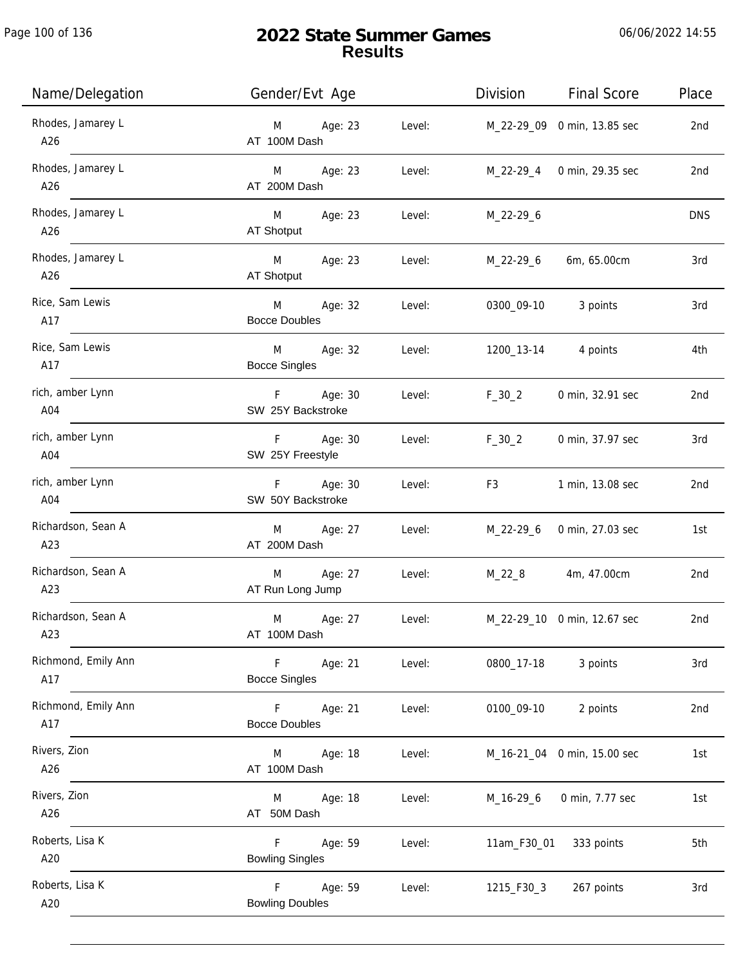| Name/Delegation            | Gender/Evt Age                                    | Division<br><b>Final Score</b>                                                                                                                                                                                                                     | Place      |
|----------------------------|---------------------------------------------------|----------------------------------------------------------------------------------------------------------------------------------------------------------------------------------------------------------------------------------------------------|------------|
| Rhodes, Jamarey L<br>A26   | M Age: 23<br>Level:<br>AT 100M Dash               | M_22-29_09 0 min, 13.85 sec                                                                                                                                                                                                                        | 2nd        |
| Rhodes, Jamarey L<br>A26   | M Age: 23<br>Level:<br>AT 200M Dash               | M_22-29_4 0 min, 29.35 sec                                                                                                                                                                                                                         | 2nd        |
| Rhodes, Jamarey L<br>A26   | M Age: 23<br>AT Shotput                           | Level: M_22-29_6                                                                                                                                                                                                                                   | <b>DNS</b> |
| Rhodes, Jamarey L<br>A26   | M Age: 23<br>Level:<br>AT Shotput                 | $M_22-29_6$<br>6m, 65.00cm                                                                                                                                                                                                                         | 3rd        |
| Rice, Sam Lewis<br>A17     | M Age: 32<br>Level:<br><b>Bocce Doubles</b>       | 0300_09-10 3 points                                                                                                                                                                                                                                | 3rd        |
| Rice, Sam Lewis<br>A17     | M Age: 32 Level:<br><b>Bocce Singles</b>          | 1200_13-14   4    points                                                                                                                                                                                                                           | 4th        |
| rich, amber Lynn<br>A04    | F Age: 30<br>Level:<br>SW 25Y Backstroke          | $F_30_2$<br>0 min, 32.91 sec                                                                                                                                                                                                                       | 2nd        |
| rich, amber Lynn<br>A04    | F Age: 30<br>Level:<br>SW 25Y Freestyle           | $F_30_2$<br>0 min, 37.97 sec                                                                                                                                                                                                                       | 3rd        |
| rich, amber Lynn<br>A04    | F Age: 30<br>Level:<br>SW 50Y Backstroke          | F3 and the state of the state of the state of the state of the state of the state of the state of the state of the state of the state of the state of the state of the state of the state of the state of the state of the sta<br>1 min, 13.08 sec | 2nd        |
| Richardson, Sean A<br>A23  | M Age: 27 Level:<br>AT 200M Dash                  | M_22-29_6 0 min, 27.03 sec                                                                                                                                                                                                                         | 1st        |
| Richardson, Sean A<br>A23  | M Age: 27<br>Level:<br>AT Run Long Jump           | M_22_8 4m, 47.00cm                                                                                                                                                                                                                                 | 2nd        |
| Richardson, Sean A<br>A23  | Age: 27<br>M<br>Level:<br>AT 100M Dash            | M_22-29_10 0 min, 12.67 sec                                                                                                                                                                                                                        | 2nd        |
| Richmond, Emily Ann<br>A17 | F<br>Age: 21<br>Level:<br><b>Bocce Singles</b>    | 3 points<br>0800_17-18                                                                                                                                                                                                                             | 3rd        |
| Richmond, Emily Ann<br>A17 | F<br>Age: 21<br>Level:<br><b>Bocce Doubles</b>    | 0100_09-10<br>2 points                                                                                                                                                                                                                             | 2nd        |
| Rivers, Zion<br>A26        | Age: 18<br>Level:<br>M<br>AT 100M Dash            | M_16-21_04 0 min, 15.00 sec                                                                                                                                                                                                                        | 1st        |
| Rivers, Zion<br>A26        | Age: 18<br>Level:<br>M<br>AT 50M Dash             | M_16-29_6<br>0 min, 7.77 sec                                                                                                                                                                                                                       | 1st        |
| Roberts, Lisa K<br>A20     | Age: 59<br>F.<br>Level:<br><b>Bowling Singles</b> | 11am_F30_01<br>333 points                                                                                                                                                                                                                          | 5th        |
| Roberts, Lisa K<br>A20     | F<br>Age: 59<br>Level:<br><b>Bowling Doubles</b>  | 1215_F30_3<br>267 points                                                                                                                                                                                                                           | 3rd        |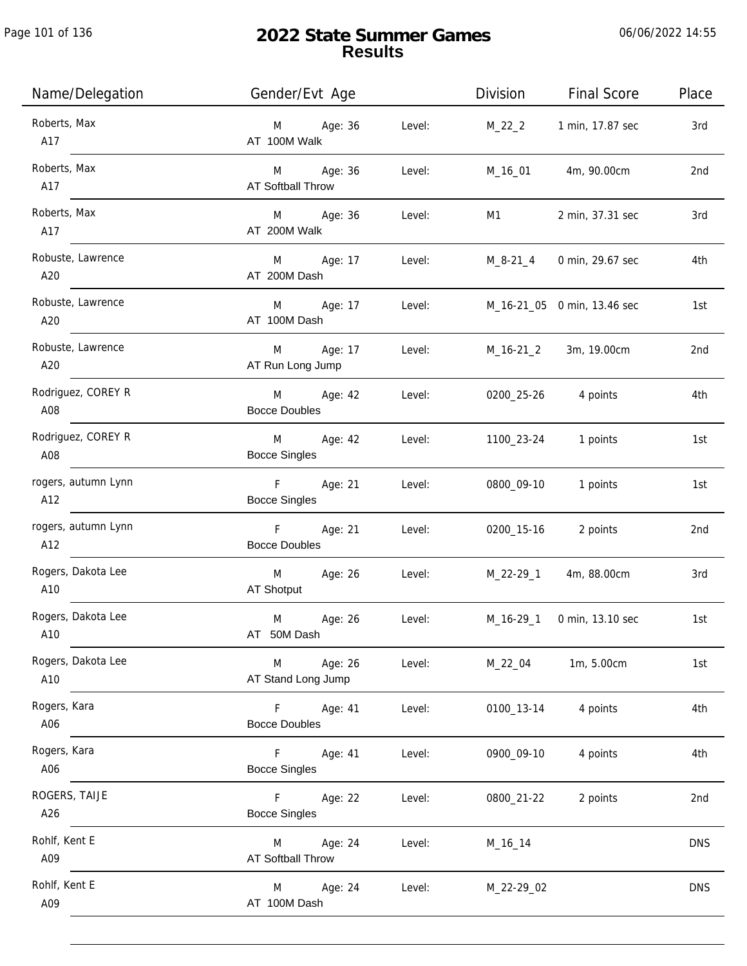j.

| Name/Delegation            | Gender/Evt Age                                     | Division   | <b>Final Score</b>          | Place      |
|----------------------------|----------------------------------------------------|------------|-----------------------------|------------|
| Roberts, Max<br>A17        | Age: 36<br>Level:<br>M<br>AT 100M Walk             | $M_22_2$   | 1 min, 17.87 sec            | 3rd        |
| Roberts, Max<br>A17        | M Age: 36<br>Level:<br>AT Softball Throw           | M_16_01    | 4m, 90.00cm                 | 2nd        |
| Roberts, Max<br>A17        | M Age: 36<br>Level:<br>AT 200M Walk                | M1         | 2 min, 37.31 sec            | 3rd        |
| Robuste, Lawrence<br>A20   | M Age: 17<br>Level:<br>AT 200M Dash                | M_8-21_4   | 0 min, 29.67 sec            | 4th        |
| Robuste, Lawrence<br>A20   | M Age: 17<br>Level:<br>AT 100M Dash                |            | M_16-21_05 0 min, 13.46 sec | 1st        |
| Robuste, Lawrence<br>A20   | M Age: 17<br>Level:<br>AT Run Long Jump            | M_16-21_2  | 3m, 19.00cm                 | 2nd        |
| Rodriguez, COREY R<br>A08  | M Age: 42<br>Level:<br><b>Bocce Doubles</b>        | 0200_25-26 | 4 points                    | 4th        |
| Rodriguez, COREY R<br>A08  | M<br>Age: 42<br>Level:<br><b>Bocce Singles</b>     | 1100_23-24 | 1 points                    | 1st        |
| rogers, autumn Lynn<br>A12 | $F -$<br>Age: 21<br>Level:<br><b>Bocce Singles</b> | 0800_09-10 | 1 points                    | 1st        |
| rogers, autumn Lynn<br>A12 | F<br>Age: 21<br>Level:<br><b>Bocce Doubles</b>     | 0200_15-16 | 2 points                    | 2nd        |
| Rogers, Dakota Lee<br>A10  | M<br>Age: 26<br>Level:<br>AT Shotput               | M_22-29_1  | 4m, 88.00cm                 | 3rd        |
| Rogers, Dakota Lee<br>A10  | M<br>Age: 26<br>Level:<br>AT 50M Dash              | M_16-29_1  | 0 min, 13.10 sec            | 1st        |
| Rogers, Dakota Lee<br>A10  | Age: 26<br>M<br>Level:<br>AT Stand Long Jump       | M_22_04    | 1m, 5.00cm                  | 1st        |
| Rogers, Kara<br>A06        | Age: 41<br>F.<br>Level:<br><b>Bocce Doubles</b>    | 0100_13-14 | 4 points                    | 4th        |
| Rogers, Kara<br>A06        | F.<br>Age: 41<br>Level:<br><b>Bocce Singles</b>    | 0900_09-10 | 4 points                    | 4th        |
| ROGERS, TAIJE<br>A26       | F.<br>Age: 22<br>Level:<br><b>Bocce Singles</b>    | 0800_21-22 | 2 points                    | 2nd        |
| Rohlf, Kent E<br>A09       | Age: 24<br>Level:<br>M<br>AT Softball Throw        | M_16_14    |                             | <b>DNS</b> |
| Rohlf, Kent E<br>A09       | Age: 24<br>Level:<br>M<br>AT 100M Dash             | M_22-29_02 |                             | <b>DNS</b> |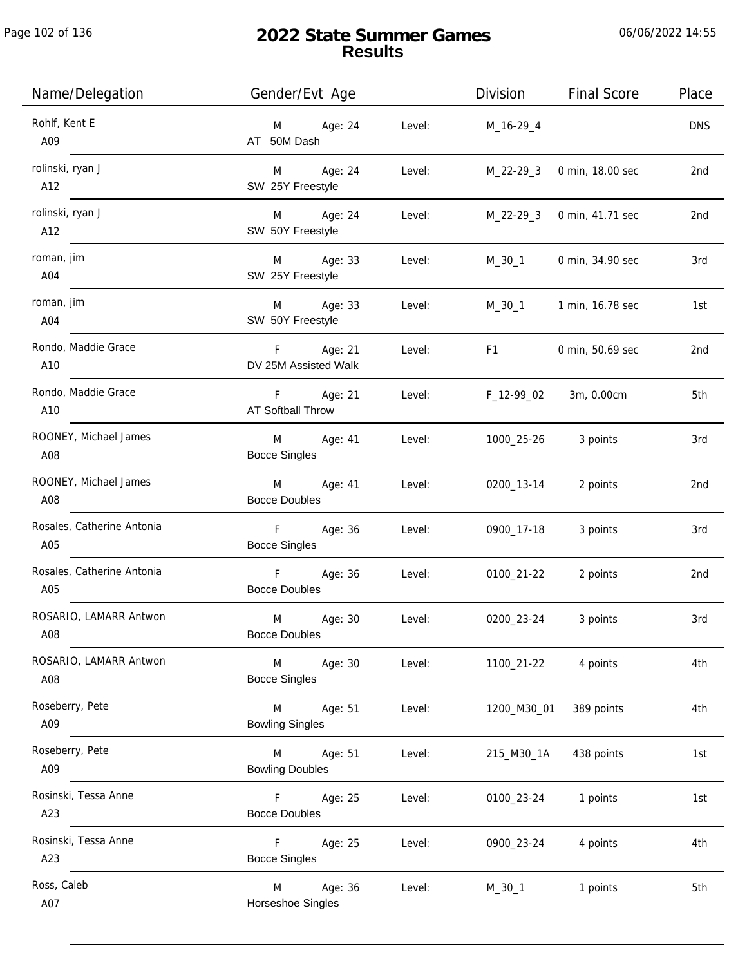| Name/Delegation                   | Gender/Evt Age                                           | Division    | <b>Final Score</b> | Place      |
|-----------------------------------|----------------------------------------------------------|-------------|--------------------|------------|
| Rohlf, Kent E<br>A09              | Age: 24<br>Level:<br>M<br>AT 50M Dash                    | M_16-29_4   |                    | <b>DNS</b> |
| rolinski, ryan J<br>A12           | Age: 24<br>Level:<br>M<br>SW 25Y Freestyle               | $M_22-29-3$ | 0 min, 18.00 sec   | 2nd        |
| rolinski, ryan J<br>A12           | Age: 24<br>M<br>Level:<br>SW 50Y Freestyle               | $M_22-29-3$ | 0 min, 41.71 sec   | 2nd        |
| roman, jim<br>A04                 | Age: 33<br>M<br>Level:<br>SW 25Y Freestyle               | M_30_1      | 0 min, 34.90 sec   | 3rd        |
| roman, jim<br>A04                 | Age: 33<br>M<br>Level:<br>SW 50Y Freestyle               | M_30_1      | 1 min, 16.78 sec   | 1st        |
| Rondo, Maddie Grace<br>A10        | Age: 21<br>F.<br>Level:<br>DV 25M Assisted Walk          | F1          | 0 min, 50.69 sec   | 2nd        |
| Rondo, Maddie Grace<br>A10        | Age: 21<br>F.<br>Level:<br><b>AT Softball Throw</b>      | F_12-99_02  | 3m, 0.00cm         | 5th        |
| ROONEY, Michael James<br>A08      | Age: 41<br>M<br>Level:<br><b>Bocce Singles</b>           | 1000_25-26  | 3 points           | 3rd        |
| ROONEY, Michael James<br>A08      | Age: 41<br>Level:<br>M<br><b>Bocce Doubles</b>           | 0200_13-14  | 2 points           | 2nd        |
| Rosales, Catherine Antonia<br>A05 | F<br>Age: 36<br>Level:<br><b>Bocce Singles</b>           | 0900_17-18  | 3 points           | 3rd        |
| Rosales, Catherine Antonia<br>A05 | $\mathsf F$<br>Age: 36<br>Level:<br><b>Bocce Doubles</b> | 0100_21-22  | 2 points           | 2nd        |
| ROSARIO, LAMARR Antwon<br>A08     | M<br>Age: 30<br>Level:<br><b>Bocce Doubles</b>           | 0200_23-24  | 3 points           | 3rd        |
| ROSARIO, LAMARR Antwon<br>A08     | M<br>Age: 30<br>Level:<br><b>Bocce Singles</b>           | 1100_21-22  | 4 points           | 4th        |
| Roseberry, Pete<br>A09            | Age: 51<br>Level:<br>M<br><b>Bowling Singles</b>         | 1200_M30_01 | 389 points         | 4th        |
| Roseberry, Pete<br>A09            | M<br>Age: 51<br>Level:<br><b>Bowling Doubles</b>         | 215_M30_1A  | 438 points         | 1st        |
| Rosinski, Tessa Anne<br>A23       | Age: 25<br>Level:<br>F.<br><b>Bocce Doubles</b>          | 0100_23-24  | 1 points           | 1st        |
| Rosinski, Tessa Anne<br>A23       | F.<br>Age: 25<br>Level:<br><b>Bocce Singles</b>          | 0900_23-24  | 4 points           | 4th        |
| Ross, Caleb<br>A07                | Age: 36<br>M<br>Level:<br>Horseshoe Singles              | M_30_1      | 1 points           | 5th        |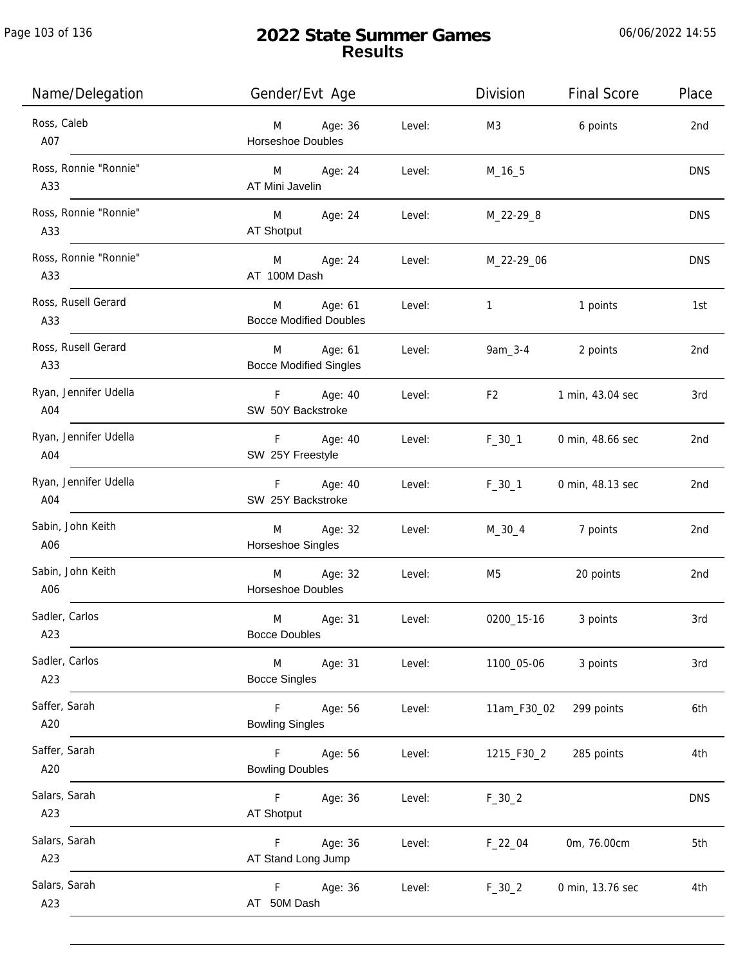| Name/Delegation              | Gender/Evt Age                                          | Division<br><b>Final Score</b>   | Place      |
|------------------------------|---------------------------------------------------------|----------------------------------|------------|
| Ross, Caleb<br>A07           | Age: 36<br>Level:<br>M<br><b>Horseshoe Doubles</b>      | M3<br>6 points                   | 2nd        |
| Ross, Ronnie "Ronnie"<br>A33 | M Age: 24<br>Level:<br>AT Mini Javelin                  | $M_16_5$                         | <b>DNS</b> |
| Ross, Ronnie "Ronnie"<br>A33 | M Age: 24<br>AT Shotput                                 | Level:<br>M_22-29_8              | <b>DNS</b> |
| Ross, Ronnie "Ronnie"<br>A33 | M Age: 24<br>AT 100M Dash                               | Level: M_22-29_06                | <b>DNS</b> |
| Ross, Rusell Gerard<br>A33   | M Age: 61<br>Level:<br><b>Bocce Modified Doubles</b>    | $\overline{1}$<br>1 points       | 1st        |
| Ross, Rusell Gerard<br>A33   | Age: 61<br>M<br>Level:<br><b>Bocce Modified Singles</b> | $9am_3 - 4$<br>2 points          | 2nd        |
| Ryan, Jennifer Udella<br>A04 | F Age: 40<br>SW 50Y Backstroke                          | F2<br>Level:<br>1 min, 43.04 sec | 3rd        |
| Ryan, Jennifer Udella<br>A04 | F Age: 40<br>Level:<br>SW 25Y Freestyle                 | $F_30_1$<br>0 min, 48.66 sec     | 2nd        |
| Ryan, Jennifer Udella<br>A04 | F Age: 40<br>Level:<br>SW 25Y Backstroke                | $F_30_1$<br>0 min, 48.13 sec     | 2nd        |
| Sabin, John Keith<br>A06     | Age: 32<br>M<br>Level:<br>Horseshoe Singles             | $M_30_4$<br>7 points             | 2nd        |
| Sabin, John Keith<br>A06     | Age: 32<br>M<br>Level:<br>Horseshoe Doubles             | 20 points<br>M5                  | 2nd        |
| Sadler, Carlos<br>A23        | M<br>Age: 31<br>Level:<br><b>Bocce Doubles</b>          | 0200_15-16<br>3 points           | 3rd        |
| Sadler, Carlos<br>A23        | Age: 31<br>Level:<br>M<br><b>Bocce Singles</b>          | 3 points<br>1100_05-06           | 3rd        |
| Saffer, Sarah<br>A20         | F Age: 56<br>Level:<br><b>Bowling Singles</b>           | 11am_F30_02<br>299 points        | 6th        |
| Saffer, Sarah<br>A20         | F<br>Age: 56<br>Level:<br><b>Bowling Doubles</b>        | 1215_F30_2<br>285 points         | 4th        |
| Salars, Sarah<br>A23         | F <sub>12</sub><br>Age: 36<br>Level:<br>AT Shotput      | $F_30_2$                         | <b>DNS</b> |
| Salars, Sarah<br>A23         | Age: 36<br>Level:<br>F.<br>AT Stand Long Jump           | 0m, 76.00cm<br>$F_22_04$         | 5th        |
| Salars, Sarah<br>A23         | Age: 36<br>Level:<br>F<br>AT 50M Dash                   | $F_30_2$<br>0 min, 13.76 sec     | 4th        |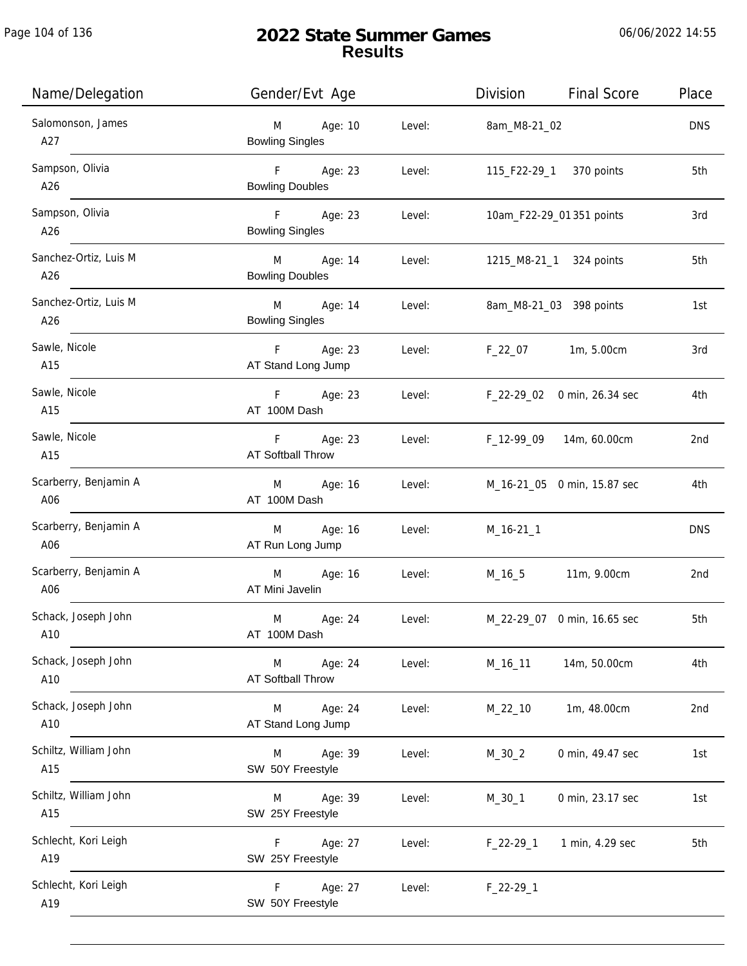j.

| Name/Delegation              | Gender/Evt Age                                                 | <b>Final Score</b><br>Division | Place      |
|------------------------------|----------------------------------------------------------------|--------------------------------|------------|
| Salomonson, James<br>A27     | M <sub>ar</sub><br>Age: 10<br>Level:<br><b>Bowling Singles</b> | 8am_M8-21_02                   | <b>DNS</b> |
| Sampson, Olivia<br>A26       | F Age: 23<br>Level:<br><b>Bowling Doubles</b>                  | 115_F22-29_1 370 points        | 5th        |
| Sampson, Olivia<br>A26       | F Age: 23<br>Level:<br><b>Bowling Singles</b>                  | 10am_F22-29_01 351 points      | 3rd        |
| Sanchez-Ortiz, Luis M<br>A26 | M Age: 14<br>Level:<br><b>Bowling Doubles</b>                  | 1215_M8-21_1 324 points        | 5th        |
| Sanchez-Ortiz, Luis M<br>A26 | M Age: 14<br>Level:<br><b>Bowling Singles</b>                  | 8am_M8-21_03 398 points        | 1st        |
| Sawle, Nicole<br>A15         | F Age: 23<br>Level:<br>AT Stand Long Jump                      | F_22_07 1m, 5.00cm             | 3rd        |
| Sawle, Nicole<br>A15         | F Age: 23<br>Level:<br>AT 100M Dash                            | F_22-29_02 0 min, 26.34 sec    | 4th        |
| Sawle, Nicole<br>A15         | F Age: 23<br>Level:<br>AT Softball Throw                       | F_12-99_09<br>14m, 60.00cm     | 2nd        |
| Scarberry, Benjamin A<br>A06 | M Age: 16<br>Level:<br>AT 100M Dash                            | M_16-21_05 0 min, 15.87 sec    | 4th        |
| Scarberry, Benjamin A<br>A06 | M Age: 16<br>Level:<br>AT Run Long Jump                        | $M_16-21_1$                    | <b>DNS</b> |
| Scarberry, Benjamin A<br>A06 | M Age: 16<br>Level:<br>AT Mini Javelin                         | M_16_5 11m, 9.00cm             | 2nd        |
| Schack, Joseph John<br>A10   | Age: 24<br>M<br>Level:<br>AT 100M Dash                         | M_22-29_07 0 min, 16.65 sec    | 5th        |
| Schack, Joseph John<br>A10   | M<br>Age: 24<br>Level:<br><b>AT Softball Throw</b>             | 14m, 50.00cm<br>M_16_11        | 4th        |
| Schack, Joseph John<br>A10   | Age: 24<br>M<br>Level:<br>AT Stand Long Jump                   | 1m, 48.00cm<br>$M_22_10$       | 2nd        |
| Schiltz, William John<br>A15 | Age: 39<br>M<br>Level:<br>SW 50Y Freestyle                     | $M_30_2$<br>0 min, 49.47 sec   | 1st        |
| Schiltz, William John<br>A15 | Age: 39<br>Level:<br>M<br>SW 25Y Freestyle                     | 0 min, 23.17 sec<br>$M_3O_1$   | 1st        |
| Schlecht, Kori Leigh<br>A19  | Age: 27<br>Level:<br>F.<br>SW 25Y Freestyle                    | 1 min, 4.29 sec<br>$F_22-29_1$ | 5th        |
| Schlecht, Kori Leigh<br>A19  | Age: 27<br>F.<br>Level:<br>SW 50Y Freestyle                    | $F_22-29-1$                    |            |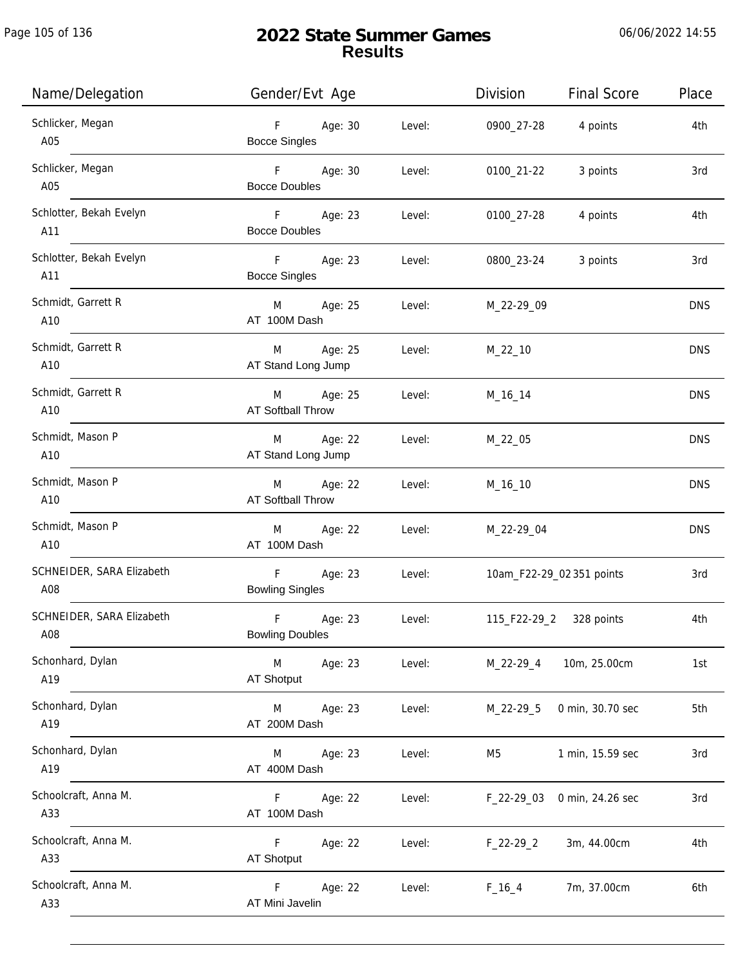| Name/Delegation                  | Gender/Evt Age                                     | Division<br><b>Final Score</b>             | Place      |
|----------------------------------|----------------------------------------------------|--------------------------------------------|------------|
| Schlicker, Megan<br>A05          | Age: 30<br>F <sub>11</sub><br><b>Bocce Singles</b> | Level:<br>0900_27-28<br>4 points           | 4th        |
| Schlicker, Megan<br>A05          | F Age: 30<br><b>Bocce Doubles</b>                  | 3 points<br>Level:<br>0100_21-22           | 3rd        |
| Schlotter, Bekah Evelyn<br>A11   | F Age: 23<br><b>Bocce Doubles</b>                  | Level:<br>0100_27-28<br>4 points           | 4th        |
| Schlotter, Bekah Evelyn<br>A11   | F Age: 23<br><b>Bocce Singles</b>                  | 3 points<br>Level:<br>0800_23-24           | 3rd        |
| Schmidt, Garrett R<br>A10        | M Age: 25<br>AT 100M Dash                          | Level:<br>M_22-29_09                       | <b>DNS</b> |
| Schmidt, Garrett R<br>A10        | M Age: 25<br>AT Stand Long Jump                    | Level:<br>$M_22_10$                        | <b>DNS</b> |
| Schmidt, Garrett R<br>A10        | M Age: 25<br>AT Softball Throw                     | Level:<br>M_16_14                          | <b>DNS</b> |
| Schmidt, Mason P<br>A10          | M Age: 22<br>AT Stand Long Jump                    | Level:<br>M_22_05                          | <b>DNS</b> |
| Schmidt, Mason P<br>A10          | Age: 22<br>M<br>AT Softball Throw                  | Level:<br>M_16_10                          | <b>DNS</b> |
| Schmidt, Mason P<br>A10          | M Age: 22<br>AT 100M Dash                          | Level:<br>M_22-29_04                       | <b>DNS</b> |
| SCHNEIDER, SARA Elizabeth<br>A08 | $\mathsf F$ .<br>Age: 23<br><b>Bowling Singles</b> | Level:<br>10am_F22-29_02 351 points        | 3rd        |
| SCHNEIDER, SARA Elizabeth<br>A08 | $\mathsf F$<br>Age: 23<br><b>Bowling Doubles</b>   | 115_F22-29_2 328 points<br>Level:          | 4th        |
| Schonhard, Dylan<br>A19          | M<br>Age: 23<br><b>AT Shotput</b>                  | Level:<br>10m, 25.00cm<br>M_22-29_4        | 1st        |
| Schonhard, Dylan<br>A19          | M<br>Age: 23<br>AT 200M Dash                       | Level:<br>0 min, 30.70 sec<br>M_22-29_5    | 5th        |
| Schonhard, Dylan<br>A19          | Age: 23<br>M<br>AT 400M Dash                       | Level:<br>1 min, 15.59 sec<br>M5           | 3rd        |
| Schoolcraft, Anna M.<br>A33      | Age: 22<br>F.<br>AT 100M Dash                      | Level:<br>$F_22-29_03$<br>0 min, 24.26 sec | 3rd        |
| Schoolcraft, Anna M.<br>A33      | F.<br>Age: 22<br>AT Shotput                        | Level:<br>3m, 44.00cm<br>$F_22-29_2$       | 4th        |
| Schoolcraft, Anna M.<br>A33      | Age: 22<br>F.<br>AT Mini Javelin                   | Level:<br>$F_16_4$<br>7m, 37.00cm          | 6th        |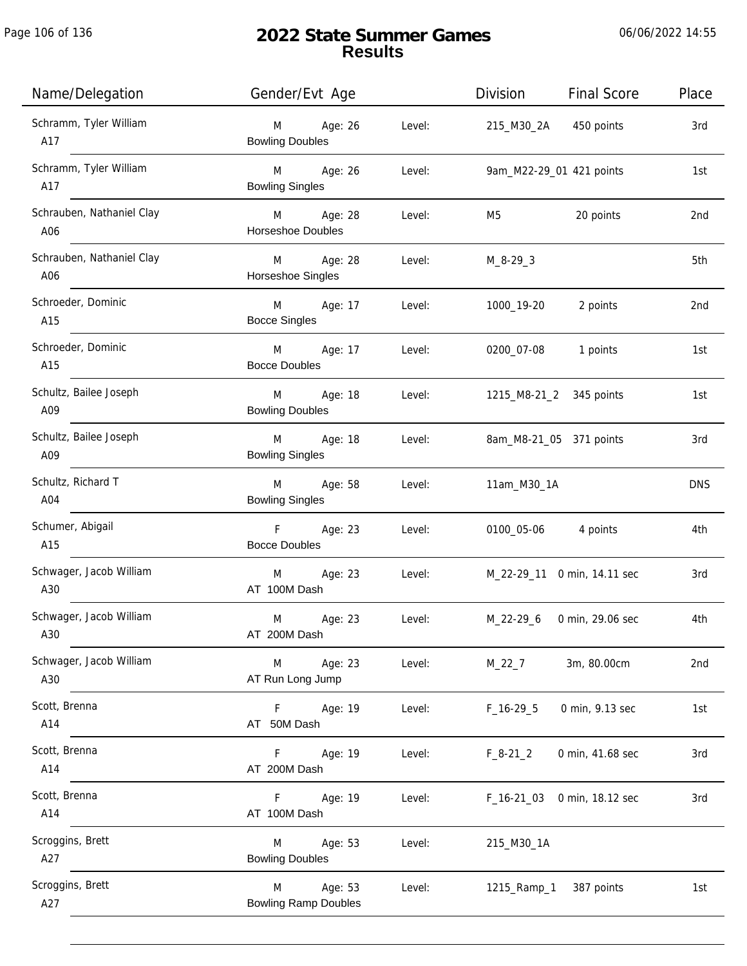| Name/Delegation                  | Gender/Evt Age                              |        | Division<br><b>Final Score</b>  | Place           |
|----------------------------------|---------------------------------------------|--------|---------------------------------|-----------------|
| Schramm, Tyler William<br>A17    | Age: 26<br>M<br><b>Bowling Doubles</b>      | Level: | 215_M30_2A 450 points           | 3rd             |
| Schramm, Tyler William<br>A17    | M Age: 26<br><b>Bowling Singles</b>         | Level: | 9am_M22-29_01 421 points        | 1st             |
| Schrauben, Nathaniel Clay<br>A06 | M Age: 28<br>Horseshoe Doubles              | Level: | 20 points<br>M5                 | 2nd             |
| Schrauben, Nathaniel Clay<br>A06 | Age: 28<br>M<br>Horseshoe Singles           | Level: | $M_8 - 29 - 3$                  | 5th             |
| Schroeder, Dominic<br>A15        | M Age: 17<br><b>Bocce Singles</b>           | Level: | 1000_19-20<br>2 points          | 2nd             |
| Schroeder, Dominic<br>A15        | M<br>Age: 17<br><b>Bocce Doubles</b>        | Level: | 0200_07-08<br>1 points          | 1st             |
| Schultz, Bailee Joseph<br>A09    | M<br>Age: 18<br><b>Bowling Doubles</b>      | Level: | 1215_M8-21_2 345 points         | 1st             |
| Schultz, Bailee Joseph<br>A09    | Age: 18<br>M<br><b>Bowling Singles</b>      | Level: | 8am_M8-21_05 371 points         | 3rd             |
| Schultz, Richard T<br>A04        | M<br>Age: 58<br><b>Bowling Singles</b>      | Level: | 11am_M30_1A                     | <b>DNS</b>      |
| Schumer, Abigail<br>A15          | F<br>Age: 23<br><b>Bocce Doubles</b>        | Level: | 0100_05-06 4 points             | 4th             |
| Schwager, Jacob William<br>A30   | Age: 23<br>M<br>AT 100M Dash                | Level: | M_22-29_11 0 min, 14.11 sec     | 3rd             |
| Schwager, Jacob William<br>A30   | M<br>Age: 23<br>AT 200M Dash                | Level: | M_22-29_6 0 min, 29.06 sec      | 4th             |
| Schwager, Jacob William<br>A30   | Age: 23<br>M<br>AT Run Long Jump            | Level: | 3m, 80.00cm<br>$M_22_7$         | 2 <sub>nd</sub> |
| Scott, Brenna<br>A14             | Age: 19<br>F.<br>AT 50M Dash                | Level: | $F_16-29.5$<br>0 min, 9.13 sec  | 1st             |
| Scott, Brenna<br>A14             | Age: 19<br>F.<br>AT 200M Dash               | Level: | $F_8-21_2$<br>0 min, 41.68 sec  | 3rd             |
| Scott, Brenna<br>A14             | Age: 19<br>F.<br>AT 100M Dash               | Level: | $F_16-2103$<br>0 min, 18.12 sec | 3rd             |
| Scroggins, Brett<br>A27          | Age: 53<br>M<br><b>Bowling Doubles</b>      | Level: | 215_M30_1A                      |                 |
| Scroggins, Brett<br>A27          | Age: 53<br>M<br><b>Bowling Ramp Doubles</b> | Level: | 1215_Ramp_1<br>387 points       | 1st             |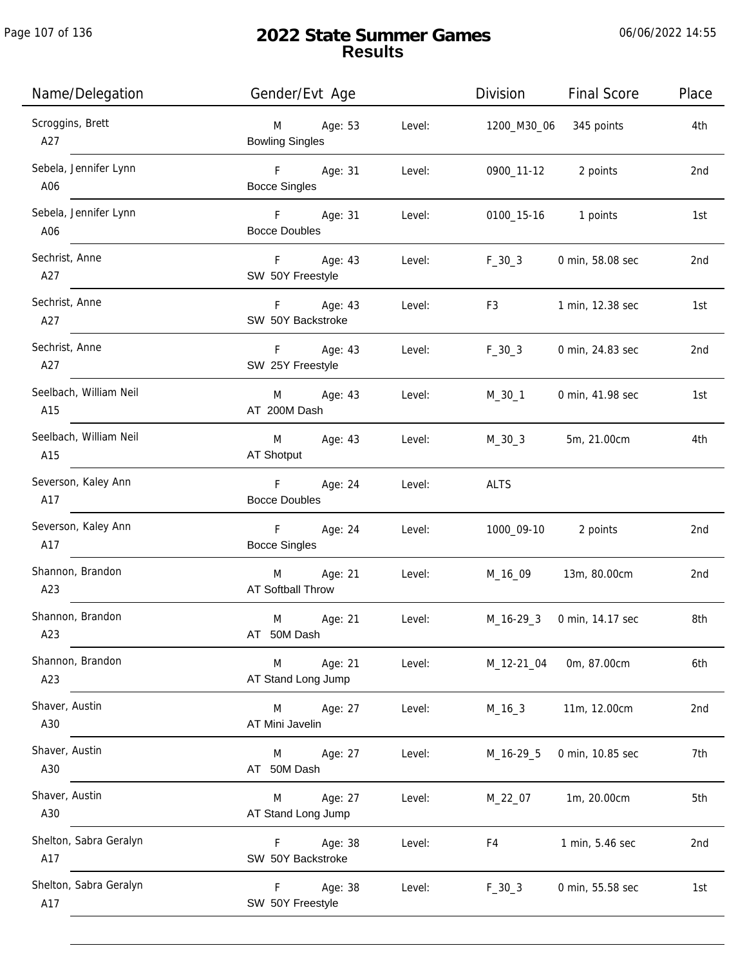| Name/Delegation               | Gender/Evt Age                      | Place<br>Division<br>Final Score               |
|-------------------------------|-------------------------------------|------------------------------------------------|
| Scroggins, Brett<br>A27       | M Age: 53<br><b>Bowling Singles</b> | Level:<br>345 points<br>4th<br>1200_M30_06     |
| Sebela, Jennifer Lynn<br>A06  | F Age: 31<br><b>Bocce Singles</b>   | Level:<br>0900_11-12 2 points<br>2nd           |
| Sebela, Jennifer Lynn<br>A06  | F Age: 31<br><b>Bocce Doubles</b>   | Level:<br>0100_15-16 1 points<br>1st           |
| Sechrist, Anne<br>A27         | F Age: 43<br>SW 50Y Freestyle       | Level:<br>$F_30_3$<br>0 min, 58.08 sec<br>2nd  |
| Sechrist, Anne<br>A27         | F Age: 43<br>SW 50Y Backstroke      | Level:<br>F3<br>1 min, 12.38 sec<br>1st        |
| Sechrist, Anne<br>A27         | F Age: 43<br>SW 25Y Freestyle       | $F_30_3$<br>Level:<br>0 min, 24.83 sec<br>2nd  |
| Seelbach, William Neil<br>A15 | M Age: 43<br>AT 200M Dash           | Level:<br>M_30_1<br>0 min, 41.98 sec<br>1st    |
| Seelbach, William Neil<br>A15 | Age: 43<br>M<br>AT Shotput          | Level:<br>$M_30_3$<br>4th<br>5m, 21.00cm       |
| Severson, Kaley Ann<br>A17    | F Age: 24<br><b>Bocce Doubles</b>   | Level:<br><b>ALTS</b>                          |
| Severson, Kaley Ann<br>A17    | F Age: 24<br><b>Bocce Singles</b>   | Level:<br>1000_09-10 2 points<br>2nd           |
| Shannon, Brandon<br>A23       | M Age: 21<br>AT Softball Throw      | Level:<br>M_16_09 13m, 80.00cm<br>2nd          |
| Shannon, Brandon<br>A23       | M<br>Age: 21<br>AT 50M Dash         | 8th<br>Level:<br>M_16-29_3<br>0 min, 14.17 sec |
| Shannon, Brandon<br>A23       | Age: 21<br>M<br>AT Stand Long Jump  | Level:<br>M_12-21_04<br>0m, 87.00cm<br>6th     |
| Shaver, Austin<br>A30         | Age: 27<br>M<br>AT Mini Javelin     | Level:<br>11m, 12.00cm<br>2nd<br>$M_16_3$      |
| Shaver, Austin<br>A30         | Age: 27<br>M<br>AT 50M Dash         | Level:<br>M_16-29_5<br>0 min, 10.85 sec<br>7th |
| Shaver, Austin<br>A30         | Age: 27<br>M<br>AT Stand Long Jump  | 1m, 20.00cm<br>5th<br>Level:<br>M_22_07        |
| Shelton, Sabra Geralyn<br>A17 | Age: 38<br>F.<br>SW 50Y Backstroke  | Level:<br>F4<br>1 min, 5.46 sec<br>2nd         |
| Shelton, Sabra Geralyn<br>A17 | Age: 38<br>F.<br>SW 50Y Freestyle   | Level:<br>$F_30_3$<br>0 min, 55.58 sec<br>1st  |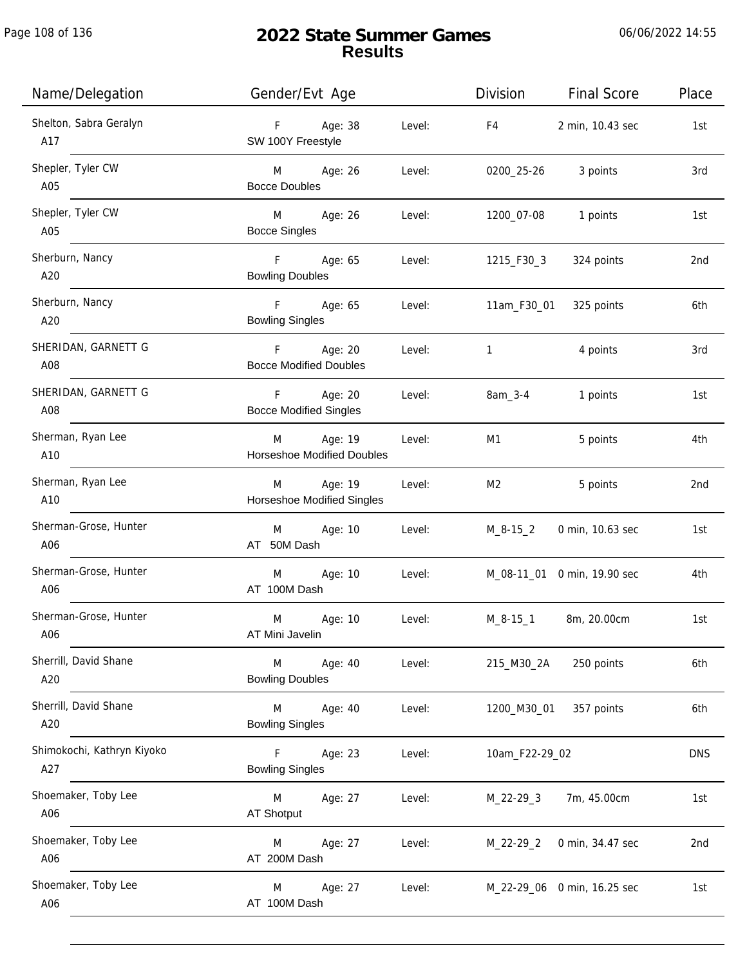| Name/Delegation                   | Gender/Evt Age                                              | Division<br><b>Final Score</b>   | Place      |
|-----------------------------------|-------------------------------------------------------------|----------------------------------|------------|
| Shelton, Sabra Geralyn<br>A17     | Age: 38<br>F<br>Level:<br>SW 100Y Freestyle                 | F4<br>2 min, 10.43 sec           | 1st        |
| Shepler, Tyler CW<br>A05          | M Age: 26<br>Level:<br><b>Bocce Doubles</b>                 | 3 points<br>0200_25-26           | 3rd        |
| Shepler, Tyler CW<br>A05          | M Age: 26<br>Level:<br><b>Bocce Singles</b>                 | 1200_07-08<br>1 points           | 1st        |
| Sherburn, Nancy<br>A20            | F Age: 65<br>Level:<br><b>Bowling Doubles</b>               | 1215_F30_3<br>324 points         | 2nd        |
| Sherburn, Nancy<br>A20            | F Age: 65<br>Level:<br><b>Bowling Singles</b>               | 11am_F30_01<br>325 points        | 6th        |
| SHERIDAN, GARNETT G<br>A08        | F<br>Age: 20<br>Level:<br><b>Bocce Modified Doubles</b>     | $\overline{1}$<br>4 points       | 3rd        |
| SHERIDAN, GARNETT G<br>A08        | Age: 20<br>F<br>Level:<br><b>Bocce Modified Singles</b>     | 8am_3-4<br>1 points              | 1st        |
| Sherman, Ryan Lee<br>A10          | Age: 19<br>Level:<br>M<br><b>Horseshoe Modified Doubles</b> | 5 points<br>M1                   | 4th        |
| Sherman, Ryan Lee<br>A10          | Age: 19<br>Level:<br>M<br>Horseshoe Modified Singles        | M <sub>2</sub><br>5 points       | 2nd        |
| Sherman-Grose, Hunter<br>A06      | Age: 10<br>Level:<br>M<br>AT 50M Dash                       | $M_8 - 15_2$<br>0 min, 10.63 sec | 1st        |
| Sherman-Grose, Hunter<br>A06      | Age: 10<br>M<br>Level:<br>AT 100M Dash                      | M_08-11_01 0 min, 19.90 sec      | 4th        |
| Sherman-Grose, Hunter<br>A06      | M<br>Age: 10<br>Level:<br>AT Mini Javelin                   | $M_8 - 15_1$<br>8m, 20.00cm      | 1st        |
| Sherrill, David Shane<br>A20      | M<br>Age: 40<br>Level:<br><b>Bowling Doubles</b>            | 215_M30_2A<br>250 points         | 6th        |
| Sherrill, David Shane<br>A20      | M<br>Age: 40<br>Level:<br><b>Bowling Singles</b>            | 1200_M30_01<br>357 points        | 6th        |
| Shimokochi, Kathryn Kiyoko<br>A27 | $\mathsf{F}$<br>Age: 23<br>Level:<br><b>Bowling Singles</b> | 10am_F22-29_02                   | <b>DNS</b> |
| Shoemaker, Toby Lee<br>A06        | Level:<br>M<br>Age: 27<br>AT Shotput                        | 7m, 45.00cm<br>$M_22 - 29 - 3$   | 1st        |
| Shoemaker, Toby Lee<br>A06        | Age: 27<br>Level:<br>M<br>AT 200M Dash                      | $M_22-29_2$<br>0 min, 34.47 sec  | 2nd        |
| Shoemaker, Toby Lee<br>A06        | Age: 27<br>Level:<br>M<br>AT 100M Dash                      | M_22-29_06 0 min, 16.25 sec      | 1st        |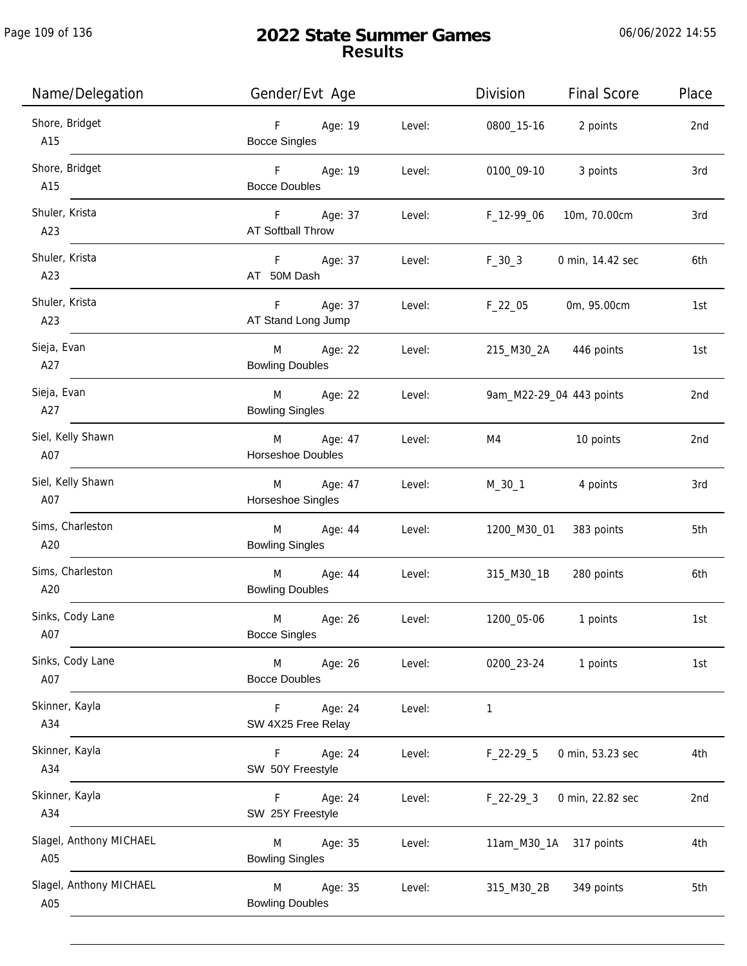| Name/Delegation                | Gender/Evt Age                           |        | Division<br><b>Final Score</b>  | Place |
|--------------------------------|------------------------------------------|--------|---------------------------------|-------|
| Shore, Bridget<br>A15          | Age: 19<br>F<br><b>Bocce Singles</b>     | Level: | 0800_15-16<br>2 points          | 2nd   |
| Shore, Bridget<br>A15          | F Age: 19<br><b>Bocce Doubles</b>        | Level: | 0100_09-10 3 points             | 3rd   |
| Shuler, Krista<br>A23          | Age: 37<br>F<br><b>AT Softball Throw</b> | Level: | F_12-99_06<br>10m, 70.00cm      | 3rd   |
| Shuler, Krista<br>A23          | F<br>Age: 37<br>AT 50M Dash              | Level: | $F_30_3$<br>0 min, 14.42 sec    | 6th   |
| Shuler, Krista<br>A23          | F<br>Age: 37<br>AT Stand Long Jump       | Level: | $F_22_05$<br>0m, 95.00cm        | 1st   |
| Sieja, Evan<br>A27             | Age: 22<br>M<br><b>Bowling Doubles</b>   | Level: | 215_M30_2A 446 points           | 1st   |
| Sieja, Evan<br>A27             | M<br>Age: 22<br><b>Bowling Singles</b>   | Level: | 9am_M22-29_04 443 points        | 2nd   |
| Siel, Kelly Shawn<br>A07       | Age: 47<br>M<br>Horseshoe Doubles        | Level: | 10 points<br>M4                 | 2nd   |
| Siel, Kelly Shawn<br>A07       | Age: 47<br>M<br>Horseshoe Singles        | Level: | M_30_1<br>4 points              | 3rd   |
| Sims, Charleston<br>A20        | M<br>Age: 44<br><b>Bowling Singles</b>   | Level: | 1200_M30_01 383 points          | 5th   |
| Sims, Charleston<br>A20        | Age: 44<br>M<br><b>Bowling Doubles</b>   | Level: | 280 points<br>315_M30_1B        | 6th   |
| Sinks, Cody Lane<br>A07        | M<br>Age: 26<br><b>Bocce Singles</b>     | Level: | 1200_05-06<br>1 points          | 1st   |
| Sinks, Cody Lane<br>A07        | Age: 26<br>M<br><b>Bocce Doubles</b>     | Level: | 0200_23-24<br>1 points          | 1st   |
| Skinner, Kayla<br>A34          | Age: 24<br>F.<br>SW 4X25 Free Relay      | Level: | $\mathbf{1}$                    |       |
| Skinner, Kayla<br>A34          | Age: 24<br>F.<br>SW 50Y Freestyle        | Level: | 0 min, 53.23 sec<br>$F_22-29-5$ | 4th   |
| Skinner, Kayla<br>A34          | Age: 24<br>F<br>SW 25Y Freestyle         | Level: | $F_22-293$<br>0 min, 22.82 sec  | 2nd   |
| Slagel, Anthony MICHAEL<br>A05 | Age: 35<br>M<br><b>Bowling Singles</b>   | Level: | 11am_M30_1A 317 points          | 4th   |
| Slagel, Anthony MICHAEL<br>A05 | Age: 35<br>M<br><b>Bowling Doubles</b>   | Level: | 315_M30_2B<br>349 points        | 5th   |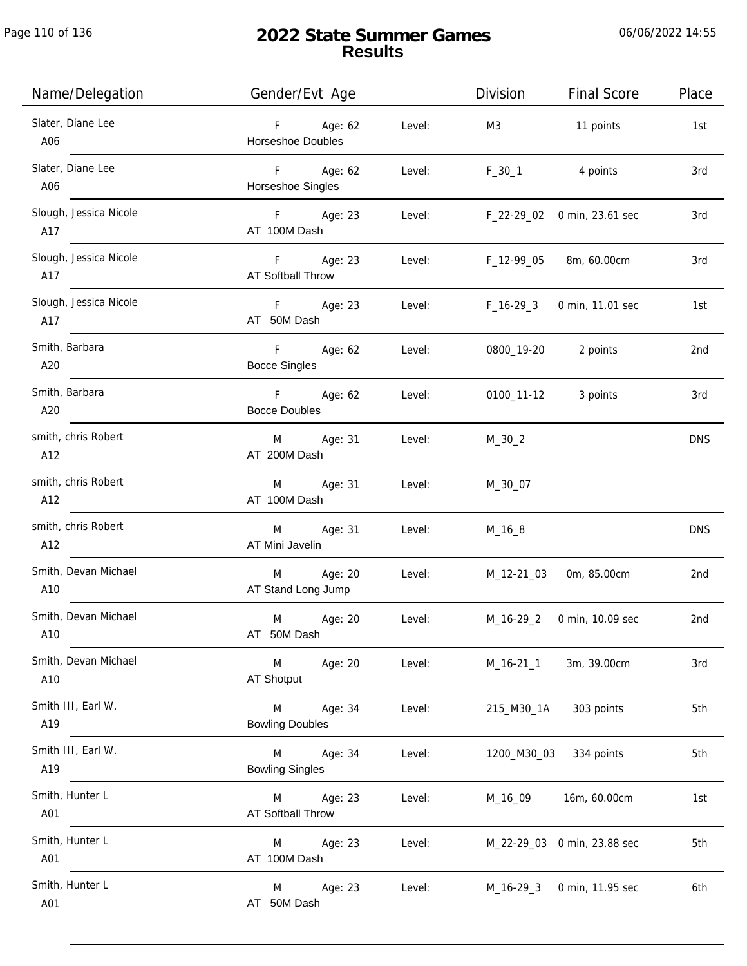Page 110 of 136

| Name/Delegation               | Gender/Evt Age                                  |        | Division                           | <b>Final Score</b>          | Place      |
|-------------------------------|-------------------------------------------------|--------|------------------------------------|-----------------------------|------------|
| Slater, Diane Lee<br>A06      | F Age: 62<br>Horseshoe Doubles                  | Level: | M3                                 | 11 points                   | 1st        |
| Slater, Diane Lee<br>A06      | F Age: 62<br>Horseshoe Singles                  | Level: | $F_30_1$                           | 4 points                    | 3rd        |
| Slough, Jessica Nicole<br>A17 | F Age: 23<br>AT 100M Dash                       |        | Level: F_22-29_02 0 min, 23.61 sec |                             | 3rd        |
| Slough, Jessica Nicole<br>A17 | F Age: 23<br>AT Softball Throw                  |        | Level: F_12-99_05 8m, 60.00cm      |                             | 3rd        |
| Slough, Jessica Nicole<br>A17 | F Age: 23<br>AT 50M Dash                        |        | Level: F_16-29_3                   | 0 min, 11.01 sec            | 1st        |
| Smith, Barbara<br>A20         | F Age: 62<br><b>Bocce Singles</b>               |        | Level: 0800_19-20 2 points         |                             | 2nd        |
| Smith, Barbara<br>A20         | F Age: 62 Level:<br><b>Bocce Doubles</b>        |        | 0100_11-12 3 points                |                             | 3rd        |
| smith, chris Robert<br>A12    | M Age: 31<br>AT 200M Dash                       | Level: | $M_30_2$                           |                             | <b>DNS</b> |
| smith, chris Robert<br>A12    | M Age: 31 Level:<br>AT 100M Dash                |        | M_30_07                            |                             |            |
| smith, chris Robert<br>A12    | Age: 31<br>M<br>AT Mini Javelin                 | Level: | $M_16_8$                           |                             | <b>DNS</b> |
| Smith, Devan Michael<br>A10   | M Age: 20<br>AT Stand Long Jump                 | Level: | M_12-21_03                         | 0m, 85.00cm                 | 2nd        |
| Smith, Devan Michael<br>A10   | M<br>Age: 20<br>AT 50M Dash                     | Level: |                                    | M_16-29_2 0 min, 10.09 sec  | 2nd        |
| Smith, Devan Michael<br>A10   | M<br>Age: 20<br>AT Shotput                      | Level: | M_16-21_1                          | 3m, 39.00cm                 | 3rd        |
| Smith III, Earl W.<br>A19     | M<br>Age: 34<br><b>Bowling Doubles</b>          | Level: |                                    | 215_M30_1A 303 points       | 5th        |
| Smith III, Earl W.<br>A19     | M Age: 34<br><b>Bowling Singles</b>             | Level: |                                    | 1200_M30_03 334 points      | 5th        |
| Smith, Hunter L<br>A01        | Age: 23<br>M <sub>ar</sub><br>AT Softball Throw | Level: | M_16_09                            | 16m, 60.00cm                | 1st        |
| Smith, Hunter L<br>A01        | Age: 23<br>M <sub>ar</sub><br>AT 100M Dash      | Level: |                                    | M_22-29_03 0 min, 23.88 sec | 5th        |
| Smith, Hunter L<br>A01        | Age: 23<br>M<br>AT 50M Dash                     | Level: |                                    | M_16-29_3 0 min, 11.95 sec  | 6th        |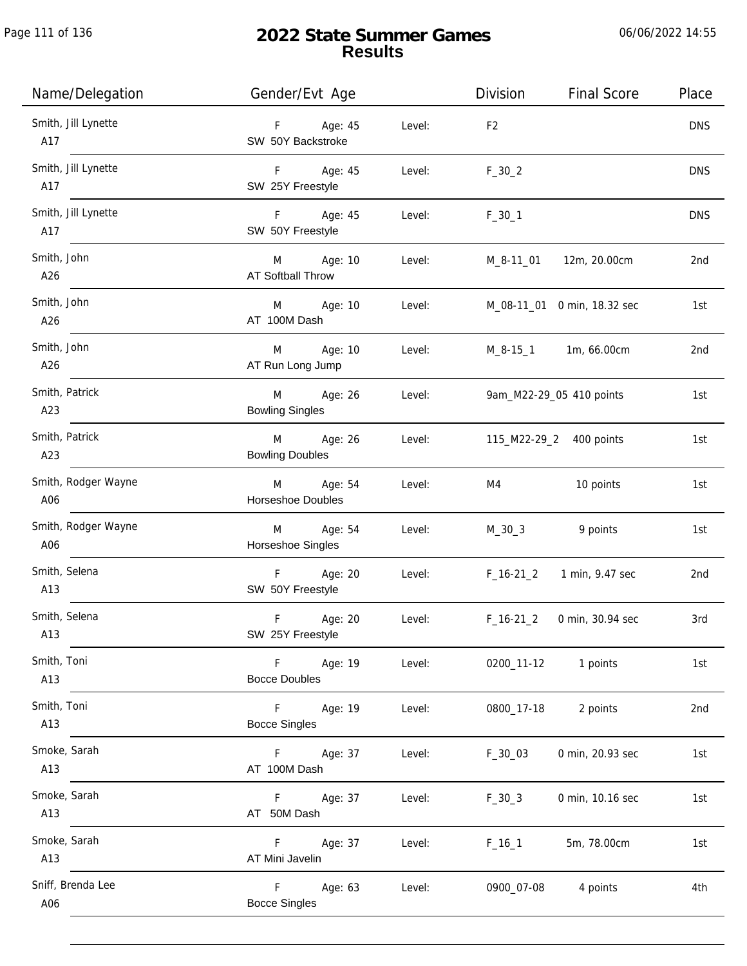Page 111 of 136

| Name/Delegation            | Gender/Evt Age                                           | <b>Final Score</b><br>Division  | Place      |
|----------------------------|----------------------------------------------------------|---------------------------------|------------|
| Smith, Jill Lynette<br>A17 | F Age: 45<br>Level:<br>SW 50Y Backstroke                 | F <sub>2</sub>                  | <b>DNS</b> |
| Smith, Jill Lynette<br>A17 | F Age: 45<br>Level:<br>SW 25Y Freestyle                  | $F_30_2$                        | <b>DNS</b> |
| Smith, Jill Lynette<br>A17 | F Age: 45<br>Level:<br>SW 50Y Freestyle                  | $F_30_1$                        | <b>DNS</b> |
| Smith, John<br>A26         | M Age: 10<br>Level:<br>AT Softball Throw                 | M_8-11_01 12m, 20.00cm          | 2nd        |
| Smith, John<br>A26         | Age: 10<br>M<br>Level:<br>AT 100M Dash                   | M_08-11_01 0 min, 18.32 sec     | 1st        |
| Smith, John<br>A26         | Age: 10<br>M<br>Level:<br>AT Run Long Jump               | M_8-15_1 1m, 66.00cm            | 2nd        |
| Smith, Patrick<br>A23      | Age: 26<br>M<br>Level:<br><b>Bowling Singles</b>         | 9am_M22-29_05 410 points        | 1st        |
| Smith, Patrick<br>A23      | M Age: 26<br>Level:<br><b>Bowling Doubles</b>            | 115_M22-29_2 400 points         | 1st        |
| Smith, Rodger Wayne<br>A06 | Age: 54<br>M<br>Level:<br>Horseshoe Doubles              | 10 points<br>M4                 | 1st        |
| Smith, Rodger Wayne<br>A06 | Age: 54<br>M<br>Level:<br>Horseshoe Singles              | M_30_3 9 points                 | 1st        |
| Smith, Selena<br>A13       | Age: 20<br>F<br>Level:<br>SW 50Y Freestyle               | F_16-21_2 1 min, 9.47 sec       | 2nd        |
| Smith, Selena<br>A13       | $\mathsf F$<br>Age: 20<br>Level:<br>SW 25Y Freestyle     | $F_16-21_2$<br>0 min, 30.94 sec | 3rd        |
| Smith, Toni<br>A13         | F<br>Age: 19<br>Level:<br><b>Bocce Doubles</b>           | 0200_11-12<br>1 points          | 1st        |
| Smith, Toni<br>A13         | F<br>Age: 19<br>Level:<br><b>Bocce Singles</b>           | 2 points<br>0800_17-18          | 2nd        |
| Smoke, Sarah<br>A13        | F.<br>Age: 37<br>Level:<br>AT 100M Dash                  | 0 min, 20.93 sec<br>$F_30_03$   | 1st        |
| Smoke, Sarah<br>A13        | Age: 37<br>Level:<br>F.<br>AT 50M Dash                   | 0 min, 10.16 sec<br>$F_30_3$    | 1st        |
| Smoke, Sarah<br>A13        | F<br>Age: 37<br>Level:<br>AT Mini Javelin                | $F_16_1$<br>5m, 78.00cm         | 1st        |
| Sniff, Brenda Lee<br>A06   | $\mathsf F$<br>Age: 63<br>Level:<br><b>Bocce Singles</b> | 0900_07-08<br>4 points          | 4th        |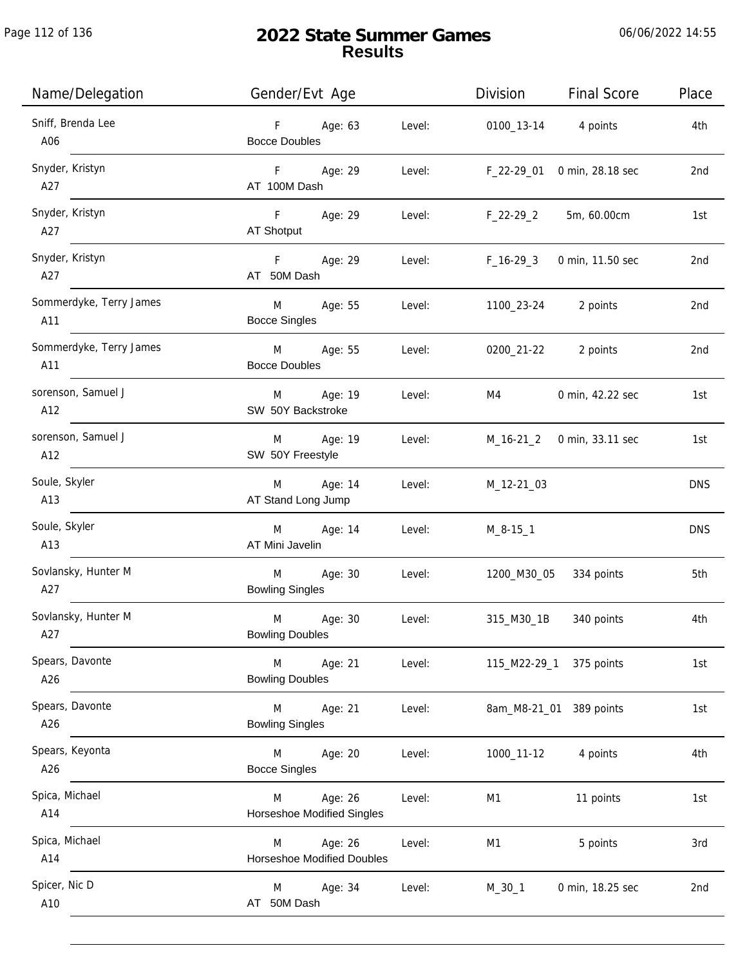| Name/Delegation                | Gender/Evt Age                                              | Division       | <b>Final Score</b>         | Place      |
|--------------------------------|-------------------------------------------------------------|----------------|----------------------------|------------|
| Sniff, Brenda Lee<br>A06       | Age: 63<br>F<br>Level:<br><b>Bocce Doubles</b>              |                | 0100_13-14 4 points        | 4th        |
| Snyder, Kristyn<br>A27         | F Age: 29<br>Level:<br>AT 100M Dash                         | F_22-29_01     | 0 min, 28.18 sec           | 2nd        |
| Snyder, Kristyn<br>A27         | F Age: 29<br>Level:<br>AT Shotput                           | F_22-29_2      | 5m, 60.00cm                | 1st        |
| Snyder, Kristyn<br>A27         | F Age: 29<br>Level:<br>AT 50M Dash                          | F_16-29_3      | 0 min, 11.50 sec           | 2nd        |
| Sommerdyke, Terry James<br>A11 | M<br>Age: 55<br>Level:<br><b>Bocce Singles</b>              | 1100_23-24     | 2 points                   | 2nd        |
| Sommerdyke, Terry James<br>A11 | M Age: 55<br>Level:<br><b>Bocce Doubles</b>                 | 0200_21-22     | 2 points                   | 2nd        |
| sorenson, Samuel J<br>A12      | Age: 19<br>Level:<br>M<br>SW 50Y Backstroke                 | M4             | 0 min, 42.22 sec           | 1st        |
| sorenson, Samuel J<br>A12      | Age: 19<br>Level:<br>M<br>SW 50Y Freestyle                  |                | M_16-21_2 0 min, 33.11 sec | 1st        |
| Soule, Skyler<br>A13           | Age: 14<br>M<br>Level:<br>AT Stand Long Jump                | M_12-21_03     |                            | <b>DNS</b> |
| Soule, Skyler<br>A13           | M<br>Age: 14<br>Level:<br>AT Mini Javelin                   | $M_8 - 15 - 1$ |                            | <b>DNS</b> |
| Sovlansky, Hunter M<br>A27     | M<br>Age: 30<br>Level:<br><b>Bowling Singles</b>            |                | 1200_M30_05 334 points     | 5th        |
| Sovlansky, Hunter M<br>A27     | M<br>Age: 30<br>Level:<br><b>Bowling Doubles</b>            | 315_M30_1B     | 340 points                 | 4th        |
| Spears, Davonte<br>A26         | M<br>Age: 21<br>Level:<br><b>Bowling Doubles</b>            | 115_M22-29_1   | 375 points                 | 1st        |
| Spears, Davonte<br>A26         | M<br>Age: 21<br>Level:<br><b>Bowling Singles</b>            |                | 8am_M8-21_01 389 points    | 1st        |
| Spears, Keyonta<br>A26         | Age: 20<br>Level:<br>M<br><b>Bocce Singles</b>              | 1000_11-12     | 4 points                   | 4th        |
| Spica, Michael<br>A14          | Level:<br>Age: 26<br>M<br><b>Horseshoe Modified Singles</b> | M1             | 11 points                  | 1st        |
| Spica, Michael<br>A14          | Age: 26<br>Level:<br>M<br>Horseshoe Modified Doubles        | M1             | 5 points                   | 3rd        |
| Spicer, Nic D<br>A10           | Age: 34<br>Level:<br>M<br>AT 50M Dash                       | $M_30_1$       | 0 min, 18.25 sec           | 2nd        |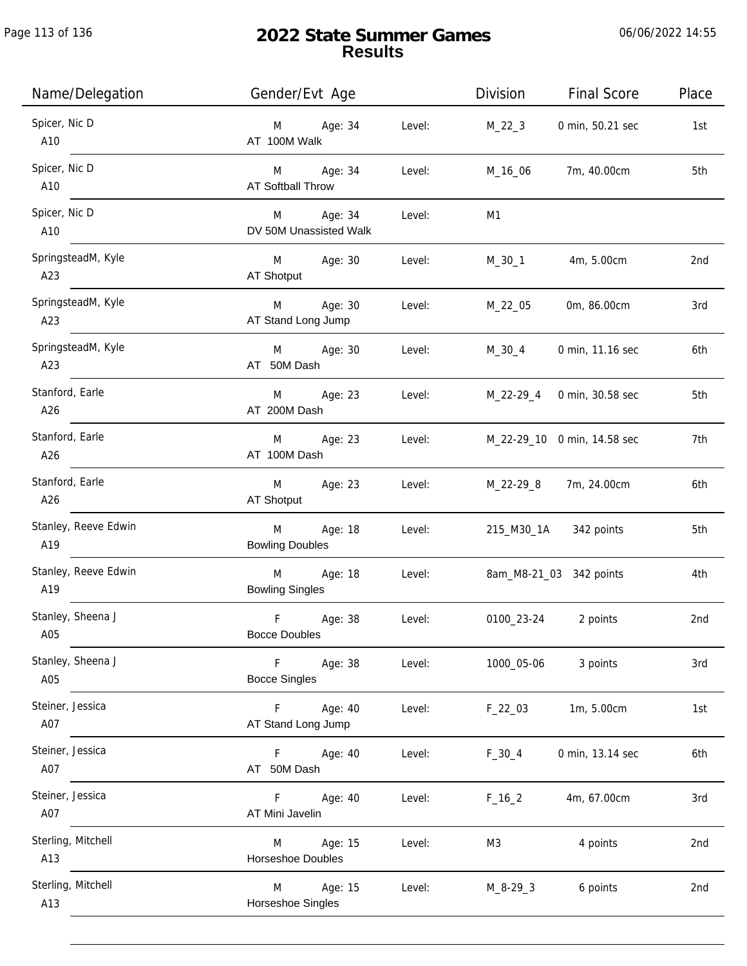| Name/Delegation             | Gender/Evt Age                                             | Division<br><b>Final Score</b> | Place |
|-----------------------------|------------------------------------------------------------|--------------------------------|-------|
| Spicer, Nic D<br>A10        | Age: 34<br>Level:<br>M<br>AT 100M Walk                     | $M_22_3$<br>0 min, 50.21 sec   | 1st   |
| Spicer, Nic D<br>A10        | M Age: 34<br>Level:<br>AT Softball Throw                   | 7m, 40.00cm<br>M_16_06         | 5th   |
| Spicer, Nic D<br>A10        | M Age: 34<br>Level:<br>DV 50M Unassisted Walk              | M1                             |       |
| SpringsteadM, Kyle<br>A23   | M Age: 30<br>Level:<br>AT Shotput                          | M_30_1<br>4m, 5.00cm           | 2nd   |
| SpringsteadM, Kyle<br>A23   | Age: 30<br>M <sub>ar</sub><br>Level:<br>AT Stand Long Jump | M_22_05<br>0m, 86.00cm         | 3rd   |
| SpringsteadM, Kyle<br>A23   | Age: 30<br>M<br>Level:<br>AT 50M Dash                      | M_30_4<br>0 min, 11.16 sec     | 6th   |
| Stanford, Earle<br>A26      | Age: 23<br>M<br>Level:<br>AT 200M Dash                     | M_22-29_4<br>0 min, 30.58 sec  | 5th   |
| Stanford, Earle<br>A26      | Age: 23<br>Level:<br>M<br>AT 100M Dash                     | M_22-29_10 0 min, 14.58 sec    | 7th   |
| Stanford, Earle<br>A26      | Age: 23<br>M<br>Level:<br>AT Shotput                       | M_22-29_8<br>7m, 24.00cm       | 6th   |
| Stanley, Reeve Edwin<br>A19 | M<br>Age: 18<br>Level:<br><b>Bowling Doubles</b>           | 215_M30_1A 342 points          | 5th   |
| Stanley, Reeve Edwin<br>A19 | M<br>Age: 18<br>Level:<br><b>Bowling Singles</b>           | 8am_M8-21_03 342 points        | 4th   |
| Stanley, Sheena J<br>A05    | F<br>Age: 38<br>Level:<br><b>Bocce Doubles</b>             | 0100_23-24<br>2 points         | 2nd   |
| Stanley, Sheena J<br>A05    | Age: 38<br>Level:<br>F.<br><b>Bocce Singles</b>            | 1000_05-06<br>3 points         | 3rd   |
| Steiner, Jessica<br>A07     | Age: 40<br>F.<br>Level:<br>AT Stand Long Jump              | 1m, 5.00cm<br>$F_22_03$        | 1st   |
| Steiner, Jessica<br>A07     | Age: 40<br>Level:<br>F.<br>AT 50M Dash                     | 0 min, 13.14 sec<br>$F_30_4$   | 6th   |
| Steiner, Jessica<br>A07     | F<br>Age: 40<br>Level:<br>AT Mini Javelin                  | 4m, 67.00cm<br>$F_{16}$        | 3rd   |
| Sterling, Mitchell<br>A13   | Age: 15<br>Level:<br>M<br>Horseshoe Doubles                | 4 points<br>M3                 | 2nd   |
| Sterling, Mitchell<br>A13   | Age: 15<br>Level:<br>M<br>Horseshoe Singles                | $M_8 - 29 - 3$<br>6 points     | 2nd   |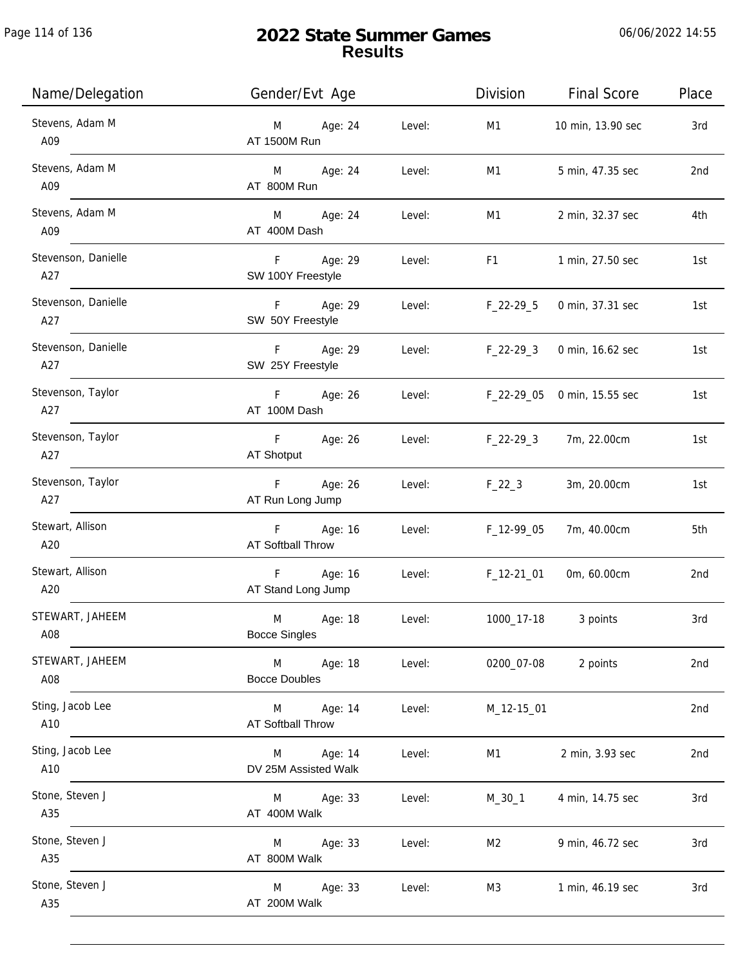| Name/Delegation            | Gender/Evt Age                       |        | Division                                                                                                                                                                                                                       | <b>Final Score</b> | Place |
|----------------------------|--------------------------------------|--------|--------------------------------------------------------------------------------------------------------------------------------------------------------------------------------------------------------------------------------|--------------------|-------|
| Stevens, Adam M<br>A09     | Age: 24<br>M<br>AT 1500M Run         | Level: | M1                                                                                                                                                                                                                             | 10 min, 13.90 sec  | 3rd   |
| Stevens, Adam M<br>A09     | M Age: 24<br>AT 800M Run             | Level: | M1                                                                                                                                                                                                                             | 5 min, 47.35 sec   | 2nd   |
| Stevens, Adam M<br>A09     | M Age: 24<br>AT 400M Dash            | Level: | M1                                                                                                                                                                                                                             | 2 min, 32.37 sec   | 4th   |
| Stevenson, Danielle<br>A27 | F<br>Age: 29<br>SW 100Y Freestyle    | Level: | F1 and the state of the state of the state of the state of the state of the state of the state of the state of the state of the state of the state of the state of the state of the state of the state of the state of the sta | 1 min, 27.50 sec   | 1st   |
| Stevenson, Danielle<br>A27 | F Age: 29<br>SW 50Y Freestyle        | Level: | $F_22-29-5$                                                                                                                                                                                                                    | 0 min, 37.31 sec   | 1st   |
| Stevenson, Danielle<br>A27 | F Age: 29<br>SW 25Y Freestyle        | Level: | $F_22-293$                                                                                                                                                                                                                     | 0 min, 16.62 sec   | 1st   |
| Stevenson, Taylor<br>A27   | F Age: 26<br>AT 100M Dash            | Level: | F_22-29_05                                                                                                                                                                                                                     | 0 min, 15.55 sec   | 1st   |
| Stevenson, Taylor<br>A27   | Age: 26<br>F<br>AT Shotput           | Level: | $F_22-293$                                                                                                                                                                                                                     | 7m, 22.00cm        | 1st   |
| Stevenson, Taylor<br>A27   | F<br>Age: 26<br>AT Run Long Jump     | Level: | $F_22_3$                                                                                                                                                                                                                       | 3m, 20.00cm        | 1st   |
| Stewart, Allison<br>A20    | F Age: 16<br>AT Softball Throw       | Level: | $F_12-99-05$                                                                                                                                                                                                                   | 7m, 40.00cm        | 5th   |
| Stewart, Allison<br>A20    | Age: 16<br>F<br>AT Stand Long Jump   | Level: | $F_12-2101$                                                                                                                                                                                                                    | 0m, 60.00cm        | 2nd   |
| STEWART, JAHEEM<br>A08     | M<br>Age: 18<br><b>Bocce Singles</b> | Level: | 1000_17-18                                                                                                                                                                                                                     | 3 points           | 3rd   |
| STEWART, JAHEEM<br>A08     | Age: 18<br>M<br><b>Bocce Doubles</b> | Level: | 0200_07-08                                                                                                                                                                                                                     | 2 points           | 2nd   |
| Sting, Jacob Lee<br>A10    | Age: 14<br>M<br>AT Softball Throw    | Level: | M_12-15_01                                                                                                                                                                                                                     |                    | 2nd   |
| Sting, Jacob Lee<br>A10    | Age: 14<br>M<br>DV 25M Assisted Walk | Level: | M1                                                                                                                                                                                                                             | 2 min, 3.93 sec    | 2nd   |
| Stone, Steven J<br>A35     | Age: 33<br>M<br>AT 400M Walk         | Level: | M_30_1                                                                                                                                                                                                                         | 4 min, 14.75 sec   | 3rd   |
| Stone, Steven J<br>A35     | Age: 33<br>M<br>AT 800M Walk         | Level: | M2                                                                                                                                                                                                                             | 9 min, 46.72 sec   | 3rd   |
| Stone, Steven J<br>A35     | Age: 33<br>M<br>AT 200M Walk         | Level: | M3                                                                                                                                                                                                                             | 1 min, 46.19 sec   | 3rd   |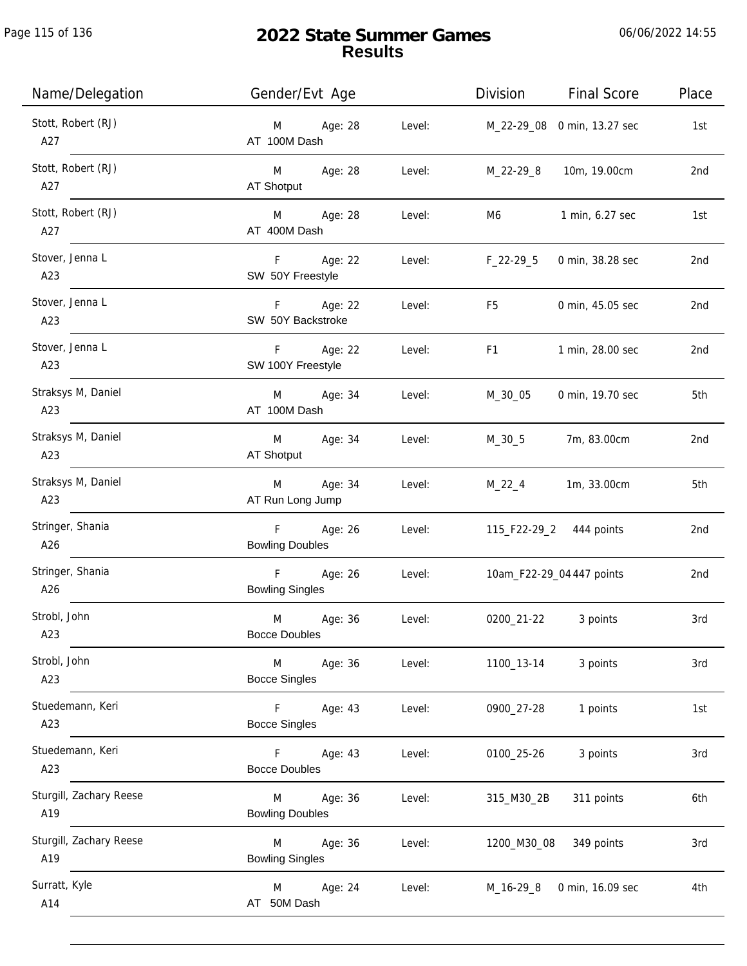Page 115 of 136

j.

| Name/Delegation                | Gender/Evt Age                                        | Division<br><b>Final Score</b>     | Place |
|--------------------------------|-------------------------------------------------------|------------------------------------|-------|
| Stott, Robert (RJ)<br>A27      | Age: 28<br>Level:<br>M<br>AT 100M Dash                | M_22-29_08 0 min, 13.27 sec        | 1st   |
| Stott, Robert (RJ)<br>A27      | M Age: 28<br>Level:<br>AT Shotput                     | M_22-29_8<br>10m, 19.00cm          | 2nd   |
| Stott, Robert (RJ)<br>A27      | M <sub>art</sub><br>Age: 28<br>Level:<br>AT 400M Dash | 1 min, 6.27 sec<br>M6              | 1st   |
| Stover, Jenna L<br>A23         | F Age: 22<br>Level:<br>SW 50Y Freestyle               | $F_22-29-5$<br>0 min, 38.28 sec    | 2nd   |
| Stover, Jenna L<br>A23         | F Age: 22<br>Level:<br>SW 50Y Backstroke              | F5<br>0 min, 45.05 sec             | 2nd   |
| Stover, Jenna L<br>A23         | $F -$<br>Age: 22<br>Level:<br>SW 100Y Freestyle       | F <sub>1</sub><br>1 min, 28.00 sec | 2nd   |
| Straksys M, Daniel<br>A23      | M<br>Age: 34<br>Level:<br>AT 100M Dash                | M_30_05<br>0 min, 19.70 sec        | 5th   |
| Straksys M, Daniel<br>A23      | Age: 34<br>M<br>Level:<br>AT Shotput                  | $M_30_5$<br>7m, 83.00cm            | 2nd   |
| Straksys M, Daniel<br>A23      | Age: 34<br>M<br>Level:<br>AT Run Long Jump            | $M_22_4$<br>1m, 33.00cm            | 5th   |
| Stringer, Shania<br>A26        | $F -$<br>Age: 26<br>Level:<br><b>Bowling Doubles</b>  | 115_F22-29_2 444 points            | 2nd   |
| Stringer, Shania<br>A26        | F<br>Age: 26<br>Level:<br><b>Bowling Singles</b>      | 10am_F22-29_04 447 points          | 2nd   |
| Strobl, John<br>A23            | M<br>Age: 36<br>Level:<br><b>Bocce Doubles</b>        | 0200_21-22<br>3 points             | 3rd   |
| Strobl, John<br>A23            | M<br>Age: 36<br>Level:<br><b>Bocce Singles</b>        | 1100_13-14<br>3 points             | 3rd   |
| Stuedemann, Keri<br>A23        | Level:<br>F.<br>Age: 43<br><b>Bocce Singles</b>       | 1 points<br>0900_27-28             | 1st   |
| Stuedemann, Keri<br>A23        | Age: 43<br>Level:<br>F.<br><b>Bocce Doubles</b>       | 0100_25-26<br>3 points             | 3rd   |
| Sturgill, Zachary Reese<br>A19 | Age: 36<br>Level:<br>M<br><b>Bowling Doubles</b>      | 311 points<br>315_M30_2B           | 6th   |
| Sturgill, Zachary Reese<br>A19 | Age: 36<br>Level:<br>M<br><b>Bowling Singles</b>      | 1200_M30_08<br>349 points          | 3rd   |
| Surratt, Kyle<br>A14           | Age: 24<br>Level:<br>M<br>AT 50M Dash                 | M_16-29_8<br>0 min, 16.09 sec      | 4th   |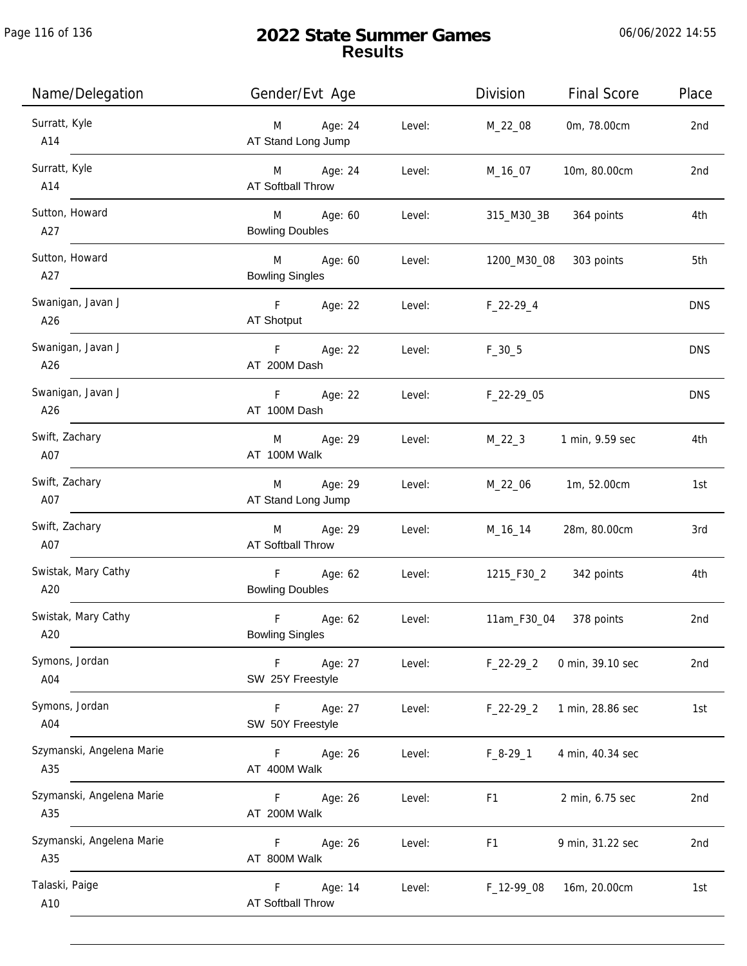| Name/Delegation                  | Gender/Evt Age                             |        | Division       | <b>Final Score</b>    | Place           |
|----------------------------------|--------------------------------------------|--------|----------------|-----------------------|-----------------|
| Surratt, Kyle<br>A14             | Age: 24<br>M<br>AT Stand Long Jump         | Level: | M_22_08        | 0m, 78.00cm           | 2nd             |
| Surratt, Kyle<br>A14             | M Age: 24<br><b>AT Softball Throw</b>      | Level: | M_16_07        | 10m, 80.00cm          | 2 <sub>nd</sub> |
| Sutton, Howard<br>A27            | M<br>Age: 60<br><b>Bowling Doubles</b>     | Level: | 315_M30_3B     | 364 points            | 4th             |
| Sutton, Howard<br>A27            | M<br>Age: 60<br><b>Bowling Singles</b>     | Level: | 1200_M30_08    | 303 points            | 5th             |
| Swanigan, Javan J<br>A26         | F Age: 22<br>AT Shotput                    | Level: | $F_22-29-4$    |                       | <b>DNS</b>      |
| Swanigan, Javan J<br>A26         | F <sub>12</sub><br>Age: 22<br>AT 200M Dash | Level: | $F_30_5$       |                       | <b>DNS</b>      |
| Swanigan, Javan J<br>A26         | F Age: 22<br>AT 100M Dash                  | Level: | F_22-29_05     |                       | <b>DNS</b>      |
| Swift, Zachary<br>A07            | Age: 29<br>M<br>AT 100M Walk               | Level: | $M_22_3$       | 1 min, 9.59 sec       | 4th             |
| Swift, Zachary<br>A07            | Age: 29<br>M<br>AT Stand Long Jump         | Level: | M_22_06        | 1m, 52.00cm           | 1st             |
| Swift, Zachary<br>A07            | Age: 29<br>M<br>AT Softball Throw          | Level: | M_16_14        | 28m, 80.00cm          | 3rd             |
| Swistak, Mary Cathy<br>A20       | F<br>Age: 62<br><b>Bowling Doubles</b>     | Level: |                | 1215_F30_2 342 points | 4th             |
| Swistak, Mary Cathy<br>A20       | F<br>Age: 62<br><b>Bowling Singles</b>     | Level: | 11am_F30_04    | 378 points            | 2 <sub>nd</sub> |
| Symons, Jordan<br>A04            | Age: 27<br>F.<br>SW 25Y Freestyle          | Level: | $F_22-29_2$    | 0 min, 39.10 sec      | 2nd             |
| Symons, Jordan<br>A04            | Age: 27<br>F<br>SW 50Y Freestyle           | Level: | $F_22-29_2$    | 1 min, 28.86 sec      | 1st             |
| Szymanski, Angelena Marie<br>A35 | Age: 26<br>F.<br>AT 400M Walk              | Level: | $F_8-29-1$     | 4 min, 40.34 sec      |                 |
| Szymanski, Angelena Marie<br>A35 | Age: 26<br>F<br>AT 200M Walk               | Level: | F1             | 2 min, 6.75 sec       | 2nd             |
| Szymanski, Angelena Marie<br>A35 | F.<br>Age: 26<br>AT 800M Walk              | Level: | F <sub>1</sub> | 9 min, 31.22 sec      | 2nd             |
| Talaski, Paige<br>A10            | F<br>Age: 14<br>AT Softball Throw          | Level: | F_12-99_08     | 16m, 20.00cm          | 1st             |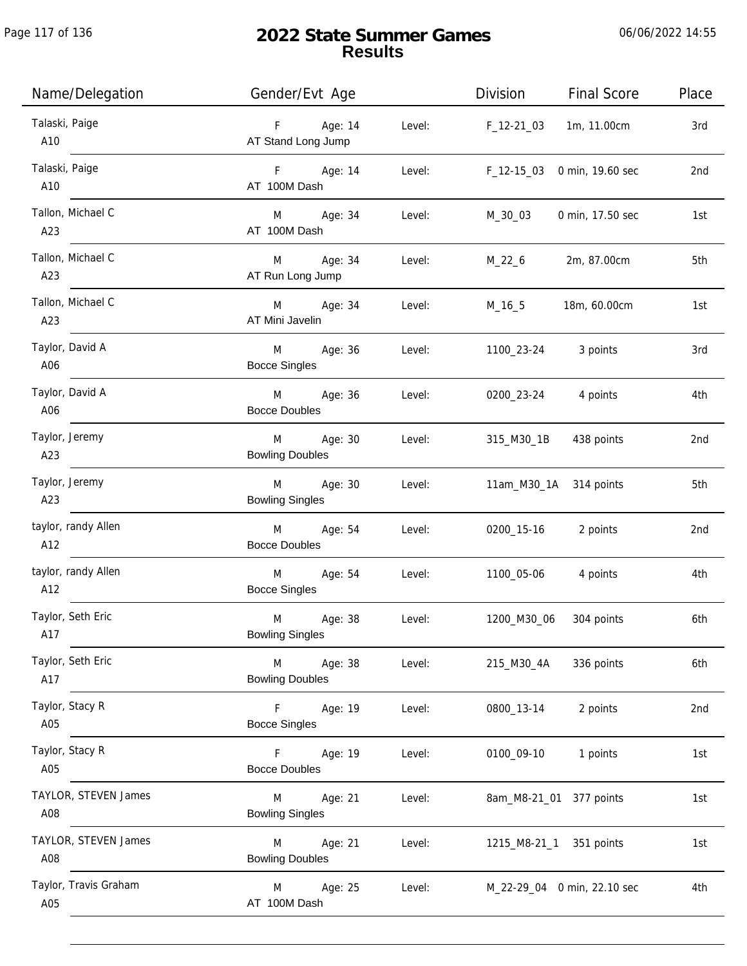Page 117 of 136

j.

| Name/Delegation              | Gender/Evt Age                                     |        | Division     | <b>Final Score</b>          | Place |
|------------------------------|----------------------------------------------------|--------|--------------|-----------------------------|-------|
| Talaski, Paige<br>A10        | F Age: 14<br>AT Stand Long Jump                    | Level: | F_12-21_03   | 1m, 11.00cm                 | 3rd   |
| Talaski, Paige<br>A10        | F Age: 14<br>AT 100M Dash                          | Level: | $F_12-1503$  | 0 min, 19.60 sec            | 2nd   |
| Tallon, Michael C<br>A23     | M Age: 34<br>AT 100M Dash                          | Level: | M_30_03      | 0 min, 17.50 sec            | 1st   |
| Tallon, Michael C<br>A23     | M Age: 34<br>AT Run Long Jump                      | Level: | M_22_6       | 2m, 87.00cm                 | 5th   |
| Tallon, Michael C<br>A23     | M Age: 34<br>AT Mini Javelin                       | Level: | M_16_5       | 18m, 60.00cm                | 1st   |
| Taylor, David A<br>A06       | M <sub>ar</sub><br>Age: 36<br><b>Bocce Singles</b> | Level: | 1100_23-24   | 3 points                    | 3rd   |
| Taylor, David A<br>A06       | M<br>Age: 36<br><b>Bocce Doubles</b>               | Level: | 0200_23-24   | 4 points                    | 4th   |
| Taylor, Jeremy<br>A23        | Age: 30<br>M<br><b>Bowling Doubles</b>             | Level: | 315_M30_1B   | 438 points                  | 2nd   |
| Taylor, Jeremy<br>A23        | Age: 30<br>M<br><b>Bowling Singles</b>             | Level: |              | 11am_M30_1A 314 points      | 5th   |
| taylor, randy Allen<br>A12   | M<br>Age: 54<br><b>Bocce Doubles</b>               | Level: | 0200_15-16   | 2 points                    | 2nd   |
| taylor, randy Allen<br>A12   | Age: 54<br>M<br><b>Bocce Singles</b>               | Level: | 1100_05-06   | 4 points                    | 4th   |
| Taylor, Seth Eric<br>A17     | M<br>Age: 38<br><b>Bowling Singles</b>             | Level: | 1200_M30_06  | 304 points                  | 6th   |
| Taylor, Seth Eric<br>A17     | M<br>Age: 38<br><b>Bowling Doubles</b>             | Level: | 215_M30_4A   | 336 points                  | 6th   |
| Taylor, Stacy R<br>A05       | Age: 19<br>F.<br><b>Bocce Singles</b>              | Level: | 0800_13-14   | 2 points                    | 2nd   |
| Taylor, Stacy R<br>A05       | Age: 19<br>F<br><b>Bocce Doubles</b>               | Level: | 0100_09-10   | 1 points                    | 1st   |
| TAYLOR, STEVEN James<br>A08  | Age: 21<br>M<br><b>Bowling Singles</b>             | Level: |              | 8am_M8-21_01 377 points     | 1st   |
| TAYLOR, STEVEN James<br>A08  | Age: 21<br>M<br><b>Bowling Doubles</b>             | Level: | 1215_M8-21_1 | 351 points                  | 1st   |
| Taylor, Travis Graham<br>A05 | Age: 25<br>M<br>AT 100M Dash                       | Level: |              | M_22-29_04 0 min, 22.10 sec | 4th   |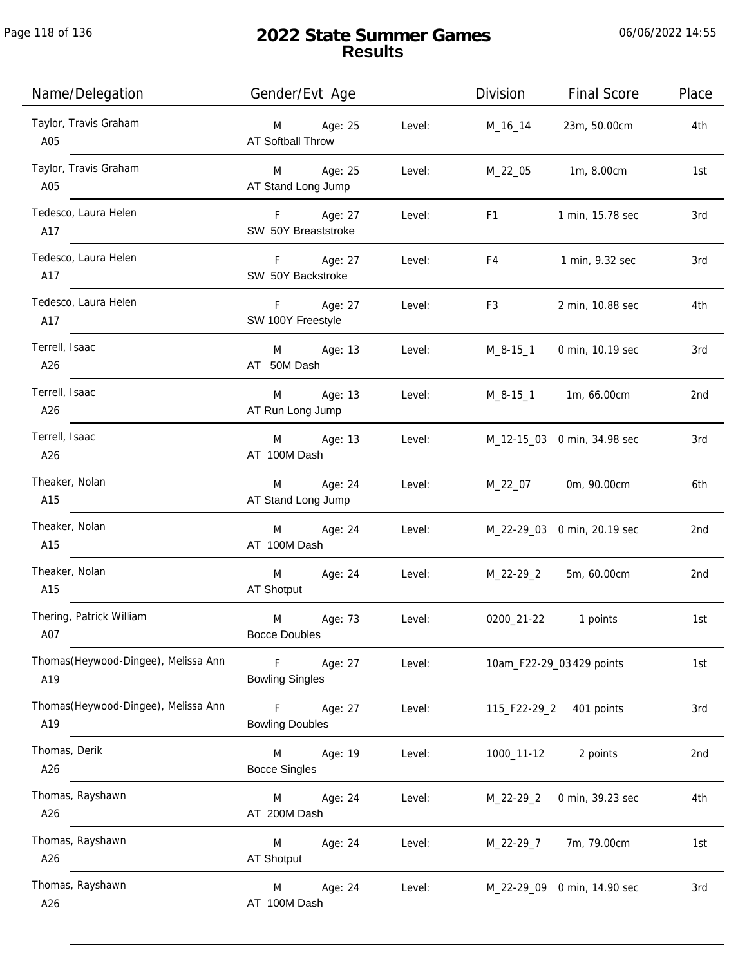| Name/Delegation                             | Gender/Evt Age                              |        | Division       | <b>Final Score</b>          | Place |
|---------------------------------------------|---------------------------------------------|--------|----------------|-----------------------------|-------|
| Taylor, Travis Graham<br>A05                | Age: 25<br>M<br><b>AT Softball Throw</b>    | Level: | M_16_14        | 23m, 50.00cm                | 4th   |
| Taylor, Travis Graham<br>A05                | Age: 25<br>M<br>AT Stand Long Jump          | Level: | M_22_05        | 1m, 8.00cm                  | 1st   |
| Tedesco, Laura Helen<br>A17                 | F<br>Age: 27<br>SW 50Y Breaststroke         | Level: | F1             | 1 min, 15.78 sec            | 3rd   |
| Tedesco, Laura Helen<br>A17                 | Age: 27<br>F.<br>SW 50Y Backstroke          | Level: | F4             | 1 min, 9.32 sec             | 3rd   |
| Tedesco, Laura Helen<br>A17                 | $\mathsf F$<br>Age: 27<br>SW 100Y Freestyle | Level: | F3             | 2 min, 10.88 sec            | 4th   |
| Terrell, Isaac<br>A26                       | Age: 13<br>M<br>AT 50M Dash                 | Level: | $M_8 - 15 - 1$ | 0 min, 10.19 sec            | 3rd   |
| Terrell, Isaac<br>A26                       | Age: 13<br>M<br>AT Run Long Jump            | Level: | M_8-15_1       | 1m, 66.00cm                 | 2nd   |
| Terrell, Isaac<br>A26                       | Age: 13<br>M<br>AT 100M Dash                | Level: |                | M_12-15_03 0 min, 34.98 sec | 3rd   |
| Theaker, Nolan<br>A15                       | Age: 24<br>M<br>AT Stand Long Jump          | Level: | M_22_07        | 0m, 90.00cm                 | 6th   |
| Theaker, Nolan<br>A15                       | Age: 24<br>M<br>AT 100M Dash                | Level: |                | M_22-29_03 0 min, 20.19 sec | 2nd   |
| Theaker, Nolan<br>A15                       | M<br>Age: 24<br>AT Shotput                  | Level: | M_22-29_2      | 5m, 60.00cm                 | 2nd   |
| Thering, Patrick William<br>A07             | M<br>Age: 73<br><b>Bocce Doubles</b>        | Level: | 0200_21-22     | 1 points                    | 1st   |
| Thomas (Heywood-Dingee), Melissa Ann<br>A19 | F<br>Age: 27<br><b>Bowling Singles</b>      | Level: |                | 10am_F22-29_03 429 points   | 1st   |
| Thomas (Heywood-Dingee), Melissa Ann<br>A19 | Age: 27<br>F<br><b>Bowling Doubles</b>      | Level: | 115_F22-29_2   | 401 points                  | 3rd   |
| Thomas, Derik<br>A26                        | Age: 19<br>M<br><b>Bocce Singles</b>        | Level: | 1000_11-12     | 2 points                    | 2nd   |
| Thomas, Rayshawn<br>A26                     | Age: 24<br>M<br>AT 200M Dash                | Level: | $M_22-29_2$    | 0 min, 39.23 sec            | 4th   |
| Thomas, Rayshawn<br>A26                     | Age: 24<br>M<br><b>AT Shotput</b>           | Level: | M_22-29_7      | 7m, 79.00cm                 | 1st   |
| Thomas, Rayshawn<br>A26                     | Age: 24<br>M<br>AT 100M Dash                | Level: |                | M_22-29_09 0 min, 14.90 sec | 3rd   |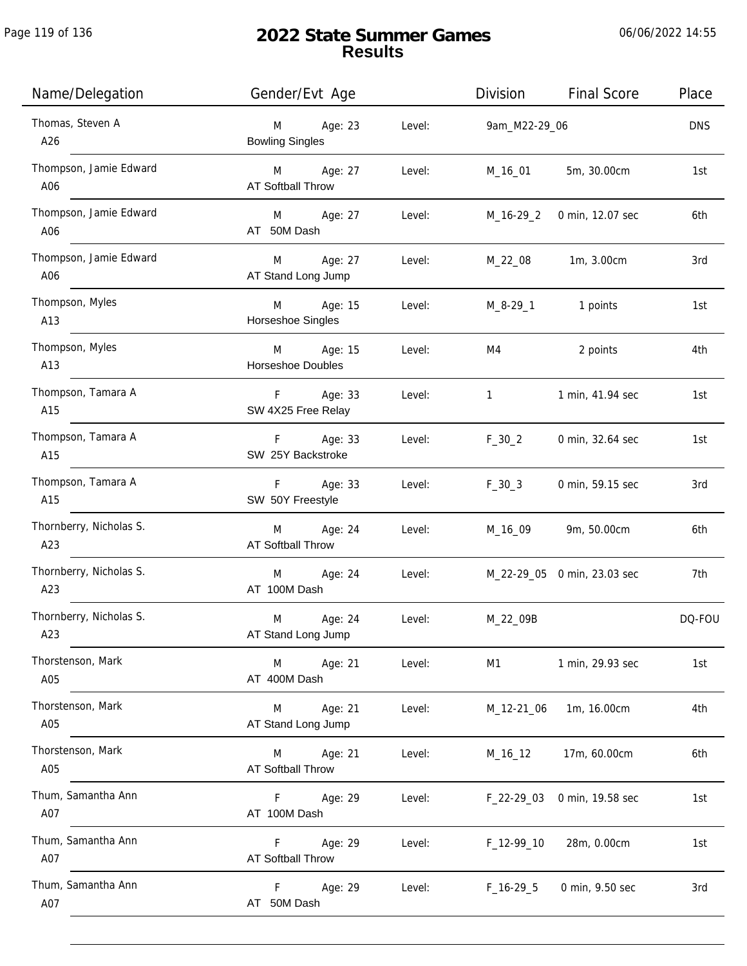| Name/Delegation                | Gender/Evt Age                            |        | Division      | <b>Final Score</b>          | Place      |
|--------------------------------|-------------------------------------------|--------|---------------|-----------------------------|------------|
| Thomas, Steven A<br>A26        | Age: 23<br>M<br><b>Bowling Singles</b>    | Level: | 9am_M22-29_06 |                             | <b>DNS</b> |
| Thompson, Jamie Edward<br>A06  | M Age: 27<br>AT Softball Throw            | Level: | M_16_01       | 5m, 30.00cm                 | 1st        |
| Thompson, Jamie Edward<br>A06  | M Age: 27<br>AT 50M Dash                  | Level: | M_16-29_2     | 0 min, 12.07 sec            | 6th        |
| Thompson, Jamie Edward<br>A06  | Age: 27<br>M<br>AT Stand Long Jump        | Level: | M_22_08       | 1m, 3.00cm                  | 3rd        |
| Thompson, Myles<br>A13         | M Age: 15<br>Horseshoe Singles            | Level: | M_8-29_1      | 1 points                    | 1st        |
| Thompson, Myles<br>A13         | M Age: 15<br>Horseshoe Doubles            | Level: | M4            | 2 points                    | 4th        |
| Thompson, Tamara A<br>A15      | F<br>Age: 33<br>SW 4X25 Free Relay        | Level: | $1 \quad$     | 1 min, 41.94 sec            | 1st        |
| Thompson, Tamara A<br>A15      | F Age: 33<br>SW 25Y Backstroke            | Level: | $F_30_2$      | 0 min, 32.64 sec            | 1st        |
| Thompson, Tamara A<br>A15      | Age: 33<br>F.<br>SW 50Y Freestyle         | Level: | $F_30_3$      | 0 min, 59.15 sec            | 3rd        |
| Thornberry, Nicholas S.<br>A23 | M<br>Age: 24<br>AT Softball Throw         | Level: | M_16_09       | 9m, 50.00cm                 | 6th        |
| Thornberry, Nicholas S.<br>A23 | M<br>Age: 24<br>AT 100M Dash              | Level: |               | M_22-29_05 0 min, 23.03 sec | 7th        |
| Thornberry, Nicholas S.<br>A23 | M<br>Age: 24<br>AT Stand Long Jump        | Level: | M_22_09B      |                             | DQ-FOU     |
| Thorstenson, Mark<br>A05       | Age: 21<br>M<br>AT 400M Dash              | Level: | M1            | 1 min, 29.93 sec            | 1st        |
| Thorstenson, Mark<br>A05       | Age: 21<br>M<br>AT Stand Long Jump        | Level: | M_12-21_06    | 1m, 16.00cm                 | 4th        |
| Thorstenson, Mark<br>A05       | Age: 21<br>M<br>AT Softball Throw         | Level: | M_16_12       | 17m, 60.00cm                | 6th        |
| Thum, Samantha Ann<br>A07      | F.<br>Age: 29<br>AT 100M Dash             | Level: | $F_22-29_03$  | 0 min, 19.58 sec            | 1st        |
| Thum, Samantha Ann<br>A07      | F.<br>Age: 29<br><b>AT Softball Throw</b> | Level: | $F_12-99-10$  | 28m, 0.00cm                 | 1st        |
| Thum, Samantha Ann<br>A07      | F.<br>Age: 29<br>AT 50M Dash              | Level: | $F_16-29-5$   | 0 min, 9.50 sec             | 3rd        |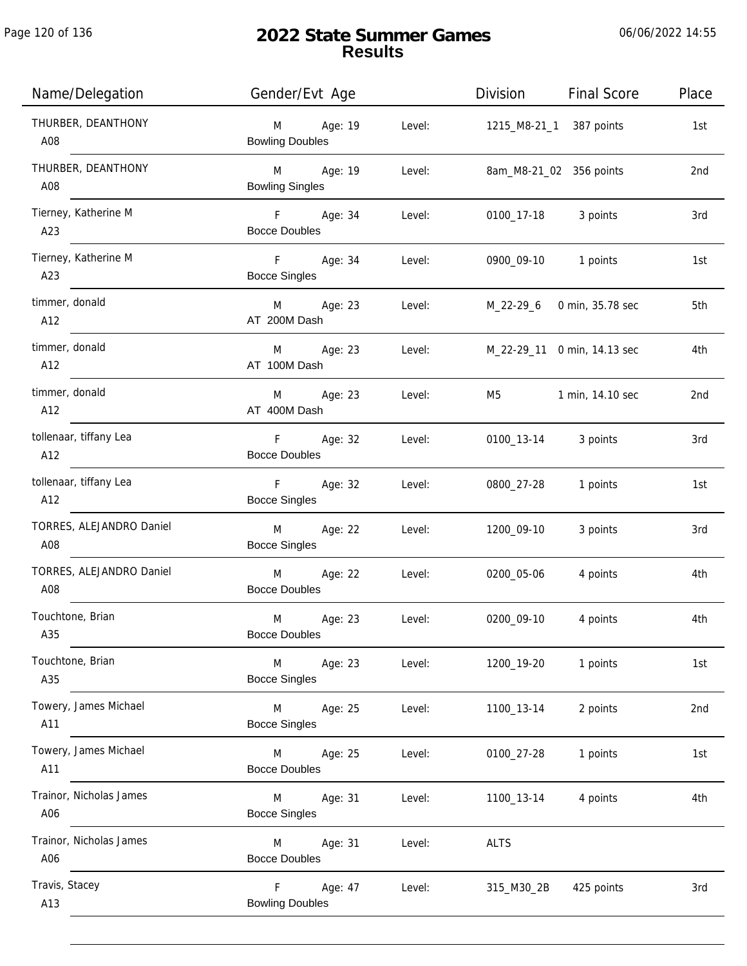| Name/Delegation                 | Gender/Evt Age                                               | Division<br><b>Final Score</b><br>Place |
|---------------------------------|--------------------------------------------------------------|-----------------------------------------|
| THURBER, DEANTHONY<br>A08       | M<br>Age: 19<br>Level:<br><b>Bowling Doubles</b>             | 1215_M8-21_1 387 points<br>1st          |
| THURBER, DEANTHONY<br>A08       | M Age: 19<br>Level:<br><b>Bowling Singles</b>                | 8am_M8-21_02 356 points<br>2nd          |
| Tierney, Katherine M<br>A23     | F Age: 34<br>Level:<br><b>Bocce Doubles</b>                  | 0100_17-18 3 points<br>3rd              |
| Tierney, Katherine M<br>A23     | F Age: 34<br>Level:<br><b>Bocce Singles</b>                  | 0900_09-10 1 points<br>1st              |
| timmer, donald<br>A12           | M Age: 23<br>Level:<br>AT 200M Dash                          | 5th<br>M_22-29_6 0 min, 35.78 sec       |
| timmer, donald<br>A12           | M Age: 23<br>Level:<br>AT 100M Dash                          | M_22-29_11 0 min, 14.13 sec<br>4th      |
| timmer, donald<br>A12           | M Age: 23<br>Level:<br>AT 400M Dash                          | M5<br>1 min, 14.10 sec<br>2nd           |
| tollenaar, tiffany Lea<br>A12   | F Age: 32<br>Level:<br><b>Bocce Doubles</b>                  | 0100_13-14<br>3 points<br>3rd           |
| tollenaar, tiffany Lea<br>A12   | F<br>Age: 32<br>Level:<br><b>Bocce Singles</b>               | 0800_27-28<br>1 points<br>1st           |
| TORRES, ALEJANDRO Daniel<br>A08 | M <sub>ar</sub><br>Age: 22<br>Level:<br><b>Bocce Singles</b> | 1200_09-10<br>3 points<br>3rd           |
| TORRES, ALEJANDRO Daniel<br>A08 | M Age: 22<br>Level:<br><b>Bocce Doubles</b>                  | 0200_05-06<br>4 points<br>4th           |
| Touchtone, Brian<br>A35         | M<br>Age: 23<br>Level:<br><b>Bocce Doubles</b>               | 4th<br>0200_09-10<br>4 points           |
| Touchtone, Brian<br>A35         | M<br>Age: 23<br>Level:<br><b>Bocce Singles</b>               | 1 points<br>1200_19-20<br>1st           |
| Towery, James Michael<br>A11    | Age: 25<br>Level:<br>M<br><b>Bocce Singles</b>               | 1100_13-14<br>2 points<br>2nd           |
| Towery, James Michael<br>A11    | Age: 25<br>Level:<br>M<br><b>Bocce Doubles</b>               | 1 points<br>1st<br>0100_27-28           |
| Trainor, Nicholas James<br>A06  | Age: 31<br>Level:<br>M<br><b>Bocce Singles</b>               | 1100_13-14<br>4 points<br>4th           |
| Trainor, Nicholas James<br>A06  | Age: 31<br>Level:<br>M<br><b>Bocce Doubles</b>               | <b>ALTS</b>                             |
| Travis, Stacey<br>A13           | F.<br>Age: 47<br>Level:<br><b>Bowling Doubles</b>            | 315_M30_2B<br>425 points<br>3rd         |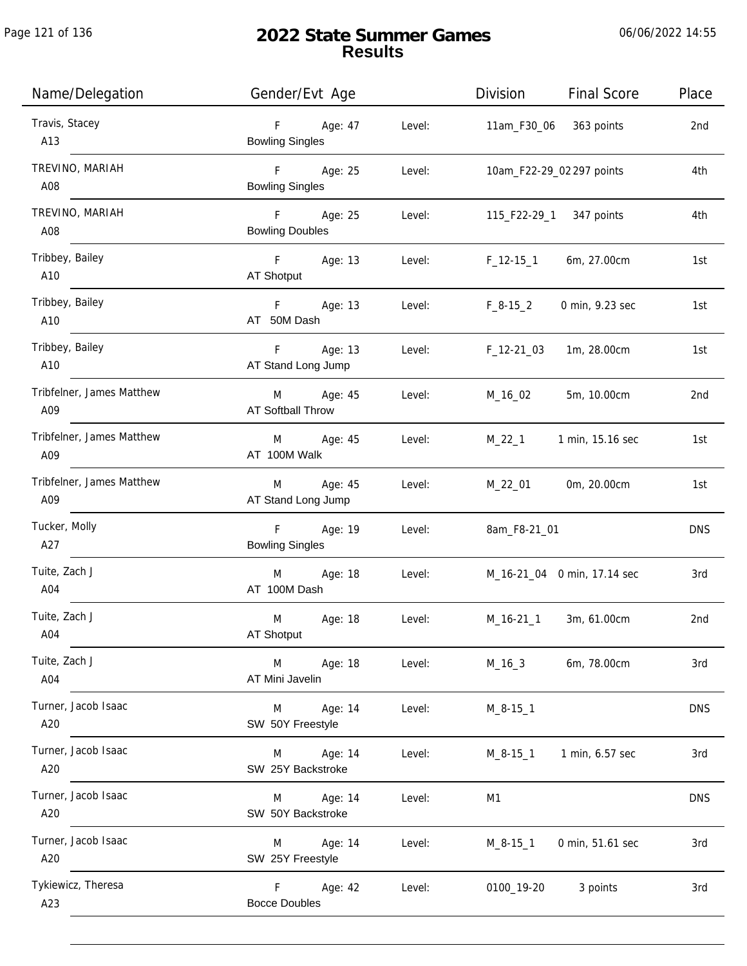| Name/Delegation                  | Gender/Evt Age                                       |        | Division       | <b>Final Score</b>          | Place           |
|----------------------------------|------------------------------------------------------|--------|----------------|-----------------------------|-----------------|
| Travis, Stacey<br>A13            | $F =$<br>Age: 47<br><b>Bowling Singles</b>           | Level: | 11am_F30_06    | 363 points                  | 2nd             |
| TREVINO, MARIAH<br>A08           | F <sub>11</sub><br>Age: 25<br><b>Bowling Singles</b> | Level: |                | 10am_F22-29_02 297 points   | 4th             |
| TREVINO, MARIAH<br>A08           | F Age: 25<br><b>Bowling Doubles</b>                  | Level: |                | 115_F22-29_1 347 points     | 4th             |
| Tribbey, Bailey<br>A10           | F Age: 13<br>AT Shotput                              | Level: | $F_1$ 12-15_1  | 6m, 27.00cm                 | 1st             |
| Tribbey, Bailey<br>A10           | F Age: 13<br>AT 50M Dash                             | Level: | $F_8-15_2$     | 0 min, 9.23 sec             | 1st             |
| Tribbey, Bailey<br>A10           | F<br>Age: 13<br>AT Stand Long Jump                   | Level: | $F_12-2103$    | 1m, 28.00cm                 | 1st             |
| Tribfelner, James Matthew<br>A09 | Age: 45<br>M<br>AT Softball Throw                    | Level: | M_16_02        | 5m, 10.00cm                 | 2 <sub>nd</sub> |
| Tribfelner, James Matthew<br>A09 | M Age: 45<br>AT 100M Walk                            | Level: | M_22_1         | 1 min, 15.16 sec            | 1st             |
| Tribfelner, James Matthew<br>A09 | Age: 45<br>M<br>AT Stand Long Jump                   | Level: | M_22_01        | 0m, 20.00cm                 | 1st             |
| Tucker, Molly<br>A27             | F<br>Age: 19<br><b>Bowling Singles</b>               | Level: | 8am_F8-21_01   |                             | <b>DNS</b>      |
| Tuite, Zach J<br>A04             | M<br>Age: 18<br>AT 100M Dash                         | Level: |                | M_16-21_04 0 min, 17.14 sec | 3rd             |
| Tuite, Zach J<br>A04             | Age: 18<br>M<br>AT Shotput                           | Level: | M_16-21_1      | 3m, 61.00cm                 | 2nd             |
| Tuite, Zach J<br>A04             | M<br>Age: 18<br>AT Mini Javelin                      | Level: | $M_16_3$       | 6m, 78.00cm                 | 3rd             |
| Turner, Jacob Isaac<br>A20       | M<br>Age: 14<br>SW 50Y Freestyle                     | Level: | $M_8-15-1$     |                             | <b>DNS</b>      |
| Turner, Jacob Isaac<br>A20       | M<br>Age: 14<br>SW 25Y Backstroke                    | Level: | $M_8 - 15 - 1$ | 1 min, 6.57 sec             | 3rd             |
| Turner, Jacob Isaac<br>A20       | Age: 14<br>M<br>SW 50Y Backstroke                    | Level: | M1             |                             | <b>DNS</b>      |
| Turner, Jacob Isaac<br>A20       | Age: 14<br>M<br>SW 25Y Freestyle                     | Level: | $M_8 - 15 - 1$ | 0 min, 51.61 sec            | 3rd             |
| Tykiewicz, Theresa<br>A23        | F.<br>Age: 42<br><b>Bocce Doubles</b>                | Level: | 0100_19-20     | 3 points                    | 3rd             |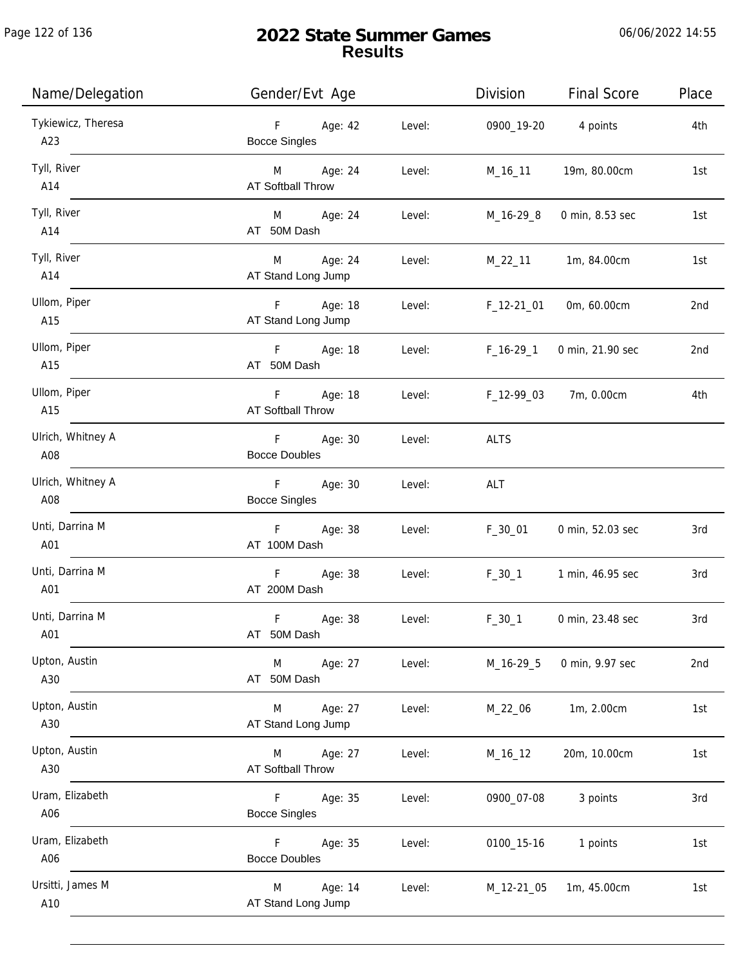Page 122 of 136

| Name/Delegation           | Gender/Evt Age                             | Division               | <b>Final Score</b> | Place |
|---------------------------|--------------------------------------------|------------------------|--------------------|-------|
| Tykiewicz, Theresa<br>A23 | Age: 42<br>F<br><b>Bocce Singles</b>       | Level:<br>0900_19-20   | 4 points           | 4th   |
| Tyll, River<br>A14        | M Age: 24<br><b>AT Softball Throw</b>      | Level:<br>M_16_11      | 19m, 80.00cm       | 1st   |
| Tyll, River<br>A14        | M Age: 24<br>AT 50M Dash                   | Level:<br>M_16-29_8    | 0 min, 8.53 sec    | 1st   |
| Tyll, River<br>A14        | M Age: 24<br>AT Stand Long Jump            | Level:<br>M_22_11      | 1m, 84.00cm        | 1st   |
| Ullom, Piper<br>A15       | F Age: 18<br>AT Stand Long Jump            | Level:<br>$F_12-21_01$ | 0m, 60.00cm        | 2nd   |
| Ullom, Piper<br>A15       | F Age: 18<br>AT 50M Dash                   | Level:<br>F_16-29_1    | 0 min, 21.90 sec   | 2nd   |
| Ullom, Piper<br>A15       | F<br>Age: 18<br>AT Softball Throw          | Level:<br>F_12-99_03   | 7m, 0.00cm         | 4th   |
| Ulrich, Whitney A<br>A08  | Age: 30<br>F.<br><b>Bocce Doubles</b>      | <b>ALTS</b><br>Level:  |                    |       |
| Ulrich, Whitney A<br>A08  | F Age: 30<br><b>Bocce Singles</b>          | Level:<br>ALT          |                    |       |
| Unti, Darrina M<br>A01    | F<br>Age: 38<br>AT 100M Dash               | Level:<br>$F_30_01$    | 0 min, 52.03 sec   | 3rd   |
| Unti, Darrina M<br>A01    | F <sub>12</sub><br>Age: 38<br>AT 200M Dash | Level:<br>$F_30_1$     | 1 min, 46.95 sec   | 3rd   |
| Unti, Darrina M<br>A01    | $\mathsf F$<br>Age: 38<br>AT 50M Dash      | $F_30_1$<br>Level:     | 0 min, 23.48 sec   | 3rd   |
| Upton, Austin<br>A30      | Age: 27<br>M<br>AT 50M Dash                | Level:<br>M_16-29_5    | 0 min, 9.97 sec    | 2nd   |
| Upton, Austin<br>A30      | Age: 27<br>M<br>AT Stand Long Jump         | Level:<br>M_22_06      | 1m, 2.00cm         | 1st   |
| Upton, Austin<br>A30      | Age: 27<br>M<br><b>AT Softball Throw</b>   | Level:<br>M_16_12      | 20m, 10.00cm       | 1st   |
| Uram, Elizabeth<br>A06    | F.<br>Age: 35<br><b>Bocce Singles</b>      | Level:<br>0900_07-08   | 3 points           | 3rd   |
| Uram, Elizabeth<br>A06    | F.<br>Age: 35<br><b>Bocce Doubles</b>      | Level:<br>0100_15-16   | 1 points           | 1st   |
| Ursitti, James M<br>A10   | Age: 14<br>M<br>AT Stand Long Jump         | Level:<br>M_12-21_05   | 1m, 45.00cm        | 1st   |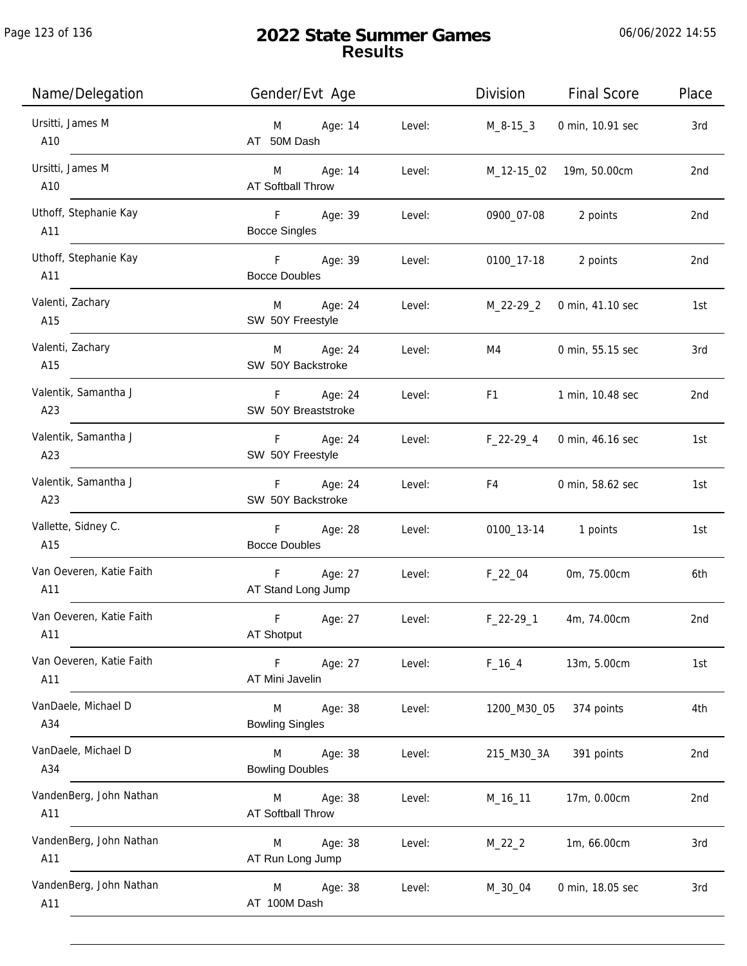Page 123 of 136

j.

| Name/Delegation                 | Gender/Evt Age                                     |        | Division       | <b>Final Score</b> | Place           |
|---------------------------------|----------------------------------------------------|--------|----------------|--------------------|-----------------|
| Ursitti, James M<br>A10         | Age: 14<br>M<br>AT 50M Dash                        | Level: | M_8-15_3       | 0 min, 10.91 sec   | 3rd             |
| Ursitti, James M<br>A10         | Age: 14<br>M <sub>ar</sub><br>AT Softball Throw    | Level: | M_12-15_02     | 19m, 50.00cm       | 2nd             |
| Uthoff, Stephanie Kay<br>A11    | F <sub>11</sub><br>Age: 39<br><b>Bocce Singles</b> | Level: | 0900_07-08     | 2 points           | 2 <sub>nd</sub> |
| Uthoff, Stephanie Kay<br>A11    | Fig. 1<br>Age: 39<br><b>Bocce Doubles</b>          | Level: | 0100_17-18     | 2 points           | 2nd             |
| Valenti, Zachary<br>A15         | M Age: 24<br>SW 50Y Freestyle                      | Level: | M_22-29_2      | 0 min, 41.10 sec   | 1st             |
| Valenti, Zachary<br>A15         | M Age: 24<br>SW 50Y Backstroke                     | Level: | M4             | 0 min, 55.15 sec   | 3rd             |
| Valentik, Samantha J<br>A23     | Age: 24<br>F.<br>SW 50Y Breaststroke               | Level: | F <sub>1</sub> | 1 min, 10.48 sec   | 2nd             |
| Valentik, Samantha J<br>A23     | Age: 24<br>F.<br>SW 50Y Freestyle                  | Level: | $F_22-29_4$    | 0 min, 46.16 sec   | 1st             |
| Valentik, Samantha J<br>A23     | F Age: 24<br>SW 50Y Backstroke                     | Level: | F4             | 0 min, 58.62 sec   | 1st             |
| Vallette, Sidney C.<br>A15      | $F =$<br>Age: 28<br><b>Bocce Doubles</b>           | Level: | 0100_13-14     | 1 points           | 1st             |
| Van Oeveren, Katie Faith<br>A11 | Age: 27<br>$F -$<br>AT Stand Long Jump             | Level: | $F_22_04$      | 0m, 75.00cm        | 6th             |
| Van Oeveren, Katie Faith<br>A11 | $\mathsf F$<br>Age: 27<br>AT Shotput               | Level: | $F_22-29-1$    | 4m, 74.00cm        | 2nd             |
| Van Oeveren, Katie Faith<br>A11 | F<br>Age: 27<br>AT Mini Javelin                    | Level: | $F_16_4$       | 13m, 5.00cm        | 1st             |
| VanDaele, Michael D<br>A34      | M<br>Age: 38<br><b>Bowling Singles</b>             | Level: | 1200_M30_05    | 374 points         | 4th             |
| VanDaele, Michael D<br>A34      | M<br>Age: 38<br><b>Bowling Doubles</b>             | Level: | 215_M30_3A     | 391 points         | 2nd             |
| VandenBerg, John Nathan<br>A11  | Age: 38<br>M<br>AT Softball Throw                  | Level: | M_16_11        | 17m, 0.00cm        | 2nd             |
| VandenBerg, John Nathan<br>A11  | Age: 38<br>M<br>AT Run Long Jump                   | Level: | $M_22_2$       | 1m, 66.00cm        | 3rd             |
| VandenBerg, John Nathan<br>A11  | Age: 38<br>M<br>AT 100M Dash                       | Level: | M_30_04        | 0 min, 18.05 sec   | 3rd             |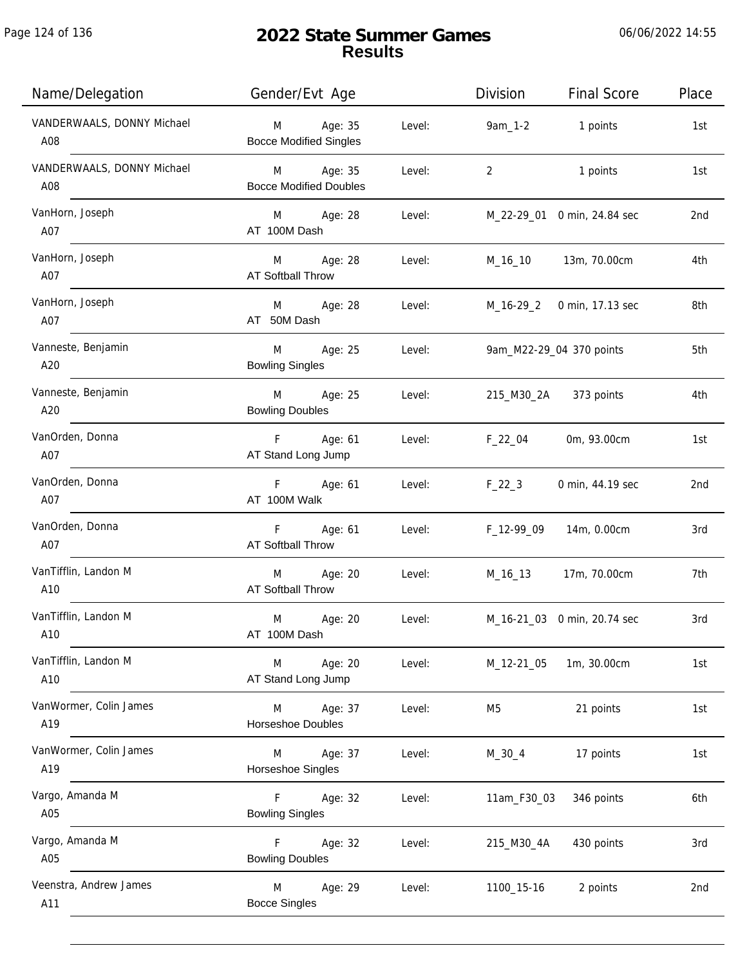| Name/Delegation                   | Gender/Evt Age                             |        | Division    | <b>Final Score</b>          | Place |
|-----------------------------------|--------------------------------------------|--------|-------------|-----------------------------|-------|
| VANDERWAALS, DONNY Michael<br>A08 | M Age: 35<br><b>Bocce Modified Singles</b> | Level: | 9am_1-2     | 1 points                    | 1st   |
| VANDERWAALS, DONNY Michael<br>A08 | M Age: 35<br><b>Bocce Modified Doubles</b> | Level: | 2           | 1 points                    | 1st   |
| VanHorn, Joseph<br>A07            | M Age: 28<br>AT 100M Dash                  | Level: |             | M_22-29_01 0 min, 24.84 sec | 2nd   |
| VanHorn, Joseph<br>A07            | M Age: 28<br>AT Softball Throw             | Level: |             | M_16_10 13m, 70.00cm        | 4th   |
| VanHorn, Joseph<br>A07            | M Age: 28<br>AT 50M Dash                   | Level: |             | M_16-29_2 0 min, 17.13 sec  | 8th   |
| Vanneste, Benjamin<br>A20         | M Age: 25<br><b>Bowling Singles</b>        | Level: |             | 9am_M22-29_04 370 points    | 5th   |
| Vanneste, Benjamin<br>A20         | M Age: 25<br><b>Bowling Doubles</b>        | Level: |             | 215_M30_2A 373 points       | 4th   |
| VanOrden, Donna<br>A07            | F Age: 61<br>AT Stand Long Jump            | Level: | F_22_04     | 0m, 93.00cm                 | 1st   |
| VanOrden, Donna<br>A07            | F Age: 61<br>AT 100M Walk                  | Level: | $F_22_3$    | 0 min, 44.19 sec            | 2nd   |
| VanOrden, Donna<br>A07            | F Age: 61<br>AT Softball Throw             | Level: | F_12-99_09  | 14m, 0.00cm                 | 3rd   |
| VanTifflin, Landon M<br>A10       | M Age: 20<br><b>AT Softball Throw</b>      | Level: |             | M_16_13 17m, 70.00cm        | 7th   |
| VanTifflin, Landon M<br>A10       | M<br>Age: 20<br>AT 100M Dash               | Level: |             | M_16-21_03 0 min, 20.74 sec | 3rd   |
| VanTifflin, Landon M<br>A10       | Age: 20<br>M<br>AT Stand Long Jump         | Level: | M_12-21_05  | 1m, 30.00cm                 | 1st   |
| VanWormer, Colin James<br>A19     | Age: 37<br>M<br>Horseshoe Doubles          | Level: | M5          | 21 points                   | 1st   |
| VanWormer, Colin James<br>A19     | M<br>Age: 37<br>Horseshoe Singles          | Level: | $M_30_4$    | 17 points                   | 1st   |
| Vargo, Amanda M<br>A05            | Age: 32<br>F<br><b>Bowling Singles</b>     | Level: | 11am_F30_03 | 346 points                  | 6th   |
| Vargo, Amanda M<br>A05            | Age: 32<br>F.<br><b>Bowling Doubles</b>    | Level: | 215_M30_4A  | 430 points                  | 3rd   |
| Veenstra, Andrew James<br>A11     | Age: 29<br>M<br><b>Bocce Singles</b>       | Level: | 1100_15-16  | 2 points                    | 2nd   |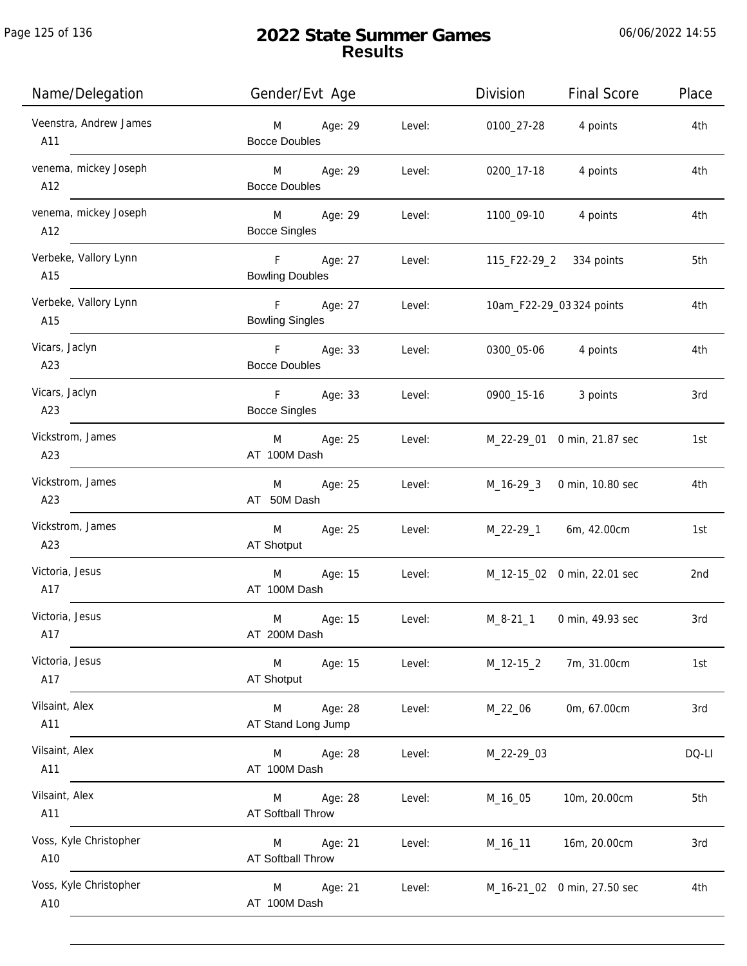| Name/Delegation               | Gender/Evt Age                      |        | Division            | Final Score                 | Place |
|-------------------------------|-------------------------------------|--------|---------------------|-----------------------------|-------|
| Veenstra, Andrew James<br>A11 | M Age: 29<br><b>Bocce Doubles</b>   | Level: | 0100_27-28          | 4 points                    | 4th   |
| venema, mickey Joseph<br>A12  | M Age: 29<br><b>Bocce Doubles</b>   | Level: | 0200_17-18          | 4 points                    | 4th   |
| venema, mickey Joseph<br>A12  | M Age: 29<br><b>Bocce Singles</b>   | Level: | 1100_09-10          | 4 points                    | 4th   |
| Verbeke, Vallory Lynn<br>A15  | F Age: 27<br><b>Bowling Doubles</b> | Level: |                     | 115_F22-29_2 334 points     | 5th   |
| Verbeke, Vallory Lynn<br>A15  | F Age: 27<br><b>Bowling Singles</b> | Level: |                     | 10am_F22-29_03 324 points   | 4th   |
| Vicars, Jaclyn<br>A23         | F Age: 33<br><b>Bocce Doubles</b>   | Level: | 0300_05-06 4 points |                             | 4th   |
| Vicars, Jaclyn<br>A23         | F Age: 33<br><b>Bocce Singles</b>   | Level: | 0900_15-16 3 points |                             | 3rd   |
| Vickstrom, James<br>A23       | M Age: 25<br>AT 100M Dash           | Level: |                     | M_22-29_01 0 min, 21.87 sec | 1st   |
| Vickstrom, James<br>A23       | M Age: 25<br>AT 50M Dash            | Level: |                     | M_16-29_3 0 min, 10.80 sec  | 4th   |
| Vickstrom, James<br>A23       | Age: 25<br>M<br>AT Shotput          | Level: |                     | M_22-29_1 6m, 42.00cm       | 1st   |
| Victoria, Jesus<br>A17        | M<br>Age: 15<br>AT 100M Dash        | Level: |                     | M_12-15_02 0 min, 22.01 sec | 2nd   |
| Victoria, Jesus<br>A17        | Age: 15<br>M<br>AT 200M Dash        | Level: |                     | M_8-21_1 0 min, 49.93 sec   | 3rd   |
| Victoria, Jesus<br>A17        | M<br>Age: 15<br>AT Shotput          | Level: | $M_12-15_2$         | 7m, 31.00cm                 | 1st   |
| Vilsaint, Alex<br>A11         | Age: 28<br>M<br>AT Stand Long Jump  | Level: | M_22_06             | 0m, 67.00cm                 | 3rd   |
| Vilsaint, Alex<br>A11         | M<br>Age: 28<br>AT 100M Dash        | Level: | M_22-29_03          |                             | DQ-LI |
| Vilsaint, Alex<br>A11         | Age: 28<br>M<br>AT Softball Throw   | Level: | M_16_05             | 10m, 20.00cm                | 5th   |
| Voss, Kyle Christopher<br>A10 | Age: 21<br>M<br>AT Softball Throw   | Level: | M_16_11             | 16m, 20.00cm                | 3rd   |
| Voss, Kyle Christopher<br>A10 | Age: 21<br>M<br>AT 100M Dash        | Level: |                     | M_16-21_02 0 min, 27.50 sec | 4th   |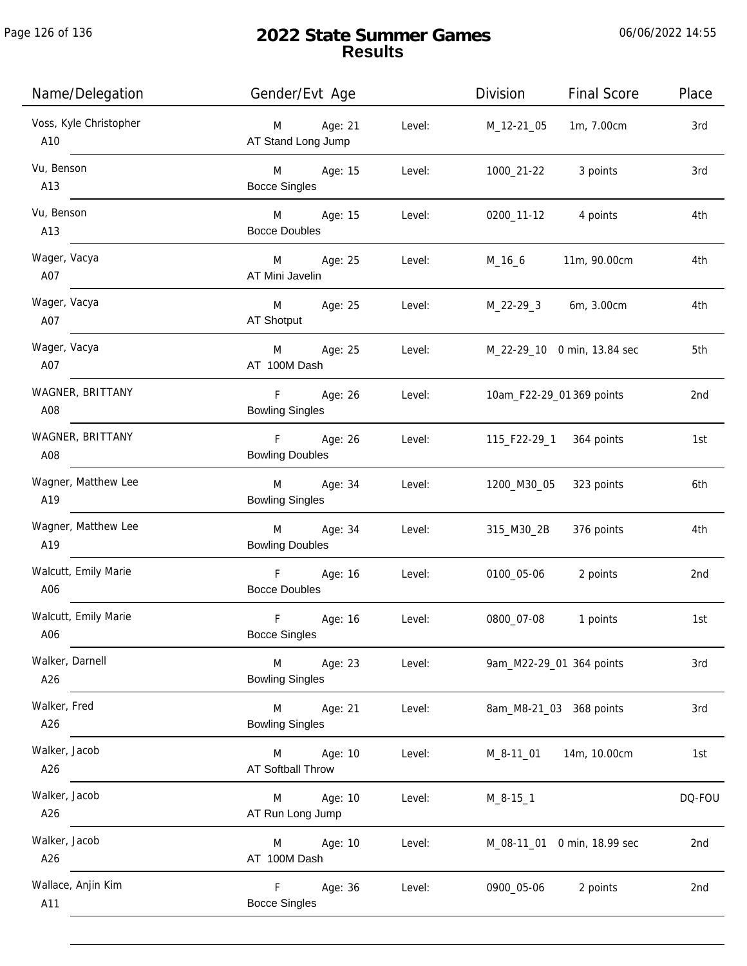| Name/Delegation               | Gender/Evt Age                                              | Division<br><b>Final Score</b> | Place  |
|-------------------------------|-------------------------------------------------------------|--------------------------------|--------|
| Voss, Kyle Christopher<br>A10 | Age: 21<br>Level:<br>M<br>AT Stand Long Jump                | 1m, 7.00cm<br>M_12-21_05       | 3rd    |
| Vu, Benson<br>A13             | M Age: 15<br>Level:<br><b>Bocce Singles</b>                 | 1000_21-22<br>3 points         | 3rd    |
| Vu, Benson<br>A13             | M <sub>2</sub><br>Age: 15<br>Level:<br><b>Bocce Doubles</b> | 0200_11-12<br>4 points         | 4th    |
| Wager, Vacya<br>A07           | M<br>Age: 25<br>Level:<br>AT Mini Javelin                   | M_16_6<br>11m, 90.00cm         | 4th    |
| Wager, Vacya<br>A07           | M<br>Age: 25<br>Level:<br>AT Shotput                        | M_22-29_3 6m, 3.00cm           | 4th    |
| Wager, Vacya<br>A07           | Age: 25<br>M<br>Level:<br>AT 100M Dash                      | M_22-29_10 0 min, 13.84 sec    | 5th    |
| WAGNER, BRITTANY<br>A08       | $F =$<br>Age: 26<br>Level:<br><b>Bowling Singles</b>        | 10am_F22-29_01 369 points      | 2nd    |
| WAGNER, BRITTANY<br>A08       | F Age: 26<br>Level:<br><b>Bowling Doubles</b>               | 115_F22-29_1<br>364 points     | 1st    |
| Wagner, Matthew Lee<br>A19    | Age: 34<br>M<br>Level:<br><b>Bowling Singles</b>            | 1200_M30_05<br>323 points      | 6th    |
| Wagner, Matthew Lee<br>A19    | Age: 34<br>M<br>Level:<br><b>Bowling Doubles</b>            | 315_M30_2B<br>376 points       | 4th    |
| Walcutt, Emily Marie<br>A06   | $\mathsf F$<br>Age: 16<br>Level:<br><b>Bocce Doubles</b>    | 0100_05-06<br>2 points         | 2nd    |
| Walcutt, Emily Marie<br>A06   | F<br>Age: 16<br>Level:<br><b>Bocce Singles</b>              | 0800_07-08<br>1 points         | 1st    |
| Walker, Darnell<br>A26        | M<br>Age: 23<br>Level:<br><b>Bowling Singles</b>            | 9am_M22-29_01 364 points       | 3rd    |
| Walker, Fred<br>A26           | M<br>Age: 21<br>Level:<br><b>Bowling Singles</b>            | 8am_M8-21_03 368 points        | 3rd    |
| Walker, Jacob<br>A26          | Age: 10<br>Level:<br>M<br>AT Softball Throw                 | M_8-11_01<br>14m, 10.00cm      | 1st    |
| Walker, Jacob<br>A26          | Age: 10<br>Level:<br>M<br>AT Run Long Jump                  | $M_8-15-1$                     | DQ-FOU |
| Walker, Jacob<br>A26          | Age: 10<br>Level:<br>M<br>AT 100M Dash                      | M_08-11_01 0 min, 18.99 sec    | 2nd    |
| Wallace, Anjin Kim<br>A11     | F<br>Age: 36<br>Level:<br><b>Bocce Singles</b>              | 0900_05-06<br>2 points         | 2nd    |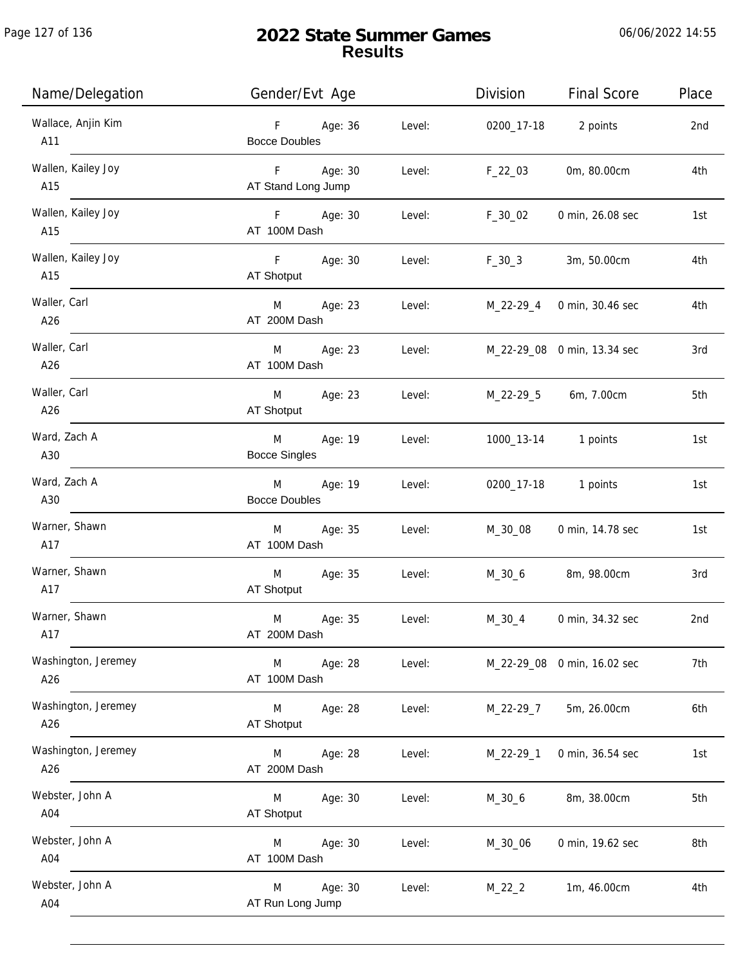Page 127 of 136

j.

| Name/Delegation            | Gender/Evt Age                            |        | Division   | <b>Final Score</b>          | Place |
|----------------------------|-------------------------------------------|--------|------------|-----------------------------|-------|
| Wallace, Anjin Kim<br>A11  | F Age: 36<br><b>Bocce Doubles</b>         | Level: | 0200_17-18 | 2 points                    | 2nd   |
| Wallen, Kailey Joy<br>A15  | F Age: 30<br>AT Stand Long Jump           | Level: | $F_22_03$  | 0m, 80.00cm                 | 4th   |
| Wallen, Kailey Joy<br>A15  | F Age: 30<br>AT 100M Dash                 | Level: | $F_30_02$  | 0 min, 26.08 sec            | 1st   |
| Wallen, Kailey Joy<br>A15  | F Age: 30<br>AT Shotput                   | Level: | $F_30_3$   | 3m, 50.00cm                 | 4th   |
| Waller, Carl<br>A26        | M <sub>2</sub><br>Age: 23<br>AT 200M Dash | Level: |            | M_22-29_4 0 min, 30.46 sec  | 4th   |
| Waller, Carl<br>A26        | M<br>Age: 23<br>AT 100M Dash              | Level: |            | M_22-29_08 0 min, 13.34 sec | 3rd   |
| Waller, Carl<br>A26        | M<br>Age: 23<br>AT Shotput                | Level: | M_22-29_5  | 6m, 7.00cm                  | 5th   |
| Ward, Zach A<br>A30        | M<br>Age: 19<br><b>Bocce Singles</b>      | Level: |            | 1000_13-14 1 points         | 1st   |
| Ward, Zach A<br>A30        | Age: 19<br>M<br><b>Bocce Doubles</b>      | Level: | 0200_17-18 | 1 points                    | 1st   |
| Warner, Shawn<br>A17       | Age: 35<br>M<br>AT 100M Dash              | Level: | M_30_08    | 0 min, 14.78 sec            | 1st   |
| Warner, Shawn<br>A17       | M<br>Age: 35<br>AT Shotput                | Level: | M_30_6     | 8m, 98.00cm                 | 3rd   |
| Warner, Shawn<br>A17       | Age: 35<br>M<br>AT 200M Dash              | Level: | $M_30_4$   | 0 min, 34.32 sec            | 2nd   |
| Washington, Jeremey<br>A26 | M<br>Age: 28<br>AT 100M Dash              | Level: |            | M_22-29_08 0 min, 16.02 sec | 7th   |
| Washington, Jeremey<br>A26 | M<br>Age: 28<br><b>AT Shotput</b>         | Level: | M_22-29_7  | 5m, 26.00cm                 | 6th   |
| Washington, Jeremey<br>A26 | M<br>Age: 28<br>AT 200M Dash              | Level: | M_22-29_1  | 0 min, 36.54 sec            | 1st   |
| Webster, John A<br>A04     | M<br>Age: 30<br><b>AT Shotput</b>         | Level: | $M_30_6$   | 8m, 38.00cm                 | 5th   |
| Webster, John A<br>A04     | Age: 30<br>M<br>AT 100M Dash              | Level: | M_30_06    | 0 min, 19.62 sec            | 8th   |
| Webster, John A<br>A04     | Age: 30<br>M<br>AT Run Long Jump          | Level: | $M_22_2$   | 1m, 46.00cm                 | 4th   |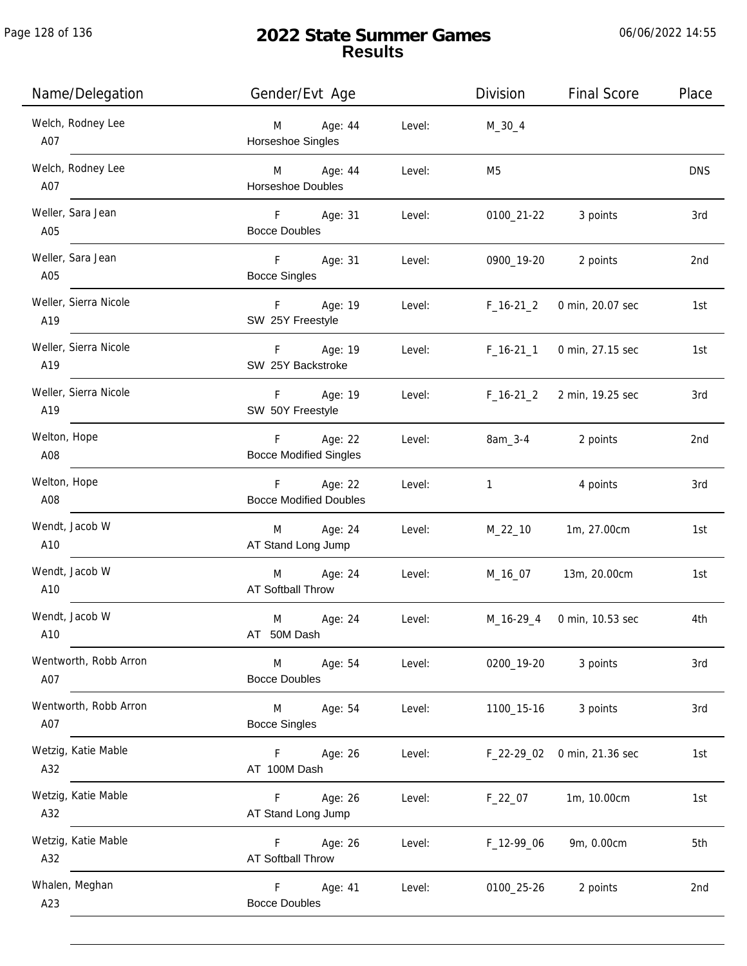Page 128 of 136

j.

# **2022 State Summer Games Results**

06/06/2022 14:55

| Name/Delegation              | Gender/Evt Age                                 |        | Division     | <b>Final Score</b> | Place      |
|------------------------------|------------------------------------------------|--------|--------------|--------------------|------------|
| Welch, Rodney Lee<br>A07     | Age: 44<br>M<br>Horseshoe Singles              | Level: | $M_30_4$     |                    |            |
| Welch, Rodney Lee<br>A07     | M Age: 44<br>Horseshoe Doubles                 | Level: | M5           |                    | <b>DNS</b> |
| Weller, Sara Jean<br>A05     | F Age: 31<br><b>Bocce Doubles</b>              | Level: | 0100_21-22   | 3 points           | 3rd        |
| Weller, Sara Jean<br>A05     | F<br>Age: 31<br><b>Bocce Singles</b>           | Level: | 0900_19-20   | 2 points           | 2nd        |
| Weller, Sierra Nicole<br>A19 | F<br>Age: 19<br>SW 25Y Freestyle               | Level: | $F_16-21_2$  | 0 min, 20.07 sec   | 1st        |
| Weller, Sierra Nicole<br>A19 | $F =$<br>Age: 19<br>SW 25Y Backstroke          | Level: | $F_16-21_1$  | 0 min, 27.15 sec   | 1st        |
| Weller, Sierra Nicole<br>A19 | Age: 19<br>F.<br>SW 50Y Freestyle              | Level: | $F_16-21_2$  | 2 min, 19.25 sec   | 3rd        |
| Welton, Hope<br>A08          | Age: 22<br>F.<br><b>Bocce Modified Singles</b> | Level: | 8am_3-4      | 2 points           | 2nd        |
| Welton, Hope<br>A08          | F Age: 22<br><b>Bocce Modified Doubles</b>     | Level: | $\mathbf{1}$ | 4 points           | 3rd        |
| Wendt, Jacob W<br>A10        | M Age: 24<br>AT Stand Long Jump                | Level: | M_22_10      | 1m, 27.00cm        | 1st        |
| Wendt, Jacob W<br>A10        | M Age: 24<br>AT Softball Throw                 | Level: | M_16_07      | 13m, 20.00cm       | 1st        |
| Wendt, Jacob W<br>A10        | M<br>Age: 24<br>AT 50M Dash                    | Level: | M_16-29_4    | 0 min, 10.53 sec   | 4th        |
| Wentworth, Robb Arron<br>A07 | Age: 54<br>M<br><b>Bocce Doubles</b>           | Level: | 0200_19-20   | 3 points           | 3rd        |
| Wentworth, Robb Arron<br>A07 | Age: 54<br>M<br><b>Bocce Singles</b>           | Level: | 1100_15-16   | 3 points           | 3rd        |
| Wetzig, Katie Mable<br>A32   | Age: 26<br>F.<br>AT 100M Dash                  | Level: | $F_22-29_02$ | 0 min, 21.36 sec   | 1st        |
| Wetzig, Katie Mable<br>A32   | Age: 26<br>F.<br>AT Stand Long Jump            | Level: | $F_22_07$    | 1m, 10.00cm        | 1st        |
| Wetzig, Katie Mable<br>A32   | F.<br>Age: 26<br>AT Softball Throw             | Level: | F_12-99_06   | 9m, 0.00cm         | 5th        |
| Whalen, Meghan<br>A23        | F.<br>Age: 41<br><b>Bocce Doubles</b>          | Level: | 0100_25-26   | 2 points           | 2nd        |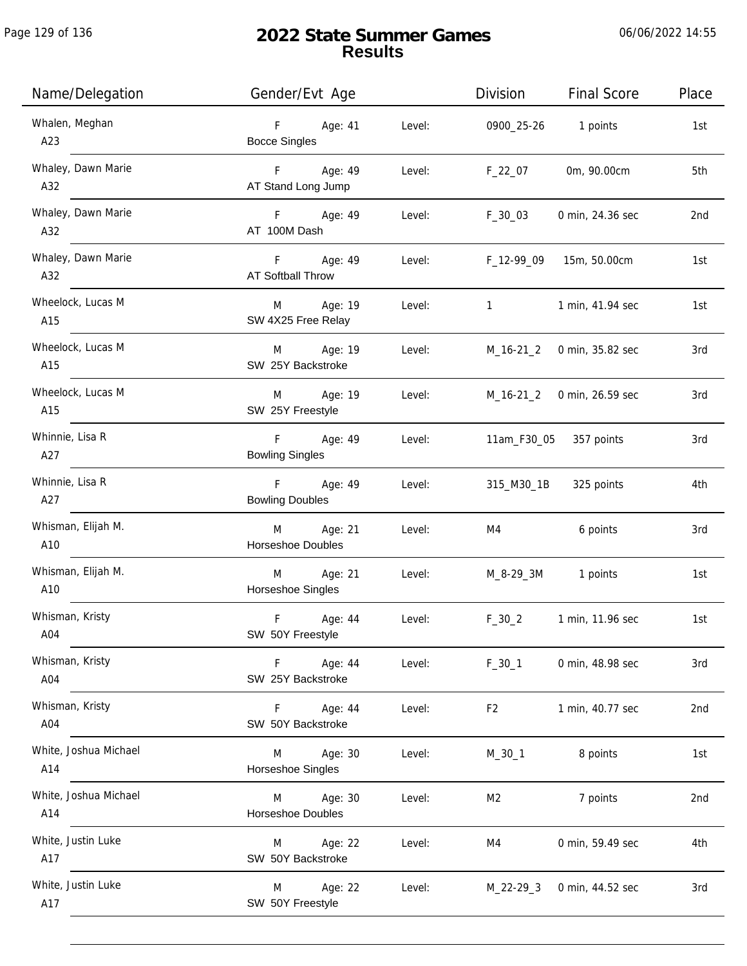| Name/Delegation              | Gender/Evt Age                       |        | Division                       | <b>Final Score</b>         | Place |
|------------------------------|--------------------------------------|--------|--------------------------------|----------------------------|-------|
| Whalen, Meghan<br>A23        | F<br>Age: 41<br><b>Bocce Singles</b> | Level: |                                | 0900_25-26 1 points        | 1st   |
| Whaley, Dawn Marie<br>A32    | F Age: 49<br>AT Stand Long Jump      | Level: | F_22_07                        | 0m, 90.00cm                | 5th   |
| Whaley, Dawn Marie<br>A32    | F Age: 49<br>AT 100M Dash            | Level: | $F_30_03$                      | 0 min, 24.36 sec           | 2nd   |
| Whaley, Dawn Marie<br>A32    | F Age: 49<br>AT Softball Throw       |        | Level: F_12-99_09 15m, 50.00cm |                            | 1st   |
| Wheelock, Lucas M<br>A15     | Age: 19<br>M<br>SW 4X25 Free Relay   | Level: | $1 \quad \text{or} \quad$      | 1 min, 41.94 sec           | 1st   |
| Wheelock, Lucas M<br>A15     | M Age: 19<br>SW 25Y Backstroke       | Level: | M_16-21_2 0 min, 35.82 sec     |                            | 3rd   |
| Wheelock, Lucas M<br>A15     | Age: 19<br>M<br>SW 25Y Freestyle     | Level: |                                | M_16-21_2 0 min, 26.59 sec | 3rd   |
| Whinnie, Lisa R<br>A27       | F Age: 49<br><b>Bowling Singles</b>  | Level: | 11am_F30_05                    | 357 points                 | 3rd   |
| Whinnie, Lisa R<br>A27       | F Age: 49<br><b>Bowling Doubles</b>  | Level: | 315_M30_1B                     | 325 points                 | 4th   |
| Whisman, Elijah M.<br>A10    | Age: 21<br>M<br>Horseshoe Doubles    | Level: | M4                             | 6 points                   | 3rd   |
| Whisman, Elijah M.<br>A10    | Age: 21<br>M<br>Horseshoe Singles    | Level: |                                | M_8-29_3M 1 points         | 1st   |
| Whisman, Kristy<br>A04       | F<br>Age: 44<br>SW 50Y Freestyle     | Level: | $F_30_2$                       | 1 min, 11.96 sec           | 1st   |
| Whisman, Kristy<br>A04       | Age: 44<br>F.<br>SW 25Y Backstroke   | Level: | $F_30_1$                       | 0 min, 48.98 sec           | 3rd   |
| Whisman, Kristy<br>A04       | Age: 44<br>F<br>SW 50Y Backstroke    | Level: | F <sub>2</sub>                 | 1 min, 40.77 sec           | 2nd   |
| White, Joshua Michael<br>A14 | Age: 30<br>M<br>Horseshoe Singles    | Level: | $M_30_1$                       | 8 points                   | 1st   |
| White, Joshua Michael<br>A14 | Age: 30<br>M<br>Horseshoe Doubles    | Level: | M2                             | 7 points                   | 2nd   |
| White, Justin Luke<br>A17    | Age: 22<br>M<br>SW 50Y Backstroke    | Level: | M4                             | 0 min, 59.49 sec           | 4th   |
| White, Justin Luke<br>A17    | Age: 22<br>M<br>SW 50Y Freestyle     | Level: |                                | M_22-29_3 0 min, 44.52 sec | 3rd   |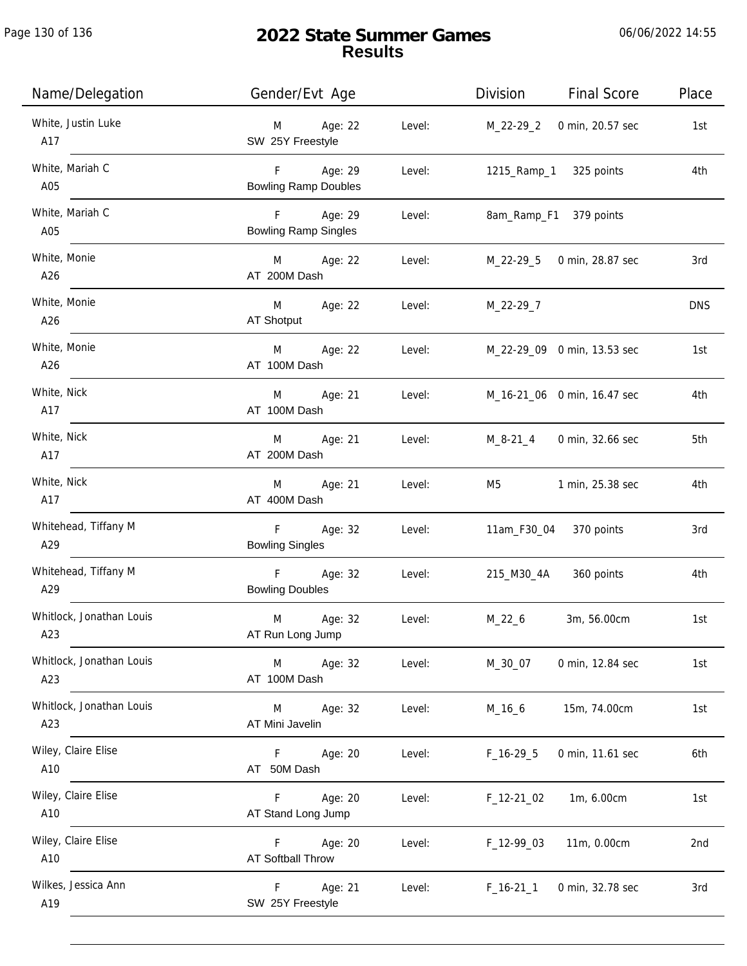| Name/Delegation                 | Gender/Evt Age                              |        | Division<br><b>Final Score</b>  | Place      |
|---------------------------------|---------------------------------------------|--------|---------------------------------|------------|
| White, Justin Luke<br>A17       | Age: 22<br>M<br>SW 25Y Freestyle            | Level: | M_22-29_2 0 min, 20.57 sec      | 1st        |
| White, Mariah C<br>A05          | F Age: 29<br><b>Bowling Ramp Doubles</b>    | Level: | 1215_Ramp_1 325 points          | 4th        |
| White, Mariah C<br>A05          | Age: 29<br>F<br><b>Bowling Ramp Singles</b> | Level: | 8am_Ramp_F1 379 points          |            |
| White, Monie<br>A26             | M Age: 22<br>AT 200M Dash                   | Level: | M_22-29_5 0 min, 28.87 sec      | 3rd        |
| White, Monie<br>A26             | M Age: 22<br>AT Shotput                     | Level: | M_22-29_7                       | <b>DNS</b> |
| White, Monie<br>A26             | Age: 22<br>M<br>AT 100M Dash                | Level: | M_22-29_09 0 min, 13.53 sec     | 1st        |
| White, Nick<br>A17              | M Age: 21<br>AT 100M Dash                   | Level: | M_16-21_06 0 min, 16.47 sec     | 4th        |
| White, Nick<br>A17              | Age: 21<br>M<br>AT 200M Dash                | Level: | M_8-21_4 0 min, 32.66 sec       | 5th        |
| White, Nick<br>A17              | Age: 21<br>M<br>AT 400M Dash                | Level: | M5<br>1 min, 25.38 sec          | 4th        |
| Whitehead, Tiffany M<br>A29     | F<br>Age: 32<br><b>Bowling Singles</b>      | Level: | 11am_F30_04 370 points          | 3rd        |
| Whitehead, Tiffany M<br>A29     | F<br>Age: 32<br><b>Bowling Doubles</b>      | Level: | 215_M30_4A 360 points           | 4th        |
| Whitlock, Jonathan Louis<br>A23 | M<br>Age: 32<br>AT Run Long Jump            | Level: | $M_22_6$<br>3m, 56.00cm         | 1st        |
| Whitlock, Jonathan Louis<br>A23 | Age: 32<br>M<br>AT 100M Dash                | Level: | 0 min, 12.84 sec<br>M_30_07     | 1st        |
| Whitlock, Jonathan Louis<br>A23 | Age: 32<br>M<br>AT Mini Javelin             | Level: | $M_16_6$<br>15m, 74.00cm        | 1st        |
| Wiley, Claire Elise<br>A10      | Age: 20<br>F.<br>AT 50M Dash                | Level: | $F_16-29.5$<br>0 min, 11.61 sec | 6th        |
| Wiley, Claire Elise<br>A10      | Age: 20<br>F<br>AT Stand Long Jump          | Level: | 1m, 6.00cm<br>$F_12-2102$       | 1st        |
| Wiley, Claire Elise<br>A10      | F<br>Age: 20<br>AT Softball Throw           | Level: | 11m, 0.00cm<br>$F_12-990$       | 2nd        |
| Wilkes, Jessica Ann<br>A19      | F<br>Age: 21<br>SW 25Y Freestyle            | Level: | $F_16-211$<br>0 min, 32.78 sec  | 3rd        |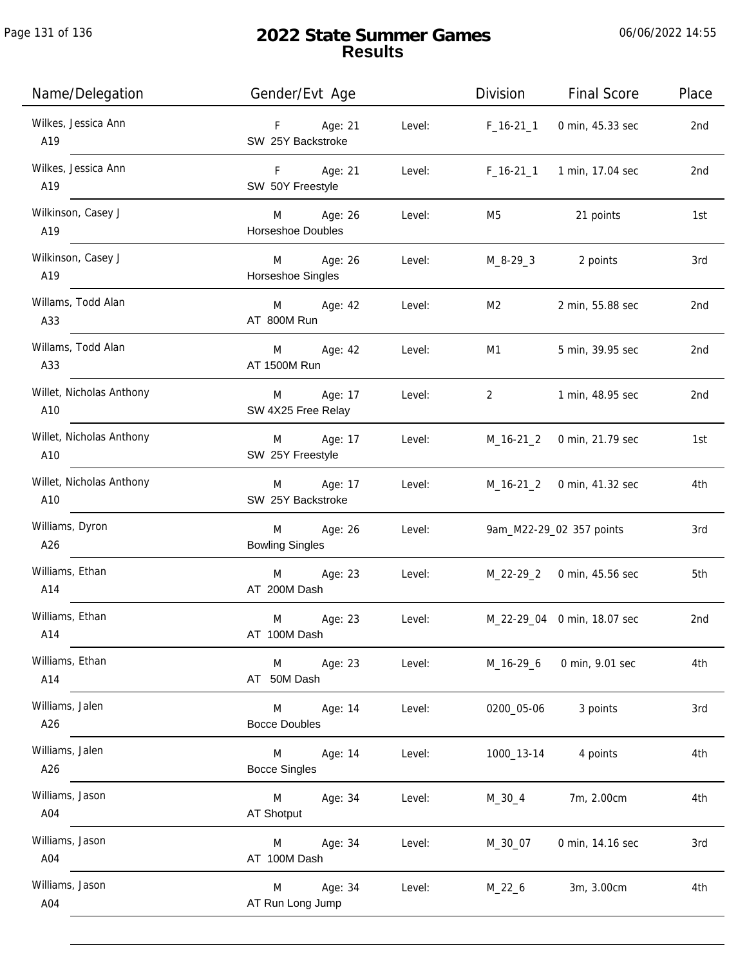| Name/Delegation                 | Gender/Evt Age                                 | Division                                 | <b>Final Score</b>          | Place |
|---------------------------------|------------------------------------------------|------------------------------------------|-----------------------------|-------|
| Wilkes, Jessica Ann<br>A19      | F Age: 21<br>SW 25Y Backstroke                 | Level:<br>$F_16-21_1$                    | 0 min, 45.33 sec            | 2nd   |
| Wilkes, Jessica Ann<br>A19      | F Age: 21<br>SW 50Y Freestyle                  | Level:                                   | F_16-21_1 1 min, 17.04 sec  | 2nd   |
| Wilkinson, Casey J<br>A19       | M Age: 26<br>Level:<br>Horseshoe Doubles       | M5                                       | 21 points                   | 1st   |
| Wilkinson, Casey J<br>A19       | M Age: 26<br>Horseshoe Singles                 | Level:                                   | M_8-29_3 2 points           | 3rd   |
| Willams, Todd Alan<br>A33       | M Age: 42<br>Level:<br>AT 800M Run             | M2                                       | 2 min, 55.88 sec            | 2nd   |
| Willams, Todd Alan<br>A33       | M Age: 42<br>Level:<br>AT 1500M Run            | M1                                       | 5 min, 39.95 sec            | 2nd   |
| Willet, Nicholas Anthony<br>A10 | M Age: 17<br>SW 4X25 Free Relay                | Level:<br>$2 \left( \frac{1}{2} \right)$ | 1 min, 48.95 sec            | 2nd   |
| Willet, Nicholas Anthony<br>A10 | M Age: 17<br>SW 25Y Freestyle                  | Level:                                   | M_16-21_2 0 min, 21.79 sec  | 1st   |
| Willet, Nicholas Anthony<br>A10 | M Age: 17<br>SW 25Y Backstroke                 | Level:                                   | M_16-21_2 0 min, 41.32 sec  | 4th   |
| Williams, Dyron<br>A26          | M Age: 26<br>Level:<br><b>Bowling Singles</b>  |                                          | 9am_M22-29_02 357 points    | 3rd   |
| Williams, Ethan<br>A14          | M Age: 23<br>AT 200M Dash                      | Level:                                   | M_22-29_2 0 min, 45.56 sec  | 5th   |
| Williams, Ethan<br>A14          | M<br>Age: 23<br>Level:<br>AT 100M Dash         |                                          | M_22-29_04 0 min, 18.07 sec | 2nd   |
| Williams, Ethan<br>A14          | M<br>Age: 23<br>Level:<br>AT 50M Dash          | M_16-29_6                                | 0 min, 9.01 sec             | 4th   |
| Williams, Jalen<br>A26          | Age: 14<br>Level:<br>M<br><b>Bocce Doubles</b> | 0200_05-06                               | 3 points                    | 3rd   |
| Williams, Jalen<br>A26          | Age: 14<br>Level:<br>M<br><b>Bocce Singles</b> | 1000_13-14                               | 4 points                    | 4th   |
| Williams, Jason<br>A04          | Age: 34<br>Level:<br>M<br>AT Shotput           | $M_30_4$                                 | 7m, 2.00cm                  | 4th   |
| Williams, Jason<br>A04          | Age: 34<br>Level:<br>M<br>AT 100M Dash         | M_30_07                                  | 0 min, 14.16 sec            | 3rd   |
| Williams, Jason<br>A04          | Age: 34<br>M<br>Level:<br>AT Run Long Jump     | $M_22_6$                                 | 3m, 3.00cm                  | 4th   |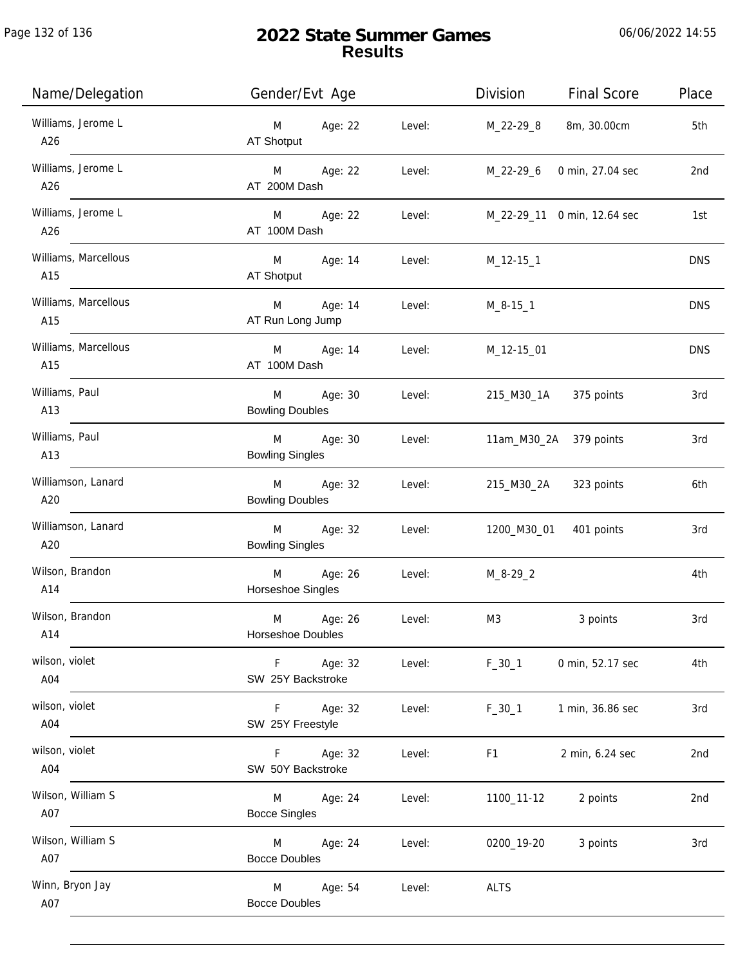| Name/Delegation             | Gender/Evt Age                                                 | Division<br><b>Final Score</b> | Place           |
|-----------------------------|----------------------------------------------------------------|--------------------------------|-----------------|
| Williams, Jerome L<br>A26   | M Age: 22<br>Level:<br>AT Shotput                              | 8m, 30.00cm<br>M_22-29_8       | 5th             |
| Williams, Jerome L<br>A26   | Age: 22<br>M <sub>2</sub><br>Level:<br>AT 200M Dash            | M_22-29_6<br>0 min, 27.04 sec  | 2 <sub>nd</sub> |
| Williams, Jerome L<br>A26   | M Age: 22<br>Level:<br>AT 100M Dash                            | M_22-29_11 0 min, 12.64 sec    | 1st             |
| Williams, Marcellous<br>A15 | M Age: 14<br>Level:<br>AT Shotput                              | M_12-15_1                      | <b>DNS</b>      |
| Williams, Marcellous<br>A15 | M Age: 14<br>Level:<br>AT Run Long Jump                        | $M_8 - 15 - 1$                 | <b>DNS</b>      |
| Williams, Marcellous<br>A15 | M Age: 14<br>Level:<br>AT 100M Dash                            | M_12-15_01                     | <b>DNS</b>      |
| Williams, Paul<br>A13       | Age: 30<br>M <sub>ar</sub><br>Level:<br><b>Bowling Doubles</b> | 215_M30_1A<br>375 points       | 3rd             |
| Williams, Paul<br>A13       | M Age: 30<br>Level:<br><b>Bowling Singles</b>                  | 11am_M30_2A 379 points         | 3rd             |
| Williamson, Lanard<br>A20   | M Age: 32<br>Level:<br><b>Bowling Doubles</b>                  | 215_M30_2A<br>323 points       | 6th             |
| Williamson, Lanard<br>A20   | Age: 32<br>M <sub>ar</sub><br>Level:<br><b>Bowling Singles</b> | 1200_M30_01 401 points         | 3rd             |
| Wilson, Brandon<br>A14      | M Age: 26<br>Level:<br>Horseshoe Singles                       | $M_8 - 29 - 2$                 | 4th             |
| Wilson, Brandon<br>A14      | M<br>Age: 26<br>Level:<br><b>Horseshoe Doubles</b>             | M3<br>3 points                 | 3rd             |
| wilson, violet<br>A04       | F Age: 32<br>Level:<br>SW 25Y Backstroke                       | $F_30_1$<br>0 min, 52.17 sec   | 4th             |
| wilson, violet<br>A04       | Age: 32<br>$F =$<br>Level:<br>SW 25Y Freestyle                 | 1 min, 36.86 sec<br>$F_30_1$   | 3rd             |
| wilson, violet<br>A04       | F.<br>Age: 32<br>Level:<br>SW 50Y Backstroke                   | 2 min, 6.24 sec<br>F1          | 2nd             |
| Wilson, William S<br>A07    | Age: 24<br>M<br>Level:<br><b>Bocce Singles</b>                 | 1100_11-12<br>2 points         | 2nd             |
| Wilson, William S<br>A07    | Age: 24<br>Level:<br>M<br><b>Bocce Doubles</b>                 | 0200_19-20<br>3 points         | 3rd             |
| Winn, Bryon Jay<br>A07      | Age: 54<br>M<br>Level:<br><b>Bocce Doubles</b>                 | <b>ALTS</b>                    |                 |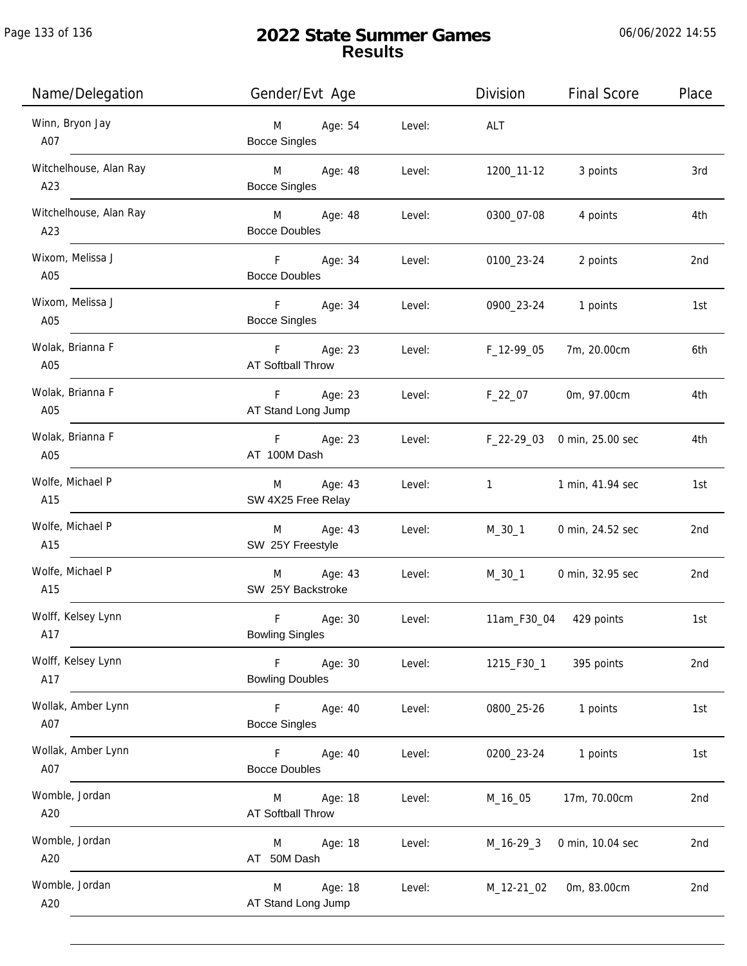06/06/2022 14:55

| Name/Delegation               | Gender/Evt Age                                     |        | Division         | <b>Final Score</b>          | Place |
|-------------------------------|----------------------------------------------------|--------|------------------|-----------------------------|-------|
| Winn, Bryon Jay<br>A07        | Age: 54<br>M<br><b>Bocce Singles</b>               | Level: | ALT              |                             |       |
| Witchelhouse, Alan Ray<br>A23 | M <sub>ar</sub><br>Age: 48<br><b>Bocce Singles</b> | Level: | 1200_11-12       | 3 points                    | 3rd   |
| Witchelhouse, Alan Ray<br>A23 | M Age: 48<br><b>Bocce Doubles</b>                  | Level: | 0300_07-08       | 4 points                    | 4th   |
| Wixom, Melissa J<br>A05       | F.<br>Age: 34<br><b>Bocce Doubles</b>              | Level: | 0100_23-24       | 2 points                    | 2nd   |
| Wixom, Melissa J<br>A05       | F Age: 34<br><b>Bocce Singles</b>                  | Level: | 0900_23-24       | 1 points                    | 1st   |
| Wolak, Brianna F<br>A05       | F Age: 23<br>AT Softball Throw                     | Level: | F_12-99_05       | 7m, 20.00cm                 | 6th   |
| Wolak, Brianna F<br>A05       | Age: 23<br>F.<br>AT Stand Long Jump                | Level: | $F_22_07$        | 0m, 97.00cm                 | 4th   |
| Wolak, Brianna F<br>A05       | Age: 23<br>F<br>AT 100M Dash                       | Level: |                  | F_22-29_03 0 min, 25.00 sec | 4th   |
| Wolfe, Michael P<br>A15       | Age: 43<br>M<br>SW 4X25 Free Relay                 | Level: | $1 \quad \cdots$ | 1 min, 41.94 sec            | 1st   |
| Wolfe, Michael P<br>A15       | Age: 43<br>M<br>SW 25Y Freestyle                   | Level: | M_30_1           | 0 min, 24.52 sec            | 2nd   |
| Wolfe, Michael P<br>A15       | Age: 43<br>M<br>SW 25Y Backstroke                  | Level: | M_30_1           | 0 min, 32.95 sec            | 2nd   |
| Wolff, Kelsey Lynn<br>A17     | F<br>Age: 30<br><b>Bowling Singles</b>             | Level: | 11am_F30_04      | 429 points                  | 1st   |
| Wolff, Kelsey Lynn<br>A17     | F.<br>Age: 30<br><b>Bowling Doubles</b>            | Level: | 1215_F30_1       | 395 points                  | 2nd   |
| Wollak, Amber Lynn<br>A07     | Age: 40<br>F.<br><b>Bocce Singles</b>              | Level: | 0800_25-26       | 1 points                    | 1st   |
| Wollak, Amber Lynn<br>A07     | F.<br>Age: 40<br><b>Bocce Doubles</b>              | Level: | 0200_23-24       | 1 points                    | 1st   |
| Womble, Jordan<br>A20         | Age: 18<br>M<br>AT Softball Throw                  | Level: | M_16_05          | 17m, 70.00cm                | 2nd   |
| Womble, Jordan<br>A20         | Age: 18<br>M<br>AT 50M Dash                        | Level: | $M_16-29-3$      | 0 min, 10.04 sec            | 2nd   |
| Womble, Jordan<br>A20         | Age: 18<br>M<br>AT Stand Long Jump                 | Level: | M_12-21_02       | 0m, 83.00cm                 | 2nd   |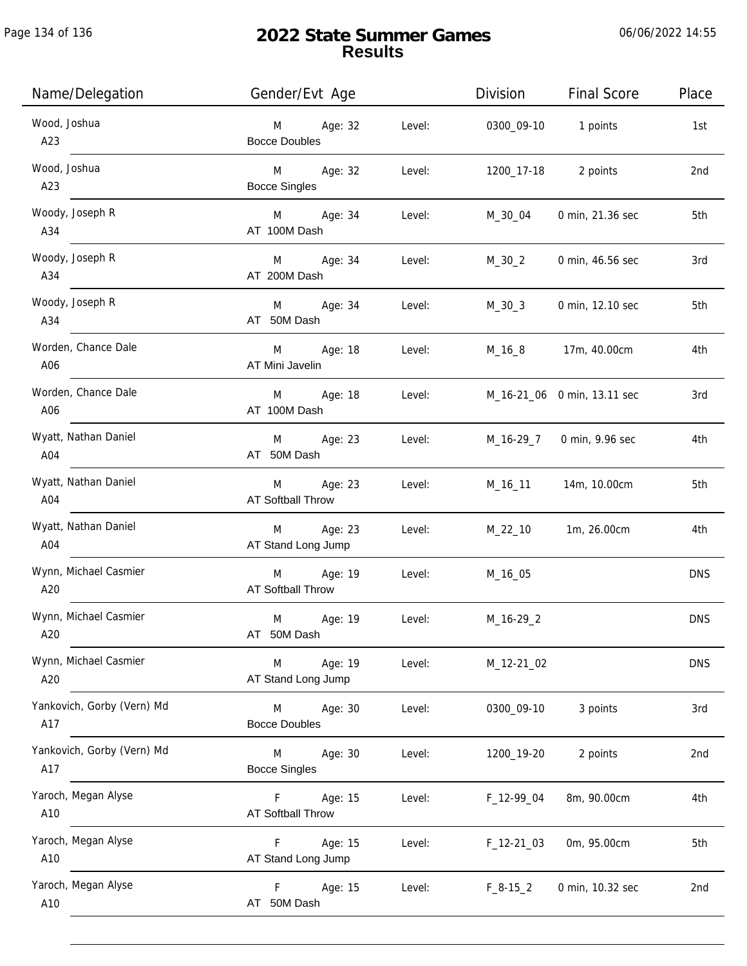| Name/Delegation                   | Gender/Evt Age                             |        | Division     | <b>Final Score</b>          | Place           |
|-----------------------------------|--------------------------------------------|--------|--------------|-----------------------------|-----------------|
| Wood, Joshua<br>A23               | Age: 32<br>M<br><b>Bocce Doubles</b>       | Level: | 0300_09-10   | 1 points                    | 1st             |
| Wood, Joshua<br>A23               | M<br>Age: 32<br><b>Bocce Singles</b>       | Level: | 1200_17-18   | 2 points                    | 2nd             |
| Woody, Joseph R<br>A34            | Age: 34<br>M <sub>ar</sub><br>AT 100M Dash | Level: | M_30_04      | 0 min, 21.36 sec            | 5th             |
| Woody, Joseph R<br>A34            | Age: 34<br>M<br>AT 200M Dash               | Level: | $M_30_2$     | 0 min, 46.56 sec            | 3rd             |
| Woody, Joseph R<br>A34            | Age: 34<br>M<br>AT 50M Dash                | Level: | $M_30_3$     | 0 min, 12.10 sec            | 5th             |
| Worden, Chance Dale<br>A06        | M<br>Age: 18<br>AT Mini Javelin            | Level: | M_16_8       | 17m, 40.00cm                | 4th             |
| Worden, Chance Dale<br>A06        | Age: 18<br>M<br>AT 100M Dash               | Level: |              | M_16-21_06 0 min, 13.11 sec | 3rd             |
| Wyatt, Nathan Daniel<br>A04       | Age: 23<br>M<br>AT 50M Dash                | Level: | M_16-29_7    | 0 min, 9.96 sec             | 4th             |
| Wyatt, Nathan Daniel<br>A04       | Age: 23<br>M<br>AT Softball Throw          | Level: | M_16_11      | 14m, 10.00cm                | 5th             |
| Wyatt, Nathan Daniel<br>A04       | Age: 23<br>M<br>AT Stand Long Jump         | Level: | $M_22_10$    | 1m, 26.00cm                 | 4th             |
| Wynn, Michael Casmier<br>A20      | Age: 19<br>M<br><b>AT Softball Throw</b>   | Level: | M_16_05      |                             | <b>DNS</b>      |
| Wynn, Michael Casmier<br>A20      | M<br>Age: 19<br>AT 50M Dash                | Level: | M_16-29_2    |                             | <b>DNS</b>      |
| Wynn, Michael Casmier<br>A20      | Age: 19<br>M<br>AT Stand Long Jump         | Level: | M_12-21_02   |                             | <b>DNS</b>      |
| Yankovich, Gorby (Vern) Md<br>A17 | Age: 30<br>M<br><b>Bocce Doubles</b>       | Level: | 0300_09-10   | 3 points                    | 3rd             |
| Yankovich, Gorby (Vern) Md<br>A17 | Age: 30<br>M<br><b>Bocce Singles</b>       | Level: | 1200_19-20   | 2 points                    | 2 <sub>nd</sub> |
| Yaroch, Megan Alyse<br>A10        | Age: 15<br>F.<br>AT Softball Throw         | Level: | F_12-99_04   | 8m, 90.00cm                 | 4th             |
| Yaroch, Megan Alyse<br>A10        | Age: 15<br>F<br>AT Stand Long Jump         | Level: | $F_12-21_03$ | 0m, 95.00cm                 | 5th             |
| Yaroch, Megan Alyse<br>A10        | F<br>Age: 15<br>AT 50M Dash                | Level: | $F_8-15_2$   | 0 min, 10.32 sec            | 2nd             |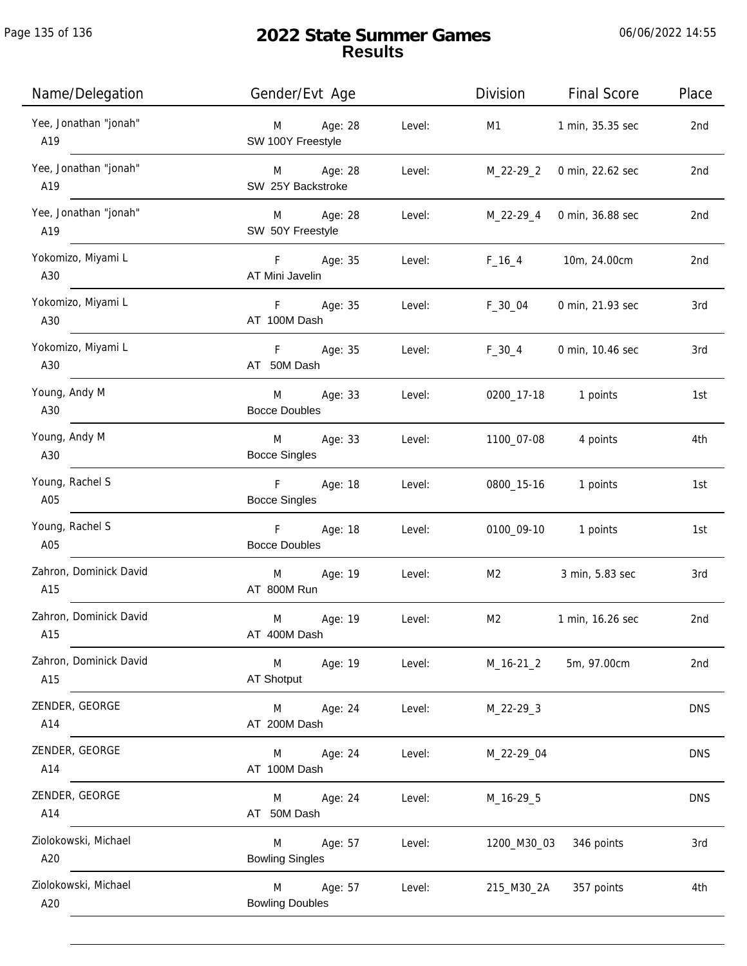| Name/Delegation               | Gender/Evt Age                                 | Division                 | <b>Final Score</b> | Place           |
|-------------------------------|------------------------------------------------|--------------------------|--------------------|-----------------|
| Yee, Jonathan "jonah"<br>A19  | Age: 28<br>Level:<br>M<br>SW 100Y Freestyle    | M1                       | 1 min, 35.35 sec   | 2nd             |
| Yee, Jonathan "jonah"<br>A19  | Age: 28<br>M<br>SW 25Y Backstroke              | Level:<br>M_22-29_2      | 0 min, 22.62 sec   | 2 <sub>nd</sub> |
| Yee, Jonathan "jonah"<br>A19  | Age: 28<br>M<br>SW 50Y Freestyle               | Level:<br>M_22-29_4      | 0 min, 36.88 sec   | 2nd             |
| Yokomizo, Miyami L<br>A30     | F<br>Age: 35<br>AT Mini Javelin                | $F_16_4$<br>Level:       | 10m, 24.00cm       | 2nd             |
| Yokomizo, Miyami L<br>A30     | F<br>Age: 35<br>AT 100M Dash                   | $F_30_04$<br>Level:      | 0 min, 21.93 sec   | 3rd             |
| Yokomizo, Miyami L<br>A30     | Age: 35<br>F.<br>AT 50M Dash                   | Level:<br>$F_30_4$       | 0 min, 10.46 sec   | 3rd             |
| Young, Andy M<br>A30          | Age: 33<br>M<br><b>Bocce Doubles</b>           | Level:<br>0200_17-18     | 1 points           | 1st             |
| Young, Andy M<br>A30          | M<br>Age: 33<br>Level:<br><b>Bocce Singles</b> | 1100_07-08               | 4 points           | 4th             |
| Young, Rachel S<br>A05        | F<br>Age: 18<br><b>Bocce Singles</b>           | Level:<br>0800_15-16     | 1 points           | 1st             |
| Young, Rachel S<br>A05        | $\mathsf F$<br>Age: 18<br><b>Bocce Doubles</b> | Level:<br>0100_09-10     | 1 points           | 1st             |
| Zahron, Dominick David<br>A15 | Age: 19<br>M<br>Level:<br>AT 800M Run          | M <sub>2</sub>           | 3 min, 5.83 sec    | 3rd             |
| Zahron, Dominick David<br>A15 | M<br>Age: 19<br>AT 400M Dash                   | M <sub>2</sub><br>Level: | 1 min, 16.26 sec   | 2nd             |
| Zahron, Dominick David<br>A15 | M<br>Age: 19<br>Level:<br>AT Shotput           | $M_16-21_2$              | 5m, 97.00cm        | 2nd             |
| ZENDER, GEORGE<br>A14         | Age: 24<br>M<br>AT 200M Dash                   | Level:<br>M_22-29_3      |                    | <b>DNS</b>      |
| ZENDER, GEORGE<br>A14         | Age: 24<br>M<br>AT 100M Dash                   | Level:<br>M_22-29_04     |                    | <b>DNS</b>      |
| ZENDER, GEORGE<br>A14         | Age: 24<br>M<br>AT 50M Dash                    | Level:<br>M_16-29_5      |                    | <b>DNS</b>      |
| Ziolokowski, Michael<br>A20   | Age: 57<br>M<br><b>Bowling Singles</b>         | Level:<br>1200_M30_03    | 346 points         | 3rd             |
| Ziolokowski, Michael<br>A20   | M<br>Age: 57<br><b>Bowling Doubles</b>         | Level:<br>215_M30_2A     | 357 points         | 4th             |